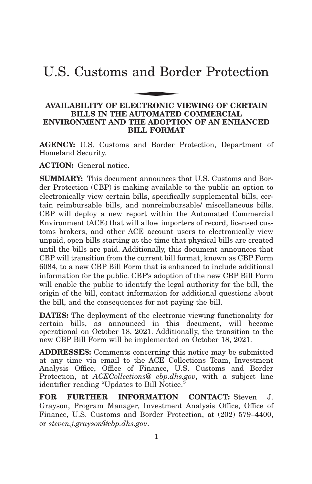# U.S. Customs and Border Protection and Bor

## **AVAILABILITY OF ELECTRONIC VIEWING OF CERTAIN BILLS IN THE AUTOMATED COMMERCIAL ENVIRONMENT AND THE ADOPTION OF AN ENHANCED BILL FORMAT**

**AGENCY:** U.S. Customs and Border Protection, Department of Homeland Security.

**ACTION:** General notice.

**SUMMARY:** This document announces that U.S. Customs and Border Protection (CBP) is making available to the public an option to electronically view certain bills, specifically supplemental bills, certain reimbursable bills, and nonreimbursable/ miscellaneous bills. CBP will deploy a new report within the Automated Commercial Environment (ACE) that will allow importers of record, licensed customs brokers, and other ACE account users to electronically view unpaid, open bills starting at the time that physical bills are created until the bills are paid. Additionally, this document announces that CBP will transition from the current bill format, known as CBP Form 6084, to a new CBP Bill Form that is enhanced to include additional information for the public. CBP's adoption of the new CBP Bill Form will enable the public to identify the legal authority for the bill, the origin of the bill, contact information for additional questions about the bill, and the consequences for not paying the bill.

**DATES:** The deployment of the electronic viewing functionality for certain bills, as announced in this document, will become operational on October 18, 2021. Additionally, the transition to the new CBP Bill Form will be implemented on October 18, 2021.

**ADDRESSES:** Comments concerning this notice may be submitted at any time via email to the ACE Collections Team, Investment Analysis Office, Office of Finance, U.S. Customs and Border Protection, at *ACECollections@ cbp.dhs.gov*, with a subject line identifier reading ''Updates to Bill Notice.''

**FOR FURTHER INFORMATION CONTACT:** Steven J. Grayson, Program Manager, Investment Analysis Office, Office of Finance, U.S. Customs and Border Protection, at (202) 579–4400, or *steven.j.grayson@cbp.dhs.gov*.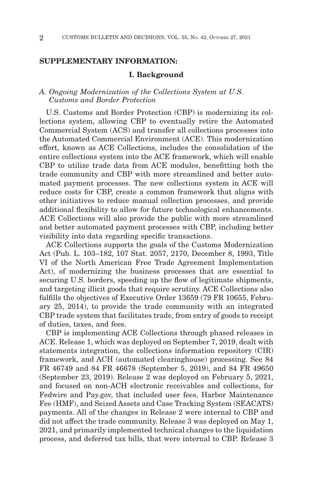## **SUPPLEMENTARY INFORMATION:**

#### **I. Background**

## *A. Ongoing Modernization of the Collections System at U.S. Customs and Border Protection*

U.S. Customs and Border Protection (CBP) is modernizing its collections system, allowing CBP to eventually retire the Automated Commercial System (ACS) and transfer all collections processes into the Automated Commercial Environment (ACE). This modernization effort, known as ACE Collections, includes the consolidation of the entire collections system into the ACE framework, which will enable CBP to utilize trade data from ACE modules, benefitting both the trade community and CBP with more streamlined and better automated payment processes. The new collections system in ACE will reduce costs for CBP, create a common framework that aligns with other initiatives to reduce manual collection processes, and provide additional flexibility to allow for future technological enhancements. ACE Collections will also provide the public with more streamlined and better automated payment processes with CBP, including better visibility into data regarding specific transactions.

ACE Collections supports the goals of the Customs Modernization Act (Pub. L. 103–182, 107 Stat. 2057, 2170, December 8, 1993, Title VI of the North American Free Trade Agreement Implementation Act), of modernizing the business processes that are essential to securing U.S. borders, speeding up the flow of legitimate shipments, and targeting illicit goods that require scrutiny. ACE Collections also fulfills the objectives of Executive Order 13659 (79 FR 10655, February 25, 2014), to provide the trade community with an integrated CBP trade system that facilitates trade, from entry of goods to receipt of duties, taxes, and fees.

CBP is implementing ACE Collections through phased releases in ACE. Release 1, which was deployed on September 7, 2019, dealt with statements integration, the collections information repository (CIR) framework, and ACH (automated clearinghouse) processing. See 84 FR 46749 and 84 FR 46678 (September 5, 2019), and 84 FR 49650 (September 23, 2019). Release 2 was deployed on February 5, 2021, and focused on non-ACH electronic receivables and collections, for Fedwire and Pay.gov, that included user fees, Harbor Maintenance Fee (HMF), and Seized Assets and Case Tracking System (SEACATS) payments. All of the changes in Release 2 were internal to CBP and did not affect the trade community. Release 3 was deployed on May 1, 2021, and primarily implemented technical changes to the liquidation process, and deferred tax bills, that were internal to CBP. Release 3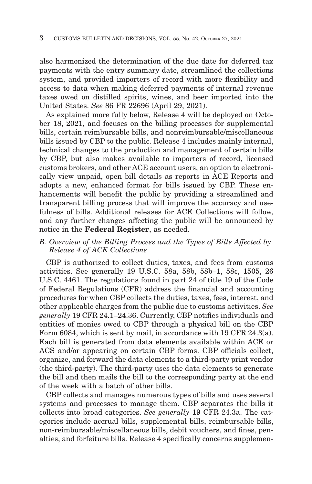also harmonized the determination of the due date for deferred tax payments with the entry summary date, streamlined the collections system, and provided importers of record with more flexibility and access to data when making deferred payments of internal revenue taxes owed on distilled spirits, wines, and beer imported into the United States. *See* 86 FR 22696 (April 29, 2021).

As explained more fully below, Release 4 will be deployed on October 18, 2021, and focuses on the billing processes for supplemental bills, certain reimbursable bills, and nonreimbursable/miscellaneous bills issued by CBP to the public. Release 4 includes mainly internal, technical changes to the production and management of certain bills by CBP, but also makes available to importers of record, licensed customs brokers, and other ACE account users, an option to electronically view unpaid, open bill details as reports in ACE Reports and adopts a new, enhanced format for bills issued by CBP. These enhancements will benefit the public by providing a streamlined and transparent billing process that will improve the accuracy and usefulness of bills. Additional releases for ACE Collections will follow, and any further changes affecting the public will be announced by notice in the **Federal Register**, as needed.

## *B. Overview of the Billing Process and the Types of Bills Affected by Release 4 of ACE Collections*

CBP is authorized to collect duties, taxes, and fees from customs activities. See generally 19 U.S.C. 58a, 58b, 58b–1, 58c, 1505, 26 U.S.C. 4461. The regulations found in part 24 of title 19 of the Code of Federal Regulations (CFR) address the financial and accounting procedures for when CBP collects the duties, taxes, fees, interest, and other applicable charges from the public due to customs activities. *See generally* 19 CFR 24.1–24.36. Currently, CBP notifies individuals and entities of monies owed to CBP through a physical bill on the CBP Form 6084, which is sent by mail, in accordance with 19 CFR 24.3(a). Each bill is generated from data elements available within ACE or ACS and/or appearing on certain CBP forms. CBP officials collect, organize, and forward the data elements to a third-party print vendor (the third-party). The third-party uses the data elements to generate the bill and then mails the bill to the corresponding party at the end of the week with a batch of other bills.

CBP collects and manages numerous types of bills and uses several systems and processes to manage them. CBP separates the bills it collects into broad categories. *See generally* 19 CFR 24.3a. The categories include accrual bills, supplemental bills, reimbursable bills, non-reimbursable/miscellaneous bills, debit vouchers, and fines, penalties, and forfeiture bills. Release 4 specifically concerns supplemen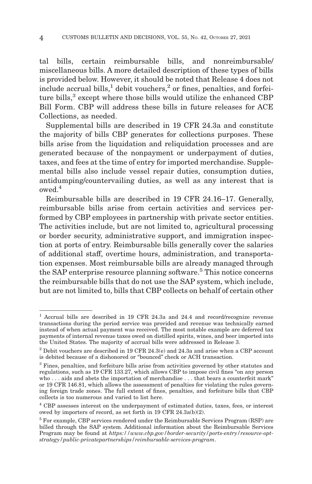tal bills, certain reimbursable bills, and nonreimbursable/ miscellaneous bills. A more detailed description of these types of bills is provided below. However, it should be noted that Release 4 does not include accrual bills, $<sup>1</sup>$  debit vouchers, $<sup>2</sup>$  or fines, penalties, and forfei-</sup></sup> ture bills, $3$  except where those bills would utilize the enhanced CBP Bill Form. CBP will address these bills in future releases for ACE Collections, as needed.

Supplemental bills are described in 19 CFR 24.3a and constitute the majority of bills CBP generates for collections purposes. These bills arise from the liquidation and reliquidation processes and are generated because of the nonpayment or underpayment of duties, taxes, and fees at the time of entry for imported merchandise. Supplemental bills also include vessel repair duties, consumption duties, antidumping/countervailing duties, as well as any interest that is  $owed<sup>4</sup>$ 

Reimbursable bills are described in 19 CFR 24.16–17. Generally, reimbursable bills arise from certain activities and services performed by CBP employees in partnership with private sector entities. The activities include, but are not limited to, agricultural processing or border security, administrative support, and immigration inspection at ports of entry. Reimbursable bills generally cover the salaries of additional staff, overtime hours, administration, and transportation expenses. Most reimbursable bills are already managed through the SAP enterprise resource planning software.<sup>5</sup> This notice concerns the reimbursable bills that do not use the SAP system, which include, but are not limited to, bills that CBP collects on behalf of certain other

<sup>1</sup> Accrual bills are described in 19 CFR 24.3a and 24.4 and record/recognize revenue transactions during the period service was provided and revenue was technically earned instead of when actual payment was received. The most notable example are deferred tax payments of internal revenue taxes owed on distilled spirits, wines, and beer imported into the United States. The majority of accrual bills were addressed in Release 3.

<sup>&</sup>lt;sup>2</sup> Debit vouchers are described in 19 CFR 24.3(e) and 24.3a and arise when a CBP account is debited because of a dishonored or ''bounced'' check or ACH transaction.

<sup>3</sup> Fines, penalties, and forfeiture bills arise from activities governed by other statutes and regulations, such as 19 CFR 133.27, which allows CBP to impose civil fines "on any person who . . . aids and abets the importation of merchandise . . . that bears a counterfeit mark'' or 19 CFR 146.81, which allows the assessment of penalties for violating the rules governing foreign trade zones. The full extent of fines, penalties, and forfeiture bills that CBP collects is too numerous and varied to list here.

 $^4$  CBP assesses interest on the underpayment of estimated duties, taxes, fees, or interest owed by importers of record, as set forth in 19 CFR 24.3a(b)(2).

<sup>5</sup> For example, CBP services rendered under the Reimbursable Services Program (RSP) are billed through the SAP system. Additional information about the Reimbursable Services Program may be found at *https://www.cbp.gov/border-security/ports-entry/resource-optstrategy/public-privatepartnerships/reimbursable-services-program*.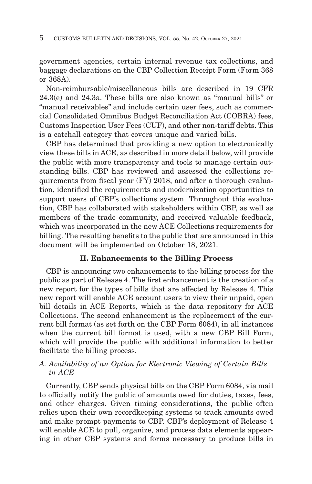government agencies, certain internal revenue tax collections, and baggage declarations on the CBP Collection Receipt Form (Form 368 or 368A).

Non-reimbursable/miscellaneous bills are described in 19 CFR 24.3(e) and 24.3a. These bills are also known as ''manual bills'' or ''manual receivables'' and include certain user fees, such as commercial Consolidated Omnibus Budget Reconciliation Act (COBRA) fees, Customs Inspection User Fees (CUF), and other non-tariff debts. This is a catchall category that covers unique and varied bills.

CBP has determined that providing a new option to electronically view these bills in ACE, as described in more detail below, will provide the public with more transparency and tools to manage certain outstanding bills. CBP has reviewed and assessed the collections requirements from fiscal year (FY) 2018, and after a thorough evaluation, identified the requirements and modernization opportunities to support users of CBP's collections system. Throughout this evaluation, CBP has collaborated with stakeholders within CBP, as well as members of the trade community, and received valuable feedback, which was incorporated in the new ACE Collections requirements for billing. The resulting benefits to the public that are announced in this document will be implemented on October 18, 2021.

## **II. Enhancements to the Billing Process**

CBP is announcing two enhancements to the billing process for the public as part of Release 4. The first enhancement is the creation of a new report for the types of bills that are affected by Release 4. This new report will enable ACE account users to view their unpaid, open bill details in ACE Reports, which is the data repository for ACE Collections. The second enhancement is the replacement of the current bill format (as set forth on the CBP Form 6084), in all instances when the current bill format is used, with a new CBP Bill Form, which will provide the public with additional information to better facilitate the billing process.

## *A. Availability of an Option for Electronic Viewing of Certain Bills in ACE*

Currently, CBP sends physical bills on the CBP Form 6084, via mail to officially notify the public of amounts owed for duties, taxes, fees, and other charges. Given timing considerations, the public often relies upon their own recordkeeping systems to track amounts owed and make prompt payments to CBP. CBP's deployment of Release 4 will enable ACE to pull, organize, and process data elements appearing in other CBP systems and forms necessary to produce bills in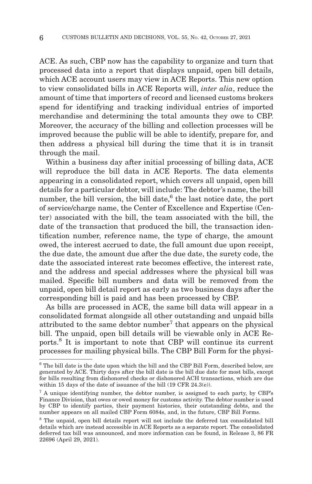ACE. As such, CBP now has the capability to organize and turn that processed data into a report that displays unpaid, open bill details, which ACE account users may view in ACE Reports. This new option to view consolidated bills in ACE Reports will, *inter alia*, reduce the amount of time that importers of record and licensed customs brokers spend for identifying and tracking individual entries of imported merchandise and determining the total amounts they owe to CBP. Moreover, the accuracy of the billing and collection processes will be improved because the public will be able to identify, prepare for, and then address a physical bill during the time that it is in transit through the mail.

Within a business day after initial processing of billing data, ACE will reproduce the bill data in ACE Reports. The data elements appearing in a consolidated report, which covers all unpaid, open bill details for a particular debtor, will include: The debtor's name, the bill number, the bill version, the bill date,<sup>6</sup> the last notice date, the port of service/charge name, the Center of Excellence and Expertise (Center) associated with the bill, the team associated with the bill, the date of the transaction that produced the bill, the transaction identification number, reference name, the type of charge, the amount owed, the interest accrued to date, the full amount due upon receipt, the due date, the amount due after the due date, the surety code, the date the associated interest rate becomes effective, the interest rate, and the address and special addresses where the physical bill was mailed. Specific bill numbers and data will be removed from the unpaid, open bill detail report as early as two business days after the corresponding bill is paid and has been processed by CBP.

As bills are processed in ACE, the same bill data will appear in a consolidated format alongside all other outstanding and unpaid bills attributed to the same debtor number<sup>7</sup> that appears on the physical bill. The unpaid, open bill details will be viewable only in ACE Reports.8 It is important to note that CBP will continue its current processes for mailing physical bills. The CBP Bill Form for the physi-

<sup>6</sup> The bill date is the date upon which the bill and the CBP Bill Form, described below, are generated by ACE. Thirty days after the bill date is the bill due date for most bills, except for bills resulting from dishonored checks or dishonored ACH transactions, which are due within 15 days of the date of issuance of the bill (19 CFR 24.3(e)).

<sup>&</sup>lt;sup>7</sup> A unique identifying number, the debtor number, is assigned to each party, by CBP's Finance Division, that owes or owed money for customs activity. The debtor number is used by CBP to identify parties, their payment histories, their outstanding debts, and the number appears on all mailed CBP Form 6084s, and, in the future, CBP Bill Forms.

<sup>8</sup> The unpaid, open bill details report will not include the deferred tax consolidated bill details which are instead accessible in ACE Reports as a separate report. The consolidated deferred tax bill was announced, and more information can be found, in Release 3, 86 FR 22696 (April 29, 2021).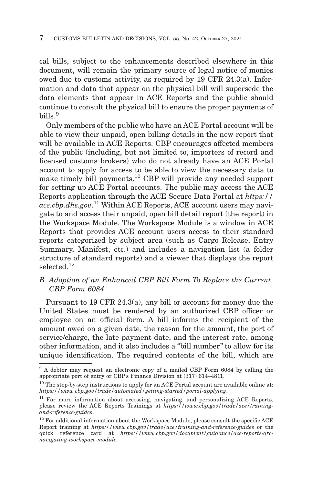cal bills, subject to the enhancements described elsewhere in this document, will remain the primary source of legal notice of monies owed due to customs activity, as required by 19 CFR 24.3(a). Information and data that appear on the physical bill will supersede the data elements that appear in ACE Reports and the public should continue to consult the physical bill to ensure the proper payments of  $h$ ills<sup>9</sup>

Only members of the public who have an ACE Portal account will be able to view their unpaid, open billing details in the new report that will be available in ACE Reports. CBP encourages affected members of the public (including, but not limited to, importers of record and licensed customs brokers) who do not already have an ACE Portal account to apply for access to be able to view the necessary data to make timely bill payments.10 CBP will provide any needed support for setting up ACE Portal accounts. The public may access the ACE Reports application through the ACE Secure Data Portal at *https:// ace.cbp.dhs.gov*. 11 Within ACE Reports, ACE account users may navigate to and access their unpaid, open bill detail report (the report) in the Workspace Module. The Workspace Module is a window in ACE Reports that provides ACE account users access to their standard reports categorized by subject area (such as Cargo Release, Entry Summary, Manifest, etc.) and includes a navigation list (a folder structure of standard reports) and a viewer that displays the report selected<sup>12</sup>

## *B. Adoption of an Enhanced CBP Bill Form To Replace the Current CBP Form 6084*

Pursuant to 19 CFR 24.3(a), any bill or account for money due the United States must be rendered by an authorized CBP officer or employee on an official form. A bill informs the recipient of the amount owed on a given date, the reason for the amount, the port of service/charge, the late payment date, and the interest rate, among other information, and it also includes a ''bill number'' to allow for its unique identification. The required contents of the bill, which are

<sup>9</sup> A debtor may request an electronic copy of a mailed CBP Form 6084 by calling the appropriate port of entry or CBP's Finance Division at (317) 614–4811.

 $10$  The step-by-step instructions to apply for an ACE Portal account are available online at: *https://www.cbp.gov/trade/automated/getting-started/portal-applying*.

<sup>&</sup>lt;sup>11</sup> For more information about accessing, navigating, and personalizing ACE Reports, please review the ACE Reports Trainings at *https://www.cbp.gov/trade/ace/trainingand-reference-guides*.

 $12$  For additional information about the Workspace Module, please consult the specific ACE Report training at *https://www.cbp.gov/trade/ace/training-and-reference-guides* or the quick reference card at *https://www.cbp.gov/document/guidance/ace-reports-qrcnavigating-workspace-module*.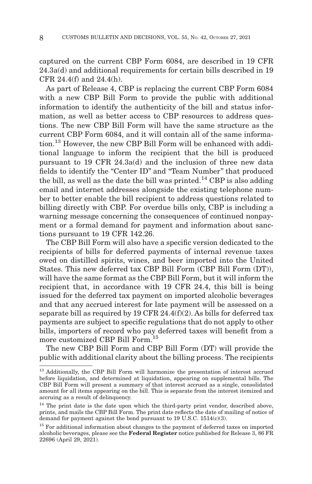captured on the current CBP Form 6084, are described in 19 CFR 24.3a(d) and additional requirements for certain bills described in 19 CFR 24.4(f) and 24.4(h).

As part of Release 4, CBP is replacing the current CBP Form 6084 with a new CBP Bill Form to provide the public with additional information to identify the authenticity of the bill and status information, as well as better access to CBP resources to address questions. The new CBP Bill Form will have the same structure as the current CBP Form 6084, and it will contain all of the same information.13 However, the new CBP Bill Form will be enhanced with additional language to inform the recipient that the bill is produced pursuant to 19 CFR 24.3a(d) and the inclusion of three new data fields to identify the "Center ID" and "Team Number" that produced the bill, as well as the date the bill was printed.<sup>14</sup> CBP is also adding email and internet addresses alongside the existing telephone number to better enable the bill recipient to address questions related to billing directly with CBP. For overdue bills only, CBP is including a warning message concerning the consequences of continued nonpayment or a formal demand for payment and information about sanctions pursuant to 19 CFR 142.26.

The CBP Bill Form will also have a specific version dedicated to the recipients of bills for deferred payments of internal revenue taxes owed on distilled spirits, wines, and beer imported into the United States. This new deferred tax CBP Bill Form (CBP Bill Form (DT)), will have the same format as the CBP Bill Form, but it will inform the recipient that, in accordance with 19 CFR 24.4, this bill is being issued for the deferred tax payment on imported alcoholic beverages and that any accrued interest for late payment will be assessed on a separate bill as required by 19 CFR 24.4(f)(2). As bills for deferred tax payments are subject to specific regulations that do not apply to other bills, importers of record who pay deferred taxes will benefit from a more customized CBP Bill Form.15

The new CBP Bill Form and CBP Bill Form (DT) will provide the public with additional clarity about the billing process. The recipients

<sup>&</sup>lt;sup>13</sup> Additionally, the CBP Bill Form will harmonize the presentation of interest accrued before liquidation, and determined at liquidation, appearing on supplemental bills. The CBP Bill Form will present a summary of that interest accrued as a single, consolidated amount for all items appearing on the bill. This is separate from the interest itemized and accruing as a result of delinquency.

<sup>&</sup>lt;sup>14</sup> The print date is the date upon which the third-party print vendor, described above, prints, and mails the CBP Bill Form. The print date reflects the date of mailing of notice of demand for payment against the bond pursuant to 19 U.S.C. 1514(c)(3).

<sup>&</sup>lt;sup>15</sup> For additional information about changes to the payment of deferred taxes on imported alcoholic beverages, please see the **Federal Register** notice published for Release 3, 86 FR 22696 (April 29, 2021).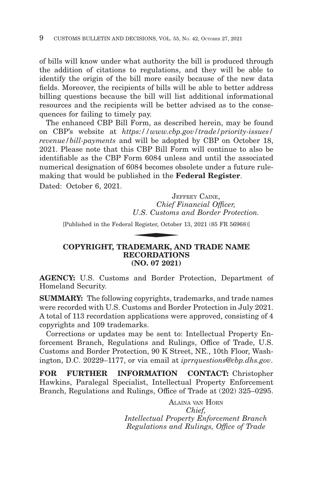of bills will know under what authority the bill is produced through the addition of citations to regulations, and they will be able to identify the origin of the bill more easily because of the new data fields. Moreover, the recipients of bills will be able to better address billing questions because the bill will list additional informational resources and the recipients will be better advised as to the consequences for failing to timely pay.

The enhanced CBP Bill Form, as described herein, may be found on CBP's website at *https://www.cbp.gov/trade/priority-issues/ revenue/bill-payments* and will be adopted by CBP on October 18, 2021. Please note that this CBP Bill Form will continue to also be identifiable as the CBP Form 6084 unless and until the associated numerical designation of 6084 becomes obsolete under a future rulemaking that would be published in the **Federal Register**. Dated: October 6, 2021.

JEFFREY CAINE, *Chief Financial Officer, U.S. Customs and Border Protection.* JE<br>Chief F<br>U.S. Customs<br>Register, October<br>NEMAPK AN

[Published in the Federal Register, October 13, 2021 (85 FR 56968)]

## **COPYRIGHT, TRADEMARK, AND TRADE NAME RECORDATIONS (NO. 07 2021)**

**AGENCY:** U.S. Customs and Border Protection, Department of Homeland Security.

**SUMMARY:** The following copyrights, trademarks, and trade names were recorded with U.S. Customs and Border Protection in July 2021. A total of 113 recordation applications were approved, consisting of 4 copyrights and 109 trademarks.

Corrections or updates may be sent to: Intellectual Property Enforcement Branch, Regulations and Rulings, Office of Trade, U.S. Customs and Border Protection, 90 K Street, NE., 10th Floor, Washington, D.C. 20229–1177, or via email at *iprrquestions@cbp.dhs.gov*.

**FOR FURTHER INFORMATION CONTACT:** Christopher Hawkins, Paralegal Specialist, Intellectual Property Enforcement Branch, Regulations and Rulings, Office of Trade at (202) 325–0295.

> ALAINA VAN HORN *Chief, Intellectual Property Enforcement Branch Regulations and Rulings, Office of Trade*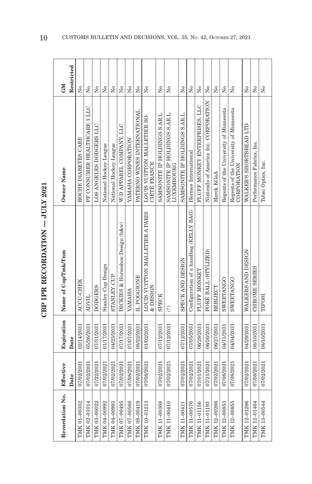| ,<br>;<br>;    |
|----------------|
|                |
| ľ<br>Σ<br>トくてい |
|                |
|                |
|                |

| Recordation No. | Effective  | Expiration | Name of Cop/Tmk/Tnm                         | Owner Name                                            | <b>CNI</b>              |
|-----------------|------------|------------|---------------------------------------------|-------------------------------------------------------|-------------------------|
|                 | Date       | Date       |                                             |                                                       | Restricted              |
| TMK 01-00352    | 07/02/2021 | 02/14/2031 | ACCU-CHEK                                   | ROCHE DIABETES CARE                                   | Σó                      |
| TMK 02-01014    | 07/02/2021 | 05/26/2031 | <b>ADVIL</b>                                | PF CONSUMER HEALTHCARE 1 LLC                          | Σó                      |
| TMK 03-00022    | 07/22/2021 | 07/31/2031 | <b>DODGERS</b>                              | LOS ANGELES DODGERS LLC                               | Σò                      |
| TMK 04-00992    | 07/02/2021 | 01/17/2031 | <b>Stanley Cup Design</b>                   | National Hockey League                                | Σó                      |
| TMK 04-00993    | 07/02/2021 | 04/23/2031 | STANLEY CUP                                 | National Hockey League                                | $\tilde{\mathbf{z}}$    |
| TMK 07-00495    | 07/02/2021 | 07/17/2031 | DICKIES & Horseshoe Design (b&w)            | W-D APPAREL COMPANY, LLC                              | Σó                      |
| TMK 07-00568    | 07/08/2021 | 07/07/2031 | <b>YAMAHA</b>                               | YAMAHA CORPORATION                                    | $\tilde{X}^{\circ}$     |
| TMK 08-00419    | 07/02/2021 | 08/22/2031 | IL POGGIONE                                 | PATERNO WINES INTERNATIONAL                           | $\tilde{X}^{\circ}$     |
| TMK 10-01213    | 07/08/2021 | 01/02/2031 | LOUIS VUITTON MALLETIER A PARIS<br>& DESIGN | LOUIS VUITTON MALLETIER SO-<br><b>CIÉTÉ FRANCE</b>    | $\tilde{X}^{\circ}$     |
| TMK 11-00369    | 07/02/2021 | 07/12/2031 | <b>SPECK</b>                                | SAMSONITE IP HOLDINGS S.AR.L.                         | $\tilde{X}^{\circ}$     |
| TMK 11-00410    | 07/02/2021 | 07/12/2031 | $(\ddot{\ast})$                             | SAMSONITE IP HOLDINGS S.AR.L.<br>LUXEMBOURG           | $\tilde{z}$             |
| TMK 11-00411    | 07/02/2021 | 07/12/2031 | SPECK AND DESIGN                            | SAMSONITE IP HOLDINGS S.AR.L.                         | ż                       |
| TMK 11-00576    | 07/02/2021 | 07/05/2031 | Configuration of a handbag (KELLY BAG)      | Hermes International                                  | $\overline{N}$          |
| TMK 11-01156    | 07/01/2021 | 06/29/2031 | <b>FLUFF MONKEY</b>                         | FLUFF MONKEY ENTERPRISES, LLC                         | $\tilde{\rm x}^{\rm o}$ |
| TMK 11-01193    | 07/21/2021 | 06/20/2031 | POKÉ BALL (STYLIZED)                        | Nintendo of America Inc. CORPORATION                  | $\overline{N}$          |
| TMK 12-00266    | 07/02/2021 | 06/27/2031 | REBIJECT                                    | Merck KGaA                                            | $\overline{N}$          |
| TMK 12-00853    | 07/08/2021 | 04/11/2031 | SWEETANGO                                   | Regents of the University of Minnesota                | $\tilde{X}^{\circ}$     |
| TMK 12-00855    | 07/08/2021 | 04/04/2031 | SWEETANGO                                   | Regents of the University of Minnesota<br>CORPORATION | $\tilde{z}$             |
| TMK 12-01296    | 07/02/2021 | 04/29/2031 | WALKERS AND DESIGN                          | WALKER'S SHORTBREAD LTD                               | Σó                      |
| TMK 12-01464    | 07/08/2021 | 08/10/2031 | <b>CHROME SERIES</b>                        | Performance Fabrics, Inc.                             | Σó                      |
| TMK 13-00544    | 07/02/2021 | 08/10/2031 | <b>TIFOSI</b>                               | Tifosi Optics, Inc.                                   | Σò                      |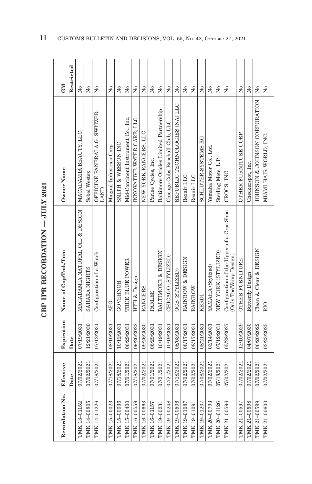| Effective<br>Date                           | Expiration<br>Date | Name of Cop/Tmk/Tnm                                               | Owner Name                             | Restricted<br><b>NEO</b>             |
|---------------------------------------------|--------------------|-------------------------------------------------------------------|----------------------------------------|--------------------------------------|
| 07/19/2031<br>07/02/2021                    |                    | MACADAMIA NATURAL OIL & DESIGN                                    | MACADAMIA BEAUTY, LLC                  | $\overline{N}$                       |
| 12/21/2030<br>07/02/2021                    |                    | SAHARA NIGHTS                                                     | Sobel Westex                           | Σó                                   |
| 07/12/2031<br>07/18/2021                    |                    | Configuration of a Watch                                          | OFFICINE PANERAI A.G. SWITZER-<br>LAND | $\tilde{X}^{\circ}$                  |
| <b>AFG</b><br>08/10/2031<br>07/18/2021      |                    |                                                                   | Magpul Industries Corp                 | Σó                                   |
| GOVERNOR<br>10/12/2031<br>07/18/2021        |                    |                                                                   | SMITH & WESSON INC.                    | $\tilde{\mathsf{z}}$                 |
| 06/29/2031<br>07/01/2021                    |                    | TRUE BLUE POWER                                                   | Mid-Continent Instrument Co., Inc.     | Σó                                   |
| 09/26/2022<br>07/18/2021                    |                    | HTH & Design                                                      | INNOVATIVE WATER CARE, LLC             | $\tilde{X}^{\circ}$                  |
| <b>RANGERS</b><br>09/26/2030<br>07/02/2021  |                    |                                                                   | NEW YORK RANGERS, LLC                  | $\tilde{X}^{\circ}$                  |
| <b>PARLEE</b><br>06/29/2031<br>07/01/2021   |                    |                                                                   | Parlee Cycles, Inc.                    | $\tilde{\mathbf{z}}$                 |
| 10/19/2031<br>07/21/2021                    |                    | <b>BALTIMORE &amp; DESIGN</b>                                     | Baltimore Orioles Limited Partnership  | $\Sigma$                             |
| 10/19/2031<br>07/21/2021                    |                    | CHICAGO (STYLIZED)                                                | Chicago Cubs Baseball Club, LLC        | Σó                                   |
| OCB (STYLIZED)<br>08/03/2031<br>07/18/2021  |                    |                                                                   | REPUBLIC TECHNOLOGIES (NA) LLC         | $\tilde{Z}$                          |
| 08/17/2031<br>07/02/2021                    |                    | RAINBOW & DESIGN                                                  | Rexair LLC                             | $_{\rm N_0}$                         |
| RAINBOW<br>08/17/2031<br>07/02/2021         |                    |                                                                   | Rexair LLC                             | $\overline{N}$                       |
| KERDI<br>08/21/2031<br>07/08/2021           |                    |                                                                   | SCHLUTER-SYSTEMS KG                    | $\tilde{X}^{\circ}$                  |
| 03/14/2031<br>07/02/2021                    |                    | YAMAHA (Stylized)                                                 | Yamaha Motor Co., Ltd.                 | $\overline{\mathsf{X}}^{\mathsf{o}}$ |
| 07/12/2031<br>07/18/2021                    |                    | NEW YORK (STYLIZED)                                               | Sterling Mets, L.P.                    | $\overline{N}$                       |
| 05/28/2027<br>07/02/2021                    |                    | Configuration of the Upper of a Croc Shoe $(Only ToeVamp Design)$ | CROCS, INC.                            | $\tilde{\mathbf{z}}$                 |
| 12/10/2029<br>07/02/2021                    |                    | <b>OTHER FURNITURE</b>                                            | <b>OTHER FURNITURE CORP.</b>           | $\tilde{\mathbf{z}}$                 |
| 04/07/2030<br>07/02/2021                    |                    | <b>Butterfly Design</b>                                           | Checkerspot, Inc.                      | $\mathsf{S}^{\mathsf{o}}$            |
| 06/20/2022<br>07/02/2021                    |                    | Clean & Clear & DESIGN                                            | JOHNSON & JOHNSON CORPORATION          | $\Sigma$                             |
| R <sub>10</sub><br>03/23/2025<br>07/02/2021 |                    |                                                                   | MIAMI HAIR WORLD, INC.                 | $\tilde{z}$                          |

CBP IPR RECORDATION - JULY 2021 **CBP IPR RECORDATION — JULY 2021**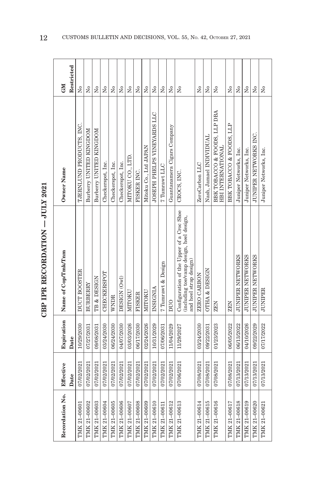| š                                                                                             |  |
|-----------------------------------------------------------------------------------------------|--|
| ֧ׅ֧֧֧֧ׅ֧֧ׅ֧֧֧֧֧֧֧֧ׅ֧֧֧֧֧֧֧֧֧֧֚֚֚֚֚֚֚֚֚֚֚֚֚֚֚֚֚֚֚֚֚֚֚֚֚֚֚֚֚֚֚֡֟֓֡֟֓֟֓֡֟֓֡֟֓֡֟֝֓֜֓֜֓֝֬֝֟֝֬֝֬֝֬֜ |  |
|                                                                                               |  |
| :<br>:                                                                                        |  |
|                                                                                               |  |
| .<br>The maximum                                                                              |  |
|                                                                                               |  |
|                                                                                               |  |

| Recordation No. | Effective<br>Date | Expiration<br>Date | Name of Cop/Tmk/Tnm                                                                                             | Owner Name                                        | Restricted<br><b>NEO</b> |
|-----------------|-------------------|--------------------|-----------------------------------------------------------------------------------------------------------------|---------------------------------------------------|--------------------------|
| TMK 21-00601    | 07/02/2021        | 10/29/2030         | <b>DUCT BOOSTER</b>                                                                                             | TJERNLUND PRODUCTS, INC.                          | Σó                       |
| TMK 21-00602    | 07/02/2021        | 07/27/2031         | BURBERRY                                                                                                        | Burberry UNITED KINGDOM                           | Σó                       |
| TMK 21-00603    | 07/02/2021        | 09/08/2031         | TB & DESIGN                                                                                                     | Burberry UNITED KINGDOM                           | $\overline{X}^{\circ}$   |
| TMK 21-00604    | 07/02/2021        | 03/24/2030         | CHECKERSPOT                                                                                                     | Checkerspot, Inc.                                 | Σó                       |
| TMK 21-00605    | 07/02/2021        | 06/24/2030         | WNDR                                                                                                            | Checkerspot, Inc.                                 | Σó                       |
| TMK 21-00606    | 07/02/2021        | 04/07/2030         | DESIGN (Owl)                                                                                                    | Checkerspot, Inc.                                 | $\tilde{X}^{\circ}$      |
| TMK 21-00607    | 07/02/2021        | 03/03/2026         | MITOKU                                                                                                          | MITOKU CO., LTD.                                  | ž                        |
| TMK 21-00608    | 07/02/2021        | 06/17/2030         | FISKER                                                                                                          | FISKER INC.                                       | Σó                       |
| TMK 21-00609    | 07/02/2021        | 02/24/2026         | MITOKU                                                                                                          | Mitoku Co., Ltd JAPAN                             | $\tilde{X}^{\circ}$      |
| TMK 21-00610    | 07/02/2021        | 10/31/2029         | INSIGNIA                                                                                                        | JOSEPH PHELPS VINEYARDS LLC                       | Σò                       |
| TMK 21-00611    | 07/02/2021        | 07/06/2031         | 7 Tumrawt & Design                                                                                              | 7 Tumrawt LLC                                     | Σó                       |
| TMK 21-00612    | 07/02/2021        | 11/04/2029         | DUO                                                                                                             | Guantanamera Cigars Company                       | $\tilde{X}^{\circ}$      |
| TMK 21-00613    | 07/06/2021        | 11/29/2027         | Configuration of the Upper of a Croc Shoe<br>(including toe/vamp design, heel design,<br>and heel strap design) | CROCS, INC.                                       | Σó                       |
| TMK 21-00614    | 07/08/2021        | 03/24/2030         | ZERO CARBON                                                                                                     | ZeroCarbon LLC                                    | $\overline{N}$           |
| TMK 21-00615    | 07/08/2021        | 09/22/2031         | <b>OTHA &amp; DESIGN</b>                                                                                        | Nash, Jamael INDIVIDUAL                           | $\overline{N}$           |
| TMK 21-00616    | 07/08/2021        | 01/23/2023         | <b>ZEN</b>                                                                                                      | BBK TOBACCO & FOODS, LLP DBA<br>HBI INTERNATIONAL | Σò                       |
| TMK 21-00617    | 07/08/2021        | 06/05/2022         | <b>ZEN</b>                                                                                                      | BBK TOBACCO & FOODS, LLP                          | ż                        |
| TMK 21-00618    | 07/13/2021        | 06/13/2022         | <b>JUNIPER NETWORKS</b>                                                                                         | Juniper Networks, Inc.                            | Σó                       |
| TMK 21-00619    | 07/13/2021        | 04/10/2026         | <b>JUNIPER NETWORKS</b>                                                                                         | Juniper Networks, Inc.                            | Σó                       |
| TMK 21-00620    | 07/13/2021        | 09/22/2029         | <b>JUNIPER NETWORKS</b>                                                                                         | JUNIPER NETWORKS INC.                             | $\overline{X}^{\circ}$   |
| TMK 21-00621    | 07/13/2021        | 07/17/2022         | <b>JUNIPER</b>                                                                                                  | Juniper Networks, Inc.                            | $\tilde{X}^{\circ}$      |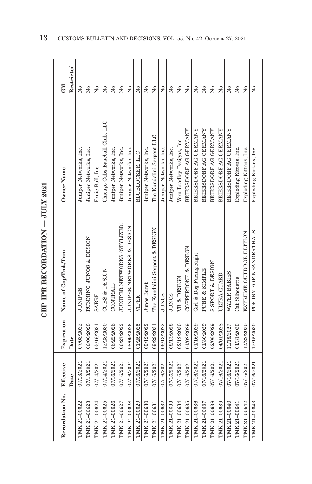| i<br> <br> <br>j |
|------------------|
|                  |
| <br> <br>        |
| ר<br>התוכני ה    |
|                  |
|                  |

| Recordation No. | Effective  | Expiration | Name of Cop/Tmk/Tnm            | Owner Name                      | <b>GM</b>                            |
|-----------------|------------|------------|--------------------------------|---------------------------------|--------------------------------------|
|                 | Date       | Date       |                                |                                 | Restricted                           |
| TMK 21-00622    | 07/13/2021 | 07/03/2022 | <b>JUNIPER</b>                 | Juniper Networks, Inc.          | Σò                                   |
| TMK 21-00623    | 07/13/2021 | 06/06/2028 | RUNNING JUNOS & DESIGN         | Juniper Networks, Inc.          | ż                                    |
| TMK 21-00624    | 07/14/2021 | 05/16/2031 | <b>SABRE</b>                   | Ernie Ball, Inc.                | Σó                                   |
| TMK 21-00625    | 07/14/2021 | 12/28/2030 | <b>CUBS &amp; DESIGN</b>       | Chicago Cubs Baseball Club, LLC | ż                                    |
| TMK 21-00626    | 07/16/2021 | 06/22/2026 | <b>CONTRAIL</b>                | Juniper Networks, Inc.          | Σò                                   |
| TMK 21-00627    | 07/16/2021 | 06/27/2022 | JUNIPER NETWORKS (STYLIZED)    | Juniper Networks, Inc.          | Σò                                   |
| TMK 21-00628    | 07/16/2021 | 08/09/2026 | JUNIPER NETWORKS & DESIGN      | Juniper Networks, Inc.          | $\tilde{\mathbf{X}}$                 |
| TMK 21-00629    | 07/16/2021 | 01/25/2025 | VIPER                          | BLUBLOCKER, LLC                 | Σò                                   |
| TMK 21-00630    | 07/16/2021 | 09/19/2022 | Junos Burst                    | Juniper Networks, Inc.          | Σò                                   |
| TMK 21-00631    | 07/16/2021 | 09/29/2031 | The Kundalini Serpent & DESIGN | The Kundalini Serpent LLC       | ż                                    |
| TMK 21-00632    | 07/16/2021 | 06/13/2022 | <b>SONUP</b>                   | Juniper Networks, Inc.          | ż                                    |
| TMK 21-00633    | 07/16/2021 | 08/13/2028 | <b>SONDP</b>                   | Juniper Networks, Inc.          | Σó                                   |
| TMK 21-00634    | 07/16/2021 | 02/12/2030 | VB & DESIGN                    | Vera Bradley Designs, Inc.      | $\overline{\mathsf{X}}^{\mathsf{o}}$ |
| TMK 21-00635    | 07/16/2021 | 01/02/2029 | COPPERTONE & DESIGN            | BEIERSDORF AG GERMANY           | $\tilde{\rm x}^{\rm o}$              |
| TMK 21-00636    | 07/16/2021 | 01/16/2029 | Girl & Dog Facing Right        | BEIERSDORF AG GERMANY           | Χo                                   |
| TMK 21-00637    | 07/16/2021 | 01/30/2029 | <b>PURE &amp; SIMPLE</b>       | BEIERSDORF AG GERMANY           | Χo                                   |
| TMK 21-00638    | 07/16/2021 | 02/06/2029 | S SPORT & DESIGN               | BEIERSDORF AG GERMANY           | Σo                                   |
| TMK 21-00639    | 07/16/2021 | 04/01/2028 | ULTRA GUARD                    | BEIERSDORF AG GERMANY           | Χo                                   |
| TMK 21-00640    | 07/16/2021 | 11/18/2027 | WATER BABIES                   | BEIERSDORF AG GERMANY           | Σo                                   |
| TMK 21-00641    | 07/16/2021 | 03/31/2030 | Cat Silhouette                 | Exploding Kittens, Inc.         | Χo                                   |
| TMK 21-00642    | 07/16/2021 | 12/22/2030 | EXTREME OUTDOOR EDITION        | Exploding Kittens, Inc.         | Χo                                   |
| TMK 21-00643    | 07/16/2021 | 12/15/2030 | POETRY FOR NEANDERTHALS        | Exploding Kittens, Inc.         | $\tilde{\mathsf{z}}$                 |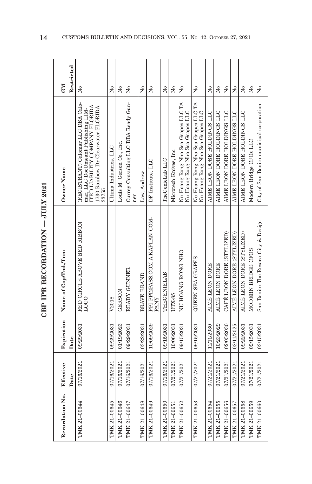| Restricted<br><b>NEO</b> | Χo                                                                                                                                                        | $\overline{N}$         | $\overline{N}$            | Σó                                          | Σó                 | $\tilde{\mathbf{z}}$                   | Σò               | $\overline{M}$         | Σó                                                                      | Σò                                                                      | $\overline{N}$              | Χo                          | $\tilde{z}$                 | $\tilde{\mathbf{z}}$        | $\tilde{z}$                 | Σó                     | Σò                                       |
|--------------------------|-----------------------------------------------------------------------------------------------------------------------------------------------------------|------------------------|---------------------------|---------------------------------------------|--------------------|----------------------------------------|------------------|------------------------|-------------------------------------------------------------------------|-------------------------------------------------------------------------|-----------------------------|-----------------------------|-----------------------------|-----------------------------|-----------------------------|------------------------|------------------------------------------|
| Owner Name               | (REGISTRANT) Calomar LLC DBA Calo-<br>mar, LLC DocUmeant Publishing LIM-<br>ITED LIABILITY COMPANY FLORIDA<br>1730 Rainbow Dr Clearwater FLORIDA<br>33755 | Ultima Industries, LLC | Louis M. Gerson Co., Inc. | Currey Consulting LLC DBA Ready Gun-<br>ner | Law, Andrew        | DF Institute, LLC                      | The GenieLab LLC | Microtech Knives, Inc. | Nu Hoang Rong Nho Sea Grapes LLC TA<br>Nu Hoang Rong Nho Sea Grapes LLC | Nu Hoang Rong Nho Sea Grapes LLC TA<br>Nu Hoang Rong Nho Sea Grapes LLC | AIME LEON DORE HOLDINGS LLC | AIME LEON DORE HOLDINGS LLC | AIME LEON DORE HOLDINGS LLC | AIME LEON DORE HOLDINGS LLC | AIME LEON DORE HOLDINGS LLC | Modern Bridge CFOs LLC | City of San Benito municipal corporation |
| Name of Cop/Tmk/Tnm      | RED CIRCLE ABOVE RED RIBBON<br>LOGO                                                                                                                       | V2018                  | <b>GERSON</b>             | READY GUNNER                                | <b>BRAVE BRAND</b> | PPI PPI2PASS.COM A KAPLAN COM-<br>PANY | THEGENIELAB      | UTX-85                 | NU HOANG RONG NHO                                                       | <b>QUEEN SEA GRAPES</b>                                                 | AIMÉ LEON DORE              | AIMÉ LEON DORE              | CAFÉ LEON DORE (STYLIZED)   | AIME LEON DORE (STYLIZED)   | AIMÉ LEON DORE (STYLIZED)   | MODERN BRIDGE CFOS     | San Benito The Resaca City & Design      |
| Expiration<br>Date       | 09/29/2031                                                                                                                                                | 09/29/2031             | 01/19/2023                | 09/29/2031                                  | 03/22/2031         | 10/09/2029                             | 09/15/2031       | 10/06/2031             | 09/15/2031                                                              | 09/15/2031                                                              | 11/11/2030                  | 10/23/2029                  | 02/05/2030                  | 02/11/2025                  | 09/22/2031                  | 09/15/2031             | 03/15/2031                               |
| Effective<br>Date        | 07/16/2021                                                                                                                                                | 07/16/2021             | 07/16/2021                | 07/16/2021                                  | 07/16/2021         | 07/16/2021                             | 07/16/2021       | 07/21/2021             | 07/21/2021                                                              | 07/21/2021                                                              | 07/21/2021                  | 07/21/2021                  | 07/21/2021                  | 07/21/2021                  | 07/21/2021                  | 07/21/2021             | 07/21/2021                               |
| Recordation No.          | TMK 21-00644                                                                                                                                              | TMK 21-00645           | TMK 21-00646              | TMK 21-00647                                | TMK 21-00648       | TMK 21-00649                           | TMK 21-00650     | TMK 21-00651           | TMK 21-00652                                                            | TMK 21-00653                                                            | TMK 21-00654                | TMK 21-00655                | TMK 21-00656                | TMK 21-00657                | TMK 21-00658                | TMK 21-00659           | TMK 21-00660                             |

CBP IPR RECORDATION - JULY 2021 **CBP IPR RECORDATION — JULY 2021**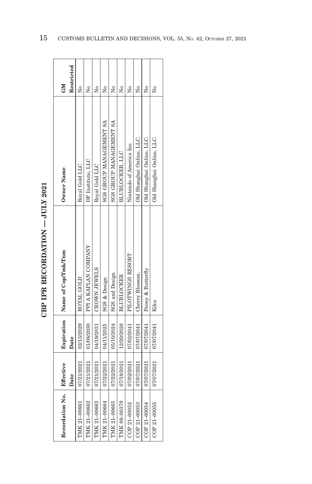| i           |
|-------------|
| ;<br>;<br>; |
| i           |
| י<br>ן<br>ן |
|             |
|             |

| Recordation No. | Effective<br>Date | Date       | Expiration   Name of Cop/Tmk/Tnm | Owner Name                     | Restricted<br><b>GM</b> |
|-----------------|-------------------|------------|----------------------------------|--------------------------------|-------------------------|
| TMK 21-00661    | 17/21/2021        | 02/13/2029 | ROYAL GOLD                       | Royal Gold LLC                 | Χo                      |
| TMK 21-00662    | 17/21/2021        | 01/08/2030 | PPI A KAPLAN COMPANY             | DF Institute, LLC              | Χo                      |
| TMK 21-00663    | 1721/2021         | 04/19/2031 | CROWN JEWELS                     | Royal Gold LLC                 | Χo                      |
| TMK 21-00664    | 17/22/2021        | 04/11/2025 | <b>SGS &amp; Design</b>          | <b>SGS GROUP MANAGEMENT SA</b> | Χo                      |
| TMK 21-00665    | 17/22/2021        | 05/10/2024 | <b>SGS</b> and Design            | SGS GROUP MANAGEMENT SA        | ż                       |
| TMK 89-00379    | 17/18/2021        | 12/20/2028 | <b>BLUBLOCKER</b>                | BLUBLOCKER, LLC                | ž                       |
| COP 21-00052    | 17/02/2021        | 07/02/2041 | PILOTWINGS RESORT                | Nintendo of America Inc.       | Χo                      |
| COP 21-00053    | 07/07/2021        | 07/07/2041 | Cherry Blossom.                  | Old Shanghai Online, LLC.      | Χo                      |
| COP 21-00054    | )7/07/2021        | 07/07/2041 | Peony & Butterfly                | Old Shanghai Online, LLC.      | ż                       |
| COP 21-00055    | 1202/2021         | 07/07/2041 | Kiku                             | Old Shanghai Online, LLC.      | ž                       |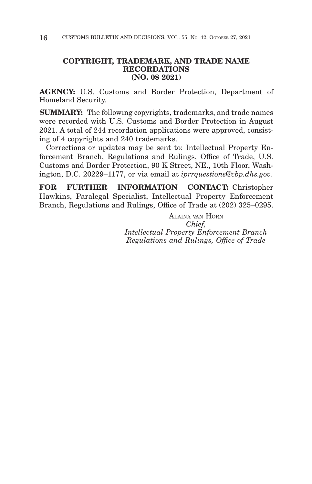## **COPYRIGHT, TRADEMARK, AND TRADE NAME RECORDATIONS (NO. 08 2021)**

**AGENCY:** U.S. Customs and Border Protection, Department of Homeland Security.

**SUMMARY:** The following copyrights, trademarks, and trade names were recorded with U.S. Customs and Border Protection in August 2021. A total of 244 recordation applications were approved, consisting of 4 copyrights and 240 trademarks.

Corrections or updates may be sent to: Intellectual Property Enforcement Branch, Regulations and Rulings, Office of Trade, U.S. Customs and Border Protection, 90 K Street, NE., 10th Floor, Washington, D.C. 20229–1177, or via email at *iprrquestions@cbp.dhs.gov*.

**FOR FURTHER INFORMATION CONTACT:** Christopher Hawkins, Paralegal Specialist, Intellectual Property Enforcement Branch, Regulations and Rulings, Office of Trade at (202) 325–0295.

> ALAINA VAN HORN *Chief, Intellectual Property Enforcement Branch Regulations and Rulings, Office of Trade*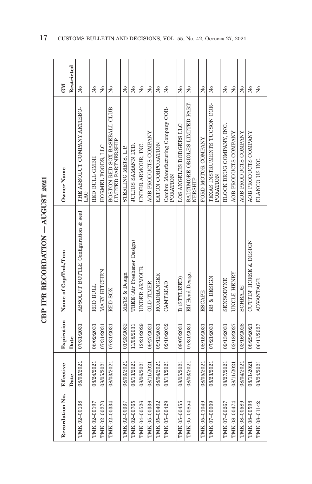|                  | í |
|------------------|---|
| ;<br>;<br>;<br>; |   |
|                  |   |
| Ì<br>ï<br>くりょ    |   |
| ļ                | j |
|                  |   |

| Recordation No. | Effective  | Expiration | Name of Cop/Tmk/Tnm                 | Owner Name                                          | <b>NE</b>            |
|-----------------|------------|------------|-------------------------------------|-----------------------------------------------------|----------------------|
|                 | Date       | Date       |                                     |                                                     | Restricted           |
| TMK 02-00138    | 08/03/2021 | 07/31/2031 | ABSOLUT BOTTLE Configuration & seal | THE ABSOLUT COMPANY AKTIEBO-<br>LAG                 | $\tilde{\mathbf{X}}$ |
| TMK 02-00197    | 08/24/2021 | 06/02/2031 | RED BULL                            | RED BULL GMBH                                       | Χo                   |
| TMK 02-00270    | 08/05/2021 | 07/31/2031 | MARY KITCHEN                        | HORMEL FOODS, LLC                                   | Χo                   |
| TMK 02-00334    | 08/03/2021 | 07/31/2031 | <b>RED SOX</b>                      | BOSTON RED SOX BASEBALL CLUB<br>LIMITED PARTNERSHIP | Σó                   |
| TMK 02-00337    | 08/03/2021 | 01/23/2032 | METS & Design                       | STERLING METS, L.P.                                 | $\overline{N}$       |
| TMK 02-00765    | 08/13/2021 | 11/08/2031 | TREE (Air Freshener Design)         | JULIUS SAMANN LTD.                                  | $\overline{R}$       |
| TMK 04-00526    | 08/06/2021 | 12/21/2029 | UNDER ARMOUR                        | UNDER ARMOUR, INC.                                  | $\tilde{z}$          |
| TMK 05-00336    | 08/11/2021 | 09/27/2021 | <b>OLD TIMER</b>                    | AOB PRODUCTS COMPANY                                | $\overline{R}$       |
| TMK 05-00402    | 08/04/2021 | 09/12/2031 | <b>ROADRANGER</b>                   | EATON CORPORATION                                   | Σó                   |
| TMK 05-00429    | 08/13/2021 | 02/10/2032 | CAMTREAD                            | Cambro Manufacturing Company COR-<br>PORATION       | Σó                   |
| TMK 05-00455    | 08/05/2021 | 08/07/2031 | B (STYLIZED)                        | LOS ANGELES DODGERS LLC                             | å                    |
| TMK 05-00854    | 08/03/2021 | 07/31/2031 | <b>Elf Head Design</b>              | BALTIMORE ORIOLES LIMITED PART-<br><b>NERSHIP</b>   | Σó                   |
| TMK 05-01049    | 08/05/2021 | 08/15/2031 | <b>ESCAPE</b>                       | FORD MOTOR COMPANY                                  | Σó                   |
| TMK 07-00009    | 08/23/2021 | 07/21/2031 | BB & DESIGN                         | TEXAS INSTRUMENTS TUCSON COR-<br>PORATION           | å                    |
| TMK 07-00267    | 08/27/2021 | 09/13/2031 | <b>SENSODYNE</b>                    | BLOCK DRUG COMPANY. INC.                            | Σó                   |
| TMK 08-00474    | 08/11/2021 | 02/18/2027 | UNCLE HENRY                         | AOB PRODUCTS COMPANY                                | Σó                   |
| TMK 08-00589    | 08/04/2021 | 03/16/2028 | <b>SCHRADE</b>                      | AOB PRODUCTS COMPANY                                | $\overline{N}$       |
| TMK 08-00598    | 08/11/2021 | 08/29/2021 | <b>CUTTIN HORSE &amp; DESIGN</b>    | AOB PRODUCTS COMPANY                                | Σó                   |
| TMK 08-01142    | 08/24/2021 | 06/11/2027 | <b>ADVANTAGE</b>                    | ELANCO US INC.                                      | $\Sigma$             |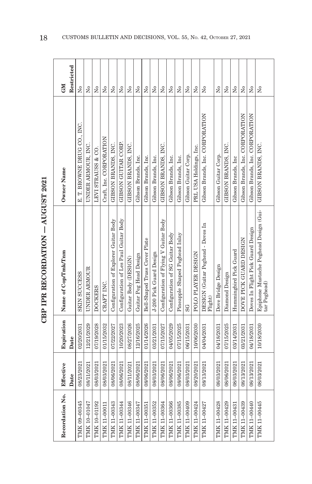|                  | í |
|------------------|---|
| ;<br>;<br>;<br>; |   |
|                  |   |
| Ì<br>ï<br>くりょ    |   |
| ļ                | j |
|                  |   |

| Recordation No. | Effective  | Expiration | Name of Cop/Tmk/Tnm                                    | Owner Name                      | <b>CNI</b>                           |
|-----------------|------------|------------|--------------------------------------------------------|---------------------------------|--------------------------------------|
|                 | Date       | Date       |                                                        |                                 | Restricted                           |
| TMK 09-00345    | 08/23/2021 | 02/20/2031 | <b>SKIN SUCCESS</b>                                    | E. T. BROWNE DRUG CO., INC.     | Σó                                   |
| TMK 10-01047    | 08/11/2021 | 12/21/2029 | UNDER ARMOUR                                           | UNDER ARMOUR, INC.              | $\tilde{\mathbf{X}}$                 |
| TMK 10-01192    | 08/03/2021 | 07/19/2028 | <b>DOCKERS</b>                                         | LEVI STRAUSS & CO.              | $\tilde{X}^{\circ}$                  |
| TMK 11-00011    | 08/03/2021 | 01/15/2032 | CRAFT INC.                                             | Craft, Inc. CORPORATION         | ż                                    |
| TMK 11-00343    | 08/06/2021 | 07/22/2027 | Configuration of Explorer Guitar Body                  | GIBSON BRANDS, INC.             | $\tilde{\mathsf{z}}$                 |
| TMK 11-00344    | 08/06/2021 | 10/20/2023 | Configuration of Les Paul Guitar Body                  | GIBSON GUITAR CORP.             | $\tilde{\mathbf{X}}$                 |
| TMK 11-00346    | 08/11/2021 | 08/27/2026 | Guitar Body (DESIGN)                                   | GIBSON BRANDS, INC.             | Σò                                   |
| TMK 11-00347    | 08/06/2021 | 12/16/2025 | Guitar Peg Head Design                                 | Gibson Brands, Inc.             | $\tilde{\mathbf{z}}$                 |
| TMK 11-00351    | 08/06/2021 | 01/14/2026 | Bell-Shaped Truss Cover Plate                          | Gibson Brands, Inc.             | $\tilde{\mathbf{z}}$                 |
| TMK 11-00352    | 08/03/2021 | 03/21/2031 | J-200 Pick Guard Design                                | Gibson Brands, Inc.             | $\tilde{\mathbf{z}}$                 |
| TMK 11-00364    | 08/06/2021 | 07/15/2027 | Configuration of Flying V Guitar Body                  | GIBSON BRANDS, INC.             | Σò                                   |
| TMK 11-00366    | 08/06/2021 | 04/05/2029 | Configuration of SG Guitar Body                        | Gibson Brands, Inc.             | Σò                                   |
| TMK 11-00385    | 08/06/2021 | 07/15/2025 | Pineapple Shaped Peghead Inlay                         | Gibson Brands, Inc.             | $\tilde{X}^{\circ}$                  |
| TMK 11-00409    | 08/03/2021 | 06/15/2031 | SG                                                     | Gibson Guitar Corp.             | $\tilde{X}^{\circ}$                  |
| TMK 11-00424    | 08/20/2021 | 10/06/2030 | POLO PLAYER DESIGN                                     | PRL USA Holdings, Inc.          | $\overline{\mathsf{X}}^{\mathsf{o}}$ |
| TMK 11-00427    | 08/13/2021 | 04/04/2031 | DESIGN (Guitar Peghead - Doves In<br>Flight)           | Gibson Brands, Inc. CORPORATION | $\tilde{X}^{\circ}$                  |
| TMK 11-00428    | 08/03/2021 | 04/18/2031 | Dove Bridge Design                                     | Gibson Guitar Corp.             | $\overline{N}$                       |
| TMK 11-00429    | 08/06/2021 | 07/15/2025 | Diamond Design                                         | GIBSON BRANDS, INC.             | $\tilde{R}$                          |
| TMK 11-00431    | 08/03/2021 | 03/14/2031 | Hummingbird Pick Guard                                 | Gibson Brands, Inc.             | Σ°                                   |
| TMK 11-00439    | 08/13/2021 | 03/21/2031 | DOVE PICK GUARD DESIGN                                 | Gibson Brands, Inc. CORPORATION | $\tilde{X}^{\circ}$                  |
| TMK 11-00440    | 08/13/2021 | 04/18/2031 | Doves In Flight Pick Guard Design                      | Gibson Brands, Inc. CORPORATION | $\tilde{X}^{\circ}$                  |
| TMK 11-00445    | 08/03/2021 | 10/18/2030 | Epiphone Mustache Peghead Design (Gui-<br>tar Peghead) | GIBSON BRANDS, INC.             | ż                                    |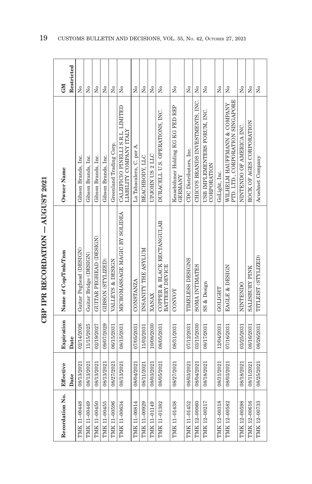| ミートしくり         |
|----------------|
| $\frac{1}{2}$  |
|                |
|                |
| <b>FICTION</b> |
| ĵ              |
| י<br>ג         |

| Recordation No. | Effective  | Expiration | Name of Cop/Tmk/Tnm                          | Owner Name                                                      | <b>NE</b>           |
|-----------------|------------|------------|----------------------------------------------|-----------------------------------------------------------------|---------------------|
|                 | Date       | Date       |                                              |                                                                 | Restricted          |
| TMK 11-00448    | 08/13/2021 | 02/14/2026 | Guitar Peghead (DESIGN)                      | Gibson Brands, Inc.                                             | Σ°                  |
| TMK 11-00449    | 08/13/2021 | 11/15/2025 | Guitar Bridge (DESIGN)                       | Gibson Brands, Inc.                                             | Σó                  |
| TMK 11-00450    | 08/13/2021 | 02/19/2027 | GUITAR PEGHEAD (DESIGN)                      | Gibson Brands, Inc.                                             | Χo                  |
| TMK 11-00455    | 08/13/2021 | 09/07/2029 | GIBSON (STYLIZED)                            | Gibson Brands, Inc.                                             | ž                   |
| TMK 11-00596    | 08/27/2021 | 06/15/2031 | VALLEYS & DESIGN                             | Greenland Trading Corp.                                         | $\overline{N}$      |
| TMK 11-00634    | 08/13/2021 | 08/15/2031 | MICROMASSAGE MAGIC BY SOLIDEA                | CALZIFICIO PINELLI S.R.L. LIMITED<br>LIABILITY COMPANY ITALY    | $\tilde{X}^{\circ}$ |
| TMK 11-00814    | 08/04/2021 | 07/05/2031 | <b>CONSTANZA</b>                             | La Tabacalera, C. por A.                                        | Χo                  |
| TMK 11-00929    | 08/11/2021 | 11/02/2031 | INSANITY THE ASYLUM                          | BEACHBODY, LLC                                                  | $\tilde{X}^{\circ}$ |
| TMK 11-01149    | 08/03/2021 | 10/08/2030 | XANAX                                        | UPJOHN US 2 LLC                                                 | Σó                  |
| TMK 11-01382    | 08/05/2021 | 08/05/2031 | COPPER & BLACK RECTANGULAR<br>BATTERY DEVICE | DURACELL U.S. OPERATIONS, INC.                                  | Σó                  |
| TMK 11-01438    | 08/27/2021 | 08/31/2031 | CONNOY                                       | Kesseböhmer Holding KG KG FED REP<br><b>GERMANY</b>             | Σò                  |
| TMK 11-01452    | 08/03/2021 | 07/12/2031 | TIMELESS DESIGNS                             | CDC Distributors, Inc.                                          | Χo                  |
| TMK 12-00060    | 08/04/2021 | 03/15/2030 | SOMA INTIMATES                               | CHICO'S BRANDS INVESTMENTS, INC.                                | $\mathbf{\hat{z}}$  |
| TMK 12-00217    | 08/18/2021 | 08/17/2031 | SS & Design                                  | USB IMPLEMENTERS FORUM, INC.<br>CORPORATION                     | Σó                  |
| TMK 12-00318    | 08/31/2021 | 12/04/2031 | GOLIGHT                                      | GoLight, Inc.                                                   | ż                   |
| TMK 12-00582    | 08/03/2021 | 07/16/2031 | EAGLE & DESIGN                               | PTD. LTD., CORPORATION SINGAPORE<br>WILHELM HAUFFMANN & COMPANY | Σò                  |
| TMK 12-00598    | 08/18/2021 | 03/25/2031 | NINTENDO                                     | NINTENDO OF AMERICA INC.                                        | Χo                  |
| TMK 12-00616    | 08/11/2021 | 08/16/2031 | SALISBURY PINK                               | ROCK OF AGES CORPORATION                                        | $\overline{N}$      |
| TMK 12-00733    | 08/25/2021 | 08/26/2031 | TITLEIST (STYLIZED)                          | Acushnet Company                                                | $\tilde{z}$         |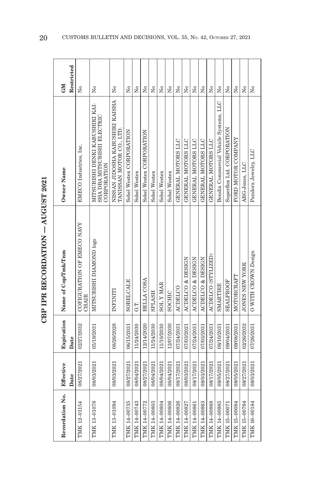| î                            |
|------------------------------|
| i<br> <br>                   |
|                              |
| i<br>İ<br>ŗ<br>くりょ<br>.<br>. |
| i<br>ĵ                       |
|                              |

| Recordation No. | Effective<br>Date | Expiration<br>Date | Name of Cop/Tmk/Tnm                 | Owner Name                                                                    | Restricted<br>GM        |
|-----------------|-------------------|--------------------|-------------------------------------|-------------------------------------------------------------------------------|-------------------------|
| TMK 12-01154    | 08/27/2021        | 02/27/2032         | COFIGURATION OF EMECO NAVY<br>CHAIR | EMECO Industries, Inc.                                                        | Σò                      |
| TMK 13-01078    | 08/03/2021        | 05/19/2031         | MITSUBISHI DIAMOND logo             | MITSUBISHI DENKI KABUSHIKI KAI-<br>SHA DBA MITSUBISHI ELECTRIC<br>CORPORATION | ż                       |
| TMK 13-01094    | 08/03/2021        | 08/26/2028         | INFINITI                            | NISSAN JIDOSHA KABUSHIKI KAISHA<br>TANISSAN MOTOR CO., LTD                    | ż                       |
| TMK 14-00735    | 08/27/2021        | 06/15/2031         | SOBELCALE                           | Sobel Westex CORPORATION                                                      | Σó                      |
| TMK 14-00743    | 08/04/2021        | 11/24/2030         | O.T.                                | Sobel Westex                                                                  | Χo                      |
| TMK 14-00772    | 08/27/2021        | 12/14/2020         | BELLA COSA                          | Sobel Westex CORPORATION                                                      | Σó                      |
| TMK 14-00803    | 08/04/2021        | 11/24/2030         | <b>SPLASH</b>                       | Sobel Westex                                                                  | $\tilde{\mathsf{X}}$    |
| FMK 14-00804    | 08/04/2021        | 11/10/2030         | <b>SOLYMAR</b>                      | Sobel Westex                                                                  | Σò                      |
| TMK 14-00806    | 08/04/2021        | 12/07/2030         | SOCHIC                              | Sobel Westex                                                                  | $\tilde{\mathsf{X}}$    |
| TMK 14-00826    | 08/17/2021        | 07/24/2031         | <b>ACDELCO</b>                      | GENERAL MOTORS LLC                                                            | Σò                      |
| TMK 14-00827    | 08/03/2021        | 07/03/2021         | ACDELCO & DESIGN                    | GENERAL MOTORS LLC                                                            | $\tilde{\mathsf{X}}$    |
| TMK 14-00861    | 08/17/2021        | 07/24/2031         | ACDELCO & DESIGN                    | GENERAL MOTORS LLC                                                            | Σò                      |
| TMK 14-00863    | 08/03/2021        | 07/03/2031         | ACDELCO & DESIGN                    | GENERAL MOTORS LLC                                                            | ž                       |
| TMK 14-00868    | 08/17/2021        | 07/24/2031         | ACDELCO (STYLIZED)                  | GENERAL MOTORS LLC                                                            | ż                       |
| TMK 14-00985    | 08/05/2021        | 08/10/2031         | SMARTIRE                            | Bendix Commercial Vehicle Systems, LLC                                        | $\tilde{\mathsf{X}}$    |
| TMK 15-00071    | 08/27/2021        | 09/04/2031         | SEALPROOF                           | Superflex Ltd. CORPORATION                                                    | $\tilde{\rm x}^{\rm o}$ |
| TMK 15-00084    | 08/05/2021        | 09/08/2031         | MOTORCRAFT                          | FORD MOTOR COMPANY                                                            | Σó                      |
| TMK 15-00794    | 08/27/2021        | 02/26/2032         | <b>JONES NEW YORK</b>               | ABG-Jones, LLC                                                                | Σó                      |
| TMK 16-00184    | 08/03/2021        | 07/26/2031         | O WITH CROWN Design                 | Pandora Jewelry, LLC                                                          | $\tilde{\mathbf{z}}$    |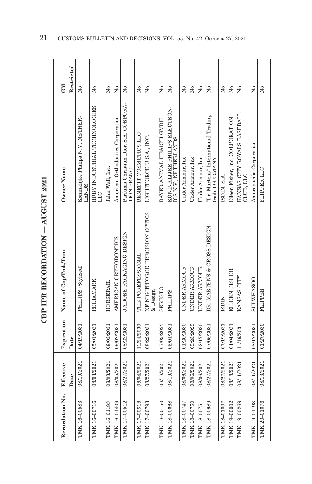| Restricted<br><b>CNI</b> | Σò                                                | ż                                   | $\tilde{\mathbf{z}}$ | $\overline{M}$                    | $\tilde{\mathbf{z}}$                                 | Χo                    | $\tilde{\mathbf{z}}$                       | ż                        | $\tilde{\mathbf{z}}$                                   | ż                  | Σó                 | Χo                 | $\tilde{\mathbf{X}}$                                | Χo           | $\tilde{X}^{\circ}$             | ż                                        | å                        | Σò             |
|--------------------------|---------------------------------------------------|-------------------------------------|----------------------|-----------------------------------|------------------------------------------------------|-----------------------|--------------------------------------------|--------------------------|--------------------------------------------------------|--------------------|--------------------|--------------------|-----------------------------------------------------|--------------|---------------------------------|------------------------------------------|--------------------------|----------------|
| Owner Name               | Koninklijke Philips N.V., NETHER-<br><b>LANDS</b> | RUBY INDUSTRIAL TECHNOLOGIES<br>LLC | John Wall, Inc.      | American Orthodontics Corporation | Parfums Christian Dior, S.A. CORPORA-<br>TION FRANCE | BENEFIT COSMETICS LLC | LIGHTFORCE U.S.A., INC.                    | BAYER ANIMAL HEALTH GMBH | KONINKLIJKE PHILIPS ELECTRON-<br>ICS N.V., NETHERLANDS | Under Armour, Inc. | Under Armour, Inc. | Under Armour, Inc. | "Dr. Martens" International Trading<br>GmbH GERMANY | ISDIN, S.A.  | Eileen Fisher, Inc. CORPORATION | KANSAS CITY ROYALS BASEBALL<br>CLUB, LLC | Amorepacific Corporation | FLIPPER LLC    |
| Name of Cop/Tmk/Tnm      | PHILIPS (Stylized)                                | <b>RELIAMARK</b>                    | HORSERAIL            | AMERICAN ORTHODONTICS             | J'ADORE PACKAGING DESIGN                             | THE POREFESSIONAL     | NF NIGHTFORCE PRECISION OPTICS<br>& Design | SERESTO                  | PHILIPS                                                | UNDER ARMOUR       | UNDER ARMOUR       | UNDER ARMOUR       | DR. MARTENS & CROSS DESIGN                          | <b>ISDIN</b> | <b>EILEEN FISHER</b>            | KANSAS CITY                              | <b>SULWHASOO</b>         | <b>FLIPPER</b> |
| Expiration<br>Date       | 04/19/2031                                        | 05/01/2031                          | 08/03/2031           | 09/02/2031                        | 08/22/2031                                           | 11/24/2030            | 08/29/2031                                 | 07/09/2023               | 05/01/2031                                             | 01/20/2030         | 09/23/2029         | 02/17/2030         | 07/05/2031                                          | 07/19/2031   | 04/04/2031                      | 11/16/2031                               | 08/17/2031               | 01/27/2030     |
| Effective<br>Date        | 08/19/2021                                        | 08/03/2021                          | 08/03/2021           | 08/05/2021                        | 08/27/2021                                           | 08/04/2021            | 08/27/2021                                 | 08/18/2021               | 08/19/2021                                             | 08/06/2021         | 08/06/2021         | 08/06/2021         | 08/27/2021                                          | 08/27/2021   | 08/18/2021                      | 08/11/2021                               | 08/11/2021               | 08/13/2021     |
| Recordation No.          | TMK 16-00583                                      | TMK 16-00716                        | TMK 16-01183         | TMK 16-01409                      | TMK 17-00512                                         | TMK 17-00518          | TMK 17-00793                               | TMK 18-00150             | TMK 18-00668                                           | TMK 18-00747       | TMK 18-00750       | TMK 18-00751       | TMK 18-00989                                        | TMK 18-01007 | TMK 19-00002                    | TMK 19-00269                             | TMK 19-01193             | TMK 20-01076   |

CBP IPR RECORDATION - AUGUST 2021 **CBP IPR RECORDATION — AUGUST 2021**

Ŧ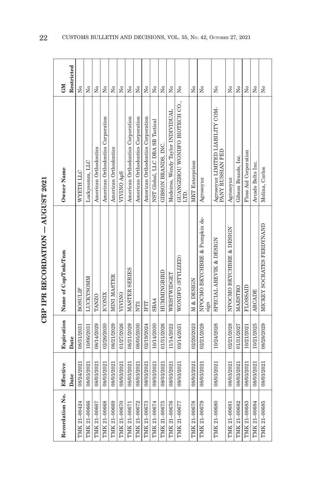| J                                         | î |
|-------------------------------------------|---|
| i<br> <br>                                |   |
|                                           |   |
| $\frac{1}{2}$<br>į<br>・・・・・・・・・<br>.<br>. |   |
|                                           | j |
|                                           |   |

| Recordation No. | Effective  | Expiration | Name of Cop/Tmk/Tnm                   | Owner Name                                                                                                                                             | <b>GM</b>              |
|-----------------|------------|------------|---------------------------------------|--------------------------------------------------------------------------------------------------------------------------------------------------------|------------------------|
|                 | Date       | Date       |                                       |                                                                                                                                                        | Restricted             |
| TMK 21-00424    | 08/24/2021 | 08/31/2031 | <b>BOSULIF</b>                        | WYETH LLC                                                                                                                                              | Χo                     |
| TMK 21-00666    | 08/03/2021 | 10/06/2031 | LUCKYSOMM                             | Luckysomm, LLC                                                                                                                                         | $\tilde{X}^{\circ}$    |
| TMK 21-00667    | 08/03/2021 | 08/14/2029 | <b>TANZO</b>                          | American Orthodontics                                                                                                                                  | Σò                     |
| TMK 21-00668    | 08/03/2021 | 02/26/2030 | ICONIX                                | American Orthodontics Corporation                                                                                                                      | Σó                     |
| TMK 21-00669    | 08/03/2021 | 08/21/2029 | MINI MASTER                           | American Orthodontics                                                                                                                                  | Σó                     |
| TMK 21-00670    | 08/03/2021 | 01/27/2026 | VIVINO                                | VIVINO ApS                                                                                                                                             | Σó                     |
| TMK 21-00671    | 08/03/2021 | 08/21/2029 | MASTER SERIES                         | American Orthodontics Corporation                                                                                                                      | $\tilde{X}^{\circ}$    |
| TMK 21-00672    | 08/03/2021 | 08/05/2030 | NT <sub>3</sub>                       | American Orthodontics Corporation                                                                                                                      | $\overline{N}$         |
| TMK 21-00673    | 08/03/2021 | 02/19/2024 | <b>IFIT</b>                           | American Orthodontics Corporation                                                                                                                      | $\tilde{z}$            |
| TMK 21-00674    | 08/03/2021 | 10/14/2030 | SBA4                                  | NST Global, LLC DBA SB Tactical                                                                                                                        | $\tilde{z}$            |
| TMK 21-00675    | 08/03/2021 | 01/31/2026 | HUMMINGBIRD                           | GIBSON BRANDS, INC.                                                                                                                                    | $\overline{X}^{\circ}$ |
| TMK 21-00676    | 08/03/2021 | 11/14/2022 | WRISTWIDGET                           | Medeiros, Wendy Taylor INDIVIDUAL                                                                                                                      | $\overline{R}$         |
| TMK 21-00677    | 08/03/2021 | 03/14/2031 | WONDFO (STYLIZED)                     | GUANGZHOU WONDFO BIOTECH CO.,<br>LTD.                                                                                                                  | Σó                     |
| TMK 21-00678    | 08/03/2021 | 02/20/2023 | M & DESIGN                            | <b>MKT</b> Enterprises                                                                                                                                 | $\overline{N}$         |
| TMK 21-00679    | 08/03/2021 | 02/21/2028 | NPOCMO BKYCHBRE & Pumpkin de-<br>sign | Agrosoyuz                                                                                                                                              | $\tilde{X}^{\circ}$    |
| TMK 21-00680    | 08/03/2021 | 10/24/2028 | SPECIAL AREVIK & DESIGN               | $\begin{array}{ll} \texttt{Agrosoyuz}\ \texttt{LMITED}\ \texttt{LIABLITY}\ \texttt{COM-} \\ \texttt{PANY}\ \texttt{RUSSIAN}\ \texttt{FED} \end{array}$ | Σó                     |
| TMK 21-00681    | 08/03/2021 | 02/21/2028 | NPOCMO BKYCHBRE & DESIGN              | Agrosoyuz                                                                                                                                              | $\tilde{X}^{\circ}$    |
| TMK 21-00682    | 08/03/2021 | 01/31/2027 | MAESTRO                               | Gibson Brands, Inc.                                                                                                                                    | Σó                     |
| TMK 21-00683    | 08/03/2021 | 10/21/2021 | FLOSSAID                              | Floss Aid Corporation                                                                                                                                  | Σó                     |
| TMK 21-00684    | 08/03/2021 | 10/21/2025 | <b>ARCADE</b>                         | Arcade Belts Inc.                                                                                                                                      | $\tilde{X}^{\circ}$    |
| TMK 21-00685    | 08/03/2021 | 08/28/2029 | MICKEY SOCRATES FERDYNAND             | Molina, Carlos                                                                                                                                         | $\Sigma$               |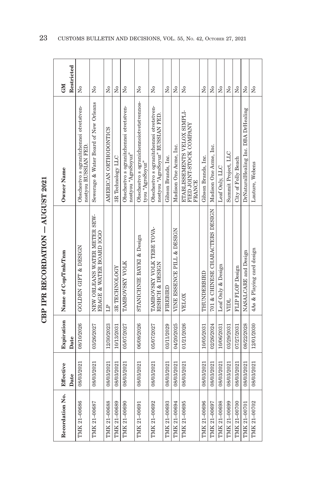| î                            |
|------------------------------|
| i<br> <br>                   |
|                              |
| i<br>İ<br>ŗ<br>くりょ<br>.<br>. |
| i<br>ĵ                       |
|                              |

 $\overline{a}$ 

| Recordation No. | Effective  | Expiration | Name of Cop/Tmk/Tnm                                      | Owner Name                                                                  | <b>NI</b>              |
|-----------------|------------|------------|----------------------------------------------------------|-----------------------------------------------------------------------------|------------------------|
|                 | Date       | Date       |                                                          |                                                                             | Restricted             |
| TMK 21-00686    | 08/03/2021 | 08/10/2026 | GOLDEN GIFT & DESIGN                                     | Obschestvo s ogranitchennoi otvetstven-<br>nostyou RUSSIAN FED.             | Σó                     |
| TMK 21-00687    | 08/03/2021 | 03/26/2027 | NEW ORLEANS WATER METER SEW-<br>ERAGE & WATER BOARD IOGO | Sewerage & Water Board of New Orleans                                       | ž                      |
| TMK 21-00688    | 08/03/2021 | 12/30/2023 | $\mathbb{H}$                                             | AMERICAN ORTHODONTICS                                                       | Σó                     |
| TMK 21-00689    | 08/03/2021 | 10/13/2031 | 3R TECHNOLOGY                                            | 3R Technology LLC                                                           | Σó                     |
| TMK 21-00690    | 08/03/2021 | 05/07/2027 | TAMBOVSKY VOLK                                           | Obschestvo s ogranitchennoi otvetstven-<br>nostyou "AgroSoyuz"              | Σó                     |
| TMK 21-00691    | 08/03/2021 | 06/08/2026 | STANICHNIE BAYKI & Design                                | Obschestvo s ogranichennoiotvetstvennos-<br>tyou "AgroSoyuz"                | ž                      |
| TMK 21-00692    | 08/03/2021 | 05/07/2027 | TAMBOVSKY VOLK TEBE TOVA-<br>RISHCH & DESIGN             | Obschestvo s ogranitchennoi otvetstven-<br>nostyou "AgroSoyuz" RUSSIAN FED. | Χo                     |
| TMK 21-00693    | 08/03/2021 | 03/11/2029 | FIREBIRD                                                 | Gibson Brands, Inc.                                                         | Σó                     |
| TMK 21-00694    | 08/03/2021 | 04/20/2025 | VINE ESSENCE PILL & DESIGN                               | Madison One Acme, Inc.                                                      | Χo                     |
| TMK 21-00695    | 08/03/2021 | 01/21/2026 | VELOX                                                    | ETABLISSEMENTS VELOX SIMPLI-<br>FIED JOINT-STOCK COMPANY<br><b>FRANCE</b>   | ż                      |
| TMK 21-00696    | 08/03/2021 | 10/05/2031 | THUNDERBIRD                                              | Gibson Brands, Inc.                                                         | $\tilde{\rm X}^0$      |
| TMK 21-00697    | 08/03/2021 | 02/26/2024 | 701 & CHINESE CHARACTERS DESIGN                          | Madison One Acme, Inc.                                                      | $\overline{X}^{\circ}$ |
| TMK 21-00698    | 08/03/2021 | 10/06/2031 | Leaf Only & Design                                       | Leaf Only, LLC                                                              | $\overline{X}^{\circ}$ |
| TMK 21-00699    | 08/03/2021 | 03/29/2031 | <b>NHDL</b>                                              | Summit Project, LLC                                                         | $\overline{X}^{\circ}$ |
| TMK 21-00700    | 08/03/2021 | 07/27/2031 | FLIP FLOP Design                                         | City of Folly Beach                                                         | $\overline{R}$         |
| TMK 21-00701    | 08/03/2021 | 08/22/2028 | NASALCARE and Design                                     | DrNaturalHealing Inc. DBA DrHealing                                         | $\overline{R}$         |
| TMK 21-00702    | 08/03/2021 | 12/01/2030 | 4As & Playing card design                                | Lauture, Webens                                                             | Σó                     |

23 CUSTOMS BULLETIN AND DECISIONS, VOL. 55, No. 42, OCTOBER 27, 2021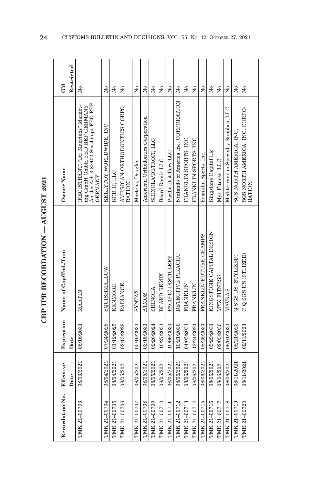| ١<br>î                 |
|------------------------|
|                        |
|                        |
| ;<br>į<br>トロペスドレー<br>j |
| ĵ                      |
|                        |

| Recordation No. | Effective<br>Date | Expiration<br>Date | Name of Cop/Tmk/Tnm      | Owner Name                                                                                                                     | Restricted<br><b>GM</b> |
|-----------------|-------------------|--------------------|--------------------------|--------------------------------------------------------------------------------------------------------------------------------|-------------------------|
| TMK 21-00703    | 08/03/2021        | 06/16/2031         | MARTIN                   | An der Ach 3 82402 Seeshaupt FED REP<br>(REGISTRANT) "Dr. Maertens" Market-<br>ing GmbH GmbH FED REP GERMANY<br><b>GERMANY</b> | Σó                      |
| TMK 21-00704    | 08/04/2021        | 07/24/2028         | SQUISHMALLOW             | KELLYTOY WORLDWIDE, INC.                                                                                                       | Χo                      |
| TMK 21-00705    | 08/04/2021        | 01/12/2025         | <b>KENMORE</b>           | KCD IP, LLC                                                                                                                    | ž                       |
| TMK 21-00706    | 08/05/2021        | 02/13/2028         | <b>RADIANCE</b>          | AMERICAN ORTHODONTICS CORPO-<br>RATION                                                                                         | Σò                      |
| TMK 21-00707    | 08/05/2021        | 05/16/2031         | <b>SYNTAX</b>            | Martens, Douglas                                                                                                               | ž                       |
| TMK 21-00708    | 08/05/2021        | 03/15/2031         | <b>ATMOS</b>             | American Orthodontics Corporation                                                                                              | ž                       |
| TMK 21-00709    | 08/05/2021        | 02/26/2024         | <b>SHINOLA</b>           | SHINOLA/DETROIT, LLC                                                                                                           | Σó                      |
| TMK 21-00710    | 08/05/2021        | 10/27/2031         | <b>BEARD REMIX</b>       | Beard Remix LLC                                                                                                                | $\tilde{\rm X}^0$       |
| TMK 21-00711    | 08/05/2021        | 10/06/2031         | PACIFIC DISTILLERY       | Pacific Distillery LLC                                                                                                         | Χo                      |
| TMK 21-00712    | 08/06/2021        | 10/21/2030         | DETECTIVE PIKACHU        | Nintendo of America Inc. CORPORATION                                                                                           | Σó                      |
| TMK 21-00713    | 08/06/2021        | 04/05/2031         | <b>FRANKLIN</b>          | FRANKLIN SPORTS, INC.                                                                                                          | Σó                      |
| TMK 21-00714    | 08/06/2021        | 12/24/2021         | <b>FRANKLIN</b>          | FRANKLIN SPORTS, INC.                                                                                                          | Χo                      |
| TMK 21-00715    | 08/06/2021        | 08/25/2031         | FRANKLIN FUTURE CHAMPS   | Franklin Sports, Inc.                                                                                                          | Χo                      |
| TMK 21-00716    | 08/06/2021        | 09/29/2031         | KINGSTONE CAPITAL DESIGN | Kingstone Capital Llc                                                                                                          | Σó                      |
| TMK 21-00717    | 08/06/2021        | 02/05/2030         | MYX FITNESS              | Myx Fitness, LLC                                                                                                               | $\tilde{\mathbf{X}}$    |
| TMK 21-00718    | 08/06/2021        | 09/01/2031         | <b>MAVRA'S</b>           | Mediterranean Specialty Supplies, LLC                                                                                          | Χo                      |
| TMK 21-00719    | 08/11/2021        | 08/21/2023         | Q SGS US (STYLIZED)      | SGS NORTH AMERICA, INC.                                                                                                        | Χo                      |
| TMK 21-00720    | 08/11/2021        | 09/11/2023         | C Q SGS US (STLIZED)     | SGS NORTH AMERICA, INC. CORPO-<br>RATION                                                                                       | ž                       |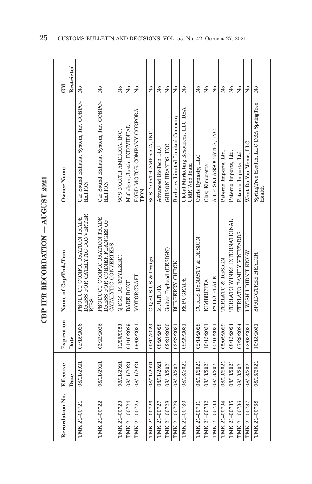| こうりくり                        |
|------------------------------|
| ֓֟֓֟֬֟֓֟֬֟׆֧<br>֧֪֪ <b>֟</b> |
| í                            |
| ï<br>í                       |
| ーくく                          |

| Recordation No. | Effective<br>Date | Expiration<br>Date | Name of Cop/Tmk/Tnm                                                                | Owner Name                                             | Restricted<br>GM     |
|-----------------|-------------------|--------------------|------------------------------------------------------------------------------------|--------------------------------------------------------|----------------------|
| TMK 21-00721    | 08/11/2021        | 02/15/2026         | DRESS FOR CATALYTIC CONVERTER<br>PRODUCT CONFIGURATION TRADE<br><b>RIBS</b>        | Car Sound Exhaust System, Inc. CORPO-<br><b>RATION</b> | $\tilde{\mathsf{z}}$ |
| TMK 21-00722    | 08/11/2021        | 02/22/2026         | PRODUCT CONFIGURATION TRADE<br>DRESS FOR CORNER FLANGES OF<br>CATALYTIC CONVERTERS | Car Sound Exhaust System, Inc. CORPO-<br>RATION        | $\tilde{X}^{\circ}$  |
| TMK 21-00723    | 08/11/2021        | 11/20/2023         | Q SGS US (STYLIZED)                                                                | SGS NORTH AMERICA, INC.                                | $\overline{M}$       |
| TMK 21-00724    | 08/11/2021        | 01/16/2029         | <b>BARE BONE</b>                                                                   | McColgan, Justin INDIVIDUAL                            | Σó                   |
| TMK 21-00725    | 08/11/2021        | 09/08/2031         | MOTORCRAFT                                                                         | FORD MOTOR COMPANY CORPORA-<br>TION                    | ż                    |
| TMK 21-00726    | 08/11/2021        | 09/11/2023         | C Q SGS US & Design                                                                | SGS NORTH AMERICA, INC.                                | å                    |
| TMK 21-00727    | 08/11/2021        | 08/20/2028         | MULTIFIX                                                                           | Advanced BioTech LLC                                   | Χo                   |
| TMK 21-00728    | 08/13/2021        | 02/21/2030         | Guitar Peghead (DESIGN)                                                            | GIBSON BRANDS, INC.                                    | Σó                   |
| TMK 21-00729    | 08/13/2021        | 03/22/2031         | <b>BURBERRY CHECK</b>                                                              | Burberry Limited Limited Company                       | Χo                   |
| TMK 21-00730    | 08/13/2021        | 09/29/2031         | REPUGRADE                                                                          | Global Marketing Resources, LLC DBA<br>GMR Web Team    | $\tilde{\mathbf{X}}$ |
| TMK 21-00731    | 08/13/2021        | 02/14/2028         | CURLS DYNASTY & DESIGN                                                             | Curls Dynasty, LLC                                     | å                    |
| TMK 21-00732    | 08/13/2021        | 10/13/2031         | KIMBRETTA                                                                          | Clay, Kimbretta                                        | ż                    |
| TMK 21-00733    | 08/13/2021        | 05/16/2031         | PATIO PLACE                                                                        | A.T.P. SKI ASSOCIATES, INC.                            | Σó                   |
| TMK 21-00734    | 08/13/2021        | 05/05/2029         | TERLATO & DESIGN                                                                   | Paterno Imports, Ltd.                                  | Σó                   |
| TMK 21-00735    | 08/13/2021        | 08/13/2024         | TERLATO WINES INTERNATIONAL                                                        | Paterno Imports, Ltd.                                  | $\tilde{X}^{\circ}$  |
| TMK 21-00736    | 08/13/2021        | 07/29/2024         | TERLATO FAMILY VINEYARDS                                                           | Paterno Imports, Ltd.                                  | Σó                   |
| TMK 21-00737    | 08/13/2021        | 02/03/2031         | I WISH I DIDN'T KNOW                                                               | What Do You Meme, LLC                                  | Σó                   |
| TMK 21-00738    | 08/13/2021        | 10/13/2031         | SPRINGTREE HEALTH                                                                  | SpringTree Health, LLC DBA SpringTree<br>Health        | ż                    |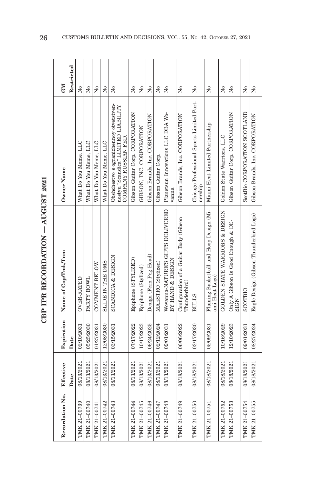| J                                         | î |
|-------------------------------------------|---|
| i<br> <br>                                |   |
|                                           |   |
| $\frac{1}{2}$<br>į<br>・・・・・・・・・<br>.<br>. |   |
|                                           | j |
|                                           |   |

| Recordation No. | Effective | Expiration | Name of Cop/Tmk/Tnm                                       | Owner Name                                                                                            | <b>CM</b>              |
|-----------------|-----------|------------|-----------------------------------------------------------|-------------------------------------------------------------------------------------------------------|------------------------|
| Date            |           | Date       |                                                           |                                                                                                       | Restricted             |
| 08/13/2021      |           | 02/10/2031 | <b>OVER-RATED</b>                                         | What Do You Meme, LLC                                                                                 | Σó                     |
| 08/13/2021      |           | 05/25/2030 | PARTY BOWL                                                | What Do You Meme, LLC                                                                                 | Σò                     |
| 08/13/2021      |           | 01/27/2031 | COMMENT BELOW                                             | What Do You Meme, LLC                                                                                 | Σó                     |
| 08/13/2021      |           | 12/08/2030 | <b>SLIDE IN THE DMS</b>                                   | What Do You Meme, LLC                                                                                 | Σó                     |
| 08/13/2021      |           | 03/15/2031 | <b>SCANDICA &amp; DESIGN</b>                              | Obshchestvo s ogranichennoy otvetstven-<br>nostyu "Scandica" LIMITED LIABILITY<br>COMPANY RUSSIAN FED | Σò                     |
| 08/13/2021      |           | 07/17/2022 | Epiphone (STYLIZED)                                       | Gibson Guitar Corp. CORPORATION                                                                       | $\overline{X}^{\circ}$ |
| 08/13/2021      |           | 10/17/2023 | Epiphone (Stylized)                                       | GIBSON, INC. CORPORATION                                                                              | Χo                     |
| 08/13/2021      |           | 06/24/2025 | Design (Fern Peg Head)                                    | Gibson Brands, Inc. CORPORATION                                                                       | $\tilde{z}$            |
| 08/13/2021      |           | 02/12/2024 | MAESTRO (Stylized)                                        | Gibson Guitar Corp.                                                                                   | Σó                     |
| 08/13/2021      |           | 09/01/2031 | Wovanna-NATURE'S GIFTS DELIVERED<br>BY HAND & DESIGN      | Planetsun Innovations LLC DBA Wo-<br>vanna                                                            | Σó                     |
| 08/18/2021      |           | 06/06/2022 | Configuration of a Guitar Body (Gibson<br>Thunderbird)    | Gibson Brands, Inc. CORPORATION                                                                       | $\tilde{\rm z}$        |
| 08/18/2021      |           | 03/17/2030 | <b>BULLS</b>                                              | Chicago Professional Sports Limited Part-<br>nership                                                  | $\overline{R}$         |
| 08/18/2021      |           | 05/09/2031 | Flaming Basketball and Hoop Design (Mi-<br>ami Heat Logo) | Miami Heat Limited Partnership                                                                        | Χo                     |
| 08/18/2021      |           | 10/16/2029 | GOLDEN STATE WARRIORS & DESIGN                            | Golden State Warriors, LLC                                                                            | Χo                     |
| 08/18/2021      |           | 12/10/2023 | Only A Gibson Is Good Enough & DE-<br>SIGN                | Gibson Guitar Corp. CORPORATION                                                                       | Σó                     |
| 08/18/2021      |           | 09/01/2031 | SCOTBIO                                                   | ScotBio CORPORATION SCOTLAND                                                                          | Χo                     |
| 08/18/2021      |           | 08/27/2024 | Eagle Design (Gibson Thunderbird Logo)                    | Gibson Brands, Inc. CORPORATION                                                                       | Σó                     |
|                 |           |            |                                                           |                                                                                                       |                        |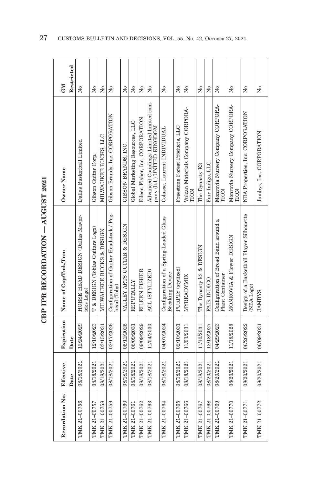| î                            |
|------------------------------|
| i<br> <br>                   |
|                              |
| i<br>İ<br>ŗ<br>くりょ<br>.<br>. |
| i<br>ĵ                       |
|                              |

| Recordation No. | Effective<br>Date | Expiration<br>Date | Name of Cop/Tmk/Tnm                                              | Owner Name                                                            | Restricted<br><b>CM</b>              |
|-----------------|-------------------|--------------------|------------------------------------------------------------------|-----------------------------------------------------------------------|--------------------------------------|
| TMK 21-00756    | 08/18/2021        | 12/24/2029         | HORSE HEAD DESIGN (Dallas Maver-<br>icks Logo)                   | Dallas Basketball Limited                                             | Σò                                   |
| TMK 21-00757    | 08/18/2021        | 12/10/2023         | T & DESIGN (Tobias Guitars Logo)                                 | Gibson Guitar Corp.                                                   | Σó                                   |
| TMK 21-00758    | 08/18/2021        | 03/15/2031         | MILWAUKEE BUCKS & DESIGN                                         | MILWAUKEE BUCKS, LLC                                                  | Σó                                   |
| TMK 21-00759    | 08/18/2021        | 02/17/2026         | Configuration of Guitar Headstock / Peg-<br>head (Toby)          | Gibson Brands, Inc. CORPORATION                                       | Σó                                   |
| TMK 21-00760    | 08/18/2021        | 05/12/2025         | VALLEY ARTS GUITAR & DESIGN                                      | GIBSON BRANDS, INC.                                                   | Σó                                   |
| TMK 21-00761    | 08/18/2021        | 06/09/2031         | REPUTALLY                                                        | Global Marketing Resources, LLC                                       | Σó                                   |
| TMK 21-00762    | 08/18/2021        | 09/09/2029         | EILEEN FISHER                                                    | Eileen Fisher, Inc. CORPORATION                                       | Σó                                   |
| TMK 21-00763    | 08/18/2021        | 11/04/2030         | ACL (STYLIZED)                                                   | Advanced Couplings Limited limited com-<br>pany (ltd.) UNITED KINGDOM | Σò                                   |
| TMK 21-00764    | 08/18/2021        | 04/07/2024         | Configuration of a Spring-Loaded Glass<br><b>Breaking Device</b> | Colasse, Laurent INDIVIDUAL                                           | $\tilde{\mathbf{z}}$                 |
| TMK 21-00765    | 08/18/2021        | 02/10/2031         | PURPLY (stylized)                                                | Freestone Forest Products, LLC                                        | $\tilde{\rm X}^0$                    |
| TMK 21-00766    | 08/18/2021        | 11/03/2031         | MYREADYMIX                                                       | Vulcan Materials Company CORPORA-<br>TION                             | Σ°                                   |
| TMK 21-00767    | 08/18/2021        | 11/10/2031         | The Dynasty k3 & DESIGN                                          | The Dynasty K3                                                        | Σó                                   |
| TMK 21-00768    | 08/20/2021        | 12/18/2027         | <b>FAIR INDIGO</b>                                               | Fair Indigo, LLC                                                      | $\tilde{\rm X}^0$                    |
| TMK 21-00769    | 08/20/2021        | 04/29/2023         | Configuration of Broad Band around a<br>Plant Container          | Monrovia Nursery Company CORPORA-<br>TION                             | $\tilde{\rm X}^0$                    |
| TMK 21-00770    | 08/20/2021        | 11/18/2028         | MONROVIA & Flower DESIGN                                         | Monrovia Nursery Company CORPORA-<br>TION                             | Σó                                   |
| TMK 21-00771    | 08/20/2021        | 06/26/2022         | Design of a Basketball Player Silhouette<br>NBA Logo)            | NBA Properties, Inc. CORPORATION                                      | Σó                                   |
| TMK 21-00772    | 08/20/2021        | 06/09/2031         | <b>SANDAL</b>                                                    | Jambys, Inc. CORPORATION                                              | $\overline{\mathsf{X}}^{\mathsf{o}}$ |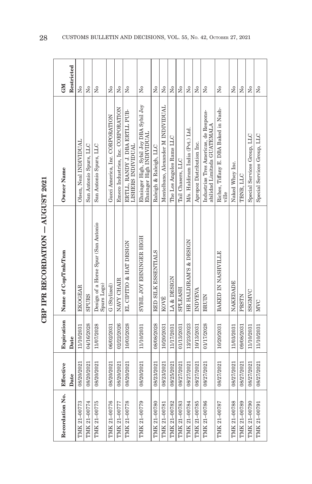| i<br>I<br>C<br>1             |  |
|------------------------------|--|
|                              |  |
| $\frac{1}{2}$<br>í<br>こくていしょ |  |
| j<br>í                       |  |
|                              |  |

| Effective                |                                                    |                                                                      |                      |
|--------------------------|----------------------------------------------------|----------------------------------------------------------------------|----------------------|
|                          | Expiration Name of Cop/Tmk/Tnm                     | Owner Name                                                           | <b>CM</b>            |
| Date                     |                                                    |                                                                      | Restricted           |
| 11/10/2031<br>08/20/2021 | <b>EKOGEAR</b>                                     | Olsen, Neal INDIVIDUAL                                               | ż                    |
| 04/16/2028<br>08/20/2021 | <b>SPURS</b>                                       | San Antonio Spurs, LLC                                               | ż                    |
| 11/07/2028<br>08/20/2021 | Design of a Horse Spur (San Antonio<br>Spurs Logo) | San Antonio Spurs, LLC                                               | Σó                   |
| 06/02/2031<br>08/20/2021 | G (Stylized)                                       | Gucci America, Inc. CORPORATION                                      | Σó                   |
| 02/22/2026<br>08/20/2021 | NAVY CHAIR                                         | Emeco Industries, Inc. CORPORATION                                   | ž                    |
| 10/03/2028<br>08/20/2021 | EL CIPITIO & HAT DESIGN                            | ERTLL, RANDY J. DBA ERTLL PUB-<br><b>LISHERS INDIVIDUAL</b>          | Σó                   |
| 11/10/2031<br>08/20/2021 | SYBIL JOY EHNINGER HIGH                            | Ehninger High, Sybil Joy DBA Sybil Joy<br>Ehninger High INDIVIDUAL   | $\tilde{\mathbf{z}}$ |
| 08/08/2028<br>08/23/2021 | RED SILK ESSENTIALS                                | Raleigh & Raleigh, LLC                                               | Σò                   |
| 10/20/2031<br>08/23/2021 | KOVÉ                                               | Montelbano, Alexander M INDIVIDUAL                                   | $\overline{M}$       |
| 11/17/2031<br>08/25/2021 | LA & DESIGN                                        | The Los Angeles Rams LLC                                             | Σó                   |
| 01/13/2031<br>08/27/2021 | SPLEASH                                            | Tail Chasers, LLC                                                    | $\tilde{\mathbf{z}}$ |
| 12/23/2023<br>08/27/2021 | HR HALDIRAM'S & DESIGN                             | M/s. Haldiram India (Pvt.) Ltd.                                      | Σó                   |
| 10/13/2031<br>08/27/2021 | INDYEVA                                            | Apropoz Distribution Inc.                                            | $\tilde{X}^{\circ}$  |
| 01/17/2028<br>08/27/2021 | <b>BRUIN</b>                                       | Industrias Tres Americas, de Respons-<br>abilidad Limitada GUATEMALA | Σó                   |
| 10/20/2031<br>08/27/2021 | BAKED IN NASHVILLE                                 | Riches, Tiffany E. DBA Baked in Nash-<br>ville                       | Σó                   |
| 11/03/2031<br>08/27/2021 | NAKEDADE                                           | Naked Whey Inc.                                                      | $\tilde{X}^{\circ}$  |
| 09/08/2031<br>08/27/2021 | PRSTN                                              | TBNR. LLC                                                            | Σó                   |
| 11/10/2031<br>08/27/2021 | SSGMVC                                             | Special Services Group, LLC                                          | ž                    |
| 11/10/2031<br>08/27/2021 | <b>MVC</b>                                         | Special Services Group, LLC                                          | Σò                   |
|                          |                                                    |                                                                      |                      |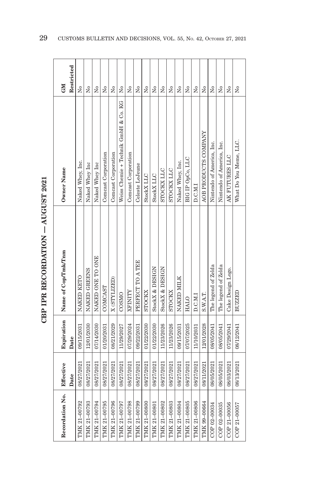| ١                       |
|-------------------------|
|                         |
|                         |
| i di Circa dell'        |
| <b>CHARGE</b>           |
| ī<br>$\frac{1}{2}$<br>j |
|                         |

| Recordation No. Effective |            |            | Expiration Name of Cop/Tmk/Tnm | Owner Name                           | <b>CM</b>                            |  |
|---------------------------|------------|------------|--------------------------------|--------------------------------------|--------------------------------------|--|
|                           | Date       | Date       |                                |                                      | Restricted                           |  |
| TMK 21-00792              | 08/27/2021 | 09/15/2031 | NAKED KETO                     | Naked Whey, Inc.                     | Σò                                   |  |
| TMK 21-00793              | 08/27/2021 | 12/01/2030 | NAKED GREENS                   | Naked Whey Inc                       | Σó                                   |  |
| TMK 21-00794              | 08/27/2021 | 07/14/2030 | NAKED ONE TO ONE               | Naked Whey Inc                       | Σó                                   |  |
| TMK 21-00795              | 08/27/2021 | 01/20/2031 | COMCAST                        | Comcast Corporation                  | $\tilde{\rm X}^0$                    |  |
| TMK 21-00796              | 08/27/2021 | 08/21/2029 | X (STYLIZED)                   | Comcast Corporation                  | Σó                                   |  |
| TMK 21-00797              | 08/27/2021 | 11/29/2027 | COSMO                          | Weiss Chemie + Technik GmbH & Co. KG | Σó                                   |  |
| TMK 21-00798              | 08/27/2021 | 07/29/2024 | XFINITY                        | Comcast Corporation                  | Σó                                   |  |
| TMK 21-00799              | 08/27/2021 | 09/22/2031 | PERFECT TO A TEE               | Celeste LeJeune                      | Σó                                   |  |
| TMK 21-00800              | 08/27/2021 | 01/22/2030 | <b>STOCKX</b>                  | StockX LLC                           | Σó                                   |  |
| TMK 21-00801              | 08/27/2021 | 01/22/2030 | StockX & DESIGN                | StockX LLC                           | ž                                    |  |
| TMK 21-00802              | 08/27/2021 | 11/23/2026 | StockX & DESIGN                | STOCKX LLC                           | ž                                    |  |
| TMK 21-00803              | 08/27/2021 | 11/23/2026 | <b>STOCKX</b>                  | STOCKX LLC                           | $\overline{M}$                       |  |
| TMK 21-00804              | 08/27/2021 | 09/15/2031 | NAKED MILK                     | Naked Whey, Inc.                     | $\overline{\mathsf{X}}^{\mathsf{o}}$ |  |
| TMK 21-00805              | 08/27/2021 | 07/07/2025 | HALO                           | BIG IP OpCo, LLC                     | $\overline{\mathsf{X}}^{\mathsf{o}}$ |  |
| TMK 21-00806              | 08/27/2021 | 11/10/2031 | D.C.M.I                        | D.C.M.I                              | $\overline{\mathsf{X}}^{\mathsf{o}}$ |  |
| TMK 99-00664              | 08/11/2021 | 12/01/2028 | S.W.A.T.                       | AOB PRODUCTS COMPANY                 | Χo                                   |  |
| COP 02-00034              | 08/05/2021 | 08/05/2041 | The legend of Zelda            | Nintendo of America, Inc.            | $\overline{\mathsf{X}}^{\mathsf{o}}$ |  |
| COP 02-00035              | 08/05/2021 | 08/05/2041 | The legend of Zelda            | Nintendo of America, Inc.            | Χo                                   |  |
| COP 21-00056              | 08/03/2021 | 07/29/2041 | Cake Design Logo.              | AK FUTURES LLC                       | Χo                                   |  |
| COP 21-00057              | 08/13/2021 | 08/12/2041 | BUZZED                         | What Do You Meme, LLC.               | Σò                                   |  |
|                           |            |            |                                |                                      |                                      |  |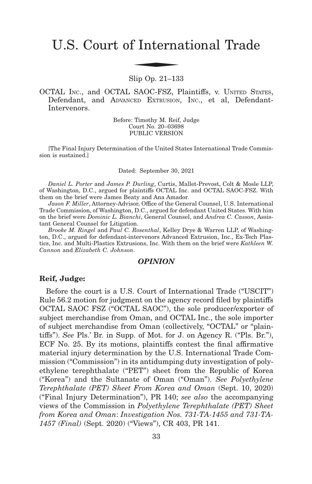# U.S. Court of International Trade f Interna

Slip Op. 21–133

OCTAL INC., and OCTAL SAOC-FSZ, Plaintiffs, v. UNITED STATES, Defendant, and ADVANCED EXTRUSION, INC., et al, Defendant-Intervenors.

> Before: Timothy M. Reif, Judge Court No. 20–03698 PUBLIC VERSION

[The Final Injury Determination of the United States International Trade Commission is sustained.]

Dated: September 30, 2021

*Daniel L. Porter* and *James P. Durling*, Curtis, Mallet-Prevost, Colt & Mosle LLP, of Washington, D.C., argued for plaintiffs OCTAL Inc. and OCTAL SAOC-FSZ. With them on the brief were James Beaty and Ana Amador.

*Jason F. Miller*, Attorney-Advisor, Office of the General Counsel, U.S. International Trade Commission, of Washington, D.C., argued for defendant United States. With him on the brief were *Dominic L. Bianchi*, General Counsel, and *Andrea C. Casson*, Assistant General Counsel for Litigation.

*Brooke M. Ringel* and *Paul C. Rosenthal*, Kelley Drye & Warren LLP, of Washington, D.C., argued for defendant-intervenors Advanced Extrusion, Inc., Ex-Tech Plastics, Inc. and Multi-Plastics Extrusions, Inc. With them on the brief were *Kathleen W. Cannon* and *Elizabeth C. Johnson*.

#### *OPINION*

#### **Reif, Judge:**

Before the court is a U.S. Court of International Trade ("USCIT") Rule 56.2 motion for judgment on the agency record filed by plaintiffs OCTAL SAOC FSZ ("OCTAL SAOC"), the sole producer/exporter of subject merchandise from Oman, and OCTAL Inc., the sole importer of subject merchandise from Oman (collectively, "OCTAL" or "plaintiffs"). *See* Pls.' Br. in Supp. of Mot. for J. on Agency R. ("Pls. Br."), ECF No. 25. By its motions, plaintiffs contest the final affirmative material injury determination by the U.S. International Trade Commission ("Commission") in its antidumping duty investigation of polyethylene terephthalate ("PET") sheet from the Republic of Korea ("Korea") and the Sultanate of Oman ("Oman"). *See Polyethylene Terephthalate (PET) Sheet From Korea and Oman* (Sept. 10, 2020) ("Final Injury Determination"), PR 140; *see also* the accompanying views of the Commission in *Polyethylene Terephthalate (PET) Sheet from Korea and Oman*: *Investigation Nos. 731-TA-1455 and 731-TA-1457 (Final)* (Sept. 2020) ("Views"), CR 403, PR 141.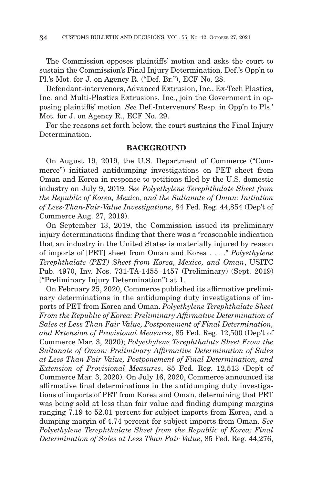The Commission opposes plaintiffs' motion and asks the court to sustain the Commission's Final Injury Determination. Def.'s Opp'n to Pl.'s Mot. for J. on Agency R. ("Def. Br."), ECF No. 28.

Defendant-intervenors, Advanced Extrusion, Inc., Ex-Tech Plastics, Inc. and Multi-Plastics Extrusions, Inc., join the Government in opposing plaintiffs' motion. *See* Def.-Intervenors' Resp. in Opp'n to Pls.' Mot. for J. on Agency R., ECF No. 29.

For the reasons set forth below, the court sustains the Final Injury Determination.

#### **BACKGROUND**

On August 19, 2019, the U.S. Department of Commerce ("Commerce") initiated antidumping investigations on PET sheet from Oman and Korea in response to petitions filed by the U.S. domestic industry on July 9, 2019. S*ee Polyethylene Terephthalate Sheet from the Republic of Korea, Mexico, and the Sultanate of Oman: Initiation of Less-Than-Fair-Value Investigations*, 84 Fed. Reg. 44,854 (Dep't of Commerce Aug. 27, 2019).

On September 13, 2019, the Commission issued its preliminary injury determinations finding that there was a "reasonable indication that an industry in the United States is materially injured by reason of imports of [PET] sheet from Oman and Korea . . . ." *Polyethylene Terephthalate (PET) Sheet from Korea, Mexico, and Oman*, USITC Pub. 4970, Inv. Nos. 731-TA-1455–1457 (Preliminary) (Sept. 2019) ("Preliminary Injury Determination") at 1.

On February 25, 2020, Commerce published its affirmative preliminary determinations in the antidumping duty investigations of imports of PET from Korea and Oman. *Polyethylene Terephthalate Sheet From the Republic of Korea: Preliminary Affirmative Determination of Sales at Less Than Fair Value, Postponement of Final Determination, and Extension of Provisional Measures*, 85 Fed. Reg. 12,500 (Dep't of Commerce Mar. 3, 2020); *Polyethylene Terephthalate Sheet From the Sultanate of Oman: Preliminary Affirmative Determination of Sales at Less Than Fair Value, Postponement of Final Determination, and Extension of Provisional Measures*, 85 Fed. Reg. 12,513 (Dep't of Commerce Mar. 3, 2020). On July 16, 2020, Commerce announced its affirmative final determinations in the antidumping duty investigations of imports of PET from Korea and Oman, determining that PET was being sold at less than fair value and finding dumping margins ranging 7.19 to 52.01 percent for subject imports from Korea, and a dumping margin of 4.74 percent for subject imports from Oman. *See Polyethylene Terephthalate Sheet from the Republic of Korea: Final Determination of Sales at Less Than Fair Value*, 85 Fed. Reg. 44,276,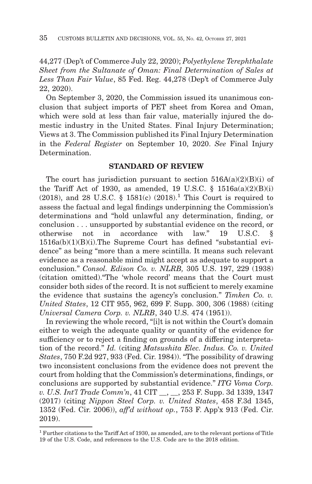44,277 (Dep't of Commerce July 22, 2020); *Polyethylene Terephthalate Sheet from the Sultanate of Oman: Final Determination of Sales at Less Than Fair Value*, 85 Fed. Reg. 44,278 (Dep't of Commerce July 22, 2020).

On September 3, 2020, the Commission issued its unanimous conclusion that subject imports of PET sheet from Korea and Oman, which were sold at less than fair value, materially injured the domestic industry in the United States. Final Injury Determination; Views at 3. The Commission published its Final Injury Determination in the *Federal Register* on September 10, 2020. *See* Final Injury Determination.

## **STANDARD OF REVIEW**

The court has jurisdiction pursuant to section  $516A(a)(2)(B)(i)$  of the Tariff Act of 1930, as amended, 19 U.S.C.  $\S$  1516a(a)(2)(B)(i) (2018), and 28 U.S.C. § 1581(c)  $(2018)^{1}$ . This Court is required to assess the factual and legal findings underpinning the Commission's determinations and "hold unlawful any determination, finding, or conclusion . . . unsupported by substantial evidence on the record, or otherwise not in accordance with law." 19 U.S.C. § 1516a(b)(1)(B)(i).The Supreme Court has defined "substantial evidence" as being "more than a mere scintilla. It means such relevant evidence as a reasonable mind might accept as adequate to support a conclusion." *Consol. Edison Co. v. NLRB,* 305 U.S. 197, 229 (1938) (citation omitted)."The 'whole record' means that the Court must consider both sides of the record. It is not sufficient to merely examine the evidence that sustains the agency's conclusion." *Timken Co. v. United States*, 12 CIT 955, 962, 699 F. Supp. 300, 306 (1988) (citing *Universal Camera Corp. v. NLRB*, 340 U.S. 474 (1951)).

In reviewing the whole record, "[i]t is not within the Court's domain either to weigh the adequate quality or quantity of the evidence for sufficiency or to reject a finding on grounds of a differing interpretation of the record." *Id.* (citing *Matsushita Elec. Indus. Co. v. United States*, 750 F.2d 927, 933 (Fed. Cir. 1984)). "The possibility of drawing two inconsistent conclusions from the evidence does not prevent the court from holding that the Commission's determinations, findings, or conclusions are supported by substantial evidence." *ITG Voma Corp. v. U.S. Int'l Trade Comm'n*, 41 CIT \_\_, \_\_, 253 F. Supp. 3d 1339, 1347 (2017) (citing *Nippon Steel Corp. v. United States*, 458 F.3d 1345, 1352 (Fed. Cir. 2006)), *aff'd without op.*, 753 F. App'x 913 (Fed. Cir. 2019).

<sup>1</sup> Further citations to the Tariff Act of 1930, as amended, are to the relevant portions of Title 19 of the U.S. Code, and references to the U.S. Code are to the 2018 edition.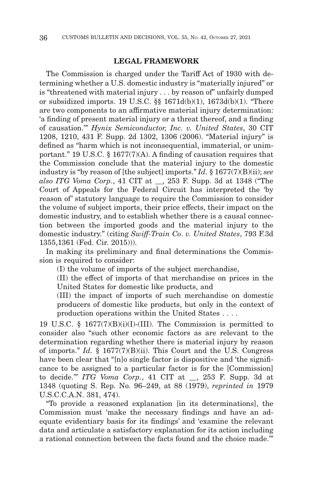#### **LEGAL FRAMEWORK**

The Commission is charged under the Tariff Act of 1930 with determining whether a U.S. domestic industry is "materially injured" or is "threatened with material injury . . . by reason of" unfairly dumped or subsidized imports. 19 U.S.C. §§ 1671d(b)(1), 1673d(b)(1). "There are two components to an affirmative material injury determination: 'a finding of present material injury or a threat thereof, and a finding of causation.'" *Hynix Semiconductor, Inc. v. United States*, 30 CIT 1208, 1210, 431 F. Supp. 2d 1302, 1306 (2006). "Material injury" is defined as "harm which is not inconsequential, immaterial, or unimportant." 19 U.S.C. § 1677(7)(A). A finding of causation requires that the Commission conclude that the material injury to the domestic industry is "by reason of [the subject] imports." *Id.* § 1677(7)(B)(ii); *see also ITG Voma Corp.*, 41 CIT at \_\_, 253 F. Supp. 3d at 1348 ("The Court of Appeals for the Federal Circuit has interpreted the 'by reason of' statutory language to require the Commission to consider the volume of subject imports, their price effects, their impact on the domestic industry, and to establish whether there is a causal connection between the imported goods and the material injury to the domestic industry." (citing *Swiff-Train Co*. *v. United States*, 793 F.3d 1355,1361 (Fed. Cir. 2015))).

In making its preliminary and final determinations the Commission is required to consider:

(I) the volume of imports of the subject merchandise,

(II) the effect of imports of that merchandise on prices in the United States for domestic like products, and

(III) the impact of imports of such merchandise on domestic producers of domestic like products, but only in the context of production operations within the United States . . . .

19 U.S.C. § 1677(7)(B)(i)(I)-(III). The Commission is permitted to consider also "such other economic factors as are relevant to the determination regarding whether there is material injury by reason of imports." *Id.* § 1677(7)(B)(ii). This Court and the U.S. Congress have been clear that "[n]o single factor is dispositive and 'the significance to be assigned to a particular factor is for the [Commission] to decide.'" *ITG Voma Corp.*, 41 CIT at \_\_, 253 F. Supp. 3d at 1348 (quoting S. Rep. No. 96–249, at 88 (1979), *reprinted in* 1979 U.S.C.C.A.N. 381, 474).

"To provide a reasoned explanation [in its determinations], the Commission must 'make the necessary findings and have an adequate evidentiary basis for its findings' and 'examine the relevant data and articulate a satisfactory explanation for its action including a rational connection between the facts found and the choice made.'"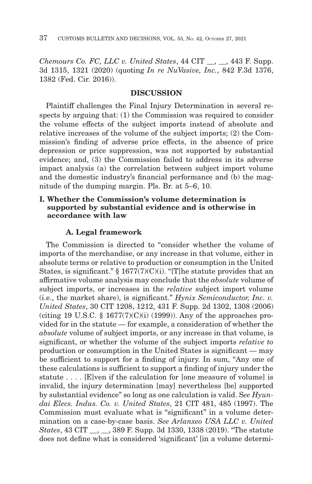*Chemours Co. FC, LLC v. United States*, 44 CIT \_\_, \_\_, 443 F. Supp. 3d 1315, 1321 (2020) (quoting *In re NuVasive, Inc.*, 842 F.3d 1376, 1382 (Fed. Cir. 2016)).

## **DISCUSSION**

Plaintiff challenges the Final Injury Determination in several respects by arguing that: (1) the Commission was required to consider the volume effects of the subject imports instead of absolute and relative increases of the volume of the subject imports; (2) the Commission's finding of adverse price effects, in the absence of price depression or price suppression, was not supported by substantial evidence; and, (3) the Commission failed to address in its adverse impact analysis (a) the correlation between subject import volume and the domestic industry's financial performance and (b) the magnitude of the dumping margin. Pls. Br. at 5–6, 10.

## **I. Whether the Commission's volume determination is supported by substantial evidence and is otherwise in accordance with law**

### **A. Legal framework**

The Commission is directed to "consider whether the volume of imports of the merchandise, or any increase in that volume, either in absolute terms or relative to production or consumption in the United States, is significant." § 1677(7)(C)(i). "[T]he statute provides that an affirmative volume analysis may conclude that the *absolute* volume of subject imports, or increases in the *relative* subject import volume (i.e., the market share), is significant." *Hynix Semiconductor, Inc. v. United States*, 30 CIT 1208, 1212, 431 F. Supp. 2d 1302, 1308 (2006) (citing 19 U.S.C.  $\S$  1677(7)(C)(i) (1999)). Any of the approaches provided for in the statute — for example, a consideration of whether the *absolute* volume of subject imports, or any increase in that volume, is significant, or whether the volume of the subject imports *relative to* production or consumption in the United States is significant — may be sufficient to support for a finding of injury. In sum, "Any one of these calculations is sufficient to support a finding of injury under the statute . . . . [E]ven if the calculation for [one measure of volume] is invalid, the injury determination [may] nevertheless [be] supported by substantial evidence" so long as one calculation is valid. S*ee Hyundai Elecs. Indus. Co. v. United States*, 21 CIT 481, 485 (1997). The Commission must evaluate what is "significant" in a volume determination on a case-by-case basis. *See Arlanxeo USA LLC v. United States*, 43 CIT \_\_, \_\_, 389 F. Supp. 3d 1330, 1338 (2019). "The statute does not define what is considered 'significant' [in a volume determi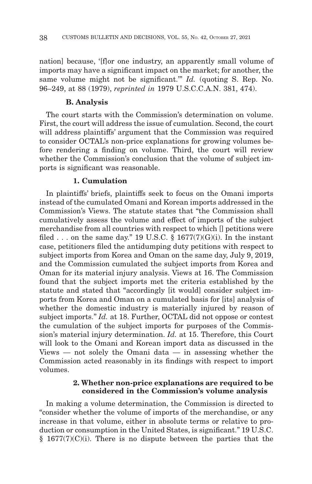nation] because, '[f]or one industry, an apparently small volume of imports may have a significant impact on the market; for another, the same volume might not be significant.'" *Id.* (quoting S. Rep. No. 96–249, at 88 (1979), *reprinted in* 1979 U.S.C.C.A.N. 381, 474).

#### **B. Analysis**

The court starts with the Commission's determination on volume. First, the court will address the issue of cumulation. Second, the court will address plaintiffs' argument that the Commission was required to consider OCTAL's non-price explanations for growing volumes before rendering a finding on volume. Third, the court will review whether the Commission's conclusion that the volume of subject imports is significant was reasonable.

### **1. Cumulation**

In plaintiffs' briefs, plaintiffs seek to focus on the Omani imports instead of the cumulated Omani and Korean imports addressed in the Commission's Views. The statute states that "the Commission shall cumulatively assess the volume and effect of imports of the subject merchandise from all countries with respect to which [] petitions were filed . . . on the same day." 19 U.S.C.  $\S$  1677(7)(G)(i). In the instant case, petitioners filed the antidumping duty petitions with respect to subject imports from Korea and Oman on the same day, July 9, 2019, and the Commission cumulated the subject imports from Korea and Oman for its material injury analysis. Views at 16. The Commission found that the subject imports met the criteria established by the statute and stated that "accordingly [it would] consider subject imports from Korea and Oman on a cumulated basis for [its] analysis of whether the domestic industry is materially injured by reason of subject imports." *Id.* at 18. Further, OCTAL did not oppose or contest the cumulation of the subject imports for purposes of the Commission's material injury determination. *Id.* at 15. Therefore, this Court will look to the Omani and Korean import data as discussed in the Views — not solely the Omani data — in assessing whether the Commission acted reasonably in its findings with respect to import volumes.

#### **2. Whether non-price explanations are required to be considered in the Commission's volume analysis**

In making a volume determination, the Commission is directed to "consider whether the volume of imports of the merchandise, or any increase in that volume, either in absolute terms or relative to production or consumption in the United States, is significant." 19 U.S.C.  $§$  1677(7)(C)(i). There is no dispute between the parties that the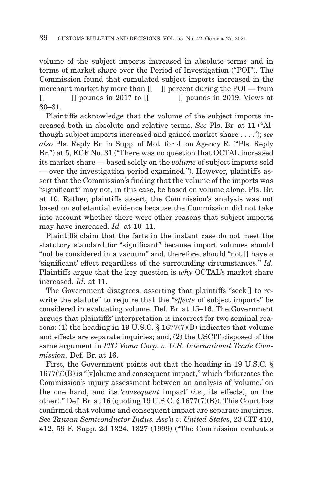volume of the subject imports increased in absolute terms and in terms of market share over the Period of Investigation ("POI"). The Commission found that cumulated subject imports increased in the merchant market by more than  $[[ \quad ]]$  percent during the POI — from  $[$   $]$  pounds in 2017 to  $[$   $]$  pounds in 2019. Views at 30–31.

Plaintiffs acknowledge that the volume of the subject imports increased both in absolute and relative terms. *See* Pls. Br. at 11 ("Although subject imports increased and gained market share . . . ."); *see also* Pls. Reply Br. in Supp. of Mot. for J. on Agency R. ("Pls. Reply Br.") at 5, ECF No. 31 ("There was no question that OCTAL increased its market share — based solely on the *volume* of subject imports sold — over the investigation period examined."). However, plaintiffs assert that the Commission's finding that the volume of the imports was "significant" may not, in this case, be based on volume alone. Pls. Br. at 10. Rather, plaintiffs assert, the Commission's analysis was not based on substantial evidence because the Commission did not take into account whether there were other reasons that subject imports may have increased. *Id.* at 10–11.

Plaintiffs claim that the facts in the instant case do not meet the statutory standard for "significant" because import volumes should "not be considered in a vacuum" and, therefore, should "not [] have a 'significant' effect regardless of the surrounding circumstances." *Id.* Plaintiffs argue that the key question is *why* OCTAL's market share increased*. Id.* at 11.

The Government disagrees, asserting that plaintiffs "seek[] to rewrite the statute" to require that the "*effects* of subject imports" be considered in evaluating volume. Def. Br. at 15–16. The Government argues that plaintiffs' interpretation is incorrect for two seminal reasons: (1) the heading in 19 U.S.C. § 1677(7)(B) indicates that volume and effects are separate inquiries; and, (2) the USCIT disposed of the same argument in *ITG Voma Corp. v. U.S. International Trade Commission.* Def. Br. at 16.

First, the Government points out that the heading in 19 U.S.C. §  $1677(7)(B)$  is "[v]olume and consequent impact," which "bifurcates the Commission's injury assessment between an analysis of 'volume,' on the one hand, and its '*consequent* impact' (*i.e.*, its effects), on the other)." Def. Br. at 16 (quoting 19 U.S.C.  $\S 1677(7)(B)$ ). This Court has confirmed that volume and consequent impact are separate inquiries. *See Taiwan Semiconductor Indus. Ass'n v. United States*, 23 CIT 410, 412, 59 F. Supp. 2d 1324, 1327 (1999) ("The Commission evaluates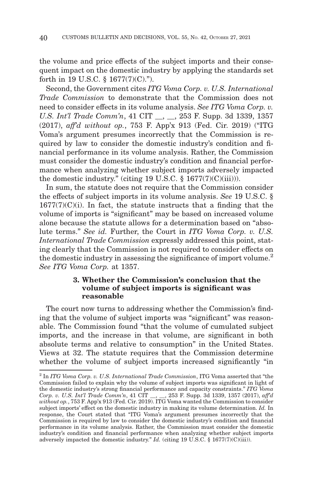the volume and price effects of the subject imports and their consequent impact on the domestic industry by applying the standards set forth in 19 U.S.C. § 1677(7)(C).").

Second, the Government cites *ITG Voma Corp. v. U.S. International Trade Commission* to demonstrate that the Commission does not need to consider effects in its volume analysis. *See ITG Voma Corp. v. U.S. Int'l Trade Comm'n*, 41 CIT \_\_, \_\_, 253 F. Supp. 3d 1339, 1357 (2017), *aff'd without op.*, 753 F. App'x 913 (Fed. Cir. 2019) ("ITG Voma's argument presumes incorrectly that the Commission is required by law to consider the domestic industry's condition and financial performance in its volume analysis. Rather, the Commission must consider the domestic industry's condition and financial performance when analyzing whether subject imports adversely impacted the domestic industry." (citing 19 U.S.C. § 1677(7)(C)(iii))).

In sum, the statute does not require that the Commission consider the effects of subject imports in its volume analysis. *See* 19 U.S.C. §  $1677(7)(C)(i)$ . In fact, the statute instructs that a finding that the volume of imports is "significant" may be based on increased volume alone because the statute allows for a determination based on "absolute terms." *See id.* Further, the Court in *ITG Voma Corp. v. U.S. International Trade Commission* expressly addressed this point, stating clearly that the Commission is not required to consider effects on the domestic industry in assessing the significance of import volume.<sup>2</sup> *See ITG Voma Corp.* at 1357.

### **3. Whether the Commission's conclusion that the volume of subject imports is significant was reasonable**

The court now turns to addressing whether the Commission's finding that the volume of subject imports was "significant" was reasonable. The Commission found "that the volume of cumulated subject imports, and the increase in that volume, are significant in both absolute terms and relative to consumption" in the United States. Views at 32. The statute requires that the Commission determine whether the volume of subject imports increased significantly "in

<sup>2</sup> In *ITG Voma Corp. v. U.S. International Trade Commission*, ITG Voma asserted that "the Commission failed to explain why the volume of subject imports was significant in light of the domestic industry's strong financial performance and capacity constraints." *ITG Voma Corp. v. U.S. Int'l Trade Comm'n*, 41 CIT \_\_, \_\_, 253 F. Supp. 3d 1339, 1357 (2017), *aff'd without op.*, 753 F. App'x 913 (Fed. Cir. 2019). ITG Voma wanted the Commission to consider subject imports' effect on the domestic industry in making its volume determination. *Id.* In response, the Court stated that "ITG Voma's argument presumes incorrectly that the Commission is required by law to consider the domestic industry's condition and financial performance in its volume analysis. Rather, the Commission must consider the domestic industry's condition and financial performance when analyzing whether subject imports adversely impacted the domestic industry." *Id.* (citing 19 U.S.C. § 1677(7)(C)(iii)).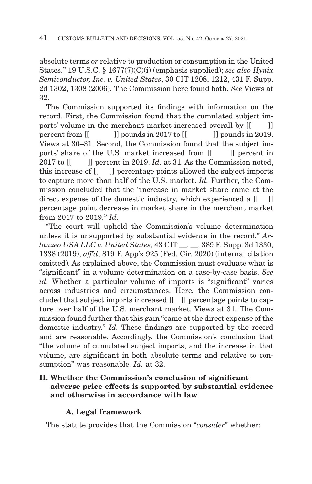absolute terms *or* relative to production or consumption in the United States." 19 U.S.C. § 1677(7)(C)(i) (emphasis supplied); *see also Hynix Semiconductor, Inc. v. United States*, 30 CIT 1208, 1212, 431 F. Supp. 2d 1302, 1308 (2006). The Commission here found both. *See* Views at 32.

The Commission supported its findings with information on the record. First, the Commission found that the cumulated subject imports' volume in the merchant market increased overall by  $[$ []] percent from [[ ]] pounds in 2017 to [[ ]] pounds in 2019. Views at 30–31. Second, the Commission found that the subject imports' share of the U.S. market increased from  $\begin{bmatrix} \vert & \vert \vert \end{bmatrix}$  percent in 2017 to  $\begin{bmatrix} \cdot \cdot \cdot \cdot \end{bmatrix}$  percent in 2019. *Id.* at 31. As the Commission noted, this increase of [[ ]] percentage points allowed the subject imports to capture more than half of the U.S. market. *Id.* Further, the Commission concluded that the "increase in market share came at the direct expense of the domestic industry, which experienced a  $\begin{bmatrix} 1 \\ 1 \end{bmatrix}$ percentage point decrease in market share in the merchant market from 2017 to 2019." *Id.*

"The court will uphold the Commission's volume determination unless it is unsupported by substantial evidence in the record." *Arlanxeo USA LLC v. United States*, 43 CIT \_\_, \_\_, 389 F. Supp. 3d 1330, 1338 (2019), *aff'd*, 819 F. App'x 925 (Fed. Cir. 2020) (internal citation omitted). As explained above, the Commission must evaluate what is "significant" in a volume determination on a case-by-case basis. *See id.* Whether a particular volume of imports is "significant" varies across industries and circumstances. Here, the Commission concluded that subject imports increased [[ ]] percentage points to capture over half of the U.S. merchant market. Views at 31. The Commission found further that this gain "came at the direct expense of the domestic industry." *Id.* These findings are supported by the record and are reasonable. Accordingly, the Commission's conclusion that "the volume of cumulated subject imports, and the increase in that volume, are significant in both absolute terms and relative to consumption" was reasonable. *Id.* at 32.

# **II. Whether the Commission's conclusion of significant adverse price effects is supported by substantial evidence and otherwise in accordance with law**

# **A. Legal framework**

The statute provides that the Commission "*consider*" whether: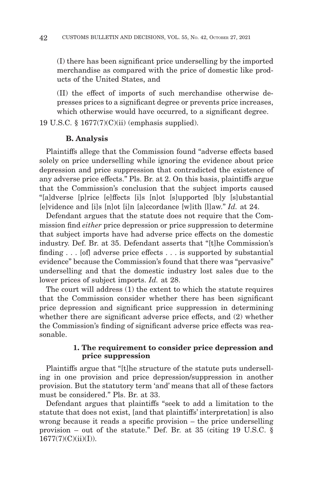(I) there has been significant price underselling by the imported merchandise as compared with the price of domestic like products of the United States, and

(II) the effect of imports of such merchandise otherwise depresses prices to a significant degree or prevents price increases, which otherwise would have occurred, to a significant degree.

19 U.S.C. § 1677(7)(C)(ii) (emphasis supplied).

## **B. Analysis**

Plaintiffs allege that the Commission found "adverse effects based solely on price underselling while ignoring the evidence about price depression and price suppression that contradicted the existence of any adverse price effects." Pls. Br. at 2. On this basis, plaintiffs argue that the Commission's conclusion that the subject imports caused "[a]dverse [p]rice [e]ffects [i]s [n]ot [s]upported [b]y [s]ubstantial [e]vidence and [i]s [n]ot [i]n [a]ccordance [w]ith [l]aw." *Id.* at 24.

Defendant argues that the statute does not require that the Commission find *either* price depression or price suppression to determine that subject imports have had adverse price effects on the domestic industry. Def. Br. at 35. Defendant asserts that "[t]he Commission's finding . . . [of] adverse price effects . . . is supported by substantial evidence" because the Commission's found that there was "pervasive" underselling and that the domestic industry lost sales due to the lower prices of subject imports. *Id.* at 28.

The court will address (1) the extent to which the statute requires that the Commission consider whether there has been significant price depression and significant price suppression in determining whether there are significant adverse price effects, and (2) whether the Commission's finding of significant adverse price effects was reasonable.

## **1. The requirement to consider price depression and price suppression**

Plaintiffs argue that "[t]he structure of the statute puts underselling in one provision and price depression/suppression in another provision. But the statutory term 'and' means that all of these factors must be considered." Pls. Br. at 33.

Defendant argues that plaintiffs "seek to add a limitation to the statute that does not exist, [and that plaintiffs' interpretation] is also wrong because it reads a specific provision – the price underselling provision – out of the statute." Def. Br. at 35 (citing 19 U.S.C. §  $1677(7)(C)(ii)(I)).$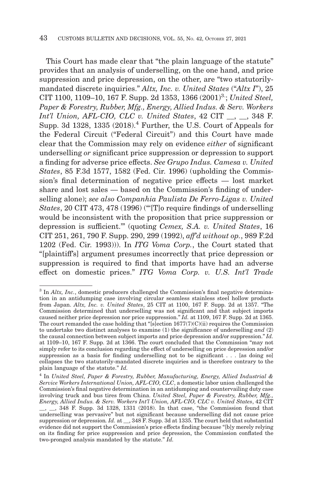This Court has made clear that "the plain language of the statute" provides that an analysis of underselling, on the one hand, and price suppression and price depression, on the other, are "two statutorilymandated discrete inquiries." *Altx, Inc. v. United States* ("*Altx I*"), 25 CIT 1100, 1109–10, 167 F. Supp. 2d 1353, 1366 (2001)<sup>3</sup>; *United Steel*, *Paper & Forestry, Rubber, Mfg., Energy, Allied Indus. & Serv. Workers Int'l Union, AFL-CIO, CLC v. United States*, 42 CIT \_\_, \_\_, 348 F. Supp. 3d 1328, 1335 (2018).4 Further, the U.S. Court of Appeals for the Federal Circuit ("Federal Circuit") and this Court have made clear that the Commission may rely on evidence *either* of significant underselling *or* significant price suppression or depression to support a finding for adverse price effects. *See Grupo Indus. Camesa v. United States*, 85 F.3d 1577, 1582 (Fed. Cir. 1996) (upholding the Commission's final determination of negative price effects — lost market share and lost sales — based on the Commission's finding of underselling alone); *see also Companhia Paulista De Ferro-Ligas v. United States*, 20 CIT 473, 478 (1996) ("'[T]o require findings of underselling would be inconsistent with the proposition that price suppression or depression is sufficient.'" (quoting *Cemex, S.A. v. United States*, 16 CIT 251, 261, 790 F. Supp. 290, 299 (1992), *aff'd without op.*, 989 F.2d 1202 (Fed. Cir. 1993))). In *ITG Voma Corp.*, the Court stated that "[plaintiff's] argument presumes incorrectly that price depression or suppression is required to find that imports have had an adverse effect on domestic prices." *ITG Voma Corp. v. U.S. Int'l Trade*

<sup>&</sup>lt;sup>3</sup> In *Altx, Inc.*, domestic producers challenged the Commission's final negative determination in an antidumping case involving circular seamless stainless steel hollow products from Japan. *Altx, Inc. v. United States*, 25 CIT at 1100, 167 F. Supp. 2d at 1357. "The Commission determined that underselling was not significant and that subject imports caused neither price depression nor price suppression." *Id.* at 1109, 167 F. Supp. 2d at 1365. The court remanded the case holding that "[s]ection  $1677(7)(C)(ii)$  requires the Commission to undertake two distinct analyses to examine (1) the significance of underselling *and* (2) the causal connection between subject imports and price depression and/or suppression." *Id.* at 1109–10, 167 F. Supp. 2d at 1366. The court concluded that the Commission "may not simply refer to its conclusion regarding the effect of underselling on price depression and/or suppression as a basis for finding underselling not to be significant . . . [as doing so] collapses the two statutorily-mandated discrete inquiries and is therefore contrary to the plain language of the statute." *Id.*

<sup>4</sup> In *United Steel, Paper & Forestry, Rubber, Manufacturing, Energy, Allied Industrial & Service Workers International Union, AFL-CIO, CLC*, a domestic labor union challenged the Commission's final negative determination in an antidumping and countervailing duty case involving truck and bus tires from China. *United Steel, Paper & Forestry, Rubber, Mfg., Energy, Allied Indus. & Serv. Workers Int'l Union, AFL-CIO, CLC v. United States*, 42 CIT \_\_, \_\_, 348 F. Supp. 3d 1328, 1331 (2018). In that case, "the Commission found that underselling was pervasive" but not significant because underselling did not cause price suppression or depression*. Id.* at \_\_, 348 F. Supp. 3d at 1335. The court held that substantial evidence did not support the Commission's price effects finding because "[b]y merely relying on its finding for price suppression and price depression, the Commission conflated the two-pronged analysis mandated by the statute." *Id.*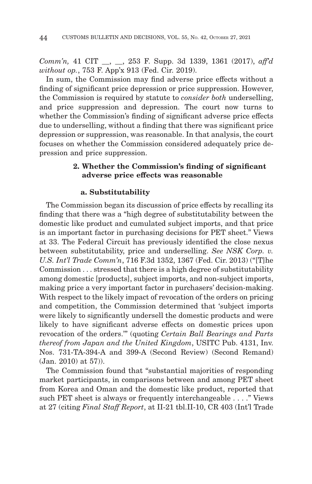*Comm'n,* 41 CIT \_\_, \_\_, 253 F. Supp. 3d 1339, 1361 (2017), *aff'd without op.*, 753 F. App'x 913 (Fed. Cir. 2019).

In sum, the Commission may find adverse price effects without a finding of significant price depression or price suppression. However, the Commission is required by statute to *consider both* underselling, and price suppression and depression. The court now turns to whether the Commission's finding of significant adverse price effects due to underselling, without a finding that there was significant price depression or suppression, was reasonable. In that analysis, the court focuses on whether the Commission considered adequately price depression and price suppression.

## **2. Whether the Commission's finding of significant adverse price effects was reasonable**

### **a. Substitutability**

The Commission began its discussion of price effects by recalling its finding that there was a "high degree of substitutability between the domestic like product and cumulated subject imports, and that price is an important factor in purchasing decisions for PET sheet." Views at 33. The Federal Circuit has previously identified the close nexus between substitutability, price and underselling. *See NSK Corp. v. U.S. Int'l Trade Comm'n*, 716 F.3d 1352, 1367 (Fed. Cir. 2013) ("[T]he Commission . . . stressed that there is a high degree of substitutability among domestic [products], subject imports, and non-subject imports, making price a very important factor in purchasers' decision-making. With respect to the likely impact of revocation of the orders on pricing and competition, the Commission determined that 'subject imports were likely to significantly undersell the domestic products and were likely to have significant adverse effects on domestic prices upon revocation of the orders.'" (quoting *Certain Ball Bearings and Parts thereof from Japan and the United Kingdom*, USITC Pub. 4131, Inv. Nos. 731-TA-394-A and 399-A (Second Review) (Second Remand) (Jan. 2010) at 57)).

The Commission found that "substantial majorities of responding market participants, in comparisons between and among PET sheet from Korea and Oman and the domestic like product, reported that such PET sheet is always or frequently interchangeable . . . ." Views at 27 (citing *Final Staff Report*, at II-21 tbl.II-10, CR 403 (Int'l Trade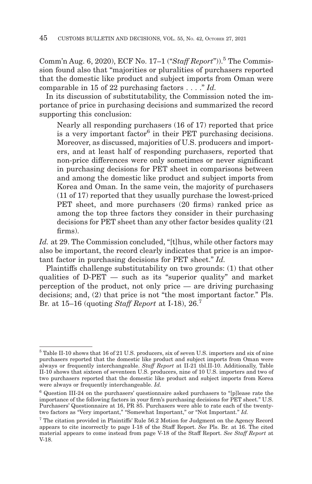Comm'n Aug. 6, 2020), ECF No. 17-1 ("Staff Report")).<sup>5</sup> The Commission found also that "majorities or pluralities of purchasers reported that the domestic like product and subject imports from Oman were comparable in 15 of 22 purchasing factors . . . ." *Id.*

In its discussion of substitutability, the Commission noted the importance of price in purchasing decisions and summarized the record supporting this conclusion:

Nearly all responding purchasers (16 of 17) reported that price is a very important factor<sup>6</sup> in their PET purchasing decisions. Moreover, as discussed, majorities of U.S. producers and importers, and at least half of responding purchasers, reported that non-price differences were only sometimes or never significant in purchasing decisions for PET sheet in comparisons between and among the domestic like product and subject imports from Korea and Oman. In the same vein, the majority of purchasers (11 of 17) reported that they usually purchase the lowest-priced PET sheet, and more purchasers (20 firms) ranked price as among the top three factors they consider in their purchasing decisions for PET sheet than any other factor besides quality (21 firms).

*Id.* at 29. The Commission concluded, "[t]hus, while other factors may also be important, the record clearly indicates that price is an important factor in purchasing decisions for PET sheet." *Id.*

Plaintiffs challenge substitutability on two grounds: (1) that other qualities of D-PET — such as its "superior quality" and market perception of the product, not only price — are driving purchasing decisions; and, (2) that price is not "the most important factor." Pls. Br. at 15–16 (quoting *Staff Report* at I-18), 26.7

<sup>&</sup>lt;sup>5</sup> Table II-10 shows that 16 of 21 U.S. producers, six of seven U.S. importers and six of nine purchasers reported that the domestic like product and subject imports from Oman were always or frequently interchangeable. *Staff Report* at II-21 tbl.II-10. Additionally, Table II-10 shows that sixteen of seventeen U.S. producers, nine of 10 U.S. importers and two of two purchasers reported that the domestic like product and subject imports from Korea were always or frequently interchangeable. *Id.*

<sup>6</sup> Question III-24 on the purchasers' questionnaire asked purchasers to "[p]lease rate the importance of the following factors in your firm's purchasing decisions for PET sheet." U.S. Purchasers' Questionnaire at 16, PR 85. Purchasers were able to rate each of the twentytwo factors as "Very important," "Somewhat Important," or "Not Important." *Id.*

<sup>7</sup> The citation provided in Plaintiffs' Rule 56.2 Motion for Judgment on the Agency Record appears to cite incorrectly to page I-18 of the Staff Report. *See* Pls. Br. at 16. The cited material appears to come instead from page V-18 of the Staff Report. *See Staff Report* at V-18.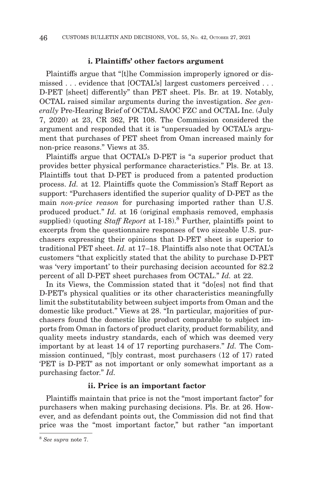#### **i. Plaintiffs' other factors argument**

Plaintiffs argue that "[t]he Commission improperly ignored or dismissed . . . evidence that [OCTAL's] largest customers perceived . . . D-PET [sheet] differently" than PET sheet. Pls. Br. at 19. Notably, OCTAL raised similar arguments during the investigation. *See generally* Pre-Hearing Brief of OCTAL SAOC FZC and OCTAL Inc. (July 7, 2020) at 23, CR 362, PR 108. The Commission considered the argument and responded that it is "unpersuaded by OCTAL's argument that purchases of PET sheet from Oman increased mainly for non-price reasons." Views at 35.

Plaintiffs argue that OCTAL's D-PET is "a superior product that provides better physical performance characteristics." Pls. Br. at 13. Plaintiffs tout that D-PET is produced from a patented production process. *Id.* at 12. Plaintiffs quote the Commission's Staff Report as support: "Purchasers identified the superior quality of D-PET as the main *non-price reason* for purchasing imported rather than U.S. produced product." *Id.* at 16 (original emphasis removed, emphasis supplied) (quoting *Staff Report* at I-18).8 Further, plaintiffs point to excerpts from the questionnaire responses of two sizeable U.S. purchasers expressing their opinions that D-PET sheet is superior to traditional PET sheet. *Id.* at 17–18. Plaintiffs also note that OCTAL's customers "that explicitly stated that the ability to purchase D-PET was 'very important' to their purchasing decision accounted for 82.2 percent of all D-PET sheet purchases from OCTAL." *Id.* at 22.

In its Views, the Commission stated that it "do[es] not find that D-PET's physical qualities or its other characteristics meaningfully limit the substitutability between subject imports from Oman and the domestic like product." Views at 28. "In particular, majorities of purchasers found the domestic like product comparable to subject imports from Oman in factors of product clarity, product formability, and quality meets industry standards, each of which was deemed very important by at least 14 of 17 reporting purchasers." *Id.* The Commission continued, "[b]y contrast, most purchasers (12 of 17) rated 'PET is D-PET' as not important or only somewhat important as a purchasing factor." *Id.*

### **ii. Price is an important factor**

Plaintiffs maintain that price is not the "most important factor" for purchasers when making purchasing decisions. Pls. Br. at 26. However, and as defendant points out, the Commission did not find that price was the "most important factor," but rather "an important

<sup>8</sup>*See supra* note 7.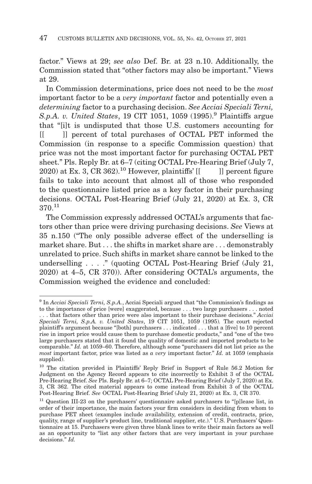factor." Views at 29; *see also* Def. Br. at 23 n.10. Additionally, the Commission stated that "other factors may also be important." Views at 29.

In Commission determinations, price does not need to be the *most* important factor to be a *very important* factor and potentially even a *determining* factor to a purchasing decision. *See Acciai Speciali Terni, S.p.A. v. United States*, 19 CIT 1051, 1059 (1995).9 Plaintiffs argue that "[i]t is undisputed that those U.S. customers accounting for [[ ]] percent of total purchases of OCTAL PET informed the Commission (in response to a specific Commission question) that price was not the most important factor for purchasing OCTAL PET sheet." Pls. Reply Br. at 6–7 (citing OCTAL Pre-Hearing Brief (July 7, 2020) at Ex. 3, CR 362).<sup>10</sup> However, plaintiffs'  $\begin{bmatrix} \vert & \vert \end{bmatrix}$  percent figure fails to take into account that almost all of those who responded to the questionnaire listed price as a key factor in their purchasing decisions. OCTAL Post-Hearing Brief (July 21, 2020) at Ex. 3, CR  $370^{11}$ 

The Commission expressly addressed OCTAL's arguments that factors other than price were driving purchasing decisions. *See* Views at 35 n.150 ("The only possible adverse effect of the underselling is market share. But . . . the shifts in market share are . . . demonstrably unrelated to price. Such shifts in market share cannot be linked to the underselling . . . ." (quoting OCTAL Post-Hearing Brief (July 21, 2020) at 4–5, CR 370)). After considering OCTAL's arguments, the Commission weighed the evidence and concluded:

<sup>9</sup> In *Acciai Speciali Terni, S.p.A.*, Acciai Speciali argued that "the Commission's findings as to the importance of price [were] exaggerated, because . . . two large purchasers . . . noted

<sup>. . .</sup> that factors other than price were also important to their purchase decisions." *Acciai Speciali Terni, S.p.A. v. United States*, 19 CIT 1051, 1059 (1995)*.* The court rejected plaintiff's argument because "[both] purchasers . . . indicated . . . that a [five] to 10 percent rise in import price would cause them to purchase domestic products," and "one of the two large purchasers stated that it found the quality of domestic and imported products to be comparable." *Id.* at 1059–60. Therefore, although some "purchasers did not list price as the *most* important factor, price was listed as *a very* important factor." *Id.* at 1059 (emphasis supplied).

<sup>10</sup> The citation provided in Plaintiffs' Reply Brief in Support of Rule 56.2 Motion for Judgment on the Agency Record appears to cite incorrectly to Exhibit 3 of the OCTAL Pre-Hearing Brief. *See* Pls. Reply Br. at 6–7; OCTAL Pre-Hearing Brief (July 7, 2020) at Ex. 3, CR 362. The cited material appears to come instead from Exhibit 3 of the OCTAL Post-Hearing Brief. *See* OCTAL Post-Hearing Brief (July 21, 2020) at Ex. 3, CR 370.

 $11$  Question III-23 on the purchasers' questionnaire asked purchasers to "[p] lease list, in order of their importance, the main factors your firm considers in deciding from whom to purchase PET sheet (examples include availability, extension of credit, contracts, price, quality, range of supplier's product line, traditional supplier, etc.)." U.S. Purchasers' Questionnaire at 15. Purchasers were given three blank lines to write their main factors as well as an opportunity to "list any other factors that are very important in your purchase decisions." *Id.*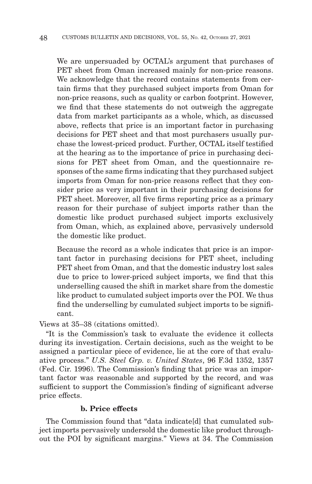We are unpersuaded by OCTAL's argument that purchases of PET sheet from Oman increased mainly for non-price reasons. We acknowledge that the record contains statements from certain firms that they purchased subject imports from Oman for non-price reasons, such as quality or carbon footprint. However, we find that these statements do not outweigh the aggregate data from market participants as a whole, which, as discussed above, reflects that price is an important factor in purchasing decisions for PET sheet and that most purchasers usually purchase the lowest-priced product. Further, OCTAL itself testified at the hearing as to the importance of price in purchasing decisions for PET sheet from Oman, and the questionnaire responses of the same firms indicating that they purchased subject imports from Oman for non-price reasons reflect that they consider price as very important in their purchasing decisions for PET sheet. Moreover, all five firms reporting price as a primary reason for their purchase of subject imports rather than the domestic like product purchased subject imports exclusively from Oman, which, as explained above, pervasively undersold the domestic like product.

Because the record as a whole indicates that price is an important factor in purchasing decisions for PET sheet, including PET sheet from Oman, and that the domestic industry lost sales due to price to lower-priced subject imports, we find that this underselling caused the shift in market share from the domestic like product to cumulated subject imports over the POI. We thus find the underselling by cumulated subject imports to be significant.

Views at 35–38 (citations omitted).

"It is the Commission's task to evaluate the evidence it collects during its investigation. Certain decisions, such as the weight to be assigned a particular piece of evidence, lie at the core of that evaluative process." *U.S. Steel Grp. v. United States*, 96 F.3d 1352, 1357 (Fed. Cir. 1996). The Commission's finding that price was an important factor was reasonable and supported by the record, and was sufficient to support the Commission's finding of significant adverse price effects.

### **b. Price effects**

The Commission found that "data indicate[d] that cumulated subject imports pervasively undersold the domestic like product throughout the POI by significant margins." Views at 34. The Commission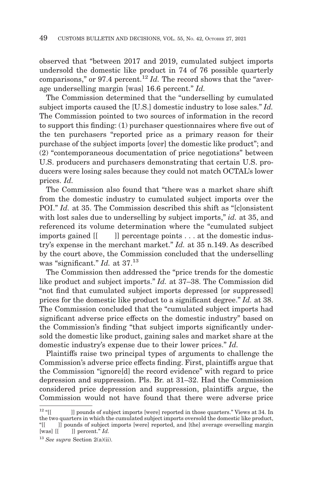observed that "between 2017 and 2019, cumulated subject imports undersold the domestic like product in 74 of 76 possible quarterly comparisons," or 97.4 percent.<sup>12</sup> *Id.* The record shows that the "average underselling margin [was] 16.6 percent." *Id.*

The Commission determined that the "underselling by cumulated subject imports caused the [U.S.] domestic industry to lose sales." *Id.* The Commission pointed to two sources of information in the record to support this finding: (1) purchaser questionnaires where five out of the ten purchasers "reported price as a primary reason for their purchase of the subject imports [over] the domestic like product"; and (2) "contemporaneous documentation of price negotiations" between U.S. producers and purchasers demonstrating that certain U.S. producers were losing sales because they could not match OCTAL's lower prices. *Id.*

The Commission also found that "there was a market share shift from the domestic industry to cumulated subject imports over the POI." *Id.* at 35. The Commission described this shift as "[c]onsistent with lost sales due to underselling by subject imports," *id.* at 35, and referenced its volume determination where the "cumulated subject imports gained [[ ]] percentage points . . . at the domestic industry's expense in the merchant market." *Id.* at 35 n.149. As described by the court above, the Commission concluded that the underselling was "significant." *Id.* at 37.13

The Commission then addressed the "price trends for the domestic like product and subject imports." *Id.* at 37–38. The Commission did "not find that cumulated subject imports depressed [or suppressed] prices for the domestic like product to a significant degree." *Id.* at 38. The Commission concluded that the "cumulated subject imports had significant adverse price effects on the domestic industry" based on the Commission's finding "that subject imports significantly undersold the domestic like product, gaining sales and market share at the domestic industry's expense due to their lower prices." *Id.*

Plaintiffs raise two principal types of arguments to challenge the Commission's adverse price effects finding. First, plaintiffs argue that the Commission "ignore[d] the record evidence" with regard to price depression and suppression. Pls. Br. at 31–32. Had the Commission considered price depression and suppression, plaintiffs argue, the Commission would not have found that there were adverse price

 $12 \text{ }$ "[[ ]] pounds of subject imports [were] reported in those quarters." Views at 34. In the two quarters in which the cumulated subject imports oversold the domestic like product, "[[ ]] pounds of subject imports [were] reported, and [the] average overselling margin [was] [[]] percent." *Id.*

<sup>13</sup>*See supra* Section 2(a)(ii).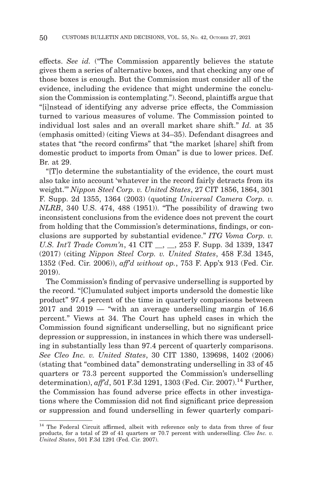effects. *See id.* ("The Commission apparently believes the statute gives them a series of alternative boxes, and that checking any one of those boxes is enough. But the Commission must consider all of the evidence, including the evidence that might undermine the conclusion the Commission is contemplating."). Second, plaintiffs argue that "[i]nstead of identifying any adverse price effects, the Commission turned to various measures of volume. The Commission pointed to individual lost sales and an overall market share shift." *Id.* at 35 (emphasis omitted) (citing Views at 34–35). Defendant disagrees and states that "the record confirms" that "the market [share] shift from domestic product to imports from Oman" is due to lower prices. Def. Br. at 29.

"[T]o determine the substantiality of the evidence, the court must also take into account 'whatever in the record fairly detracts from its weight.'" *Nippon Steel Corp. v. United States*, 27 CIT 1856, 1864, 301 F. Supp. 2d 1355, 1364 (2003) (quoting *Universal Camera Corp. v. NLRB*, 340 U.S. 474, 488 (1951)). "The possibility of drawing two inconsistent conclusions from the evidence does not prevent the court from holding that the Commission's determinations, findings, or conclusions are supported by substantial evidence." *ITG Voma Corp. v. U.S. Int'l Trade Comm'n*, 41 CIT \_\_, \_\_, 253 F. Supp. 3d 1339, 1347 (2017) (citing *Nippon Steel Corp. v. United States*, 458 F.3d 1345, 1352 (Fed. Cir. 2006)), *aff'd without op.*, 753 F. App'x 913 (Fed. Cir. 2019).

The Commission's finding of pervasive underselling is supported by the record. "[C]umulated subject imports undersold the domestic like product" 97.4 percent of the time in quarterly comparisons between  $2017$  and  $2019 -$  "with an average underselling margin of 16.6 percent." Views at 34. The Court has upheld cases in which the Commission found significant underselling, but no significant price depression or suppression, in instances in which there was underselling in substantially less than 97.4 percent of quarterly comparisons. *See Cleo Inc. v. United States*, 30 CIT 1380, 139698, 1402 (2006) (stating that "combined data" demonstrating underselling in 33 of 45 quarters or 73.3 percent supported the Commission's underselling determination), *aff'd*, 501 F.3d 1291, 1303 (Fed. Cir. 2007).<sup>14</sup> Further, the Commission has found adverse price effects in other investigations where the Commission did not find significant price depression or suppression and found underselling in fewer quarterly compari-

<sup>&</sup>lt;sup>14</sup> The Federal Circuit affirmed, albeit with reference only to data from three of four products, for a total of 29 of 41 quarters or 70.7 percent with underselling. *Cleo Inc. v. United States*, 501 F.3d 1291 (Fed. Cir. 2007).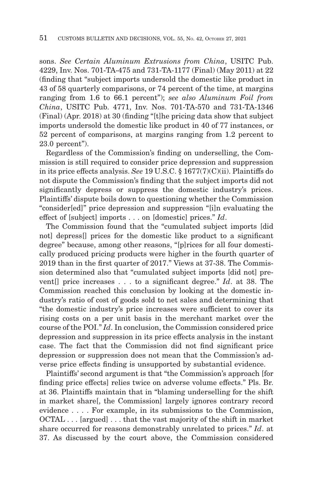sons. *See Certain Aluminum Extrusions from China*, USITC Pub. 4229, Inv. Nos. 701-TA-475 and 731-TA-1177 (Final) (May 2011) at 22 (finding that "subject imports undersold the domestic like product in 43 of 58 quarterly comparisons, or 74 percent of the time, at margins ranging from 1.6 to 66.1 percent"); *see also Aluminum Foil from China*, USITC Pub. 4771, Inv. Nos. 701-TA-570 and 731-TA-1346 (Final) (Apr. 2018) at 30 (finding "[t]he pricing data show that subject imports undersold the domestic like product in 40 of 77 instances, or 52 percent of comparisons, at margins ranging from 1.2 percent to 23.0 percent").

Regardless of the Commission's finding on underselling, the Commission is still required to consider price depression and suppression in its price effects analysis. *See* 19 U.S.C. § 1677(7)(C)(ii). Plaintiffs do not dispute the Commission's finding that the subject imports did not significantly depress or suppress the domestic industry's prices. Plaintiffs' dispute boils down to questioning whether the Commission "consider[ed]" price depression and suppression "[i]n evaluating the effect of [subject] imports . . . on [domestic] prices." *Id*.

The Commission found that the "cumulated subject imports [did not] depress[] prices for the domestic like product to a significant degree" because, among other reasons, "[p]rices for all four domestically produced pricing products were higher in the fourth quarter of 2019 than in the first quarter of 2017." Views at 37-38. The Commission determined also that "cumulated subject imports [did not] prevent[] price increases . . . to a significant degree." *Id*. at 38. The Commission reached this conclusion by looking at the domestic industry's ratio of cost of goods sold to net sales and determining that "the domestic industry's price increases were sufficient to cover its rising costs on a per unit basis in the merchant market over the course of the POI." *Id*. In conclusion, the Commission considered price depression and suppression in its price effects analysis in the instant case. The fact that the Commission did not find significant price depression or suppression does not mean that the Commission's adverse price effects finding is unsupported by substantial evidence.

Plaintiffs' second argument is that "the Commission's approach [for finding price effects] relies twice on adverse volume effects." Pls. Br. at 36. Plaintiffs maintain that in "blaming underselling for the shift in market share[, the Commission] largely ignores contrary record evidence . . . . For example, in its submissions to the Commission, OCTAL . . . [argued] . . . that the vast majority of the shift in market share occurred for reasons demonstrably unrelated to prices." *Id*. at 37. As discussed by the court above, the Commission considered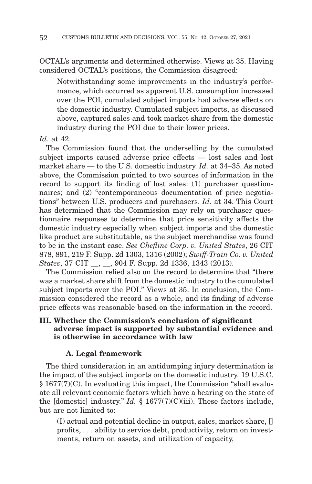OCTAL's arguments and determined otherwise. Views at 35. Having considered OCTAL's positions, the Commission disagreed:

Notwithstanding some improvements in the industry's performance, which occurred as apparent U.S. consumption increased over the POI, cumulated subject imports had adverse effects on the domestic industry. Cumulated subject imports, as discussed above, captured sales and took market share from the domestic industry during the POI due to their lower prices.

#### *Id*. at 42.

The Commission found that the underselling by the cumulated subject imports caused adverse price effects — lost sales and lost market share — to the U.S. domestic industry. *Id.* at 34–35. As noted above, the Commission pointed to two sources of information in the record to support its finding of lost sales: (1) purchaser questionnaires; and (2) "contemporaneous documentation of price negotiations" between U.S. producers and purchasers. *Id.* at 34. This Court has determined that the Commission may rely on purchaser questionnaire responses to determine that price sensitivity affects the domestic industry especially when subject imports and the domestic like product are substitutable, as the subject merchandise was found to be in the instant case. *See Chefline Corp. v. United States*, 26 CIT 878, 891, 219 F. Supp. 2d 1303, 1316 (2002); *Swiff-Train Co. v. United States*, 37 CIT \_\_, \_\_, 904 F. Supp. 2d 1336, 1343 (2013).

The Commission relied also on the record to determine that "there was a market share shift from the domestic industry to the cumulated subject imports over the POI." Views at 35. In conclusion, the Commission considered the record as a whole, and its finding of adverse price effects was reasonable based on the information in the record.

# **III. Whether the Commission's conclusion of significant adverse impact is supported by substantial evidence and is otherwise in accordance with law**

### **A. Legal framework**

The third consideration in an antidumping injury determination is the impact of the subject imports on the domestic industry. 19 U.S.C. § 1677(7)(C). In evaluating this impact, the Commission "shall evaluate all relevant economic factors which have a bearing on the state of the [domestic] industry." *Id.* § 1677(7)(C)(iii). These factors include, but are not limited to:

(I) actual and potential decline in output, sales, market share, [] profits, . . . ability to service debt, productivity, return on investments, return on assets, and utilization of capacity,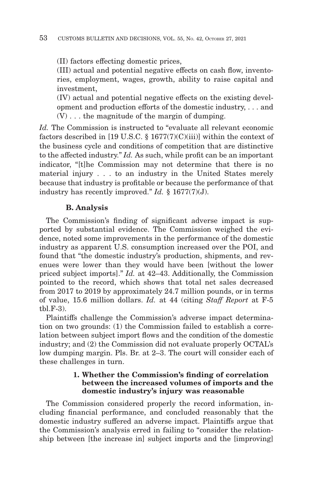(II) factors effecting domestic prices,

(III) actual and potential negative effects on cash flow, inventories, employment, wages, growth, ability to raise capital and investment,

(IV) actual and potential negative effects on the existing development and production efforts of the domestic industry, . . . and (V) . . . the magnitude of the margin of dumping.

*Id.* The Commission is instructed to "evaluate all relevant economic factors described in [19 U.S.C.  $\S 1677(7)(C)(iii)$ ] within the context of the business cycle and conditions of competition that are distinctive to the affected industry." *Id.* As such, while profit can be an important indicator, "[t]he Commission may not determine that there is no material injury . . . to an industry in the United States merely because that industry is profitable or because the performance of that industry has recently improved." *Id.* § 1677(7)(J).

## **B. Analysis**

The Commission's finding of significant adverse impact is supported by substantial evidence. The Commission weighed the evidence, noted some improvements in the performance of the domestic industry as apparent U.S. consumption increased over the POI, and found that "the domestic industry's production, shipments, and revenues were lower than they would have been [without the lower priced subject imports]." *Id.* at 42–43. Additionally, the Commission pointed to the record, which shows that total net sales decreased from 2017 to 2019 by approximately 24.7 million pounds, or in terms of value, 15.6 million dollars. *Id.* at 44 (citing *Staff Report* at F-5 tbl.F-3).

Plaintiffs challenge the Commission's adverse impact determination on two grounds: (1) the Commission failed to establish a correlation between subject import flows and the condition of the domestic industry; and (2) the Commission did not evaluate properly OCTAL's low dumping margin. Pls. Br. at 2–3. The court will consider each of these challenges in turn.

### **1. Whether the Commission's finding of correlation between the increased volumes of imports and the domestic industry's injury was reasonable**

The Commission considered properly the record information, including financial performance, and concluded reasonably that the domestic industry suffered an adverse impact. Plaintiffs argue that the Commission's analysis erred in failing to "consider the relationship between [the increase in] subject imports and the [improving]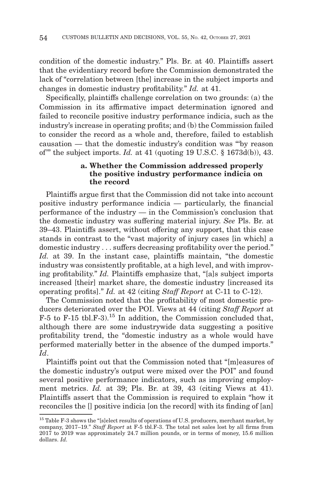condition of the domestic industry." Pls. Br. at 40. Plaintiffs assert that the evidentiary record before the Commission demonstrated the lack of "correlation between [the] increase in the subject imports and changes in domestic industry profitability." *Id.* at 41.

Specifically, plaintiffs challenge correlation on two grounds: (a) the Commission in its affirmative impact determination ignored and failed to reconcile positive industry performance indicia, such as the industry's increase in operating profits; and (b) the Commission failed to consider the record as a whole and, therefore, failed to establish causation — that the domestic industry's condition was "'by reason of'" the subject imports. *Id.* at 41 (quoting 19 U.S.C. § 1673d(b)), 43.

### **a. Whether the Commission addressed properly the positive industry performance indicia on the record**

Plaintiffs argue first that the Commission did not take into account positive industry performance indicia — particularly, the financial performance of the industry — in the Commission's conclusion that the domestic industry was suffering material injury. *See* Pls. Br. at 39–43. Plaintiffs assert, without offering any support, that this case stands in contrast to the "vast majority of injury cases [in which] a domestic industry . . . suffers decreasing profitability over the period." *Id.* at 39. In the instant case, plaintiffs maintain, "the domestic industry was consistently profitable, at a high level, and with improving profitability." *Id.* Plaintiffs emphasize that, "[a]s subject imports increased [their] market share, the domestic industry [increased its operating profits]." *Id.* at 42 (citing *Staff Report* at C-11 to C-12).

The Commission noted that the profitability of most domestic producers deteriorated over the POI. Views at 44 (citing *Staff Report* at  $F-5$  to  $F-15$  tbl. $F-3$ ).<sup>15</sup> In addition, the Commission concluded that, although there are some industrywide data suggesting a positive profitability trend, the "domestic industry as a whole would have performed materially better in the absence of the dumped imports." *Id*.

Plaintiffs point out that the Commission noted that "[m]easures of the domestic industry's output were mixed over the POI" and found several positive performance indicators, such as improving employment metrics. *Id.* at 39; Pls. Br. at 39, 43 (citing Views at 41). Plaintiffs assert that the Commission is required to explain "how it reconciles the [] positive indicia [on the record] with its finding of [an]

 $^{15}$  Table F-3 shows the "[s]elect results of operations of U.S. producers, merchant market, by company, 2017–19." *Staff Report* at F-5 tbl.F-3. The total net sales lost by all firms from 2017 to 2019 was approximately 24.7 million pounds, or in terms of money, 15.6 million dollars. *Id.*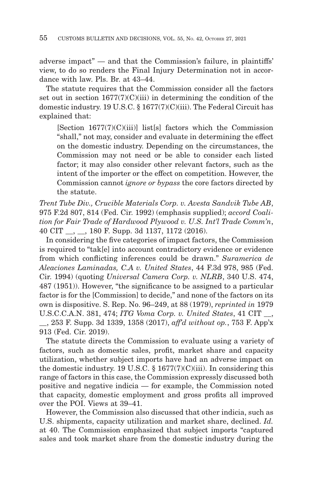adverse impact" — and that the Commission's failure, in plaintiffs' view, to do so renders the Final Injury Determination not in accordance with law. Pls. Br. at 43–44.

The statute requires that the Commission consider all the factors set out in section  $1677(7)(C)(iii)$  in determining the condition of the domestic industry. 19 U.S.C. § 1677(7)(C)(iii). The Federal Circuit has explained that:

 $[Section 1677(7)(C)(iii)]$  list [s] factors which the Commission "shall," not may, consider and evaluate in determining the effect on the domestic industry. Depending on the circumstances, the Commission may not need or be able to consider each listed factor; it may also consider other relevant factors, such as the intent of the importer or the effect on competition. However, the Commission cannot *ignore or bypass* the core factors directed by the statute.

*Trent Tube Div., Crucible Materials Corp. v. Avesta Sandvik Tube AB*, 975 F.2d 807, 814 (Fed. Cir. 1992) (emphasis supplied); *accord Coalition for Fair Trade of Hardwood Plywood v. U.S. Int'l Trade Comm'n*, 40 CIT \_\_, \_\_, 180 F. Supp. 3d 1137, 1172 (2016).

In considering the five categories of impact factors, the Commission is required to "tak[e] into account contradictory evidence or evidence from which conflicting inferences could be drawn." *Suramerica de Aleaciones Laminadas, C.A v. United States*, 44 F.3d 978, 985 (Fed. Cir. 1994) (quoting *Universal Camera Corp. v. NLRB*, 340 U.S. 474, 487 (1951)). However, "the significance to be assigned to a particular factor is for the [Commission] to decide," and none of the factors on its own is dispositive. S. Rep. No. 96–249, at 88 (1979), *reprinted in* 1979 U.S.C.C.A.N. 381, 474; *ITG Voma Corp. v. United States*, 41 CIT \_\_, \_\_, 253 F. Supp. 3d 1339, 1358 (2017), *aff'd without op.*, 753 F. App'x 913 (Fed. Cir. 2019).

The statute directs the Commission to evaluate using a variety of factors, such as domestic sales, profit, market share and capacity utilization, whether subject imports have had an adverse impact on the domestic industry. 19 U.S.C.  $\S$  1677(7)(C)(iii). In considering this range of factors in this case, the Commission expressly discussed both positive and negative indicia — for example, the Commission noted that capacity, domestic employment and gross profits all improved over the POI. Views at 39–41.

However, the Commission also discussed that other indicia, such as U.S. shipments, capacity utilization and market share, declined. *Id.* at 40. The Commission emphasized that subject imports "captured sales and took market share from the domestic industry during the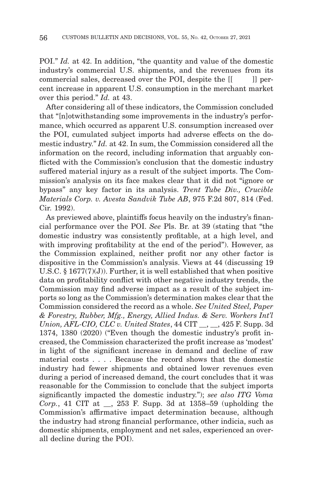POI." *Id.* at 42. In addition, "the quantity and value of the domestic industry's commercial U.S. shipments, and the revenues from its commercial sales, decreased over the POI, despite the  $\llbracket \cdot \cdot \cdot \rVert$  percent increase in apparent U.S. consumption in the merchant market over this period." *Id.* at 43.

After considering all of these indicators, the Commission concluded that "[n]otwithstanding some improvements in the industry's performance, which occurred as apparent U.S. consumption increased over the POI, cumulated subject imports had adverse effects on the domestic industry." *Id.* at 42. In sum, the Commission considered all the information on the record, including information that arguably conflicted with the Commission's conclusion that the domestic industry suffered material injury as a result of the subject imports. The Commission's analysis on its face makes clear that it did not "ignore or bypass" any key factor in its analysis. *Trent Tube Div., Crucible Materials Corp. v. Avesta Sandvik Tube AB*, 975 F.2d 807, 814 (Fed. Cir. 1992).

As previewed above, plaintiffs focus heavily on the industry's financial performance over the POI. *See* Pls. Br. at 39 (stating that "the domestic industry was consistently profitable, at a high level, and with improving profitability at the end of the period"). However, as the Commission explained, neither profit nor any other factor is dispositive in the Commission's analysis. Views at 44 (discussing 19 U.S.C.  $\S$  1677(7)(J)). Further, it is well established that when positive data on profitability conflict with other negative industry trends, the Commission may find adverse impact as a result of the subject imports so long as the Commission's determination makes clear that the Commission considered the record as a whole. *See United Steel, Paper & Forestry, Rubber, Mfg., Energy, Allied Indus. & Serv. Workers Int'l Union, AFL-CIO, CLC v. United States*, 44 CIT \_\_, \_\_, 425 F. Supp. 3d 1374, 1380 (2020) ("Even though the domestic industry's profit increased, the Commission characterized the profit increase as 'modest' in light of the significant increase in demand and decline of raw material costs . . . . Because the record shows that the domestic industry had fewer shipments and obtained lower revenues even during a period of increased demand, the court concludes that it was reasonable for the Commission to conclude that the subject imports significantly impacted the domestic industry."); *see also ITG Voma Corp.*, 41 CIT at \_\_, 253 F. Supp. 3d at 1358–59 (upholding the Commission's affirmative impact determination because, although the industry had strong financial performance, other indicia, such as domestic shipments, employment and net sales, experienced an overall decline during the POI).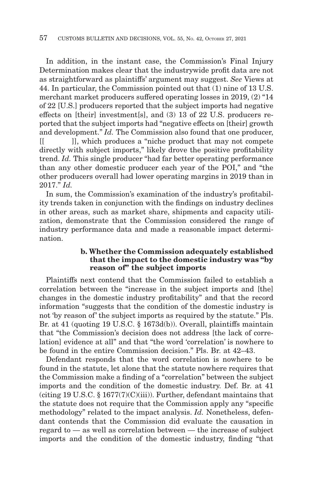In addition, in the instant case, the Commission's Final Injury Determination makes clear that the industrywide profit data are not as straightforward as plaintiffs' argument may suggest. *See* Views at 44. In particular, the Commission pointed out that (1) nine of 13 U.S. merchant market producers suffered operating losses in 2019, (2) "14 of 22 [U.S.] producers reported that the subject imports had negative effects on [their] investment[s], and (3) 13 of 22 U.S. producers reported that the subject imports had "negative effects on [their] growth and development." *Id.* The Commission also found that one producer, [[ ]], which produces a "niche product that may not compete directly with subject imports," likely drove the positive profitability trend. *Id.* This single producer "had far better operating performance than any other domestic producer each year of the POI," and "the other producers overall had lower operating margins in 2019 than in 2017." *Id.*

In sum, the Commission's examination of the industry's profitability trends taken in conjunction with the findings on industry declines in other areas, such as market share, shipments and capacity utilization, demonstrate that the Commission considered the range of industry performance data and made a reasonable impact determination.

### **b. Whether the Commission adequately established that the impact to the domestic industry was "by reason of" the subject imports**

Plaintiffs next contend that the Commission failed to establish a correlation between the "increase in the subject imports and [the] changes in the domestic industry profitability" and that the record information "suggests that the condition of the domestic industry is not 'by reason of' the subject imports as required by the statute." Pls. Br. at 41 (quoting 19 U.S.C. § 1673d(b)). Overall, plaintiffs maintain that "the Commission's decision does not address [the lack of correlation] evidence at all" and that "the word 'correlation' is nowhere to be found in the entire Commission decision." Pls. Br. at 42–43.

Defendant responds that the word correlation is nowhere to be found in the statute, let alone that the statute nowhere requires that the Commission make a finding of a "correlation" between the subject imports and the condition of the domestic industry. Def. Br. at 41 (citing 19 U.S.C.  $\S 1677(7)(C)(iii)$ ). Further, defendant maintains that the statute does not require that the Commission apply any "specific methodology" related to the impact analysis. *Id.* Nonetheless, defendant contends that the Commission did evaluate the causation in regard to — as well as correlation between — the increase of subject imports and the condition of the domestic industry, finding "that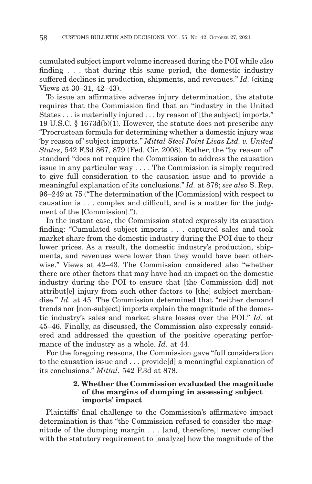cumulated subject import volume increased during the POI while also finding . . . that during this same period, the domestic industry suffered declines in production, shipments, and revenues." *Id.* (citing Views at 30–31, 42–43).

To issue an affirmative adverse injury determination, the statute requires that the Commission find that an "industry in the United States . . . is materially injured . . . by reason of [the subject] imports." 19 U.S.C. § 1673d(b)(1). However, the statute does not prescribe any "Procrustean formula for determining whether a domestic injury was 'by reason of' subject imports." *Mittal Steel Point Lisas Ltd. v. United States*, 542 F.3d 867, 879 (Fed. Cir. 2008). Rather, the "by reason of" standard "does not require the Commission to address the causation issue in any particular way . . . . The Commission is simply required to give full consideration to the causation issue and to provide a meaningful explanation of its conclusions." *Id.* at 878; *see also* S. Rep. 96–249 at 75 ("The determination of the [Commission] with respect to causation is . . . complex and difficult, and is a matter for the judgment of the [Commission].").

In the instant case, the Commission stated expressly its causation finding: "Cumulated subject imports . . . captured sales and took market share from the domestic industry during the POI due to their lower prices. As a result, the domestic industry's production, shipments, and revenues were lower than they would have been otherwise." Views at 42–43. The Commission considered also "whether there are other factors that may have had an impact on the domestic industry during the POI to ensure that [the Commission did] not attribut[e] injury from such other factors to [the] subject merchandise." *Id.* at 45. The Commission determined that "neither demand trends nor [non-subject] imports explain the magnitude of the domestic industry's sales and market share losses over the POI." *Id.* at 45–46. Finally, as discussed, the Commission also expressly considered and addressed the question of the positive operating performance of the industry as a whole. *Id.* at 44.

For the foregoing reasons, the Commission gave "full consideration to the causation issue and . . . provide[d] a meaningful explanation of its conclusions." *Mittal*, 542 F.3d at 878.

### **2. Whether the Commission evaluated the magnitude of the margins of dumping in assessing subject imports' impact**

Plaintiffs' final challenge to the Commission's affirmative impact determination is that "the Commission refused to consider the magnitude of the dumping margin . . . [and, therefore,] never complied with the statutory requirement to [analyze] how the magnitude of the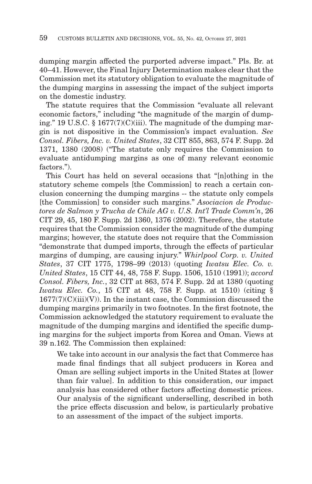dumping margin affected the purported adverse impact." Pls. Br. at 40–41. However, the Final Injury Determination makes clear that the Commission met its statutory obligation to evaluate the magnitude of the dumping margins in assessing the impact of the subject imports on the domestic industry.

The statute requires that the Commission "evaluate all relevant economic factors," including "the magnitude of the margin of dumping." 19 U.S.C. § 1677(7)(C)(iii). The magnitude of the dumping margin is not dispositive in the Commission's impact evaluation. *See Consol. Fibers, Inc. v. United States*, 32 CIT 855, 863, 574 F. Supp. 2d 1371, 1380 (2008) ("The statute only requires the Commission to evaluate antidumping margins as one of many relevant economic factors.").

This Court has held on several occasions that "[n]othing in the statutory scheme compels [the Commission] to reach a certain conclusion concerning the dumping margins -- the statute only compels [the Commission] to consider such margins." *Asociacion de Productores de Salmon y Trucha de Chile AG v. U.S. Int'l Trade Comm'n*, 26 CIT 29, 45, 180 F. Supp. 2d 1360, 1376 (2002). Therefore, the statute requires that the Commission consider the magnitude of the dumping margins; however, the statute does not require that the Commission "demonstrate that dumped imports, through the effects of particular margins of dumping, are causing injury." *Whirlpool Corp. v. United States*, 37 CIT 1775, 1798–99 (2013) (quoting *Iwatsu Elec. Co. v. United States*, 15 CIT 44, 48, 758 F. Supp. 1506, 1510 (1991)); *accord Consol. Fibers, Inc.*, 32 CIT at 863, 574 F. Supp. 2d at 1380 (quoting *Iwatsu Elec. Co.*, 15 CIT at 48, 758 F. Supp. at 1510) (citing §  $1677(7)(C)(iii)(V)$ ). In the instant case, the Commission discussed the dumping margins primarily in two footnotes. In the first footnote, the Commission acknowledged the statutory requirement to evaluate the magnitude of the dumping margins and identified the specific dumping margins for the subject imports from Korea and Oman. Views at 39 n.162. The Commission then explained:

We take into account in our analysis the fact that Commerce has made final findings that all subject producers in Korea and Oman are selling subject imports in the United States at [lower than fair value]. In addition to this consideration, our impact analysis has considered other factors affecting domestic prices. Our analysis of the significant underselling, described in both the price effects discussion and below, is particularly probative to an assessment of the impact of the subject imports.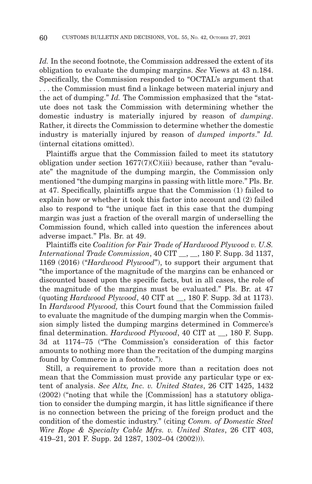Id. In the second footnote, the Commission addressed the extent of its obligation to evaluate the dumping margins. *See* Views at 43 n.184. Specifically, the Commission responded to "OCTAL's argument that . . . the Commission must find a linkage between material injury and the act of dumping." *Id.* The Commission emphasized that the "statute does not task the Commission with determining whether the domestic industry is materially injured by reason of *dumping*. Rather, it directs the Commission to determine whether the domestic industry is materially injured by reason of *dumped imports*." *Id.* (internal citations omitted).

Plaintiffs argue that the Commission failed to meet its statutory obligation under section  $1677(7)(C)(iii)$  because, rather than "evaluate" the magnitude of the dumping margin, the Commission only mentioned "the dumping margins in passing with little more." Pls. Br. at 47. Specifically, plaintiffs argue that the Commission (1) failed to explain how or whether it took this factor into account and (2) failed also to respond to "the unique fact in this case that the dumping margin was just a fraction of the overall margin of underselling the Commission found, which called into question the inferences about adverse impact." Pls. Br. at 49.

Plaintiffs cite *Coalition for Fair Trade of Hardwood Plywood v. U.S. International Trade Commission*, 40 CIT \_\_, \_\_, 180 F. Supp. 3d 1137, 1169 (2016) ("*Hardwood Plywood*"), to support their argument that "the importance of the magnitude of the margins can be enhanced or discounted based upon the specific facts, but in all cases, the role of the magnitude of the margins must be evaluated." Pls. Br. at 47 (quoting *Hardwood Plywood*, 40 CIT at \_\_, 180 F. Supp. 3d at 1173). In *Hardwood Plywood,* this Court found that the Commission failed to evaluate the magnitude of the dumping margin when the Commission simply listed the dumping margins determined in Commerce's final determination. *Hardwood Plywood*, 40 CIT at  $\,$ , 180 F. Supp. 3d at 1174–75 ("The Commission's consideration of this factor amounts to nothing more than the recitation of the dumping margins found by Commerce in a footnote.").

Still, a requirement to provide more than a recitation does not mean that the Commission must provide any particular type or extent of analysis. *See Altx, Inc. v. United States*, 26 CIT 1425, 1432 (2002) ("noting that while the [Commission] has a statutory obligation to consider the dumping margin, it has little significance if there is no connection between the pricing of the foreign product and the condition of the domestic industry." (citing *Comm. of Domestic Steel Wire Rope & Specialty Cable Mfrs. v. United States*, 26 CIT 403, 419–21, 201 F. Supp. 2d 1287, 1302–04 (2002))).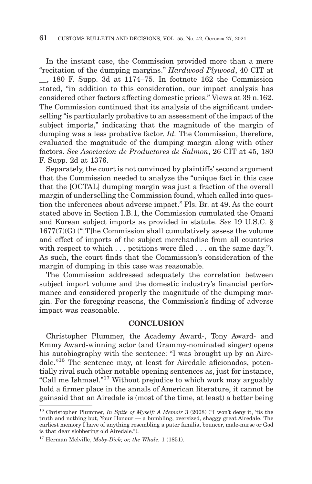In the instant case, the Commission provided more than a mere "recitation of the dumping margins." *Hardwood Plywood*, 40 CIT at \_\_, 180 F. Supp. 3d at 1174–75. In footnote 162 the Commission stated, "in addition to this consideration, our impact analysis has considered other factors affecting domestic prices." Views at 39 n.162. The Commission continued that its analysis of the significant underselling "is particularly probative to an assessment of the impact of the subject imports," indicating that the magnitude of the margin of dumping was a less probative factor. *Id.* The Commission, therefore, evaluated the magnitude of the dumping margin along with other factors. *See Asociacion de Productores de Salmon*, 26 CIT at 45, 180 F. Supp. 2d at 1376.

Separately, the court is not convinced by plaintiffs' second argument that the Commission needed to analyze the "unique fact in this case that the [OCTAL] dumping margin was just a fraction of the overall margin of underselling the Commission found, which called into question the inferences about adverse impact." Pls. Br. at 49. As the court stated above in Section I.B.1, the Commission cumulated the Omani and Korean subject imports as provided in statute. *See* 19 U.S.C. § 1677(7)(G) ("[T]he Commission shall cumulatively assess the volume and effect of imports of the subject merchandise from all countries with respect to which . . . petitions were filed . . . on the same day."). As such, the court finds that the Commission's consideration of the margin of dumping in this case was reasonable.

The Commission addressed adequately the correlation between subject import volume and the domestic industry's financial performance and considered properly the magnitude of the dumping margin. For the foregoing reasons, the Commission's finding of adverse impact was reasonable.

## **CONCLUSION**

Christopher Plummer, the Academy Award-, Tony Award- and Emmy Award-winning actor (and Grammy-nominated singer) opens his autobiography with the sentence: "I was brought up by an Airedale."16 The sentence may, at least for Airedale aficionados, potentially rival such other notable opening sentences as, just for instance, "Call me Ishmael."17 Without prejudice to which work may arguably hold a firmer place in the annals of American literature, it cannot be gainsaid that an Airedale is (most of the time, at least) a better being

<sup>16</sup> Christopher Plummer, *In Spite of Myself: A Memoir* 3 (2008) ("I won't deny it, 'tis the truth and nothing but, Your Honour — a bumbling, oversized, shaggy great Airedale. The earliest memory I have of anything resembling a pater familia, bouncer, male-nurse or God is that dear slobbering old Airedale.").

<sup>17</sup> Herman Melville, *Moby-Dick; or, the Whale.* 1 (1851).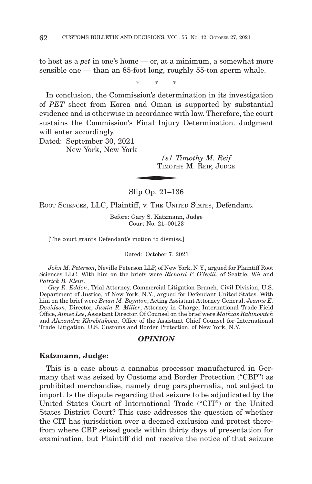to host as a *pet* in one's home — or, at a minimum, a somewhat more sensible one — than an 85-foot long, roughly 55-ton sperm whale.

\*\* \*

In conclusion, the Commission's determination in its investigation of *PET* sheet from Korea and Oman is supported by substantial evidence and is otherwise in accordance with law. Therefore, the court sustains the Commission's Final Injury Determination. Judgment will enter accordingly.  $\begin{minipage}{0.9\linewidth} \begin{tabular}{cc} \multicolumn{2}{c}{\textbf{1}} & \multicolumn{2}{c}{\textbf{1}} \\ \multicolumn{2}{c}{\textbf{1}} & \multicolumn{2}{c}{\textbf{1}} \\ \multicolumn{2}{c}{\textbf{1}} & \multicolumn{2}{c}{\textbf{1}} \\ \multicolumn{2}{c}{\textbf{1}} & \multicolumn{2}{c}{\textbf{1}} \\ \multicolumn{2}{c}{\textbf{1}} & \multicolumn{2}{c}{\textbf{1}} \\ \multicolumn{2}{c}{\textbf{1}} & \multicolumn{2}{c}{\textbf{1}} \\ \multicolumn{2}{$ 

Dated: September 30, 2021 New York, New York

> */s/ Timothy M. Reif* TIMOTHY M. REIF, JUDGE

Slip Op. 21–136

ROOT SCIENCES, LLC, Plaintiff, v. THE UNITED STATES, Defendant.

Before: Gary S. Katzmann, Judge Court No. 21–00123

[The court grants Defendant's motion to dismiss.]

Dated: October 7, 2021

*John M. Peterson*, Neville Peterson LLP, of New York, N.Y., argued for Plaintiff Root Sciences LLC. With him on the briefs were *Richard F. O'Neill*, of Seattle, WA and *Patrick B. Klein*.

*Guy R. Eddon*, Trial Attorney, Commercial Litigation Branch, Civil Division, U.S. Department of Justice, of New York, N.Y., argued for Defendant United States. With him on the brief were *Brian M. Boynton*, Acting Assistant Attorney General, *Jeanne E. Davidson*, Director, *Justin R. Miller*, Attorney in Charge, International Trade Field Office, *Aimee Lee*, Assistant Director. Of Counsel on the brief were *Mathias Rabinovitch* and *Alexandra Khrebtukova*, Office of the Assistant Chief Counsel for International Trade Litigation, U.S. Customs and Border Protection, of New York, N.Y.

#### *OPINION*

### **Katzmann, Judge:**

This is a case about a cannabis processor manufactured in Germany that was seized by Customs and Border Protection ("CBP") as prohibited merchandise, namely drug paraphernalia, not subject to import. Is the dispute regarding that seizure to be adjudicated by the United States Court of International Trade ("CIT") or the United States District Court? This case addresses the question of whether the CIT has jurisdiction over a deemed exclusion and protest therefrom where CBP seized goods within thirty days of presentation for examination, but Plaintiff did not receive the notice of that seizure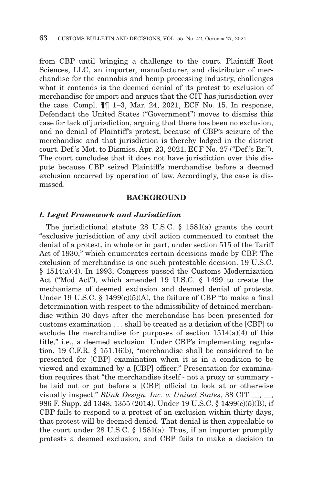from CBP until bringing a challenge to the court. Plaintiff Root Sciences, LLC, an importer, manufacturer, and distributor of merchandise for the cannabis and hemp processing industry, challenges what it contends is the deemed denial of its protest to exclusion of merchandise for import and argues that the CIT has jurisdiction over the case. Compl. ¶¶ 1–3, Mar. 24, 2021, ECF No. 15. In response, Defendant the United States ("Government") moves to dismiss this case for lack of jurisdiction, arguing that there has been no exclusion, and no denial of Plaintiff's protest, because of CBP's seizure of the merchandise and that jurisdiction is thereby lodged in the district court. Def.'s Mot. to Dismiss, Apr. 23, 2021, ECF No. 27 ("Def.'s Br."). The court concludes that it does not have jurisdiction over this dispute because CBP seized Plaintiff's merchandise before a deemed exclusion occurred by operation of law. Accordingly, the case is dismissed.

#### **BACKGROUND**

### *I. Legal Framework and Jurisdiction*

The jurisdictional statute 28 U.S.C. § 1581(a) grants the court "exclusive jurisdiction of any civil action commenced to contest the denial of a protest, in whole or in part, under section 515 of the Tariff Act of 1930," which enumerates certain decisions made by CBP. The exclusion of merchandise is one such protestable decision. 19 U.S.C. § 1514(a)(4). In 1993, Congress passed the Customs Modernization Act ("Mod Act"), which amended 19 U.S.C. § 1499 to create the mechanisms of deemed exclusion and deemed denial of protests. Under 19 U.S.C.  $\S$  1499(c)(5)(A), the failure of CBP "to make a final determination with respect to the admissibility of detained merchandise within 30 days after the merchandise has been presented for customs examination . . . shall be treated as a decision of the [CBP] to exclude the merchandise for purposes of section  $1514(a)(4)$  of this title," i.e., a deemed exclusion. Under CBP's implementing regulation, 19 C.F.R. § 151.16(b), "merchandise shall be considered to be presented for [CBP] examination when it is in a condition to be viewed and examined by a [CBP] officer." Presentation for examination requires that "the merchandise itself - not a proxy or summary be laid out or put before a [CBP] official to look at or otherwise visually inspect." *Blink Design, Inc. v. United States*, 38 CIT \_\_, \_\_, 986 F. Supp. 2d 1348, 1355 (2014). Under 19 U.S.C. § 1499(c)(5)(B), if CBP fails to respond to a protest of an exclusion within thirty days, that protest will be deemed denied. That denial is then appealable to the court under 28 U.S.C. § 1581(a). Thus, if an importer promptly protests a deemed exclusion, and CBP fails to make a decision to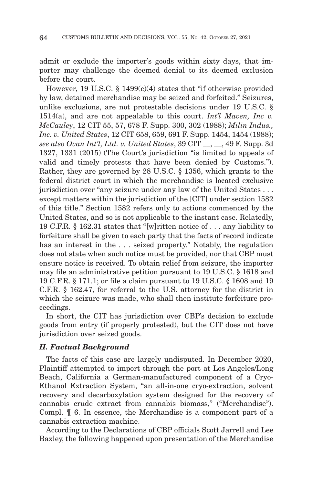admit or exclude the importer's goods within sixty days, that importer may challenge the deemed denial to its deemed exclusion before the court.

However, 19 U.S.C. § 1499(c)(4) states that "if otherwise provided by law, detained merchandise may be seized and forfeited." Seizures, unlike exclusions, are not protestable decisions under 19 U.S.C. § 1514(a), and are not appealable to this court. *Int'l Maven, Inc v. McCauley*, 12 CIT 55, 57, 678 F. Supp. 300, 302 (1988); *Milin Indus., Inc. v. United States*, 12 CIT 658, 659, 691 F. Supp. 1454, 1454 (1988); *see also Ovan Int'l, Ltd. v. United States*, 39 CIT \_\_, \_\_, 49 F. Supp. 3d 1327, 1331 (2015) (The Court's jurisdiction "is limited to appeals of valid and timely protests that have been denied by Customs."). Rather, they are governed by 28 U.S.C. § 1356, which grants to the federal district court in which the merchandise is located exclusive jurisdiction over "any seizure under any law of the United States . . . except matters within the jurisdiction of the [CIT] under section 1582 of this title." Section 1582 refers only to actions commenced by the United States, and so is not applicable to the instant case. Relatedly, 19 C.F.R. § 162.31 states that "[w]ritten notice of . . . any liability to forfeiture shall be given to each party that the facts of record indicate has an interest in the . . . seized property." Notably, the regulation does not state when such notice must be provided, nor that CBP must ensure notice is received. To obtain relief from seizure, the importer may file an administrative petition pursuant to 19 U.S.C. § 1618 and 19 C.F.R. § 171.1; or file a claim pursuant to 19 U.S.C. § 1608 and 19 C.F.R. § 162.47, for referral to the U.S. attorney for the district in which the seizure was made, who shall then institute forfeiture proceedings.

In short, the CIT has jurisdiction over CBP's decision to exclude goods from entry (if properly protested), but the CIT does not have jurisdiction over seized goods.

### *II. Factual Background*

The facts of this case are largely undisputed. In December 2020, Plaintiff attempted to import through the port at Los Angeles/Long Beach, California a German-manufactured component of a Cryo-Ethanol Extraction System, "an all-in-one cryo-extraction, solvent recovery and decarboxylation system designed for the recovery of cannabis crude extract from cannabis biomass," ("Merchandise"). Compl. ¶ 6. In essence, the Merchandise is a component part of a cannabis extraction machine.

According to the Declarations of CBP officials Scott Jarrell and Lee Baxley, the following happened upon presentation of the Merchandise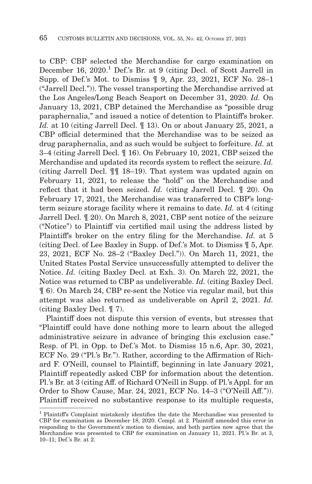to CBP: CBP selected the Merchandise for cargo examination on December 16, 2020.<sup>1</sup> Def.'s Br. at 9 (citing Decl. of Scott Jarrell in Supp. of Def.'s Mot. to Dismiss ¶ 9, Apr. 23, 2021, ECF No. 28–1 ("Jarrell Decl.")). The vessel transporting the Merchandise arrived at the Los Angeles/Long Beach Seaport on December 31, 2020. *Id.* On January 13, 2021, CBP detained the Merchandise as "possible drug paraphernalia," and issued a notice of detention to Plaintiff's broker. *Id.* at 10 (citing Jarrell Decl. ¶ 13). On or about January 25, 2021, a CBP official determined that the Merchandise was to be seized as drug paraphernalia, and as such would be subject to forfeiture. *Id.* at 3–4 (citing Jarrell Decl. ¶ 16). On February 10, 2021, CBP seized the Merchandise and updated its records system to reflect the seizure. *Id.* (citing Jarrell Decl. ¶¶ 18–19). That system was updated again on February 11, 2021, to release the "hold" on the Merchandise and reflect that it had been seized. *Id.* (citing Jarrell Decl. ¶ 20). On February 17, 2021, the Merchandise was transferred to CBP's longterm seizure storage facility where it remains to date. *Id.* at 4 (citing Jarrell Decl. ¶ 20). On March 8, 2021, CBP sent notice of the seizure ("Notice") to Plaintiff via certified mail using the address listed by Plaintiff's broker on the entry filing for the Merchandise. *Id.* at 5 (citing Decl. of Lee Baxley in Supp. of Def.'s Mot. to Dismiss ¶ 5, Apr. 23, 2021, ECF No. 28–2 ("Baxley Decl.")). On March 11, 2021, the United States Postal Service unsuccessfully attempted to deliver the Notice. *Id.* (citing Baxley Decl. at Exh. 3). On March 22, 2021, the Notice was returned to CBP as undeliverable. *Id.* (citing Baxley Decl. ¶ 6). On March 24, CBP re-sent the Notice via regular mail, but this attempt was also returned as undeliverable on April 2, 2021. *Id.* (citing Baxley Decl. ¶ 7).

Plaintiff does not dispute this version of events, but stresses that "Plaintiff could have done nothing more to learn about the alleged administrative seizure in advance of bringing this exclusion case." Resp. of Pl. in Opp. to Def.'s Mot. to Dismiss 15 n.6, Apr. 30, 2021, ECF No. 29 ("Pl.'s Br."). Rather, according to the Affirmation of Richard F. O'Neill, counsel to Plaintiff, beginning in late January 2021, Plaintiff repeatedly asked CBP for information about the detention. Pl.'s Br. at 3 (citing Aff. of Richard O'Neill in Supp. of Pl.'s Appl. for an Order to Show Cause, Mar. 24, 2021, ECF No. 14–3 ("O'Neill Aff.")). Plaintiff received no substantive response to its multiple requests,

 $<sup>1</sup>$  Plaintiff's Complaint mistakenly identifies the date the Merchandise was presented to</sup> CBP for examination as December 18, 2020. Compl. at 2. Plaintiff amended this error in responding to the Government's motion to dismiss, and both parties now agree that the Merchandise was presented to CBP for examination on January 11, 2021. Pl.'s Br. at 3, 10–11; Def.'s Br. at 2.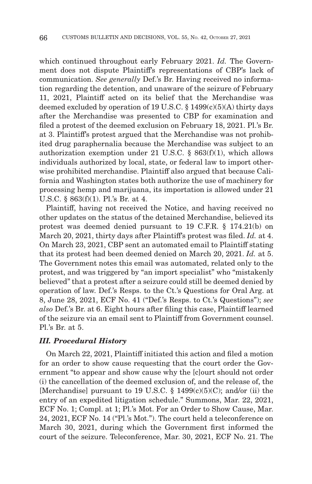which continued throughout early February 2021. *Id.* The Government does not dispute Plaintiff's representations of CBP's lack of communication. *See generally* Def.'s Br. Having received no information regarding the detention, and unaware of the seizure of February 11, 2021, Plaintiff acted on its belief that the Merchandise was deemed excluded by operation of 19 U.S.C.  $\S$  1499(c)(5)(A) thirty days after the Merchandise was presented to CBP for examination and filed a protest of the deemed exclusion on February 18, 2021. Pl.'s Br. at 3. Plaintiff's protest argued that the Merchandise was not prohibited drug paraphernalia because the Merchandise was subject to an authorization exemption under 21 U.S.C. § 863(f)(1), which allows individuals authorized by local, state, or federal law to import otherwise prohibited merchandise. Plaintiff also argued that because California and Washington states both authorize the use of machinery for processing hemp and marijuana, its importation is allowed under 21 U.S.C. § 863(f)(1). Pl.'s Br. at 4.

Plaintiff, having not received the Notice, and having received no other updates on the status of the detained Merchandise, believed its protest was deemed denied pursuant to 19 C.F.R. § 174.21(b) on March 20, 2021, thirty days after Plaintiff's protest was filed. *Id.* at 4. On March 23, 2021, CBP sent an automated email to Plaintiff stating that its protest had been deemed denied on March 20, 2021. *Id.* at 5. The Government notes this email was automated, related only to the protest, and was triggered by "an import specialist" who "mistakenly believed" that a protest after a seizure could still be deemed denied by operation of law. Def.'s Resps. to the Ct.'s Questions for Oral Arg. at 8, June 28, 2021, ECF No. 41 ("Def.'s Resps. to Ct.'s Questions"); *see also* Def.'s Br. at 6. Eight hours after filing this case, Plaintiff learned of the seizure via an email sent to Plaintiff from Government counsel. Pl.'s Br. at 5.

#### *III. Procedural History*

On March 22, 2021, Plaintiff initiated this action and filed a motion for an order to show cause requesting that the court order the Government "to appear and show cause why the [c]ourt should not order (i) the cancellation of the deemed exclusion of, and the release of, the [Merchandise] pursuant to 19 U.S.C.  $\S$  1499(c)(5)(C); and/or (ii) the entry of an expedited litigation schedule." Summons, Mar. 22, 2021, ECF No. 1; Compl. at 1; Pl.'s Mot. For an Order to Show Cause, Mar. 24, 2021, ECF No. 14 ("Pl.'s Mot."). The court held a teleconference on March 30, 2021, during which the Government first informed the court of the seizure. Teleconference, Mar. 30, 2021, ECF No. 21. The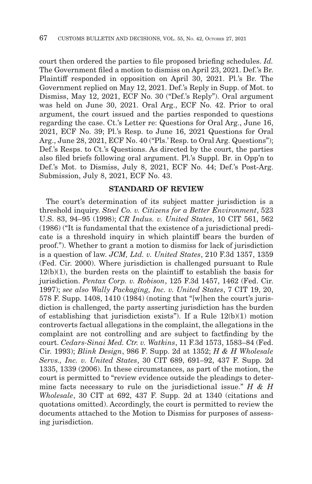court then ordered the parties to file proposed briefing schedules. *Id.* The Government filed a motion to dismiss on April 23, 2021. Def.'s Br. Plaintiff responded in opposition on April 30, 2021. Pl.'s Br. The Government replied on May 12, 2021. Def.'s Reply in Supp. of Mot. to Dismiss, May 12, 2021, ECF No. 30 ("Def.'s Reply"). Oral argument was held on June 30, 2021. Oral Arg., ECF No. 42. Prior to oral argument, the court issued and the parties responded to questions regarding the case. Ct.'s Letter re: Questions for Oral Arg., June 16, 2021, ECF No. 39; Pl.'s Resp. to June 16, 2021 Questions for Oral Arg., June 28, 2021, ECF No. 40 ("Pls.' Resp. to Oral Arg. Questions"); Def.'s Resps. to Ct.'s Questions. As directed by the court, the parties also filed briefs following oral argument. Pl.'s Suppl. Br. in Opp'n to Def.'s Mot. to Dismiss, July 8, 2021, ECF No. 44; Def.'s Post-Arg. Submission, July 8, 2021, ECF No. 43.

#### **STANDARD OF REVIEW**

The court's determination of its subject matter jurisdiction is a threshold inquiry. *Steel Co. v. Citizens for a Better Environment*, 523 U.S. 83, 94–95 (1998); *CR Indus. v. United States*, 10 CIT 561, 562 (1986) ("It is fundamental that the existence of a jurisdictional predicate is a threshold inquiry in which plaintiff bears the burden of proof."). Whether to grant a motion to dismiss for lack of jurisdiction is a question of law. *JCM, Ltd. v. United States*, 210 F.3d 1357, 1359 (Fed. Cir. 2000). Where jurisdiction is challenged pursuant to Rule  $12(b)(1)$ , the burden rests on the plaintiff to establish the basis for jurisdiction. *Pentax Corp. v. Robison*, 125 F.3d 1457, 1462 (Fed. Cir. 1997); *see also Wally Packaging, Inc. v. United States*, 7 CIT 19, 20, 578 F. Supp. 1408, 1410 (1984) (noting that "[w]hen the court's jurisdiction is challenged, the party asserting jurisdiction has the burden of establishing that jurisdiction exists"). If a Rule 12(b)(1) motion controverts factual allegations in the complaint, the allegations in the complaint are not controlling and are subject to factfinding by the court. *Cedars-Sinai Med. Ctr. v. Watkins*, 11 F.3d 1573, 1583–84 (Fed. Cir. 1993); *Blink Design*, 986 F. Supp. 2d at 1352; *H & H Wholesale Servs., Inc. v. United States*, 30 CIT 689, 691–92, 437 F. Supp. 2d 1335, 1339 (2006). In these circumstances, as part of the motion, the court is permitted to "review evidence outside the pleadings to determine facts necessary to rule on the jurisdictional issue." *H & H Wholesale*, 30 CIT at 692, 437 F. Supp. 2d at 1340 (citations and quotations omitted). Accordingly, the court is permitted to review the documents attached to the Motion to Dismiss for purposes of assessing jurisdiction.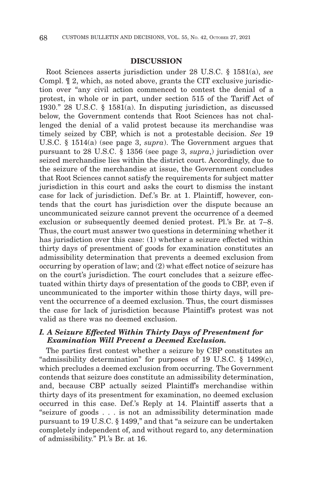#### **DISCUSSION**

Root Sciences asserts jurisdiction under 28 U.S.C. § 1581(a), *see* Compl. ¶ 2, which, as noted above, grants the CIT exclusive jurisdiction over "any civil action commenced to contest the denial of a protest, in whole or in part, under section 515 of the Tariff Act of 1930." 28 U.S.C. § 1581(a). In disputing jurisdiction, as discussed below, the Government contends that Root Sciences has not challenged the denial of a valid protest because its merchandise was timely seized by CBP, which is not a protestable decision. *See* 19 U.S.C. § 1514(a) (see page 3, *supra*). The Government argues that pursuant to 28 U.S.C. § 1356 (see page 3, *supra*,) jurisdiction over seized merchandise lies within the district court. Accordingly, due to the seizure of the merchandise at issue, the Government concludes that Root Sciences cannot satisfy the requirements for subject matter jurisdiction in this court and asks the court to dismiss the instant case for lack of jurisdiction. Def.'s Br. at 1. Plaintiff, however, contends that the court has jurisdiction over the dispute because an uncommunicated seizure cannot prevent the occurrence of a deemed exclusion or subsequently deemed denied protest. Pl.'s Br. at 7–8. Thus, the court must answer two questions in determining whether it has jurisdiction over this case: (1) whether a seizure effected within thirty days of presentment of goods for examination constitutes an admissibility determination that prevents a deemed exclusion from occurring by operation of law; and (2) what effect notice of seizure has on the court's jurisdiction. The court concludes that a seizure effectuated within thirty days of presentation of the goods to CBP, even if uncommunicated to the importer within those thirty days, will prevent the occurrence of a deemed exclusion. Thus, the court dismisses the case for lack of jurisdiction because Plaintiff's protest was not valid as there was no deemed exclusion.

### *I. A Seizure Effected Within Thirty Days of Presentment for Examination Will Prevent a Deemed Exclusion.*

The parties first contest whether a seizure by CBP constitutes an "admissibility determination" for purposes of 19 U.S.C. § 1499(c), which precludes a deemed exclusion from occurring. The Government contends that seizure does constitute an admissibility determination, and, because CBP actually seized Plaintiff's merchandise within thirty days of its presentment for examination, no deemed exclusion occurred in this case. Def.'s Reply at 14. Plaintiff asserts that a "seizure of goods . . . is not an admissibility determination made pursuant to 19 U.S.C. § 1499," and that "a seizure can be undertaken completely independent of, and without regard to, any determination of admissibility." Pl.'s Br. at 16.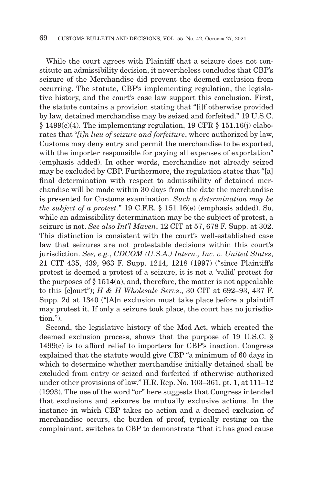While the court agrees with Plaintiff that a seizure does not constitute an admissibility decision, it nevertheless concludes that CBP's seizure of the Merchandise did prevent the deemed exclusion from occurring. The statute, CBP's implementing regulation, the legislative history, and the court's case law support this conclusion. First, the statute contains a provision stating that "[i]f otherwise provided by law, detained merchandise may be seized and forfeited." 19 U.S.C.  $§ 1499(c)(4)$ . The implementing regulation, 19 CFR  $§ 151.16(i)$  elaborates that "*[i]n lieu of seizure and forfeiture*, where authorized by law, Customs may deny entry and permit the merchandise to be exported, with the importer responsible for paying all expenses of exportation" (emphasis added). In other words, merchandise not already seized may be excluded by CBP. Furthermore, the regulation states that "[a] final determination with respect to admissibility of detained merchandise will be made within 30 days from the date the merchandise is presented for Customs examination. *Such a determination may be the subject of a protest.*" 19 C.F.R. § 151.16(e) (emphasis added). So, while an admissibility determination may be the subject of protest, a seizure is not. *See also Int'l Maven*, 12 CIT at 57, 678 F. Supp. at 302. This distinction is consistent with the court's well-established case law that seizures are not protestable decisions within this court's jurisdiction. *See, e.g.*, *CDCOM (U.S.A.) Intern., Inc. v. United States*, 21 CIT 435, 439, 963 F. Supp. 1214, 1218 (1997) ("since Plaintiff's protest is deemed a protest of a seizure, it is not a 'valid' protest for the purposes of  $\S 1514(a)$ , and, therefore, the matter is not appealable to this [c]ourt"); *H & H Wholesale Servs*., 30 CIT at 692–93, 437 F. Supp. 2d at 1340 ("[A]n exclusion must take place before a plaintiff may protest it. If only a seizure took place, the court has no jurisdiction.").

Second, the legislative history of the Mod Act, which created the deemed exclusion process, shows that the purpose of 19 U.S.C. § 1499(c) is to afford relief to importers for CBP's inaction. Congress explained that the statute would give CBP "a minimum of 60 days in which to determine whether merchandise initially detained shall be excluded from entry or seized and forfeited if otherwise authorized under other provisions of law." H.R. Rep. No. 103–361, pt. 1, at 111–12 (1993). The use of the word "or" here suggests that Congress intended that exclusions and seizures be mutually exclusive actions. In the instance in which CBP takes no action and a deemed exclusion of merchandise occurs, the burden of proof, typically resting on the complainant, switches to CBP to demonstrate "that it has good cause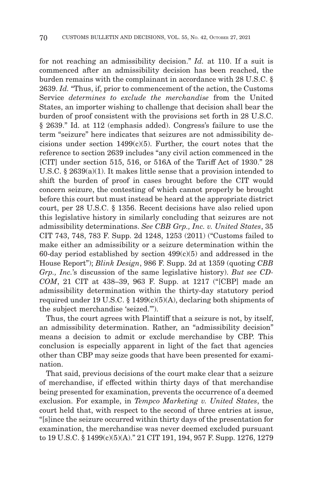for not reaching an admissibility decision." *Id.* at 110. If a suit is commenced after an admissibility decision has been reached, the burden remains with the complainant in accordance with 28 U.S.C. § 2639. *Id.* "Thus, if, prior to commencement of the action, the Customs Service *determines to exclude the merchandise* from the United States, an importer wishing to challenge that decision shall bear the burden of proof consistent with the provisions set forth in 28 U.S.C. § 2639." Id. at 112 (emphasis added). Congress's failure to use the term "seizure" here indicates that seizures are not admissibility decisions under section  $1499(c)(5)$ . Further, the court notes that the reference to section 2639 includes "any civil action commenced in the [CIT] under section 515, 516, or 516A of the Tariff Act of 1930." 28 U.S.C. § 2639(a)(1). It makes little sense that a provision intended to shift the burden of proof in cases brought before the CIT would concern seizure, the contesting of which cannot properly be brought before this court but must instead be heard at the appropriate district court, per 28 U.S.C. § 1356. Recent decisions have also relied upon this legislative history in similarly concluding that seizures are not admissibility determinations. *See CBB Grp., Inc. v. United States*, 35 CIT 743, 748, 783 F. Supp. 2d 1248, 1253 (2011) ("Customs failed to make either an admissibility or a seizure determination within the 60-day period established by section  $499(c)(5)$  and addressed in the House Report"); *Blink Design*, 986 F. Supp. 2d at 1359 (quoting *CBB Grp., Inc.*'s discussion of the same legislative history). *But see CD-COM*, 21 CIT at 438–39, 963 F. Supp. at 1217 ("[CBP] made an admissibility determination within the thirty-day statutory period required under 19 U.S.C.  $\S$  1499(c)(5)(A), declaring both shipments of the subject merchandise 'seized.'").

Thus, the court agrees with Plaintiff that a seizure is not, by itself, an admissibility determination. Rather, an "admissibility decision" means a decision to admit or exclude merchandise by CBP. This conclusion is especially apparent in light of the fact that agencies other than CBP may seize goods that have been presented for examination.

That said, previous decisions of the court make clear that a seizure of merchandise, if effected within thirty days of that merchandise being presented for examination, prevents the occurrence of a deemed exclusion. For example, in *Tempco Marketing v. United States*, the court held that, with respect to the second of three entries at issue, "[s]ince the seizure occurred within thirty days of the presentation for examination, the merchandise was never deemed excluded pursuant to 19 U.S.C. § 1499(c)(5)(A)." 21 CIT 191, 194, 957 F. Supp. 1276, 1279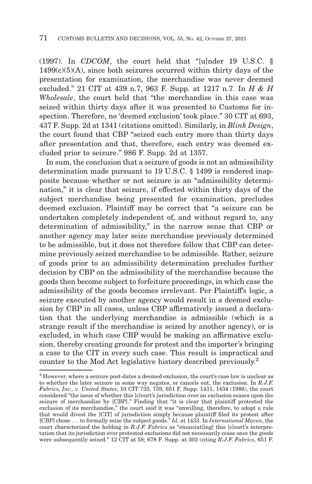(1997). In *CDCOM*, the court held that "[u]nder 19 U.S.C. §  $1499(c)(5)(A)$ , since both seizures occurred within thirty days of the presentation for examination, the merchandise was never deemed excluded." 21 CIT at 439 n.7, 963 F. Supp. at 1217 n.7. In *H & H Wholesale*, the court held that "the merchandise in this case was seized within thirty days after it was presented to Customs for inspection. Therefore, no 'deemed exclusion' took place." 30 CIT at 693, 437 F. Supp. 2d at 1341 (citations omitted). Similarly, in *Blink Design*, the court found that CBP "seized each entry more than thirty days after presentation and that, therefore, each entry was deemed excluded prior to seizure." 986 F. Supp. 2d at 1357.

In sum, the conclusion that a seizure of goods is not an admissibility determination made pursuant to 19 U.S.C. § 1499 is rendered inapposite because whether or not seizure is an "admissibility determination," it is clear that seizure, if effected within thirty days of the subject merchandise being presented for examination, precludes deemed exclusion. Plaintiff may be correct that "a seizure can be undertaken completely independent of, and without regard to, any determination of admissibility," in the narrow sense that CBP or another agency may later seize merchandise previously determined to be admissible, but it does not therefore follow that CBP can determine previously seized merchandise to be admissible. Rather, seizure of goods prior to an admissibility determination precludes further decision by CBP on the admissibility of the merchandise because the goods then become subject to forfeiture proceedings, in which case the admissibility of the goods becomes irrelevant. Per Plaintiff's logic, a seizure executed by another agency would result in a deemed exclusion by CBP in all cases, unless CBP affirmatively issued a declaration that the underlying merchandise is admissible (which is a strange result if the merchandise is seized by another agency), or is excluded, in which case CBP would be making an affirmative exclusion, thereby creating grounds for protest and the importer's bringing a case to the CIT in every such case. This result is impractical and counter to the Mod Act legislative history described previously.2

<sup>2</sup> However, where a seizure post-dates a deemed exclusion, the court's case law is unclear as to whether the later seizure in some way negates, or cancels out, the exclusion. In *R.J.F. Fabrics, Inc., v. United States*, 10 CIT 735, 739, 651 F. Supp. 1431, 1434 (1986), the court considered "the issue of whether this [c]ourt's jurisdiction over an exclusion ceases upon the seizure of merchandise by [CBP]." Finding that "it is clear that plaintiff protested the exclusion of its merchandise," the court said it was "unwilling, therefore, to adopt a rule that would divest the [CIT] of jurisdiction simply because plaintiff filed its protest after [CBP] chose . . . to formally seize the subject goods." *Id.* at 1433. In *International Maven*, the court characterized the holding in *R.J.F. Fabrics* as "enunciating] this [c]ourt's interpretation that its jurisdiction over protested exclusions did not necessarily cease once the goods were subsequently seized." 12 CIT at 58; 678 F. Supp. at 302 (citing *R.J.F. Fabrics*, 651 F.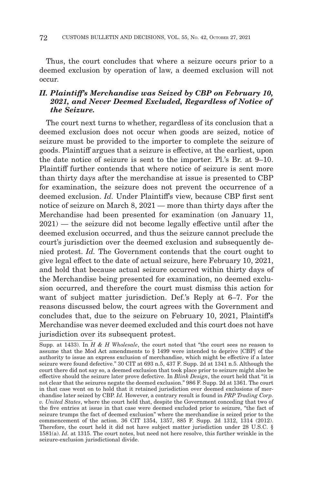Thus, the court concludes that where a seizure occurs prior to a deemed exclusion by operation of law, a deemed exclusion will not occur.

# *II. Plaintiff's Merchandise was Seized by CBP on February 10, 2021, and Never Deemed Excluded, Regardless of Notice of the Seizure.*

The court next turns to whether, regardless of its conclusion that a deemed exclusion does not occur when goods are seized, notice of seizure must be provided to the importer to complete the seizure of goods. Plaintiff argues that a seizure is effective, at the earliest, upon the date notice of seizure is sent to the importer. Pl.'s Br. at 9–10. Plaintiff further contends that where notice of seizure is sent more than thirty days after the merchandise at issue is presented to CBP for examination, the seizure does not prevent the occurrence of a deemed exclusion. *Id.* Under Plaintiff's view, because CBP first sent notice of seizure on March 8, 2021 — more than thirty days after the Merchandise had been presented for examination (on January 11, 2021) — the seizure did not become legally effective until after the deemed exclusion occurred, and thus the seizure cannot preclude the court's jurisdiction over the deemed exclusion and subsequently denied protest. *Id.* The Government contends that the court ought to give legal effect to the date of actual seizure, here February 10, 2021, and hold that because actual seizure occurred within thirty days of the Merchandise being presented for examination, no deemed exclusion occurred, and therefore the court must dismiss this action for want of subject matter jurisdiction. Def.'s Reply at 6–7. For the reasons discussed below, the court agrees with the Government and concludes that, due to the seizure on February 10, 2021, Plaintiff's Merchandise was never deemed excluded and this court does not have jurisdiction over its subsequent protest.

Supp. at 1433). In *H & H Wholesale*, the court noted that "the court sees no reason to assume that the Mod Act amendments to § 1499 were intended to deprive [CBP] of the authority to issue an express exclusion of merchandise, which might be effective if a later seizure were found defective." 30 CIT at 693 n.5, 437 F. Supp. 2d at 1341 n.5. Although the court there did not say so, a deemed exclusion that took place prior to seizure might also be effective should the seizure later prove defective. In *Blink Design*, the court held that "it is not clear that the seizures negate the deemed exclusion." 986 F. Supp. 2d at 1361. The court in that case went on to hold that it retained jurisdiction over deemed exclusions of merchandise later seized by CBP. *Id.* However, a contrary result is found in *PRP Trading Corp. v. United States*, where the court held that, despite the Government conceding that two of the five entries at issue in that case were deemed excluded prior to seizure, "the fact of seizure trumps the fact of deemed exclusion" where the merchandise is seized prior to the commencement of the action. 36 CIT 1354, 1357, 885 F. Supp. 2d 1312, 1314 (2012). Therefore, the court held it did not have subject matter jurisdiction under 28 U.S.C. § 1581(a). *Id.* at 1315. The court notes, but need not here resolve, this further wrinkle in the seizure-exclusion jurisdictional divide.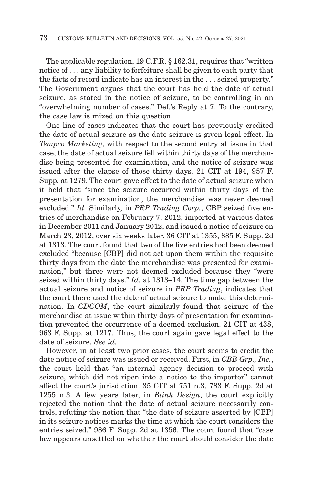The applicable regulation, 19 C.F.R. § 162.31, requires that "written notice of . . . any liability to forfeiture shall be given to each party that the facts of record indicate has an interest in the . . . seized property." The Government argues that the court has held the date of actual seizure, as stated in the notice of seizure, to be controlling in an "overwhelming number of cases." Def.'s Reply at 7. To the contrary, the case law is mixed on this question.

One line of cases indicates that the court has previously credited the date of actual seizure as the date seizure is given legal effect. In *Tempco Marketing*, with respect to the second entry at issue in that case, the date of actual seizure fell within thirty days of the merchandise being presented for examination, and the notice of seizure was issued after the elapse of those thirty days. 21 CIT at 194, 957 F. Supp. at 1279. The court gave effect to the date of actual seizure when it held that "since the seizure occurred within thirty days of the presentation for examination, the merchandise was never deemed excluded." *Id.* Similarly, in *PRP Trading Corp.*, CBP seized five entries of merchandise on February 7, 2012, imported at various dates in December 2011 and January 2012, and issued a notice of seizure on March 23, 2012, over six weeks later. 36 CIT at 1355, 885 F. Supp. 2d at 1313. The court found that two of the five entries had been deemed excluded "because [CBP] did not act upon them within the requisite thirty days from the date the merchandise was presented for examination," but three were not deemed excluded because they "were seized within thirty days." *Id.* at 1313–14. The time gap between the actual seizure and notice of seizure in *PRP Trading*, indicates that the court there used the date of actual seizure to make this determination. In *CDCOM*, the court similarly found that seizure of the merchandise at issue within thirty days of presentation for examination prevented the occurrence of a deemed exclusion. 21 CIT at 438, 963 F. Supp. at 1217. Thus, the court again gave legal effect to the date of seizure. *See id.*

However, in at least two prior cases, the court seems to credit the date notice of seizure was issued or received. First, in *CBB Grp., Inc.*, the court held that "an internal agency decision to proceed with seizure, which did not ripen into a notice to the importer" cannot affect the court's jurisdiction. 35 CIT at 751 n.3, 783 F. Supp. 2d at 1255 n.3. A few years later, in *Blink Design*, the court explicitly rejected the notion that the date of actual seizure necessarily controls, refuting the notion that "the date of seizure asserted by [CBP] in its seizure notices marks the time at which the court considers the entries seized." 986 F. Supp. 2d at 1356. The court found that "case law appears unsettled on whether the court should consider the date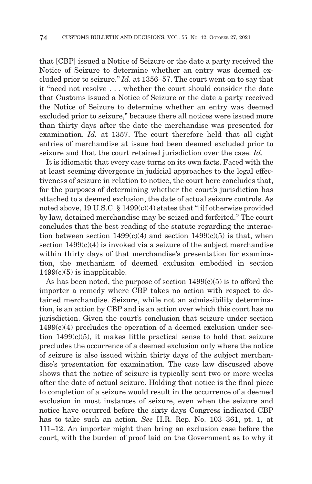that [CBP] issued a Notice of Seizure or the date a party received the Notice of Seizure to determine whether an entry was deemed excluded prior to seizure." *Id.* at 1356–57. The court went on to say that it "need not resolve . . . whether the court should consider the date that Customs issued a Notice of Seizure or the date a party received the Notice of Seizure to determine whether an entry was deemed excluded prior to seizure," because there all notices were issued more than thirty days after the date the merchandise was presented for examination. *Id.* at 1357. The court therefore held that all eight entries of merchandise at issue had been deemed excluded prior to seizure and that the court retained jurisdiction over the case. *Id.*

It is idiomatic that every case turns on its own facts. Faced with the at least seeming divergence in judicial approaches to the legal effectiveness of seizure in relation to notice, the court here concludes that, for the purposes of determining whether the court's jurisdiction has attached to a deemed exclusion, the date of actual seizure controls. As noted above,  $19$  U.S.C. §  $1499(c)(4)$  states that "[i]f otherwise provided by law, detained merchandise may be seized and forfeited." The court concludes that the best reading of the statute regarding the interaction between section  $1499(c)(4)$  and section  $1499(c)(5)$  is that, when section  $1499(c)(4)$  is invoked via a seizure of the subject merchandise within thirty days of that merchandise's presentation for examination, the mechanism of deemed exclusion embodied in section  $1499(c)(5)$  is inapplicable.

As has been noted, the purpose of section  $1499(c)(5)$  is to afford the importer a remedy where CBP takes no action with respect to detained merchandise. Seizure, while not an admissibility determination, is an action by CBP and is an action over which this court has no jurisdiction. Given the court's conclusion that seizure under section  $1499(c)(4)$  precludes the operation of a deemed exclusion under section  $1499(c)(5)$ , it makes little practical sense to hold that seizure precludes the occurrence of a deemed exclusion only where the notice of seizure is also issued within thirty days of the subject merchandise's presentation for examination. The case law discussed above shows that the notice of seizure is typically sent two or more weeks after the date of actual seizure. Holding that notice is the final piece to completion of a seizure would result in the occurrence of a deemed exclusion in most instances of seizure, even when the seizure and notice have occurred before the sixty days Congress indicated CBP has to take such an action. *See* H.R. Rep. No. 103–361, pt. 1, at 111–12. An importer might then bring an exclusion case before the court, with the burden of proof laid on the Government as to why it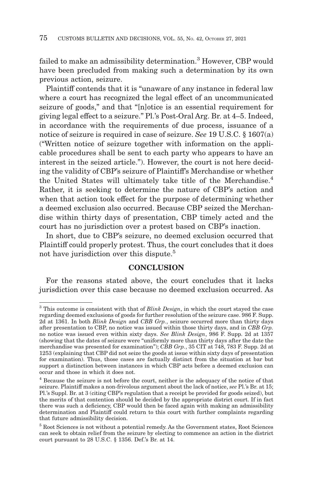failed to make an admissibility determination.<sup>3</sup> However, CBP would have been precluded from making such a determination by its own previous action, seizure.

Plaintiff contends that it is "unaware of any instance in federal law where a court has recognized the legal effect of an uncommunicated seizure of goods," and that "[n]otice is an essential requirement for giving legal effect to a seizure." Pl.'s Post-Oral Arg. Br. at 4–5. Indeed, in accordance with the requirements of due process, issuance of a notice of seizure is required in case of seizure. *See* 19 U.S.C. § 1607(a) ("Written notice of seizure together with information on the applicable procedures shall be sent to each party who appears to have an interest in the seized article."). However, the court is not here deciding the validity of CBP's seizure of Plaintiff's Merchandise or whether the United States will ultimately take title of the Merchandise.4 Rather, it is seeking to determine the nature of CBP's action and when that action took effect for the purpose of determining whether a deemed exclusion also occurred. Because CBP seized the Merchandise within thirty days of presentation, CBP timely acted and the court has no jurisdiction over a protest based on CBP's inaction.

In short, due to CBP's seizure, no deemed exclusion occurred that Plaintiff could properly protest. Thus, the court concludes that it does not have jurisdiction over this dispute.<sup>5</sup>

## **CONCLUSION**

For the reasons stated above, the court concludes that it lacks jurisdiction over this case because no deemed exclusion occurred. As

<sup>3</sup> This outcome is consistent with that of *Blink Design*, in which the court stayed the case regarding deemed exclusions of goods for further resolution of the seizure case. 986 F. Supp. 2d at 1361. In both *Blink Design* and *CBB Grp.*, seizure occurred more than thirty days after presentation to CBP, no notice was issued within those thirty days, and in *CBB Grp.* no notice was issued even within sixty days. *See Blink Design*, 986 F. Supp. 2d at 1357 (showing that the dates of seizure were "uniformly more than thirty days after the date the merchandise was presented for examination"); *CBB Grp.*, 35 CIT at 748, 783 F. Supp. 2d at 1253 (explaining that CBP did not seize the goods at issue within sixty days of presentation for examination). Thus, those cases are factually distinct from the situation at bar but support a distinction between instances in which CBP acts before a deemed exclusion can occur and those in which it does not.

<sup>4</sup> Because the seizure is not before the court, neither is the adequacy of the notice of that seizure. Plaintiff makes a non-frivolous argument about the lack of notice, *see* Pl.'s Br. at 15; Pl.'s Suppl. Br. at 3 (citing CBP's regulation that a receipt be provided for goods seized), but the merits of that contention should be decided by the appropriate district court. If in fact there was such a deficiency, CBP would then be faced again with making an admissibility determination and Plaintiff could return to this court with further complaints regarding that future admissibility decision.

<sup>5</sup> Root Sciences is not without a potential remedy. As the Government states, Root Sciences can seek to obtain relief from the seizure by electing to commence an action in the district court pursuant to 28 U.S.C. § 1356. Def.'s Br. at 14.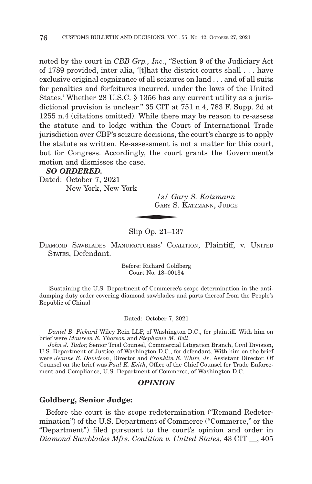noted by the court in *CBB Grp., Inc.*, "Section 9 of the Judiciary Act of 1789 provided, inter alia, '[t]hat the district courts shall . . . have exclusive original cognizance of all seizures on land . . . and of all suits for penalties and forfeitures incurred, under the laws of the United States.' Whether 28 U.S.C. § 1356 has any current utility as a jurisdictional provision is unclear." 35 CIT at 751 n.4, 783 F. Supp. 2d at 1255 n.4 (citations omitted). While there may be reason to re-assess the statute and to lodge within the Court of International Trade jurisdiction over CBP's seizure decisions, the court's charge is to apply the statute as written. Re-assessment is not a matter for this court, but for Congress. Accordingly, the court grants the Government's motion and dismisses the case.

#### *SO ORDERED.*

Dated: October 7, 2021 New York, New York

*/s/ Gary S. Katzmann*  $\frac{|s|}{\text{GARY S}}$ GARY S. KATZMANN, JUDGE

## Slip Op. 21–137

DIAMOND SAWBLADES MANUFACTURERS' COALITION, Plaintiff, v. UNITED STATES, Defendant.

> Before: Richard Goldberg Court No. 18–00134

[Sustaining the U.S. Department of Commerce's scope determination in the antidumping duty order covering diamond sawblades and parts thereof from the People's Republic of China]

Dated: October 7, 2021

*Daniel B. Pickard* Wiley Rein LLP, of Washington D.C., for plaintiff*.* With him on brief were *Maureen E. Thorson* and *Stephanie M. Bell*.

*John J. Tudor,* Senior Trial Counsel, Commercial Litigation Branch, Civil Division, U.S. Department of Justice, of Washington D.C., for defendant. With him on the brief were *Jeanne E. Davidson*, Director and *Franklin E. White, Jr.*, Assistant Director. Of Counsel on the brief was *Paul K. Keith*, Office of the Chief Counsel for Trade Enforcement and Compliance, U.S. Department of Commerce, of Washington D.C.

### *OPINION*

#### **Goldberg, Senior Judge:**

Before the court is the scope redetermination ("Remand Redetermination") of the U.S. Department of Commerce ("Commerce," or the "Department") filed pursuant to the court's opinion and order in *Diamond Sawblades Mfrs. Coalition v. United States*, 43 CIT \_\_, 405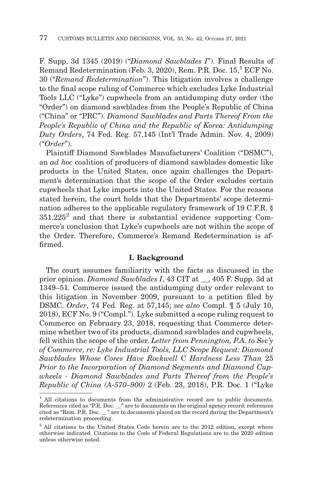F. Supp. 3d 1345 (2019) ("*Diamond Sawblades I*"). Final Results of Remand Redetermination (Feb. 3, 2020), Rem. P.R. Doc.  $15$ ,  $^1$  ECF No. 30 ("*Remand Redetermination*"). This litigation involves a challenge to the final scope ruling of Commerce which excludes Lyke Industrial Tools LLC ("Lyke") cupwheels from an antidumping duty order (the "Order") on diamond sawblades from the People's Republic of China ("China" or "PRC"). *Diamond Sawblades and Parts Thereof From the People's Republic of China and the Republic of Korea: Antidumping Duty Orders*, 74 Fed. Reg. 57,145 (Int'l Trade Admin. Nov. 4, 2009) ("*Order*").

Plaintiff Diamond Sawblades Manufacturers' Coalition ("DSMC"), an *ad hoc* coalition of producers of diamond sawblades domestic like products in the United States, once again challenges the Department's determination that the scope of the Order excludes certain cupwheels that Lyke imports into the United States. For the reasons stated herein, the court holds that the Departments' scope determination adheres to the applicable regulatory framework of 19 C.F.R. §  $351.225<sup>2</sup>$  and that there is substantial evidence supporting Commerce's conclusion that Lyke's cupwheels are not within the scope of the Order. Therefore, Commerce's Remand Redetermination is affirmed.

#### **I. Background**

The court assumes familiarity with the facts as discussed in the prior opinion. *Diamond Sawblades I*, 43 CIT at \_\_, 405 F. Supp. 3d at 1349–51. Commerce issued the antidumping duty order relevant to this litigation in November 2009, pursuant to a petition filed by DSMC. *Order*, 74 Fed. Reg. at 57,145; *see also* Compl. ¶ 5 (July 10, 2018), ECF No. 9 ("Compl."). Lyke submitted a scope ruling request to Commerce on February 23, 2018, requesting that Commerce determine whether two of its products, diamond sawblades and cupwheels, fell within the scope of the order. *Letter from Pennington, P.A. to Sec'y of Commerce, re: Lyke Industrial Tools, LLC Scope Request: Diamond Sawblades Whose Cores Have Rockwell* C *Hardness Less Than* 25 *Prior to the Incorporation of Diamond Segments and Diamond Cupwheels - Diamond Sawblades and Parts Thereof from the People's Republic of China (A-570–900)* 2 (Feb. 23, 2018), P.R. Doc. 1 ("Lyke

<sup>&</sup>lt;sup>1</sup> All citations to documents from the administrative record are to public documents. References cited as "P.R. Doc. \_\_" are to documents on the original agency record; references cited as "Rem. P.R. Doc. \_\_" are to documents placed on the record during the Department's redetermination proceeding.

<sup>&</sup>lt;sup>2</sup> All citations to the United States Code herein are to the 2012 edition, except where otherwise indicated. Citations to the Code of Federal Regulations are to the 2020 edition unless otherwise noted.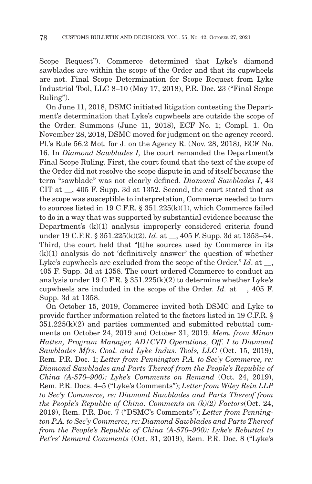Scope Request"). Commerce determined that Lyke's diamond sawblades are within the scope of the Order and that its cupwheels are not. Final Scope Determination for Scope Request from Lyke Industrial Tool, LLC 8–10 (May 17, 2018), P.R. Doc. 23 ("Final Scope Ruling").

On June 11, 2018, DSMC initiated litigation contesting the Department's determination that Lyke's cupwheels are outside the scope of the Order. Summons (June 11, 2018), ECF No. 1; Compl. 1. On November 28, 2018, DSMC moved for judgment on the agency record. Pl.'s Rule 56.2 Mot. for J. on the Agency R. (Nov. 28, 2018), ECF No. 16. In *Diamond Sawblades I,* the court remanded the Department's Final Scope Ruling. First, the court found that the text of the scope of the Order did not resolve the scope dispute in and of itself because the term "sawblade" was not clearly defined. *Diamond Sawblades I*, 43 CIT at \_\_, 405 F. Supp. 3d at 1352. Second, the court stated that as the scope was susceptible to interpretation, Commerce needed to turn to sources listed in 19 C.F.R. § 351.225(k)(1), which Commerce failed to do in a way that was supported by substantial evidence because the Department's (k)(1) analysis improperly considered criteria found under 19 C.F.R. § 351.225(k)(2). *Id.* at , 405 F. Supp. 3d at 1353–54. Third, the court held that "[t]he sources used by Commerce in its (k)(1) analysis do not 'definitively answer' the question of whether Lyke's cupwheels are excluded from the scope of the Order." *Id.* at  $\blacksquare$ , 405 F. Supp. 3d at 1358. The court ordered Commerce to conduct an analysis under 19 C.F.R. § 351.225(k)(2) to determine whether Lyke's cupwheels are included in the scope of the Order. *Id.* at \_\_, 405 F. Supp. 3d at 1358.

On October 15, 2019, Commerce invited both DSMC and Lyke to provide further information related to the factors listed in 19 C.F.R. §  $351.225(k)(2)$  and parties commented and submitted rebuttal comments on October 24, 2019 and October 31, 2019. *Mem. from Minoo Hatten, Program Manager, AD/CVD Operations, Off. I to Diamond Sawblades Mfrs. Coal. and Lyke Indus. Tools, LLC* (Oct. 15, 2019), Rem. P.R. Doc. 1; *Letter from Pennington P.A. to Sec'y Commerce, re: Diamond Sawblades and Parts Thereof from the People's Republic of China (A-570–900): Lyke's Comments on Remand* (Oct. 24, 2019), Rem. P.R. Docs. 4–5 ("Lyke's Comments"); *Letter from Wiley Rein LLP to Sec'y Commerce, re: Diamond Sawblades and Parts Thereof from the People's Republic of China: Comments on (k)(2) Factors*(Oct. 24, 2019), Rem. P.R. Doc. 7 ("DSMC's Comments"); *Letter from Pennington P.A. to Sec'y Commerce, re: Diamond Sawblades and Parts Thereof from the People's Republic of China (A-570–900): Lyke's Rebuttal to Pet'rs' Remand Comments* (Oct. 31, 2019), Rem. P.R. Doc. 8 ("Lyke's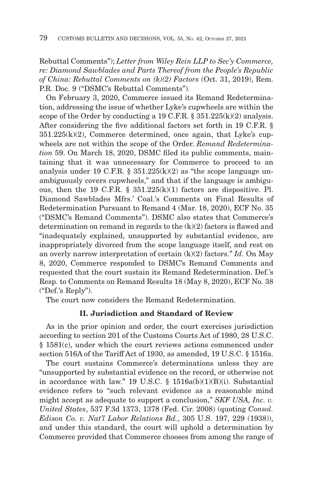Rebuttal Comments"); *Letter from Wiley Rein LLP to Sec'y Commerce, re: Diamond Sawblades and Parts Thereof from the People's Republic of China: Rebuttal Comments on (k)(2) Factors* (Oct. 31, 2019), Rem. P.R. Doc. 9 ("DSMC's Rebuttal Comments").

On February 3, 2020, Commerce issued its Remand Redetermination, addressing the issue of whether Lyke's cupwheels are within the scope of the Order by conducting a 19 C.F.R. § 351.225(k)(2) analysis. After considering the five additional factors set forth in 19 C.F.R. §  $351.225(k)(2)$ , Commerce determined, once again, that Lyke's cupwheels are not within the scope of the Order. *Remand Redetermination* 59. On March 18, 2020, DSMC filed its public comments, maintaining that it was unnecessary for Commerce to proceed to an analysis under 19 C.F.R.  $\S$  351.225(k)(2) as "the scope language unambiguously covers cupwheels," and that if the language is ambiguous, then the 19 C.F.R. § 351.225(k)(1) factors are dispositive. Pl. Diamond Sawblades Mfrs.' Coal.'s Comments on Final Results of Redetermination Pursuant to Remand 4 (Mar. 18, 2020), ECF No. 35 ("DSMC's Remand Comments"). DSMC also states that Commerce's determination on remand in regards to the (k)(2) factors is flawed and "inadequately explained, unsupported by substantial evidence, are inappropriately divorced from the scope language itself, and rest on an overly narrow interpretation of certain (k)(2) factors." *Id*. On May 8, 2020, Commerce responded to DSMC's Remand Comments and requested that the court sustain its Remand Redetermination. Def.'s Resp. to Comments on Remand Results 18 (May 8, 2020), ECF No. 38 ("Def.'s Reply").

The court now considers the Remand Redetermination.

## **II. Jurisdiction and Standard of Review**

As in the prior opinion and order, the court exercises jurisdiction according to section 201 of the Customs Courts Act of 1980, 28 U.S.C. § 1581(c), under which the court reviews actions commenced under section 516A of the Tariff Act of 1930, as amended, 19 U.S.C. § 1516a.

The court sustains Commerce's determinations unless they are "unsupported by substantial evidence on the record, or otherwise not in accordance with law." 19 U.S.C. § 1516a(b)(1)(B)(i). Substantial evidence refers to "such relevant evidence as a reasonable mind might accept as adequate to support a conclusion," *SKF USA, Inc. v. United States*, 537 F.3d 1373, 1378 (Fed. Cir. 2008) (quoting *Consol. Edison Co. v. Nat'l Labor Relations Bd.*, 305 U.S. 197, 229 (1938)), and under this standard, the court will uphold a determination by Commerce provided that Commerce chooses from among the range of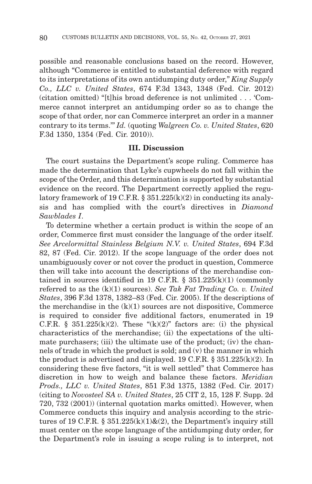possible and reasonable conclusions based on the record. However, although "Commerce is entitled to substantial deference with regard to its interpretations of its own antidumping duty order," *King Supply Co., LLC v. United States*, 674 F.3d 1343, 1348 (Fed. Cir. 2012) (citation omitted) "[t]his broad deference is not unlimited . . . 'Commerce cannot interpret an antidumping order so as to change the scope of that order, nor can Commerce interpret an order in a manner contrary to its terms.'" *Id.* (quoting *Walgreen Co. v. United States*, 620 F.3d 1350, 1354 (Fed. Cir. 2010)).

## **III. Discussion**

The court sustains the Department's scope ruling. Commerce has made the determination that Lyke's cupwheels do not fall within the scope of the Order, and this determination is supported by substantial evidence on the record. The Department correctly applied the regulatory framework of 19 C.F.R. §  $351.225(k)(2)$  in conducting its analysis and has complied with the court's directives in *Diamond Sawblades I*.

To determine whether a certain product is within the scope of an order, Commerce first must consider the language of the order itself. *See Arcelormittal Stainless Belgium N.V. v. United States*, 694 F.3d 82, 87 (Fed. Cir. 2012). If the scope language of the order does not unambiguously cover or not cover the product in question, Commerce then will take into account the descriptions of the merchandise contained in sources identified in 19 C.F.R.  $\S$  351.225(k)(1) (commonly referred to as the (k)(1) sources). *See Tak Fat Trading Co. v. United States*, 396 F.3d 1378, 1382–83 (Fed. Cir. 2005). If the descriptions of the merchandise in the  $(k)(1)$  sources are not dispositive, Commerce is required to consider five additional factors, enumerated in 19 C.F.R. § 351.225(k)(2). These "(k)(2)" factors are: (i) the physical characteristics of the merchandise; (ii) the expectations of the ultimate purchasers; (iii) the ultimate use of the product; (iv) the channels of trade in which the product is sold; and (v) the manner in which the product is advertised and displayed. 19 C.F.R. § 351.225(k)(2). In considering these five factors, "it is well settled" that Commerce has discretion in how to weigh and balance these factors. *Meridian Prods., LLC v. United States*, 851 F.3d 1375, 1382 (Fed. Cir. 2017) (citing to *Novosteel SA v. United States*, 25 CIT 2, 15, 128 F. Supp. 2d 720, 732 (2001)) (internal quotation marks omitted). However, when Commerce conducts this inquiry and analysis according to the strictures of 19 C.F.R. §  $351.225(k)(1)$ & $(2)$ , the Department's inquiry still must center on the scope language of the antidumping duty order, for the Department's role in issuing a scope ruling is to interpret, not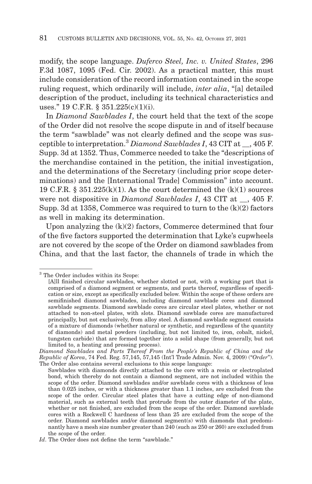modify, the scope language. *Duferco Steel, Inc. v. United States*, 296 F.3d 1087, 1095 (Fed. Cir. 2002). As a practical matter, this must include consideration of the record information contained in the scope ruling request, which ordinarily will include, *inter alia*, "[a] detailed description of the product, including its technical characteristics and uses." 19 C.F.R. § 351.225(c)(1)(i).

In *Diamond Sawblades I*, the court held that the text of the scope of the Order did not resolve the scope dispute in and of itself because the term "sawblade" was not clearly defined and the scope was susceptible to interpretation.3 *Diamond Sawblades I*, 43 CIT at \_\_, 405 F. Supp. 3d at 1352. Thus, Commerce needed to take the "descriptions of the merchandise contained in the petition, the initial investigation, and the determinations of the Secretary (including prior scope determinations) and the [International Trade] Commission" into account. 19 C.F.R.  $\S 351.225(k)(1)$ . As the court determined the  $(k)(1)$  sources were not dispositive in *Diamond Sawblades I*, 43 CIT at \_\_, 405 F. Supp. 3d at 1358, Commerce was required to turn to the (k)(2) factors as well in making its determination.

Upon analyzing the  $(k)(2)$  factors, Commerce determined that four of the five factors supported the determination that Lyke's cupwheels are not covered by the scope of the Order on diamond sawblades from China, and that the last factor, the channels of trade in which the

<sup>&</sup>lt;sup>3</sup> The Order includes within its Scope:

<sup>[</sup>A]ll finished circular sawblades, whether slotted or not, with a working part that is comprised of a diamond segment or segments, and parts thereof, regardless of specification or size, except as specifically excluded below. Within the scope of these orders are semifinished diamond sawblades, including diamond sawblade cores and diamond sawblade segments. Diamond sawblade cores are circular steel plates, whether or not attached to non-steel plates, with slots. Diamond sawblade cores are manufactured principally, but not exclusively, from alloy steel. A diamond sawblade segment consists of a mixture of diamonds (whether natural or synthetic, and regardless of the quantity of diamonds) and metal powders (including, but not limited to, iron, cobalt, nickel, tungsten carbide) that are formed together into a solid shape (from generally, but not limited to, a heating and pressing process).

*Diamond Sawblades and Parts Thereof From the People's Republic of China and the Republic of Korea*, 74 Fed. Reg. 57,145, 57,145 (Int'l Trade Admin. Nov. 4, 2009) ("*Order*"). The Order also contains several exclusions to this scope language:

Sawblades with diamonds directly attached to the core with a resin or electroplated bond, which thereby do not contain a diamond segment, are not included within the scope of the order. Diamond sawblades and/or sawblade cores with a thickness of less than 0.025 inches, or with a thickness greater than 1.1 inches, are excluded from the scope of the order. Circular steel plates that have a cutting edge of non-diamond material, such as external teeth that protrude from the outer diameter of the plate, whether or not finished, are excluded from the scope of the order. Diamond sawblade cores with a Rockwell C hardness of less than 25 are excluded from the scope of the order. Diamond sawblades and/or diamond segment(s) with diamonds that predominantly have a mesh size number greater than 240 (such as 250 or 260) are excluded from the scope of the order.

*Id*. The Order does not define the term "sawblade."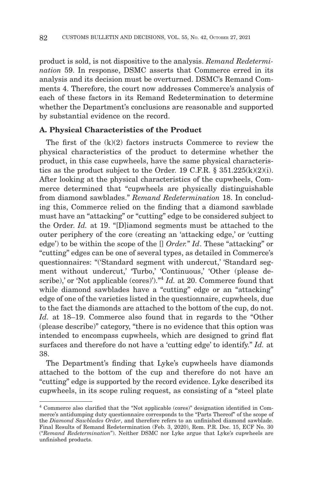product is sold, is not dispositive to the analysis. *Remand Redetermination* 59. In response, DSMC asserts that Commerce erred in its analysis and its decision must be overturned. DSMC's Remand Comments 4. Therefore, the court now addresses Commerce's analysis of each of these factors in its Remand Redetermination to determine whether the Department's conclusions are reasonable and supported by substantial evidence on the record.

## **A. Physical Characteristics of the Product**

The first of the  $(k)(2)$  factors instructs Commerce to review the physical characteristics of the product to determine whether the product, in this case cupwheels, have the same physical characteristics as the product subject to the Order. 19 C.F.R.  $\S$  351.225(k)(2)(i). After looking at the physical characteristics of the cupwheels, Commerce determined that "cupwheels are physically distinguishable from diamond sawblades." *Remand Redetermination* 18. In concluding this, Commerce relied on the finding that a diamond sawblade must have an "attacking" or "cutting" edge to be considered subject to the Order. *Id.* at 19. "[D]iamond segments must be attached to the outer periphery of the core (creating an 'attacking edge,' or 'cutting edge') to be within the scope of the [] *Order.*" *Id*. These "attacking" or "cutting" edges can be one of several types, as detailed in Commerce's questionnaires: "('Standard segment with undercut,' 'Standard segment without undercut,' 'Turbo,' 'Continuous,' 'Other (please describe),' or 'Not applicable (cores)')."<sup>4</sup> *Id.* at 20. Commerce found that while diamond sawblades have a "cutting" edge or an "attacking" edge of one of the varieties listed in the questionnaire, cupwheels, due to the fact the diamonds are attached to the bottom of the cup, do not. *Id.* at 18–19. Commerce also found that in regards to the "Other (please describe)" category, "there is no evidence that this option was intended to encompass cupwheels, which are designed to grind flat surfaces and therefore do not have a 'cutting edge' to identify." *Id.* at 38.

The Department's finding that Lyke's cupwheels have diamonds attached to the bottom of the cup and therefore do not have an "cutting" edge is supported by the record evidence. Lyke described its cupwheels, in its scope ruling request, as consisting of a "steel plate

<sup>4</sup> Commerce also clarified that the "Not applicable (cores)" designation identified in Commerce's antidumping duty questionnaire corresponds to the "Parts Thereof" of the scope of the *Diamond Sawblades Order*, and therefore refers to an unfinished diamond sawblade. Final Results of Remand Redetermination (Feb. 3, 2020), Rem. P.R. Doc. 15, ECF No. 30 ("*Remand Redetermination*"). Neither DSMC nor Lyke argue that Lyke's cupwheels are unfinished products.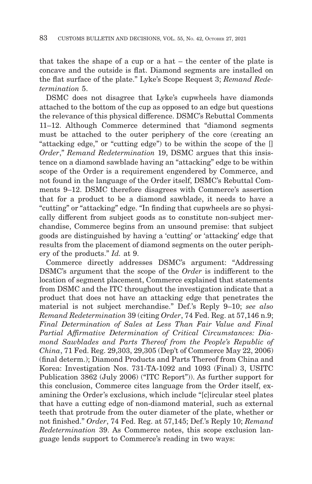that takes the shape of a cup or a hat – the center of the plate is concave and the outside is flat. Diamond segments are installed on the flat surface of the plate." Lyke's Scope Request 3; *Remand Redetermination* 5.

DSMC does not disagree that Lyke's cupwheels have diamonds attached to the bottom of the cup as opposed to an edge but questions the relevance of this physical difference. DSMC's Rebuttal Comments 11–12. Although Commerce determined that "diamond segments must be attached to the outer periphery of the core (creating an "attacking edge," or "cutting edge") to be within the scope of the [] *Order*," *Remand Redetermination* 19, DSMC argues that this insistence on a diamond sawblade having an "attacking" edge to be within scope of the Order is a requirement engendered by Commerce, and not found in the language of the Order itself, DSMC's Rebuttal Comments 9–12. DSMC therefore disagrees with Commerce's assertion that for a product to be a diamond sawblade, it needs to have a "cutting" or "attacking" edge. "In finding that cupwheels are so physically different from subject goods as to constitute non-subject merchandise, Commerce begins from an unsound premise: that subject goods are distinguished by having a 'cutting' or 'attacking' edge that results from the placement of diamond segments on the outer periphery of the products." *Id.* at 9.

Commerce directly addresses DSMC's argument: "Addressing DSMC's argument that the scope of the *Order* is indifferent to the location of segment placement, Commerce explained that statements from DSMC and the ITC throughout the investigation indicate that a product that does not have an attacking edge that penetrates the material is not subject merchandise." Def.'s Reply 9–10; *see also Remand Redetermination* 39 (citing *Order*, 74 Fed. Reg. at 57,146 n.9; *Final Determination of Sales at Less Than Fair Value and Final Partial Affirmative Determination of Critical Circumstances: Diamond Sawblades and Parts Thereof from the People's Republic of China*, 71 Fed. Reg. 29,303, 29,305 (Dep't of Commerce May 22, 2006) (final determ.); Diamond Products and Parts Thereof from China and Korea: Investigation Nos. 731-TA-1092 and 1093 (Final) 3, USITC Publication 3862 (July 2006) ("ITC Report")). As further support for this conclusion, Commerce cites language from the Order itself, examining the Order's exclusions, which include "[c]ircular steel plates that have a cutting edge of non-diamond material, such as external teeth that protrude from the outer diameter of the plate, whether or not finished." *Order*, 74 Fed. Reg. at 57,145; Def.'s Reply 10; *Remand Redetermination* 39. As Commerce notes, this scope exclusion language lends support to Commerce's reading in two ways: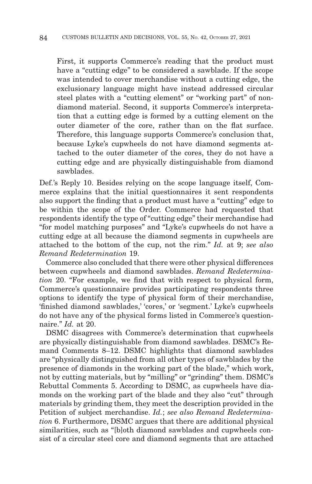First, it supports Commerce's reading that the product must have a "cutting edge" to be considered a sawblade. If the scope was intended to cover merchandise without a cutting edge, the exclusionary language might have instead addressed circular steel plates with a "cutting element" or "working part" of nondiamond material. Second, it supports Commerce's interpretation that a cutting edge is formed by a cutting element on the outer diameter of the core, rather than on the flat surface. Therefore, this language supports Commerce's conclusion that, because Lyke's cupwheels do not have diamond segments attached to the outer diameter of the cores, they do not have a cutting edge and are physically distinguishable from diamond sawblades.

Def.'s Reply 10. Besides relying on the scope language itself, Commerce explains that the initial questionnaires it sent respondents also support the finding that a product must have a "cutting" edge to be within the scope of the Order. Commerce had requested that respondents identify the type of "cutting edge" their merchandise had "for model matching purposes" and "Lyke's cupwheels do not have a cutting edge at all because the diamond segments in cupwheels are attached to the bottom of the cup, not the rim." *Id.* at 9; *see also Remand Redetermination* 19.

Commerce also concluded that there were other physical differences between cupwheels and diamond sawblades. *Remand Redetermination* 20. "For example, we find that with respect to physical form, Commerce's questionnaire provides participating respondents three options to identify the type of physical form of their merchandise, 'finished diamond sawblades,' 'cores,' or 'segment.' Lyke's cupwheels do not have any of the physical forms listed in Commerce's questionnaire." *Id.* at 20.

DSMC disagrees with Commerce's determination that cupwheels are physically distinguishable from diamond sawblades. DSMC's Remand Comments 8–12. DSMC highlights that diamond sawblades are "physically distinguished from all other types of sawblades by the presence of diamonds in the working part of the blade," which work, not by cutting materials, but by "milling" or "grinding" them. DSMC's Rebuttal Comments 5. According to DSMC, as cupwheels have diamonds on the working part of the blade and they also "cut" through materials by grinding them, they meet the description provided in the Petition of subject merchandise. *Id.*; *see also Remand Redetermination* 6. Furthermore, DSMC argues that there are additional physical similarities, such as "[b]oth diamond sawblades and cupwheels consist of a circular steel core and diamond segments that are attached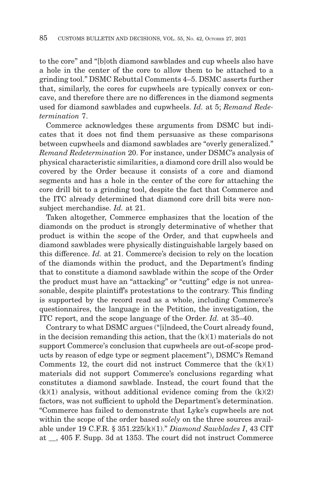to the core" and "[b]oth diamond sawblades and cup wheels also have a hole in the center of the core to allow them to be attached to a grinding tool." DSMC Rebuttal Comments 4–5. DSMC asserts further that, similarly, the cores for cupwheels are typically convex or concave, and therefore there are no differences in the diamond segments used for diamond sawblades and cupwheels. *Id.* at 5; *Remand Redetermination* 7.

Commerce acknowledges these arguments from DSMC but indicates that it does not find them persuasive as these comparisons between cupwheels and diamond sawblades are "overly generalized." *Remand Redetermination* 20. For instance, under DSMC's analysis of physical characteristic similarities, a diamond core drill also would be covered by the Order because it consists of a core and diamond segments and has a hole in the center of the core for attaching the core drill bit to a grinding tool, despite the fact that Commerce and the ITC already determined that diamond core drill bits were nonsubject merchandise. *Id.* at 21.

Taken altogether, Commerce emphasizes that the location of the diamonds on the product is strongly determinative of whether that product is within the scope of the Order, and that cupwheels and diamond sawblades were physically distinguishable largely based on this difference. *Id.* at 21. Commerce's decision to rely on the location of the diamonds within the product, and the Department's finding that to constitute a diamond sawblade within the scope of the Order the product must have an "attacking" or "cutting" edge is not unreasonable, despite plaintiff's protestations to the contrary. This finding is supported by the record read as a whole, including Commerce's questionnaires, the language in the Petition, the investigation, the ITC report, and the scope language of the Order. *Id.* at 35–40.

Contrary to what DSMC argues ("[i]ndeed, the Court already found, in the decision remanding this action, that the  $(k)(1)$  materials do not support Commerce's conclusion that cupwheels are out-of-scope products by reason of edge type or segment placement"), DSMC's Remand Comments 12, the court did not instruct Commerce that the  $(k)(1)$ materials did not support Commerce's conclusions regarding what constitutes a diamond sawblade. Instead, the court found that the  $(k)(1)$  analysis, without additional evidence coming from the  $(k)(2)$ factors, was not sufficient to uphold the Department's determination. "Commerce has failed to demonstrate that Lyke's cupwheels are not within the scope of the order based *solely* on the three sources available under 19 C.F.R. § 351.225(k)(1)." *Diamond Sawblades I*, 43 CIT at \_\_, 405 F. Supp. 3d at 1353. The court did not instruct Commerce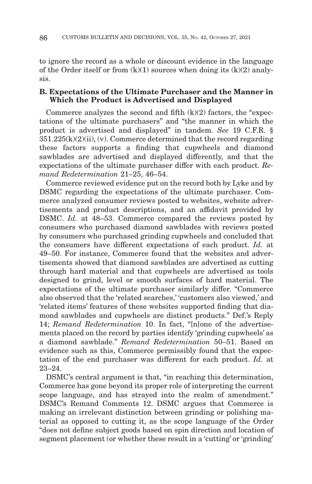to ignore the record as a whole or discount evidence in the language of the Order itself or from  $(k)(1)$  sources when doing its  $(k)(2)$  analysis.

## **B. Expectations of the Ultimate Purchaser and the Manner in Which the Product is Advertised and Displayed**

Commerce analyzes the second and fifth  $(k)(2)$  factors, the "expectations of the ultimate purchasers" and "the manner in which the product is advertised and displayed" in tandem. *See* 19 C.F.R. §  $351.225(k)(2)(ii)$ , (y). Commerce determined that the record regarding these factors supports a finding that cupwheels and diamond sawblades are advertised and displayed differently, and that the expectations of the ultimate purchaser differ with each product. *Remand Redetermination* 21–25, 46–54.

Commerce reviewed evidence put on the record both by Lyke and by DSMC regarding the expectations of the ultimate purchaser. Commerce analyzed consumer reviews posted to websites, website advertisements and product descriptions, and an affidavit provided by DSMC. *Id.* at 48–53. Commerce compared the reviews posted by consumers who purchased diamond sawblades with reviews posted by consumers who purchased grinding cupwheels and concluded that the consumers have different expectations of each product. *Id.* at 49–50. For instance, Commerce found that the websites and advertisements showed that diamond sawblades are advertised as cutting through hard material and that cupwheels are advertised as tools designed to grind, level or smooth surfaces of hard material. The expectations of the ultimate purchaser similarly differ. "Commerce also observed that the 'related searches,' 'customers also viewed,' and 'related items' features of these websites supported finding that diamond sawblades and cupwheels are distinct products." Def.'s Reply 14; *Remand Redetermination* 10. In fact, "[n]one of the advertisements placed on the record by parties identify 'grinding cupwheels' as a diamond sawblade." *Remand Redetermination* 50–51. Based on evidence such as this, Commerce permissibly found that the expectation of the end purchaser was different for each product. *Id.* at 23–24.

DSMC's central argument is that, "in reaching this determination, Commerce has gone beyond its proper role of interpreting the current scope language, and has strayed into the realm of amendment." DSMC's Remand Comments 12. DSMC argues that Commerce is making an irrelevant distinction between grinding or polishing material as opposed to cutting it, as the scope language of the Order "does not define subject goods based on spin direction and location of segment placement (or whether these result in a 'cutting' or 'grinding'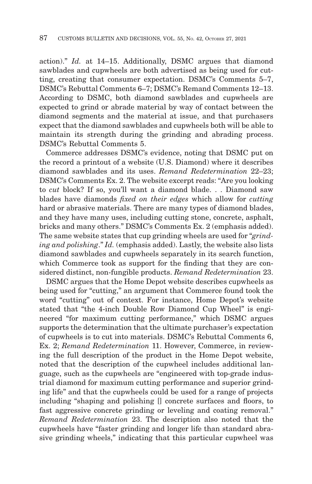action)." *Id.* at 14–15. Additionally, DSMC argues that diamond sawblades and cupwheels are both advertised as being used for cutting, creating that consumer expectation. DSMC's Comments 5–7, DSMC's Rebuttal Comments 6–7; DSMC's Remand Comments 12–13. According to DSMC, both diamond sawblades and cupwheels are expected to grind or abrade material by way of contact between the diamond segments and the material at issue, and that purchasers expect that the diamond sawblades and cupwheels both will be able to maintain its strength during the grinding and abrading process. DSMC's Rebuttal Comments 5.

Commerce addresses DSMC's evidence, noting that DSMC put on the record a printout of a website (U.S. Diamond) where it describes diamond sawblades and its uses. *Remand Redetermination* 22–23; DSMC's Comments Ex. 2. The website excerpt reads: "Are you looking to *cut* block? If so, you'll want a diamond blade. . . Diamond saw blades have diamonds *fixed on their edges* which allow for *cutting* hard or abrasive materials. There are many types of diamond blades, and they have many uses, including cutting stone, concrete, asphalt, bricks and many others." DSMC's Comments Ex. 2 (emphasis added). The same website states that cup grinding wheels are used for "*grinding and polishing*." *Id.* (emphasis added). Lastly, the website also lists diamond sawblades and cupwheels separately in its search function, which Commerce took as support for the finding that they are considered distinct, non-fungible products. *Remand Redetermination* 23.

DSMC argues that the Home Depot website describes cupwheels as being used for "cutting," an argument that Commerce found took the word "cutting" out of context. For instance, Home Depot's website stated that "the 4-inch Double Row Diamond Cup Wheel" is engineered "for maximum cutting performance," which DSMC argues supports the determination that the ultimate purchaser's expectation of cupwheels is to cut into materials. DSMC's Rebuttal Comments 6, Ex. 2; *Remand Redetermination* 11. However, Commerce, in reviewing the full description of the product in the Home Depot website, noted that the description of the cupwheel includes additional language, such as the cupwheels are "engineered with top-grade industrial diamond for maximum cutting performance and superior grinding life" and that the cupwheels could be used for a range of projects including "shaping and polishing [] concrete surfaces and floors, to fast aggressive concrete grinding or leveling and coating removal." *Remand Redetermination* 23. The description also noted that the cupwheels have "faster grinding and longer life than standard abrasive grinding wheels," indicating that this particular cupwheel was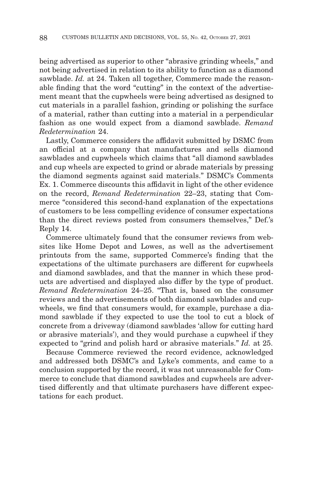being advertised as superior to other "abrasive grinding wheels," and not being advertised in relation to its ability to function as a diamond sawblade. *Id.* at 24. Taken all together, Commerce made the reasonable finding that the word "cutting" in the context of the advertisement meant that the cupwheels were being advertised as designed to cut materials in a parallel fashion, grinding or polishing the surface of a material, rather than cutting into a material in a perpendicular fashion as one would expect from a diamond sawblade. *Remand Redetermination* 24.

Lastly, Commerce considers the affidavit submitted by DSMC from an official at a company that manufactures and sells diamond sawblades and cupwheels which claims that "all diamond sawblades and cup wheels are expected to grind or abrade materials by pressing the diamond segments against said materials." DSMC's Comments Ex. 1. Commerce discounts this affidavit in light of the other evidence on the record, *Remand Redetermination* 22–23, stating that Commerce "considered this second-hand explanation of the expectations of customers to be less compelling evidence of consumer expectations than the direct reviews posted from consumers themselves," Def.'s Reply 14.

Commerce ultimately found that the consumer reviews from websites like Home Depot and Lowes, as well as the advertisement printouts from the same, supported Commerce's finding that the expectations of the ultimate purchasers are different for cupwheels and diamond sawblades, and that the manner in which these products are advertised and displayed also differ by the type of product. *Remand Redetermination* 24–25. "That is, based on the consumer reviews and the advertisements of both diamond sawblades and cupwheels, we find that consumers would, for example, purchase a diamond sawblade if they expected to use the tool to cut a block of concrete from a driveway (diamond sawblades 'allow for cutting hard or abrasive materials'), and they would purchase a cupwheel if they expected to "grind and polish hard or abrasive materials." *Id.* at 25.

Because Commerce reviewed the record evidence, acknowledged and addressed both DSMC's and Lyke's comments, and came to a conclusion supported by the record, it was not unreasonable for Commerce to conclude that diamond sawblades and cupwheels are advertised differently and that ultimate purchasers have different expectations for each product.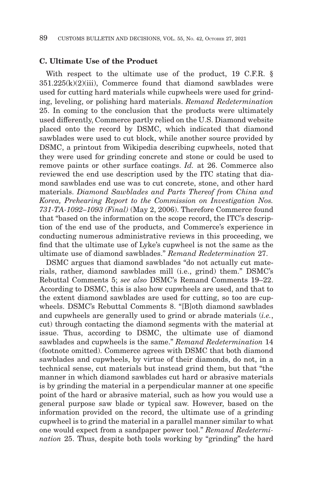#### **C. Ultimate Use of the Product**

With respect to the ultimate use of the product, 19 C.F.R. §  $351.225(k)(2)(iii)$ , Commerce found that diamond sawblades were used for cutting hard materials while cupwheels were used for grinding, leveling, or polishing hard materials. *Remand Redetermination* 25. In coming to the conclusion that the products were ultimately used differently, Commerce partly relied on the U.S. Diamond website placed onto the record by DSMC, which indicated that diamond sawblades were used to cut block, while another source provided by DSMC, a printout from Wikipedia describing cupwheels, noted that they were used for grinding concrete and stone or could be used to remove paints or other surface coatings. *Id.* at 26. Commerce also reviewed the end use description used by the ITC stating that diamond sawblades end use was to cut concrete, stone, and other hard materials. *Diamond Sawblades and Parts Thereof from China and Korea, Prehearing Report to the Commission on Investigation Nos. 731-TA-1092–1093 (Final)* (May 2, 2006). Therefore Commerce found that "based on the information on the scope record, the ITC's description of the end use of the products, and Commerce's experience in conducting numerous administrative reviews in this proceeding, we find that the ultimate use of Lyke's cupwheel is not the same as the ultimate use of diamond sawblades." *Remand Redetermination* 27.

DSMC argues that diamond sawblades "do not actually cut materials, rather, diamond sawblades mill (i.e., grind) them." DSMC's Rebuttal Comments 5; *see also* DSMC's Remand Comments 19–22. According to DSMC, this is also how cupwheels are used, and that to the extent diamond sawblades are used for cutting, so too are cupwheels. DSMC's Rebuttal Comments 8. "[B]oth diamond sawblades and cupwheels are generally used to grind or abrade materials (*i.e.*, cut) through contacting the diamond segments with the material at issue. Thus, according to DSMC, the ultimate use of diamond sawblades and cupwheels is the same." *Remand Redetermination* 14 (footnote omitted). Commerce agrees with DSMC that both diamond sawblades and cupwheels, by virtue of their diamonds, do not, in a technical sense, cut materials but instead grind them, but that "the manner in which diamond sawblades cut hard or abrasive materials is by grinding the material in a perpendicular manner at one specific point of the hard or abrasive material, such as how you would use a general purpose saw blade or typical saw. However, based on the information provided on the record, the ultimate use of a grinding cupwheel is to grind the material in a parallel manner similar to what one would expect from a sandpaper power tool." *Remand Redetermination* 25. Thus, despite both tools working by "grinding" the hard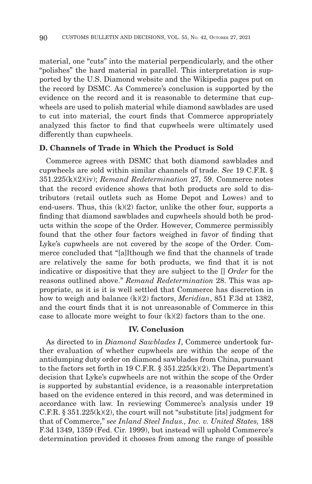material, one "cuts" into the material perpendicularly, and the other "polishes" the hard material in parallel. This interpretation is supported by the U.S. Diamond website and the Wikipedia pages put on the record by DSMC. As Commerce's conclusion is supported by the evidence on the record and it is reasonable to determine that cupwheels are used to polish material while diamond sawblades are used to cut into material, the court finds that Commerce appropriately analyzed this factor to find that cupwheels were ultimately used differently than cupwheels.

## **D. Channels of Trade in Which the Product is Sold**

Commerce agrees with DSMC that both diamond sawblades and cupwheels are sold within similar channels of trade. *See* 19 C.F.R. § 351.225(k)(2)(iv); *Remand Redetermination* 27, 59. Commerce notes that the record evidence shows that both products are sold to distributors (retail outlets such as Home Depot and Lowes) and to end-users. Thus, this  $(k)(2)$  factor, unlike the other four, supports a finding that diamond sawblades and cupwheels should both be products within the scope of the Order. However, Commerce permissibly found that the other four factors weighed in favor of finding that Lyke's cupwheels are not covered by the scope of the Order. Commerce concluded that "[a]lthough we find that the channels of trade are relatively the same for both products, we find that it is not indicative or dispositive that they are subject to the [] *Order* for the reasons outlined above." *Remand Redetermination* 28. This was appropriate, as it is it is well settled that Commerce has discretion in how to weigh and balance (k)(2) factors, *Meridian*, 851 F.3d at 1382, and the court finds that it is not unreasonable of Commerce in this case to allocate more weight to four  $(k)(2)$  factors than to the one.

## **IV. Conclusion**

As directed to in *Diamond Sawblades I*, Commerce undertook further evaluation of whether cupwheels are within the scope of the antidumping duty order on diamond sawblades from China, pursuant to the factors set forth in 19 C.F.R. § 351.225(k)(2). The Department's decision that Lyke's cupwheels are not within the scope of the Order is supported by substantial evidence, is a reasonable interpretation based on the evidence entered in this record, and was determined in accordance with law. In reviewing Commerce's analysis under 19 C.F.R.  $\S 351.225(k)(2)$ , the court will not "substitute [its] judgment for that of Commerce," *see Inland Steel Indus., Inc. v. United States,* 188 F.3d 1349, 1359 (Fed. Cir. 1999), but instead will uphold Commerce's determination provided it chooses from among the range of possible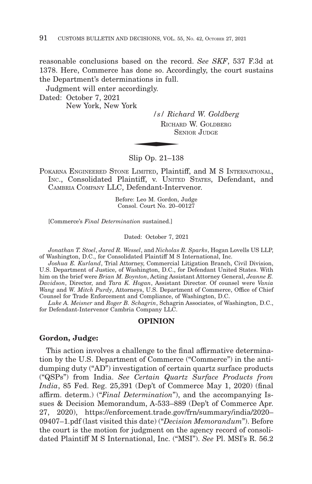reasonable conclusions based on the record. *See SKF*, 537 F.3d at 1378. Here, Commerce has done so. Accordingly, the court sustains the Department's determinations in full.

Judgment will enter accordingly.

Dated: October 7, 2021 New York, New York

*/s/ Richard W. Goldberg* RICHARD W. GOLDBERG  $\frac{1}{s}$  / Richard Richard SF SENIOR JIIDGE

Slip Op. 21–138

POKARNA ENGINEERED STONE LIMITED, Plaintiff, and M S INTERNATIONAL, INC., Consolidated Plaintiff, v. UNITED STATES, Defendant, and CAMBRIA COMPANY LLC, Defendant-Intervenor.

> Before: Leo M. Gordon, Judge Consol. Court No. 20–00127

[Commerce's *Final Determination* sustained.]

Dated: October 7, 2021

*Jonathan T. Stoel*, *Jared R. Wessel*, and *Nicholas R. Sparks*, Hogan Lovells US LLP, of Washington, D.C., for Consolidated Plaintiff M S International, Inc.

*Joshua E. Kurland*, Trial Attorney, Commercial Litigation Branch, Civil Division, U.S. Department of Justice, of Washington, D.C., for Defendant United States. With him on the brief were *Brian M. Boynton*, Acting Assistant Attorney General, *Jeanne E. Davidson*, Director, and *Tara K. Hogan*, Assistant Director. Of counsel were *Vania Wang* and *W. Mitch Purdy*, Attorneys, U.S. Department of Commerce, Office of Chief Counsel for Trade Enforcement and Compliance, of Washington, D.C.

*Luke A. Meisner* and *Roger B. Schagrin*, Schagrin Associates, of Washington, D.C., for Defendant-Intervenor Cambria Company LLC.

### **OPINION**

#### **Gordon, Judge:**

This action involves a challenge to the final affirmative determination by the U.S. Department of Commerce ("Commerce") in the antidumping duty ("AD") investigation of certain quartz surface products ("QSPs") from India. *See Certain Quartz Surface Products from India*, 85 Fed. Reg. 25,391 (Dep't of Commerce May 1, 2020) (final affirm. determ.) ("*Final Determination*"), and the accompanying Issues & Decision Memorandum, A-533–889 (Dep't of Commerce Apr. 27, 2020), https://enforcement.trade.gov/frn/summary/india/2020– 09407–1.pdf (last visited this date) ("*Decision Memorandum*"). Before the court is the motion for judgment on the agency record of consolidated Plaintiff M S International, Inc. ("MSI"). *See* Pl. MSI's R. 56.2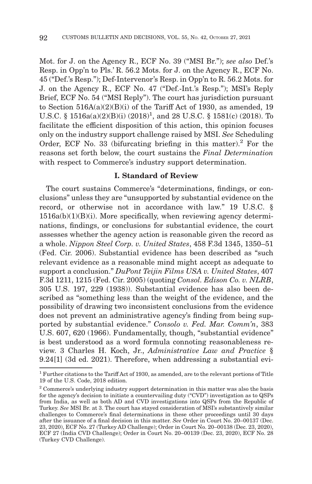Mot. for J. on the Agency R., ECF No. 39 ("MSI Br."); *see also* Def.'s Resp. in Opp'n to Pls.' R. 56.2 Mots. for J. on the Agency R., ECF No. 45 ("Def.'s Resp."); Def-Intervenor's Resp. in Opp'n to R. 56.2 Mots. for J. on the Agency R., ECF No. 47 ("Def.-Int.'s Resp."); MSI's Reply Brief, ECF No. 54 ("MSI Reply"). The court has jurisdiction pursuant to Section 516A(a)(2)(B)(i) of the Tariff Act of 1930, as amended, 19 U.S.C. § 1516a(a)(2)(B)(i) (2018)<sup>1</sup>, and 28 U.S.C. § 1581(c) (2018). To facilitate the efficient disposition of this action, this opinion focuses only on the industry support challenge raised by MSI. *See* Scheduling Order, ECF No. 33 (bifurcating briefing in this matter).<sup>2</sup> For the reasons set forth below, the court sustains the *Final Determination* with respect to Commerce's industry support determination.

## **I. Standard of Review**

The court sustains Commerce's "determinations, findings, or conclusions" unless they are "unsupported by substantial evidence on the record, or otherwise not in accordance with law." 19 U.S.C. §  $1516a(b)(1)(B)(i)$ . More specifically, when reviewing agency determinations, findings, or conclusions for substantial evidence, the court assesses whether the agency action is reasonable given the record as a whole. *Nippon Steel Corp. v. United States*, 458 F.3d 1345, 1350–51 (Fed. Cir. 2006). Substantial evidence has been described as "such relevant evidence as a reasonable mind might accept as adequate to support a conclusion." *DuPont Teijin Films USA v. United States*, 407 F.3d 1211, 1215 (Fed. Cir. 2005) (quoting *Consol. Edison Co. v. NLRB*, 305 U.S. 197, 229 (1938)). Substantial evidence has also been described as "something less than the weight of the evidence, and the possibility of drawing two inconsistent conclusions from the evidence does not prevent an administrative agency's finding from being supported by substantial evidence." *Consolo v. Fed. Mar. Comm'n*, 383 U.S. 607, 620 (1966). Fundamentally, though, "substantial evidence" is best understood as a word formula connoting reasonableness review. 3 Charles H. Koch, Jr., *Administrative Law and Practice* § 9.24[1] (3d ed. 2021). Therefore, when addressing a substantial evi-

<sup>1</sup> Further citations to the Tariff Act of 1930, as amended, are to the relevant portions of Title 19 of the U.S. Code, 2018 edition.

<sup>&</sup>lt;sup>2</sup> Commerce's underlying industry support determination in this matter was also the basis for the agency's decision to initiate a countervailing duty ("CVD") investigation as to QSPs from India, as well as both AD and CVD investigations into QSPs from the Republic of Turkey. *See* MSI Br. at 3. The court has stayed consideration of MSI's substantively similar challenges to Commerce's final determinations in these other proceedings until 30 days after the issuance of a final decision in this matter. *See* Order in Court No. 20–00137 (Dec. 23, 2020), ECF No. 27 (Turkey AD Challenge); Order in Court No. 20–00138 (Dec. 23, 2020), ECF 27 (India CVD Challenge); Order in Court No. 20–00139 (Dec. 23, 2020), ECF No. 28 (Turkey CVD Challenge).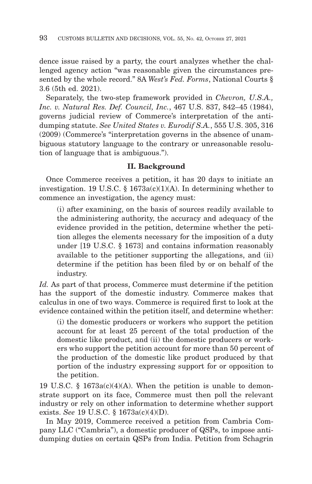dence issue raised by a party, the court analyzes whether the challenged agency action "was reasonable given the circumstances presented by the whole record." 8A *West's Fed. Forms*, National Courts § 3.6 (5th ed. 2021).

Separately, the two-step framework provided in *Chevron, U.S.A., Inc. v. Natural Res. Def. Council, Inc.*, 467 U.S. 837, 842–45 (1984), governs judicial review of Commerce's interpretation of the antidumping statute. *See United States v. Eurodif S.A.*, 555 U.S. 305, 316 (2009) (Commerce's "interpretation governs in the absence of unambiguous statutory language to the contrary or unreasonable resolution of language that is ambiguous.").

# **II. Background**

Once Commerce receives a petition, it has 20 days to initiate an investigation. 19 U.S.C. § 1673a(c)(1)(A). In determining whether to commence an investigation, the agency must:

(i) after examining, on the basis of sources readily available to the administering authority, the accuracy and adequacy of the evidence provided in the petition, determine whether the petition alleges the elements necessary for the imposition of a duty under [19 U.S.C. § 1673] and contains information reasonably available to the petitioner supporting the allegations, and (ii) determine if the petition has been filed by or on behalf of the industry.

Id. As part of that process, Commerce must determine if the petition has the support of the domestic industry. Commerce makes that calculus in one of two ways. Commerce is required first to look at the evidence contained within the petition itself, and determine whether:

(i) the domestic producers or workers who support the petition account for at least 25 percent of the total production of the domestic like product, and (ii) the domestic producers or workers who support the petition account for more than 50 percent of the production of the domestic like product produced by that portion of the industry expressing support for or opposition to the petition.

19 U.S.C. § 1673a(c)(4)(A). When the petition is unable to demonstrate support on its face, Commerce must then poll the relevant industry or rely on other information to determine whether support exists. *See* 19 U.S.C. § 1673a(c)(4)(D).

In May 2019, Commerce received a petition from Cambria Company LLC ("Cambria"), a domestic producer of QSPs, to impose antidumping duties on certain QSPs from India. Petition from Schagrin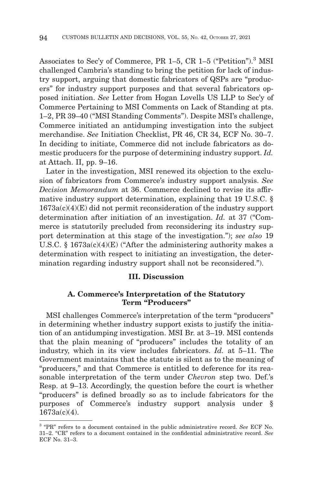Associates to Sec'y of Commerce, PR 1–5, CR 1–5 ("Petition").<sup>3</sup> MSI challenged Cambria's standing to bring the petition for lack of industry support, arguing that domestic fabricators of QSPs are "producers" for industry support purposes and that several fabricators opposed initiation. *See* Letter from Hogan Lovells US LLP to Sec'y of Commerce Pertaining to MSI Comments on Lack of Standing at pts. 1–2, PR 39–40 ("MSI Standing Comments"). Despite MSI's challenge, Commerce initiated an antidumping investigation into the subject merchandise. *See* Initiation Checklist, PR 46, CR 34, ECF No. 30–7. In deciding to initiate, Commerce did not include fabricators as domestic producers for the purpose of determining industry support. *Id.* at Attach. II, pp. 9–16.

Later in the investigation, MSI renewed its objection to the exclusion of fabricators from Commerce's industry support analysis. *See Decision Memorandum* at 36. Commerce declined to revise its affirmative industry support determination, explaining that 19 U.S.C. §  $1673a(c)(4)(E)$  did not permit reconsideration of the industry support determination after initiation of an investigation. *Id.* at 37 ("Commerce is statutorily precluded from reconsidering its industry support determination at this stage of the investigation."); *see also* 19 U.S.C. § 1673a(c)(4)(E) ("After the administering authority makes a determination with respect to initiating an investigation, the determination regarding industry support shall not be reconsidered.").

#### **III. Discussion**

### **A. Commerce's Interpretation of the Statutory Term "Producers"**

MSI challenges Commerce's interpretation of the term "producers" in determining whether industry support exists to justify the initiation of an antidumping investigation. MSI Br. at 3–19. MSI contends that the plain meaning of "producers" includes the totality of an industry, which in its view includes fabricators. *Id.* at 5–11. The Government maintains that the statute is silent as to the meaning of "producers," and that Commerce is entitled to deference for its reasonable interpretation of the term under *Chevron* step two. Def.'s Resp. at 9–13. Accordingly, the question before the court is whether "producers" is defined broadly so as to include fabricators for the purposes of Commerce's industry support analysis under § 1673a(c)(4).

<sup>3 &</sup>quot;PR" refers to a document contained in the public administrative record. *See* ECF No. 31–2. "CR" refers to a document contained in the confidential administrative record. *See* ECF No. 31–3.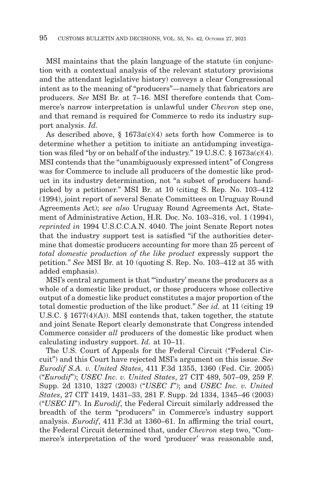MSI maintains that the plain language of the statute (in conjunction with a contextual analysis of the relevant statutory provisions and the attendant legislative history) conveys a clear Congressional intent as to the meaning of "producers"—namely that fabricators are producers. *See* MSI Br. at 7–16. MSI therefore contends that Commerce's narrow interpretation is unlawful under *Chevron* step one, and that remand is required for Commerce to redo its industry support analysis. *Id.*

As described above,  $\S$  1673a(c)(4) sets forth how Commerce is to determine whether a petition to initiate an antidumping investigation was filed "by or on behalf of the industry."  $19 \text{ U.S.C.}$  §  $1673a(c)(4)$ . MSI contends that the "unambiguously expressed intent" of Congress was for Commerce to include all producers of the domestic like product in its industry determination, not "a subset of producers handpicked by a petitioner." MSI Br. at 10 (citing S. Rep. No. 103–412 (1994), joint report of several Senate Committees on Uruguay Round Agreements Act); *see also* Uruguay Round Agreements Act, Statement of Administrative Action, H.R. Doc. No. 103–316, vol. 1 (1994), *reprinted in* 1994 U.S.C.C.A.N. 4040. The joint Senate Report notes that the industry support test is satisfied "if the authorities determine that domestic producers accounting for more than 25 percent of *total domestic production of the like product* expressly support the petition." *See* MSI Br. at 10 (quoting S. Rep. No. 103–412 at 35 with added emphasis).

MSI's central argument is that "'industry' means the producers as a whole of a domestic like product, or those producers whose collective output of a domestic like product constitutes a major proportion of the total domestic production of the like product." *See id.* at 11 (citing 19 U.S.C. § 1677(4)(A)). MSI contends that, taken together, the statute and joint Senate Report clearly demonstrate that Congress intended Commerce consider *all* producers of the domestic like product when calculating industry support. *Id.* at 10–11.

The U.S. Court of Appeals for the Federal Circuit ("Federal Circuit") and this Court have rejected MSI's argument on this issue. *See Eurodif S.A. v. United States*, 411 F.3d 1355, 1360 (Fed. Cir. 2005) ("*Eurodif*"); *USEC Inc. v. United States*, 27 CIT 489, 507–09, 259 F. Supp. 2d 1310, 1327 (2003) ("*USEC I*"); and *USEC Inc. v. United States*, 27 CIT 1419, 1431–33, 281 F. Supp. 2d 1334, 1345–46 (2003) ("*USEC II*"). In *Eurodif*, the Federal Circuit similarly addressed the breadth of the term "producers" in Commerce's industry support analysis. *Eurodif*, 411 F.3d at 1360–61. In affirming the trial court, the Federal Circuit determined that, under *Chevron* step two, "Commerce's interpretation of the word 'producer' was reasonable and,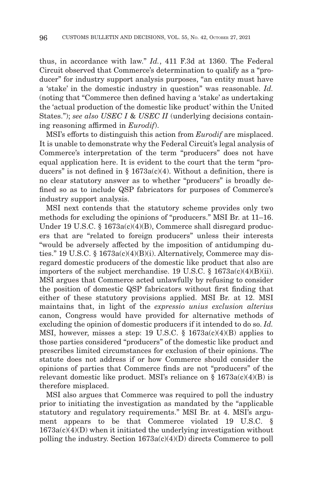thus, in accordance with law." *Id.*, 411 F.3d at 1360. The Federal Circuit observed that Commerce's determination to qualify as a "producer" for industry support analysis purposes, "an entity must have a 'stake' in the domestic industry in question" was reasonable. *Id.* (noting that "Commerce then defined having a 'stake' as undertaking the 'actual production of the domestic like product' within the United States."); *see also USEC I & USEC II* (underlying decisions containing reasoning affirmed in *Eurodif*).

MSI's efforts to distinguish this action from *Eurodif* are misplaced. It is unable to demonstrate why the Federal Circuit's legal analysis of Commerce's interpretation of the term "producers" does not have equal application here. It is evident to the court that the term "producers" is not defined in §  $1673a(c)(4)$ . Without a definition, there is no clear statutory answer as to whether "producers" is broadly defined so as to include QSP fabricators for purposes of Commerce's industry support analysis.

MSI next contends that the statutory scheme provides only two methods for excluding the opinions of "producers." MSI Br. at 11–16. Under 19 U.S.C. § 1673a(c)(4)(B), Commerce shall disregard producers that are "related to foreign producers" unless their interests "would be adversely affected by the imposition of antidumping duties." 19 U.S.C. § 1673a(c)(4)(B)(i). Alternatively, Commerce may disregard domestic producers of the domestic like product that also are importers of the subject merchandise. 19 U.S.C.  $\S$  1673a(c)(4)(B)(ii). MSI argues that Commerce acted unlawfully by refusing to consider the position of domestic QSP fabricators without first finding that either of these statutory provisions applied. MSI Br. at 12. MSI maintains that, in light of the *expressio unius exclusion alterius* canon, Congress would have provided for alternative methods of excluding the opinion of domestic producers if it intended to do so. *Id.* MSI, however, misses a step: 19 U.S.C.  $\S$  1673a(c)(4)(B) applies to those parties considered "producers" of the domestic like product and prescribes limited circumstances for exclusion of their opinions. The statute does not address if or how Commerce should consider the opinions of parties that Commerce finds are not "producers" of the relevant domestic like product. MSI's reliance on  $\S$  1673a(c)(4)(B) is therefore misplaced.

MSI also argues that Commerce was required to poll the industry prior to initiating the investigation as mandated by the "applicable statutory and regulatory requirements." MSI Br. at 4. MSI's argument appears to be that Commerce violated 19 U.S.C. §  $1673a(c)(4)(D)$  when it initiated the underlying investigation without polling the industry. Section 1673a(c)(4)(D) directs Commerce to poll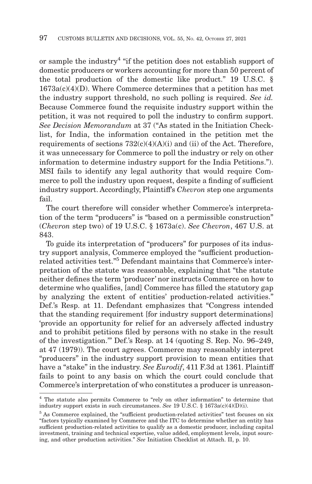or sample the industry4 "if the petition does not establish support of domestic producers or workers accounting for more than 50 percent of the total production of the domestic like product." 19 U.S.C. §  $1673a(c)(4)(D)$ . Where Commerce determines that a petition has met the industry support threshold, no such polling is required. *See id.* Because Commerce found the requisite industry support within the petition, it was not required to poll the industry to confirm support. *See Decision Memorandum* at 37 ("As stated in the Initiation Checklist, for India, the information contained in the petition met the requirements of sections  $732(c)(4)(A)(i)$  and (ii) of the Act. Therefore, it was unnecessary for Commerce to poll the industry or rely on other information to determine industry support for the India Petitions."). MSI fails to identify any legal authority that would require Commerce to poll the industry upon request, despite a finding of sufficient industry support. Accordingly, Plaintiff's *Chevron* step one arguments fail.

The court therefore will consider whether Commerce's interpretation of the term "producers" is "based on a permissible construction" (*Chevron* step two) of 19 U.S.C. § 1673a(c). *See Chevron*, 467 U.S. at 843.

To guide its interpretation of "producers" for purposes of its industry support analysis, Commerce employed the "sufficient productionrelated activities test."5 Defendant maintains that Commerce's interpretation of the statute was reasonable, explaining that "the statute neither defines the term 'producer' nor instructs Commerce on how to determine who qualifies, [and] Commerce has filled the statutory gap by analyzing the extent of entities' production-related activities." Def.'s Resp. at 11. Defendant emphasizes that "Congress intended that the standing requirement [for industry support determinations] 'provide an opportunity for relief for an adversely affected industry and to prohibit petitions filed by persons with no stake in the result of the investigation.'" Def.'s Resp. at 14 (quoting S. Rep. No. 96–249, at 47 (1979)). The court agrees. Commerce may reasonably interpret "producers" in the industry support provision to mean entities that have a "stake" in the industry. *See Eurodif*, 411 F.3d at 1361. Plaintiff fails to point to any basis on which the court could conclude that Commerce's interpretation of who constitutes a producer is unreason-

<sup>4</sup> The statute also permits Commerce to "rely on other information" to determine that industry support exists in such circumstances. *See* 19 U.S.C. § 1673a(c)(4)(D)(i).

<sup>&</sup>lt;sup>5</sup> As Commerce explained, the "sufficient production-related activities" test focuses on six "factors typically examined by Commerce and the ITC to determine whether an entity has sufficient production-related activities to qualify as a domestic producer, including capital investment, training and technical expertise, value added, employment levels, input sourcing, and other production activities." *See* Initiation Checklist at Attach. II, p. 10.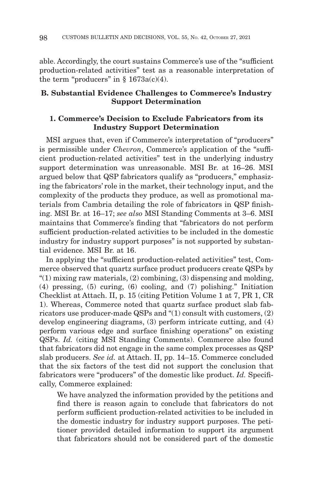able. Accordingly, the court sustains Commerce's use of the "sufficient production-related activities" test as a reasonable interpretation of the term "producers" in  $§$  1673a(c)(4).

## **B. Substantial Evidence Challenges to Commerce's Industry Support Determination**

## **1. Commerce's Decision to Exclude Fabricators from its Industry Support Determination**

MSI argues that, even if Commerce's interpretation of "producers" is permissible under *Chevron*, Commerce's application of the "sufficient production-related activities" test in the underlying industry support determination was unreasonable. MSI Br. at 16–26. MSI argued below that QSP fabricators qualify as "producers," emphasizing the fabricators' role in the market, their technology input, and the complexity of the products they produce, as well as promotional materials from Cambria detailing the role of fabricators in QSP finishing. MSI Br. at 16–17; *see also* MSI Standing Comments at 3–6. MSI maintains that Commerce's finding that "fabricators do not perform sufficient production-related activities to be included in the domestic industry for industry support purposes" is not supported by substantial evidence. MSI Br. at 16.

In applying the "sufficient production-related activities" test, Commerce observed that quartz surface product producers create QSPs by " $(1)$  mixing raw materials,  $(2)$  combining,  $(3)$  dispensing and molding, (4) pressing, (5) curing, (6) cooling, and (7) polishing." Initiation Checklist at Attach. II, p. 15 (citing Petition Volume 1 at 7, PR 1, CR 1). Whereas, Commerce noted that quartz surface product slab fabricators use producer-made QSPs and "(1) consult with customers, (2) develop engineering diagrams, (3) perform intricate cutting, and (4) perform various edge and surface finishing operations" on existing QSPs. *Id.* (citing MSI Standing Comments). Commerce also found that fabricators did not engage in the same complex processes as QSP slab producers. *See id.* at Attach. II, pp. 14–15. Commerce concluded that the six factors of the test did not support the conclusion that fabricators were "producers" of the domestic like product. *Id.* Specifically, Commerce explained:

We have analyzed the information provided by the petitions and find there is reason again to conclude that fabricators do not perform sufficient production-related activities to be included in the domestic industry for industry support purposes. The petitioner provided detailed information to support its argument that fabricators should not be considered part of the domestic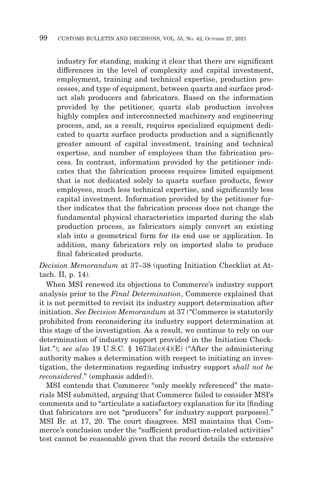industry for standing, making it clear that there are significant differences in the level of complexity and capital investment, employment, training and technical expertise, production processes, and type of equipment, between quartz and surface product slab producers and fabricators. Based on the information provided by the petitioner, quartz slab production involves highly complex and interconnected machinery and engineering process, and, as a result, requires specialized equipment dedicated to quartz surface products production and a significantly greater amount of capital investment, training and technical expertise, and number of employees than the fabrication process. In contrast, information provided by the petitioner indicates that the fabrication process requires limited equipment that is not dedicated solely to quartz surface products, fewer employees, much less technical expertise, and significantly less capital investment. Information provided by the petitioner further indicates that the fabrication process does not change the fundamental physical characteristics imparted during the slab production process, as fabricators simply convert an existing slab into a geometrical form for its end use or application. In addition, many fabricators rely on imported slabs to produce final fabricated products.

*Decision Memorandum* at 37–38 (quoting Initiation Checklist at Attach. II, p. 14).

When MSI renewed its objections to Commerce's industry support analysis prior to the *Final Determination*, Commerce explained that it is not permitted to revisit its industry support determination after initiation. *See Decision Memorandum* at 37 ("Commerce is statutorily prohibited from reconsidering its industry support determination at this stage of the investigation. As a result, we continue to rely on our determination of industry support provided in the Initiation Checklist."); *see also* 19 U.S.C. § 1673a(c)(4)(E) ("After the administering authority makes a determination with respect to initiating an investigation, the determination regarding industry support *shall not be reconsidered*." (emphasis added)).

MSI contends that Commerce "only meekly referenced" the materials MSI submitted, arguing that Commerce failed to consider MSI's comments and to "articulate a satisfactory explanation for its [finding that fabricators are not "producers" for industry support purposes]." MSI Br. at 17, 20. The court disagrees. MSI maintains that Commerce's conclusion under the "sufficient production-related activities" test cannot be reasonable given that the record details the extensive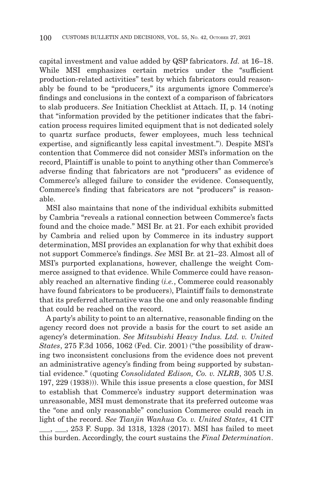capital investment and value added by QSP fabricators. *Id.* at 16–18. While MSI emphasizes certain metrics under the "sufficient production-related activities" test by which fabricators could reasonably be found to be "producers," its arguments ignore Commerce's findings and conclusions in the context of a comparison of fabricators to slab producers. *See* Initiation Checklist at Attach. II, p. 14 (noting that "information provided by the petitioner indicates that the fabrication process requires limited equipment that is not dedicated solely to quartz surface products, fewer employees, much less technical expertise, and significantly less capital investment."). Despite MSI's contention that Commerce did not consider MSI's information on the record, Plaintiff is unable to point to anything other than Commerce's adverse finding that fabricators are not "producers" as evidence of Commerce's alleged failure to consider the evidence. Consequently, Commerce's finding that fabricators are not "producers" is reasonable.

MSI also maintains that none of the individual exhibits submitted by Cambria "reveals a rational connection between Commerce's facts found and the choice made." MSI Br. at 21. For each exhibit provided by Cambria and relied upon by Commerce in its industry support determination, MSI provides an explanation for why that exhibit does not support Commerce's findings. *See* MSI Br. at 21–23. Almost all of MSI's purported explanations, however, challenge the weight Commerce assigned to that evidence. While Commerce could have reasonably reached an alternative finding (*i.e.*, Commerce could reasonably have found fabricators to be producers), Plaintiff fails to demonstrate that its preferred alternative was the one and only reasonable finding that could be reached on the record.

A party's ability to point to an alternative, reasonable finding on the agency record does not provide a basis for the court to set aside an agency's determination. *See Mitsubishi Heavy Indus. Ltd. v. United States*, 275 F.3d 1056, 1062 (Fed. Cir. 2001) ("the possibility of drawing two inconsistent conclusions from the evidence does not prevent an administrative agency's finding from being supported by substantial evidence." (quoting *Consolidated Edison, Co. v. NLRB*, 305 U.S. 197, 229 (1938))). While this issue presents a close question, for MSI to establish that Commerce's industry support determination was unreasonable, MSI must demonstrate that its preferred outcome was the "one and only reasonable" conclusion Commerce could reach in light of the record. *See Tianjin Wanhua Co. v. United States*, 41 CIT \_\_\_, \_\_\_, 253 F. Supp. 3d 1318, 1328 (2017). MSI has failed to meet

this burden. Accordingly, the court sustains the *Final Determination*.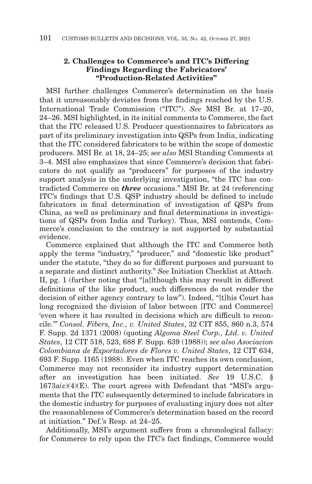# **2. Challenges to Commerce's and ITC's Differing Findings Regarding the Fabricators' "Production-Related Activities"**

MSI further challenges Commerce's determination on the basis that it unreasonably deviates from the findings reached by the U.S. International Trade Commission ("ITC"). *See* MSI Br. at 17–20, 24–26. MSI highlighted, in its initial comments to Commerce, the fact that the ITC released U.S. Producer questionnaires to fabricators as part of its preliminary investigation into QSPs from India, indicating that the ITC considered fabricators to be within the scope of domestic producers. MSI Br. at 18, 24–25; *see also* MSI Standing Comments at 3–4. MSI also emphasizes that since Commerce's decision that fabricators do not qualify as "producers" for purposes of the industry support analysis in the underlying investigation, "the ITC has contradicted Commerce on *three* occasions." MSI Br. at 24 (referencing ITC's findings that U.S. QSP industry should be defined to include fabricators in final determination of investigation of QSPs from China, as well as preliminary and final determinations in investigations of QSPs from India and Turkey). Thus, MSI contends, Commerce's conclusion to the contrary is not supported by substantial evidence.

Commerce explained that although the ITC and Commerce both apply the terms "industry," "producer," and "domestic like product" under the statute, "they do so for different purposes and pursuant to a separate and distinct authority." *See* Initiation Checklist at Attach. II, pg. 1 (further noting that "[a]lthough this may result in different definitions of the like product, such differences do not render the decision of either agency contrary to law"). Indeed, "[t]his Court has long recognized the division of labor between [ITC and Commerce] 'even where it has resulted in decisions which are difficult to reconcile.'" *Consol. Fibers, Inc., v. United States*, 32 CIT 855, 860 n.3, 574 F. Supp. 2d 1371 (2008) (quoting *Algoma Steel Corp., Ltd. v. United States*, 12 CIT 518, 523, 688 F. Supp. 639 (1988)); *see also Asociacion Colombiana de Exportadores de Flores v. United States*, 12 CIT 634, 693 F. Supp. 1165 (1988). Even when ITC reaches its own conclusion, Commerce may not reconsider its industry support determination after an investigation has been initiated. *See* 19 U.S.C. §  $1673a(c)(4)(E)$ . The court agrees with Defendant that "MSI's arguments that the ITC subsequently determined to include fabricators in the domestic industry for purposes of evaluating injury does not alter the reasonableness of Commerce's determination based on the record at initiation." Def.'s Resp. at 24–25.

Additionally, MSI's argument suffers from a chronological fallacy: for Commerce to rely upon the ITC's fact findings, Commerce would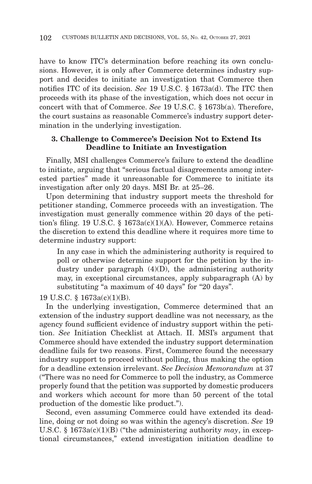have to know ITC's determination before reaching its own conclusions. However, it is only after Commerce determines industry support and decides to initiate an investigation that Commerce then notifies ITC of its decision. *See* 19 U.S.C. § 1673a(d). The ITC then proceeds with its phase of the investigation, which does not occur in concert with that of Commerce. *See* 19 U.S.C. § 1673b(a). Therefore, the court sustains as reasonable Commerce's industry support determination in the underlying investigation.

## **3. Challenge to Commerce's Decision Not to Extend Its Deadline to Initiate an Investigation**

Finally, MSI challenges Commerce's failure to extend the deadline to initiate, arguing that "serious factual disagreements among interested parties" made it unreasonable for Commerce to initiate its investigation after only 20 days. MSI Br. at 25–26.

Upon determining that industry support meets the threshold for petitioner standing, Commerce proceeds with an investigation. The investigation must generally commence within 20 days of the petition's filing. 19 U.S.C. § 1673a(c)(1)(A). However, Commerce retains the discretion to extend this deadline where it requires more time to determine industry support:

In any case in which the administering authority is required to poll or otherwise determine support for the petition by the industry under paragraph (4)(D), the administering authority may, in exceptional circumstances, apply subparagraph (A) by substituting "a maximum of 40 days" for "20 days".

19 U.S.C. § 1673a(c)(1)(B).

In the underlying investigation, Commerce determined that an extension of the industry support deadline was not necessary, as the agency found sufficient evidence of industry support within the petition. *See* Initiation Checklist at Attach. II. MSI's argument that Commerce should have extended the industry support determination deadline fails for two reasons. First, Commerce found the necessary industry support to proceed without polling, thus making the option for a deadline extension irrelevant. *See Decision Memorandum* at 37 ("There was no need for Commerce to poll the industry, as Commerce properly found that the petition was supported by domestic producers and workers which account for more than 50 percent of the total production of the domestic like product.").

Second, even assuming Commerce could have extended its deadline, doing or not doing so was within the agency's discretion. *See* 19 U.S.C. § 1673a(c)(1)(B) ("the administering authority *may*, in exceptional circumstances," extend investigation initiation deadline to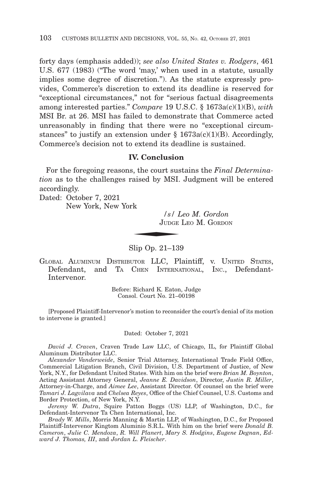forty days (emphasis added)); *see also United States v. Rodgers*, 461 U.S. 677 (1983) ("The word 'may,' when used in a statute, usually implies some degree of discretion."). As the statute expressly provides, Commerce's discretion to extend its deadline is reserved for "exceptional circumstances," not for "serious factual disagreements among interested parties." *Compare* 19 U.S.C. § 1673a(c)(1)(B), *with* MSI Br. at 26. MSI has failed to demonstrate that Commerce acted unreasonably in finding that there were no "exceptional circumstances" to justify an extension under  $\S$  1673a(c)(1)(B). Accordingly, Commerce's decision not to extend its deadline is sustained.

### **IV. Conclusion**

For the foregoing reasons, the court sustains the *Final Determination* as to the challenges raised by MSI. Judgment will be entered accordingly.  $\frac{s}{L}$   $\frac{s}{L}$ 

Dated: October 7, 2021 New York, New York

> */s/ Leo M. Gordon* JUDGE LEO M. GORDON

Slip Op. 21–139

GLOBAL ALUMINUM DISTRIBUTOR LLC, Plaintiff, v. UNITED STATES, Defendant, and TA CHEN INTERNATIONAL, INC., Defendant-Intervenor.

> Before: Richard K. Eaton, Judge Consol. Court No. 21–00198

[Proposed Plaintiff-Intervenor's motion to reconsider the court's denial of its motion to intervene is granted.]

Dated: October 7, 2021

*David J. Craven*, Craven Trade Law LLC, of Chicago, IL, for Plaintiff Global Aluminum Distributor LLC.

*Alexander Vanderweide*, Senior Trial Attorney, International Trade Field Office, Commercial Litigation Branch, Civil Division, U.S. Department of Justice, of New York, N.Y., for Defendant United States. With him on the brief were *Brian M. Boynton*, Acting Assistant Attorney General, *Jeanne E. Davidson*, Director, *Justin R. Miller*, Attorney-in-Charge, and *Aimee Lee*, Assistant Director. Of counsel on the brief were *Tamari J. Lagvilava* and *Chelsea Reyes*, Office of the Chief Counsel, U.S. Customs and Border Protection, of New York, N.Y.

*Jeremy W. Dutra*, Squire Patton Boggs (US) LLP, of Washington, D.C., for Defendant-Intervenor Ta Chen International, Inc.

*Brady W. Mills*, Morris Manning & Martin LLP, of Washington, D.C., for Proposed Plaintiff-Intervenor Kingtom Aluminio S.R.L. With him on the brief were *Donald B. Cameron*, *Julie C. Mendoza*, *R. Will Planert*, *Mary S. Hodgins*, *Eugene Degnan*, *Edward J. Thomas, III*, and *Jordan L. Fleischer*.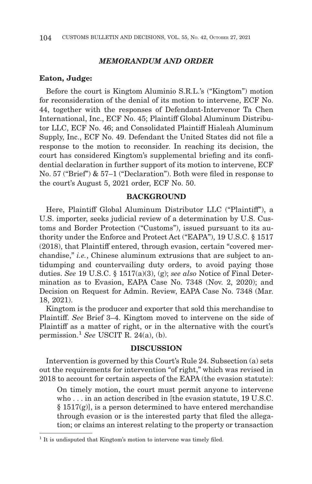### *MEMORANDUM AND ORDER*

#### **Eaton, Judge:**

Before the court is Kingtom Aluminio S.R.L.'s ("Kingtom") motion for reconsideration of the denial of its motion to intervene, ECF No. 44, together with the responses of Defendant-Intervenor Ta Chen International, Inc., ECF No. 45; Plaintiff Global Aluminum Distributor LLC, ECF No. 46; and Consolidated Plaintiff Hialeah Aluminum Supply, Inc., ECF No. 49. Defendant the United States did not file a response to the motion to reconsider. In reaching its decision, the court has considered Kingtom's supplemental briefing and its confidential declaration in further support of its motion to intervene, ECF No. 57 ("Brief") & 57–1 ("Declaration"). Both were filed in response to the court's August 5, 2021 order, ECF No. 50.

### **BACKGROUND**

Here, Plaintiff Global Aluminum Distributor LLC ("Plaintiff"), a U.S. importer, seeks judicial review of a determination by U.S. Customs and Border Protection ("Customs"), issued pursuant to its authority under the Enforce and Protect Act ("EAPA"), 19 U.S.C. § 1517 (2018), that Plaintiff entered, through evasion, certain "covered merchandise," *i.e.*, Chinese aluminum extrusions that are subject to antidumping and countervailing duty orders, to avoid paying those duties. *See* 19 U.S.C. § 1517(a)(3), (g); *see also* Notice of Final Determination as to Evasion, EAPA Case No. 7348 (Nov. 2, 2020); and Decision on Request for Admin. Review, EAPA Case No. 7348 (Mar. 18, 2021).

Kingtom is the producer and exporter that sold this merchandise to Plaintiff. *See* Brief 3–4. Kingtom moved to intervene on the side of Plaintiff as a matter of right, or in the alternative with the court's permission.1 *See* USCIT R. 24(a), (b).

### **DISCUSSION**

Intervention is governed by this Court's Rule 24. Subsection (a) sets out the requirements for intervention "of right," which was revised in 2018 to account for certain aspects of the EAPA (the evasion statute):

On timely motion, the court must permit anyone to intervene who . . . in an action described in [the evasion statute, 19 U.S.C.  $\S 1517(g)$ , is a person determined to have entered merchandise through evasion or is the interested party that filed the allegation; or claims an interest relating to the property or transaction

<sup>&</sup>lt;sup>1</sup> It is undisputed that Kingtom's motion to intervene was timely filed.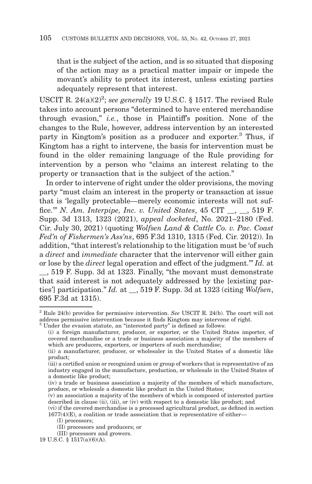that is the subject of the action, and is so situated that disposing of the action may as a practical matter impair or impede the movant's ability to protect its interest, unless existing parties adequately represent that interest.

USCIT R.  $24(a)(2)^2$ ; see generally 19 U.S.C. § 1517. The revised Rule takes into account persons "determined to have entered merchandise through evasion," *i.e.*, those in Plaintiff's position. None of the changes to the Rule, however, address intervention by an interested party in Kingtom's position as a producer and exporter.3 Thus, if Kingtom has a right to intervene, the basis for intervention must be found in the older remaining language of the Rule providing for intervention by a person who "claims an interest relating to the property or transaction that is the subject of the action."

In order to intervene of right under the older provisions, the moving party "must claim an interest in the property or transaction at issue that is 'legally protectable—merely economic interests will not suffice.'" *N. Am. Interpipe, Inc. v. United States*, 45 CIT \_\_, \_\_, 519 F. Supp. 3d 1313, 1323 (2021), *appeal docketed*, No. 2021–2180 (Fed. Cir. July 30, 2021) (quoting *Wolfsen Land & Cattle Co. v. Pac. Coast Fed'n of Fishermen's Ass'ns*, 695 F.3d 1310, 1315 (Fed. Cir. 2012)). In addition, "that interest's relationship to the litigation must be 'of such a *direct* and *immediate* character that the intervenor will either gain or lose by the *direct* legal operation and effect of the judgment.'" *Id.* at \_\_, 519 F. Supp. 3d at 1323. Finally, "the movant must demonstrate that said interest is not adequately addressed by the [existing parties'] participation." *Id.* at \_\_, 519 F. Supp. 3d at 1323 (citing *Wolfsen*, 695 F.3d at 1315).

<sup>2</sup> Rule 24(b) provides for permissive intervention. *See* USCIT R. 24(b). The court will not address permissive intervention because it finds Kingtom may intervene of right.

<sup>3</sup> Under the evasion statute, an "interested party" is defined as follows:

<sup>(</sup>i) a foreign manufacturer, producer, or exporter, or the United States importer, of covered merchandise or a trade or business association a majority of the members of which are producers, exporters, or importers of such merchandise;

<sup>(</sup>ii) a manufacturer, producer, or wholesaler in the United States of a domestic like product;

<sup>(</sup>iii) a certified union or recognized union or group of workers that is representative of an industry engaged in the manufacture, production, or wholesale in the United States of a domestic like product;

<sup>(</sup>iv) a trade or business association a majority of the members of which manufacture, produce, or wholesale a domestic like product in the United States;

<sup>(</sup>v) an association a majority of the members of which is composed of interested parties described in clause (ii), (iii), or (iv) with respect to a domestic like product; and

<sup>(</sup>vi) if the covered merchandise is a processed agricultural product, as defined in section  $1677(4)$ (E), a coalition or trade association that is representative of either—

<sup>(</sup>I) processors;

<sup>(</sup>II) processors and producers; or

<sup>(</sup>III) processors and growers.

<sup>19</sup> U.S.C. § 1517(a)(6)(A).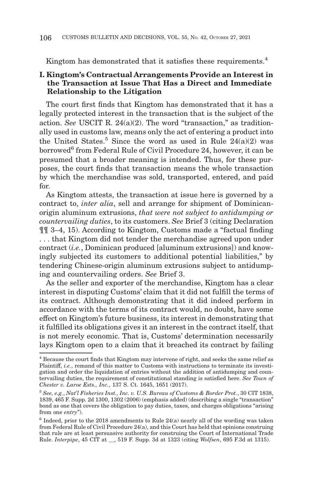Kingtom has demonstrated that it satisfies these requirements.<sup>4</sup>

## **I. Kingtom's Contractual Arrangements Provide an Interest in the Transaction at Issue That Has a Direct and Immediate Relationship to the Litigation**

The court first finds that Kingtom has demonstrated that it has a legally protected interest in the transaction that is the subject of the action. *See* USCIT R. 24(a)(2). The word "transaction," as traditionally used in customs law, means only the act of entering a product into the United States.<sup>5</sup> Since the word as used in Rule  $24(a)(2)$  was borrowed<sup>6</sup> from Federal Rule of Civil Procedure 24, however, it can be presumed that a broader meaning is intended. Thus, for these purposes, the court finds that transaction means the whole transaction by which the merchandise was sold, transported, entered, and paid for.

As Kingtom attests, the transaction at issue here is governed by a contract to, *inter alia*, sell and arrange for shipment of Dominicanorigin aluminum extrusions, *that were not subject to antidumping or countervailing duties*, to its customers. *See* Brief 3 (citing Declaration ¶¶ 3–4, 15). According to Kingtom, Customs made a "factual finding . . . that Kingtom did not tender the merchandise agreed upon under contract (*i.e.*, Dominican produced [aluminum extrusions]) and knowingly subjected its customers to additional potential liabilities," by tendering Chinese-origin aluminum extrusions subject to antidumping and countervailing orders. *See* Brief 3.

As the seller and exporter of the merchandise, Kingtom has a clear interest in disputing Customs' claim that it did not fulfill the terms of its contract. Although demonstrating that it did indeed perform in accordance with the terms of its contract would, no doubt, have some effect on Kingtom's future business, its interest in demonstrating that it fulfilled its obligations gives it an interest in the contract itself, that is not merely economic. That is, Customs' determination necessarily lays Kingtom open to a claim that it breached its contract by failing

<sup>4</sup> Because the court finds that Kingtom may intervene of right, and seeks the same relief as Plaintiff, *i.e.*, remand of this matter to Customs with instructions to terminate its investigation and order the liquidation of entries without the addition of antidumping and countervailing duties, the requirement of constitutional standing is satisfied here. *See Town of Chester v. Laroe Ests., Inc.*, 137 S. Ct. 1645, 1651 (2017).

<sup>5</sup>*See, e.g.*, *Nat'l Fisheries Inst., Inc. v. U.S. Bureau of Customs & Border Prot.*, 30 CIT 1838, 1839, 465 F. Supp. 2d 1300, 1302 (2006) (emphasis added) (describing a single "transaction" bond as one that covers the obligation to pay duties, taxes, and charges obligations "arising from one *entry*").

 $6$  Indeed, prior to the 2018 amendments to Rule 24(a) nearly all of the wording was taken from Federal Rule of Civil Procedure 24(a), and this Court has held that opinions construing that rule are at least persuasive authority for construing the Court of International Trade Rule. *Interpipe*, 45 CIT at \_\_, 519 F. Supp. 3d at 1323 (citing *Wolfsen*, 695 F.3d at 1315).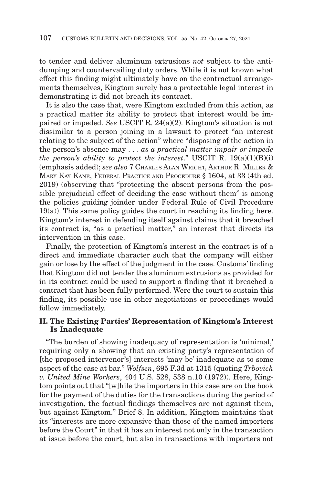to tender and deliver aluminum extrusions *not* subject to the antidumping and countervailing duty orders. While it is not known what effect this finding might ultimately have on the contractual arrangements themselves, Kingtom surely has a protectable legal interest in demonstrating it did not breach its contract.

It is also the case that, were Kingtom excluded from this action, as a practical matter its ability to protect that interest would be impaired or impeded. *See* USCIT R. 24(a)(2). Kingtom's situation is not dissimilar to a person joining in a lawsuit to protect "an interest relating to the subject of the action" where "disposing of the action in the person's absence may . . . *as a practical matter impair or impede the person's ability to protect the interest.*" USCIT R.  $19(a)(1)(B)(i)$ (emphasis added); *see also* 7 CHARLES ALAN WRIGHT, ARTHUR R. MILLER & MARY KAY KANE, FEDERAL PRACTICE AND PROCEDURE § 1604, at 33 (4th ed. 2019) (observing that "protecting the absent persons from the possible prejudicial effect of deciding the case without them" is among the policies guiding joinder under Federal Rule of Civil Procedure 19(a)). This same policy guides the court in reaching its finding here. Kingtom's interest in defending itself against claims that it breached its contract is, "as a practical matter," an interest that directs its intervention in this case.

Finally, the protection of Kingtom's interest in the contract is of a direct and immediate character such that the company will either gain or lose by the effect of the judgment in the case. Customs' finding that Kingtom did not tender the aluminum extrusions as provided for in its contract could be used to support a finding that it breached a contract that has been fully performed. Were the court to sustain this finding, its possible use in other negotiations or proceedings would follow immediately.

### **II. The Existing Parties' Representation of Kingtom's Interest Is Inadequate**

"The burden of showing inadequacy of representation is 'minimal,' requiring only a showing that an existing party's representation of [the proposed intervenor's] interests 'may be' inadequate as to some aspect of the case at bar." *Wolfsen*, 695 F.3d at 1315 (quoting *Trbovich v. United Mine Workers*, 404 U.S. 528, 538 n.10 (1972)). Here, Kingtom points out that "[w]hile the importers in this case are on the hook for the payment of the duties for the transactions during the period of investigation, the factual findings themselves are not against them, but against Kingtom." Brief 8. In addition, Kingtom maintains that its "interests are more expansive than those of the named importers before the Court" in that it has an interest not only in the transaction at issue before the court, but also in transactions with importers not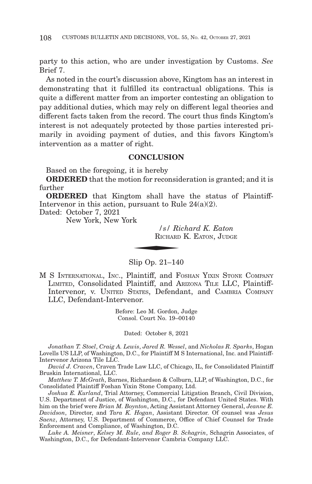party to this action, who are under investigation by Customs. *See* Brief 7.

As noted in the court's discussion above, Kingtom has an interest in demonstrating that it fulfilled its contractual obligations. This is quite a different matter from an importer contesting an obligation to pay additional duties, which may rely on different legal theories and different facts taken from the record. The court thus finds Kingtom's interest is not adequately protected by those parties interested primarily in avoiding payment of duties, and this favors Kingtom's intervention as a matter of right.

#### **CONCLUSION**

Based on the foregoing, it is hereby

**ORDERED** that the motion for reconsideration is granted; and it is further

**ORDERED** that Kingtom shall have the status of Plaintiff-Intervenor in this action, pursuant to Rule 24(a)(2).<br>
Dated: October 7, 2021<br>
New York, New York<br>
S/ Richard K. E<br>
RICHARD K. EATON,

Dated: October 7, 2021

New York, New York

*/s/ Richard K. Eaton* RICHARD K. EATON, JUDGE

Slip Op. 21–140

M S INTERNATIONAL, INC., Plaintiff, and FOSHAN YIXIN STONE COMPANY LIMITED, Consolidated Plaintiff, and ARIZONA TILE LLC, Plaintiff-Intervenor, v. UNITED STATES, Defendant, and CAMBRIA COMPANY LLC, Defendant-Intervenor.

> Before: Leo M. Gordon, Judge Consol. Court No. 19–00140

Dated: October 8, 2021

*Jonathan T. Stoel*, *Craig A. Lewis*, *Jared R. Wessel*, and *Nicholas R. Sparks*, Hogan Lovells US LLP, of Washington, D.C., for Plaintiff M S International, Inc. and Plaintiff-Intervenor Arizona Tile LLC.

*David J. Craven*, Craven Trade Law LLC, of Chicago, IL, for Consolidated Plaintiff Bruskin International, LLC.

*Matthew T. McGrath*, Barnes, Richardson & Colburn, LLP, of Washington, D.C., for Consolidated Plaintiff Foshan Yixin Stone Company, Ltd.

*Joshua E. Kurland*, Trial Attorney, Commercial Litigation Branch, Civil Division, U.S. Department of Justice, of Washington, D.C., for Defendant United States. With him on the brief were *Brian M. Boynton*, Acting Assistant Attorney General, *Jeanne E. Davidson*, Director, and *Tara K. Hogan*, Assistant Director. Of counsel was *Jesus Saenz*, Attorney, U.S. Department of Commerce, Office of Chief Counsel for Trade Enforcement and Compliance, of Washington, D.C.

*Luke A. Meisner*, *Kelsey M. Rule*, *and Roger B. Schagrin*, Schagrin Associates, of Washington, D.C., for Defendant-Intervenor Cambria Company LLC.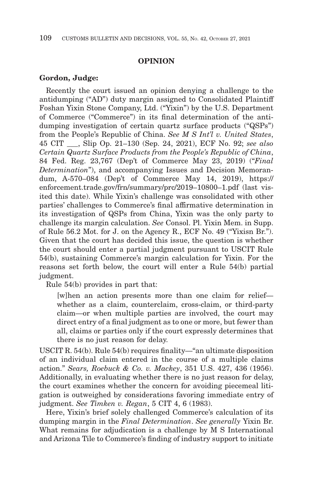### **OPINION**

#### **Gordon, Judge:**

Recently the court issued an opinion denying a challenge to the antidumping ("AD") duty margin assigned to Consolidated Plaintiff Foshan Yixin Stone Company, Ltd. ("Yixin") by the U.S. Department of Commerce ("Commerce") in its final determination of the antidumping investigation of certain quartz surface products ("QSPs") from the People's Republic of China. *See M S Int'l v. United States*, 45 CIT \_\_\_, Slip Op. 21–130 (Sep. 24, 2021), ECF No. 92; *see also Certain Quartz Surface Products from the People's Republic of China*, 84 Fed. Reg. 23,767 (Dep't of Commerce May 23, 2019) ("*Final Determination*"), and accompanying Issues and Decision Memorandum, A-570–084 (Dep't of Commerce May 14, 2019), https:// enforcement.trade.gov/frn/summary/prc/2019–10800–1.pdf (last visited this date). While Yixin's challenge was consolidated with other parties' challenges to Commerce's final affirmative determination in its investigation of QSPs from China, Yixin was the only party to challenge its margin calculation. *See* Consol. Pl. Yixin Mem. in Supp. of Rule 56.2 Mot. for J. on the Agency R., ECF No. 49 ("Yixisn Br."). Given that the court has decided this issue, the question is whether the court should enter a partial judgment pursuant to USCIT Rule 54(b), sustaining Commerce's margin calculation for Yixin. For the reasons set forth below, the court will enter a Rule 54(b) partial judgment.

Rule 54(b) provides in part that:

[w]hen an action presents more than one claim for relief whether as a claim, counterclaim, cross-claim, or third-party claim—or when multiple parties are involved, the court may direct entry of a final judgment as to one or more, but fewer than all, claims or parties only if the court expressly determines that there is no just reason for delay.

USCIT R. 54(b). Rule 54(b) requires finality—"an ultimate disposition of an individual claim entered in the course of a multiple claims action." *Sears, Roebuck & Co. v. Mackey*, 351 U.S. 427, 436 (1956). Additionally, in evaluating whether there is no just reason for delay, the court examines whether the concern for avoiding piecemeal litigation is outweighed by considerations favoring immediate entry of judgment. *See Timken v. Regan*, 5 CIT 4, 6 (1983).

Here, Yixin's brief solely challenged Commerce's calculation of its dumping margin in the *Final Determination*. *See generally* Yixin Br. What remains for adjudication is a challenge by M S International and Arizona Tile to Commerce's finding of industry support to initiate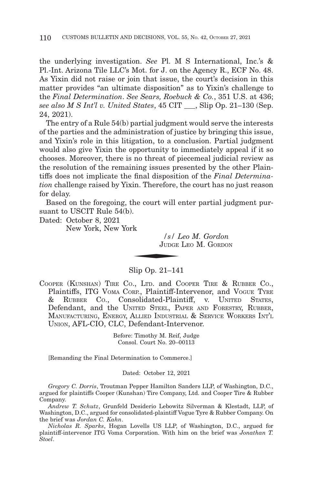the underlying investigation. *See* Pl. M S International, Inc.'s & Pl.-Int. Arizona Tile LLC's Mot. for J. on the Agency R., ECF No. 48. As Yixin did not raise or join that issue, the court's decision in this matter provides "an ultimate disposition" as to Yixin's challenge to the *Final Determination*. *See Sears, Roebuck & Co.*, 351 U.S. at 436; *see also M S Int'l v. United States*, 45 CIT \_\_\_, Slip Op. 21–130 (Sep. 24, 2021).

The entry of a Rule 54(b) partial judgment would serve the interests of the parties and the administration of justice by bringing this issue, and Yixin's role in this litigation, to a conclusion. Partial judgment would also give Yixin the opportunity to immediately appeal if it so chooses. Moreover, there is no threat of piecemeal judicial review as the resolution of the remaining issues presented by the other Plaintiffs does not implicate the final disposition of the *Final Determination* challenge raised by Yixin. Therefore, the court has no just reason for delay.

Based on the foregoing, the court will enter partial judgment pursuant to USCIT Rule 54(b).  $\frac{1}{s}$ <br> $\frac{1}{s}$ <br> $\frac{1}{s}$ <br> $\frac{1}{s}$ <br> $\frac{1}{s}$ <br> $\frac{1}{s}$ 

Dated: October 8, 2021

New York, New York

*/s/ Leo M. Gordon* JUDGE LEO M. GORDON

## Slip Op. 21–141

COOPER (KUNSHAN) TIRE CO., LTD. and COOPER TIRE & RUBBER CO., Plaintiffs, ITG VOMA CORP., Plaintiff-Intervenor, and VOGUE TYRE & RUBBER CO., Consolidated-Plaintiff, v. UNITED STATES, Defendant, and the UNITED STEEL, PAPER AND FORESTRY, RUBBER, MANUFACTURING, ENERGY, ALLIED INDUSTRIAL & SERVICE WORKERS INT'L UNION, AFL-CIO, CLC, Defendant-Intervenor.

> Before: Timothy M. Reif, Judge Consol. Court No. 20–00113

[Remanding the Final Determination to Commerce.]

Dated: October 12, 2021

*Gregory C. Dorris*, Troutman Pepper Hamilton Sanders LLP, of Washington, D.C., argued for plaintiffs Cooper (Kunshan) Tire Company, Ltd. and Cooper Tire & Rubber Company.

*Andrew T. Schutz*, Grunfeld Desiderio Lebowitz Silverman & Klestadt, LLP, of Washington, D.C., argued for consolidated-plaintiff Vogue Tyre & Rubber Company. On the brief was *Jordan C. Kahn*.

*Nicholas R. Sparks*, Hogan Lovells US LLP, of Washington, D.C., argued for plaintiff-intervenor ITG Voma Corporation. With him on the brief was *Jonathan T. Stoel*.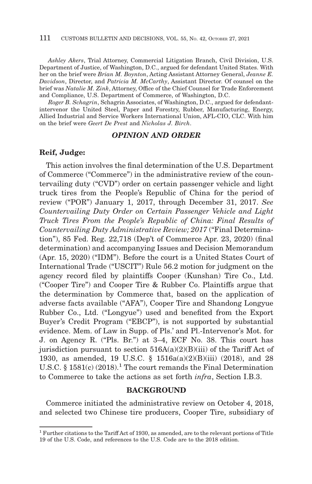*Ashley Akers*, Trial Attorney, Commercial Litigation Branch, Civil Division, U.S. Department of Justice, of Washington, D.C., argued for defendant United States. With her on the brief were *Brian M. Boynton*, Acting Assistant Attorney General, *Jeanne E. Davidson*, Director, and *Patricia M. McCarthy*, Assistant Director. Of counsel on the brief was *Natalie M. Zink*, Attorney, Office of the Chief Counsel for Trade Enforcement and Compliance, U.S. Department of Commerce, of Washington, D.C.

*Roger B. Schagrin*, Schagrin Associates, of Washington, D.C., argued for defendantintervenor the United Steel, Paper and Forestry, Rubber, Manufacturing, Energy, Allied Industrial and Service Workers International Union, AFL-CIO, CLC. With him on the brief were *Geert De Prest* and *Nicholas J. Birch*.

# *OPINION AND ORDER*

## **Reif, Judge:**

This action involves the final determination of the U.S. Department of Commerce ("Commerce") in the administrative review of the countervailing duty ("CVD") order on certain passenger vehicle and light truck tires from the People's Republic of China for the period of review ("POR") January 1, 2017, through December 31, 2017. *See Countervailing Duty Order on Certain Passenger Vehicle and Light Truck Tires From the People's Republic of China: Final Results of Countervailing Duty Administrative Review; 2017* ("Final Determination"), 85 Fed. Reg. 22,718 (Dep't of Commerce Apr. 23, 2020) (final determination) and accompanying Issues and Decision Memorandum (Apr. 15, 2020) ("IDM"). Before the court is a United States Court of International Trade ("USCIT") Rule 56.2 motion for judgment on the agency record filed by plaintiffs Cooper (Kunshan) Tire Co., Ltd. ("Cooper Tire") and Cooper Tire & Rubber Co. Plaintiffs argue that the determination by Commerce that, based on the application of adverse facts available ("AFA"), Cooper Tire and Shandong Longyue Rubber Co., Ltd. ("Longyue") used and benefited from the Export Buyer's Credit Program ("EBCP"), is not supported by substantial evidence. Mem. of Law in Supp. of Pls.' and Pl.-Intervenor's Mot. for J. on Agency R. ("Pls. Br.") at 3–4, ECF No. 38. This court has jurisdiction pursuant to section 516A(a)(2)(B)(iii) of the Tariff Act of 1930, as amended, 19 U.S.C. § 1516a(a)(2)(B)(iii) (2018), and 28 U.S.C. §  $1581(c)$  (2018).<sup>1</sup> The court remands the Final Determination to Commerce to take the actions as set forth *infra*, Section I.B.3.

#### **BACKGROUND**

Commerce initiated the administrative review on October 4, 2018, and selected two Chinese tire producers, Cooper Tire, subsidiary of

<sup>1</sup> Further citations to the Tariff Act of 1930, as amended, are to the relevant portions of Title 19 of the U.S. Code, and references to the U.S. Code are to the 2018 edition.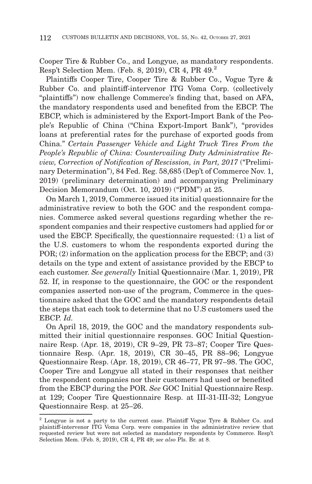Cooper Tire & Rubber Co., and Longyue, as mandatory respondents. Resp't Selection Mem. (Feb. 8, 2019), CR 4, PR 49.2

Plaintiffs Cooper Tire, Cooper Tire & Rubber Co., Vogue Tyre & Rubber Co. and plaintiff-intervenor ITG Voma Corp. (collectively "plaintiffs") now challenge Commerce's finding that, based on AFA, the mandatory respondents used and benefited from the EBCP. The EBCP, which is administered by the Export-Import Bank of the People's Republic of China ("China Export-Import Bank"), "provides loans at preferential rates for the purchase of exported goods from China." *Certain Passenger Vehicle and Light Truck Tires From the People's Republic of China: Countervailing Duty Administrative Review, Correction of Notification of Rescission, in Part, 2017* ("Preliminary Determination"), 84 Fed. Reg. 58,685 (Dep't of Commerce Nov. 1, 2019) (preliminary determination) and accompanying Preliminary Decision Memorandum (Oct. 10, 2019) ("PDM") at 25.

On March 1, 2019, Commerce issued its initial questionnaire for the administrative review to both the GOC and the respondent companies. Commerce asked several questions regarding whether the respondent companies and their respective customers had applied for or used the EBCP. Specifically, the questionnaire requested: (1) a list of the U.S. customers to whom the respondents exported during the POR; (2) information on the application process for the EBCP; and (3) details on the type and extent of assistance provided by the EBCP to each customer. *See generally* Initial Questionnaire (Mar. 1, 2019), PR 52. If, in response to the questionnaire, the GOC or the respondent companies asserted non-use of the program, Commerce in the questionnaire asked that the GOC and the mandatory respondents detail the steps that each took to determine that no U.S customers used the EBCP. *Id.*

On April 18, 2019, the GOC and the mandatory respondents submitted their initial questionnaire responses. GOC Initial Questionnaire Resp. (Apr. 18, 2019), CR 9–29, PR 73–87; Cooper Tire Questionnaire Resp. (Apr. 18, 2019), CR 30–45, PR 88–96; Longyue Questionnaire Resp. (Apr. 18, 2019), CR 46–77, PR 97–98. The GOC, Cooper Tire and Longyue all stated in their responses that neither the respondent companies nor their customers had used or benefited from the EBCP during the POR. *See* GOC Initial Questionnaire Resp. at 129; Cooper Tire Questionnaire Resp. at III-31-III-32; Longyue Questionnaire Resp. at 25–26.

<sup>2</sup> Longyue is not a party to the current case. Plaintiff Vogue Tyre & Rubber Co. and plaintiff-intervenor ITG Voma Corp. were companies in the administrative review that requested review but were not selected as mandatory respondents by Commerce. Resp't Selection Mem. (Feb. 8, 2019), CR 4, PR 49; *see also* Pls. Br. at 8.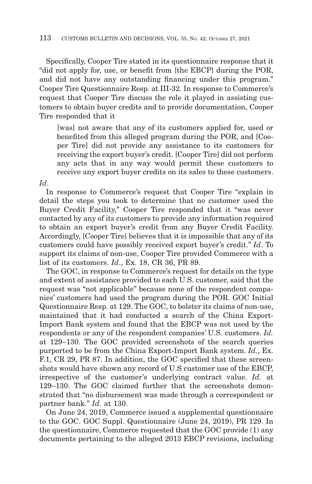Specifically, Cooper Tire stated in its questionnaire response that it "did not apply for, use, or benefit from [the EBCP] during the POR, and did not have any outstanding financing under this program." Cooper Tire Questionnaire Resp. at III-32. In response to Commerce's request that Cooper Tire discuss the role it played in assisting customers to obtain buyer credits and to provide documentation, Cooper Tire responded that it

[was] not aware that any of its customers applied for, used or benefited from this alleged program during the POR, and [Cooper Tire] did not provide any assistance to its customers for receiving the export buyer's credit. [Cooper Tire] did not perform any acts that in any way would permit these customers to receive any export buyer credits on its sales to these customers.

*Id*.

In response to Commerce's request that Cooper Tire "explain in detail the steps you took to determine that no customer used the Buyer Credit Facility," Cooper Tire responded that it "was never contacted by any of its customers to provide any information required to obtain an export buyer's credit from any Buyer Credit Facility. Accordingly, [Cooper Tire] believes that it is impossible that any of its customers could have possibly received export buyer's credit." *Id*. To support its claims of non-use, Cooper Tire provided Commerce with a list of its customers. *Id*., Ex. 18, CR 36, PR 89.

The GOC, in response to Commerce's request for details on the type and extent of assistance provided to each U.S. customer, said that the request was "not applicable" because none of the respondent companies' customers had used the program during the POR. GOC Initial Questionnaire Resp. at 129. The GOC, to bolster its claims of non-use, maintained that it had conducted a search of the China Export-Import Bank system and found that the EBCP was not used by the respondents or any of the respondent companies' U.S. customers. *Id.* at 129–130. The GOC provided screenshots of the search queries purported to be from the China Export-Import Bank system. *Id.*, Ex. F.1, CR 29, PR 87. In addition, the GOC specified that these screenshots would have shown any record of U.S customer use of the EBCP, irrespective of the customer's underlying contract value. *Id.* at 129–130. The GOC claimed further that the screenshots demonstrated that "no disbursement was made through a correspondent or partner bank." *Id.* at 130.

On June 24, 2019, Commerce issued a supplemental questionnaire to the GOC. GOC Suppl. Questionnaire (June 24, 2019), PR 129. In the questionnaire, Commerce requested that the GOC provide (1) any documents pertaining to the alleged 2013 EBCP revisions, including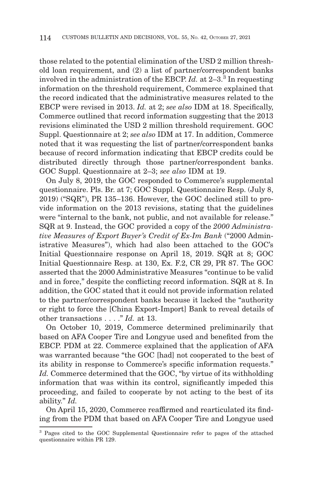those related to the potential elimination of the USD 2 million threshold loan requirement, and (2) a list of partner/correspondent banks involved in the administration of the EBCP. *Id.* at 2–3.3 In requesting information on the threshold requirement, Commerce explained that the record indicated that the administrative measures related to the EBCP were revised in 2013. *Id.* at 2; *see also* IDM at 18. Specifically, Commerce outlined that record information suggesting that the 2013 revisions eliminated the USD 2 million threshold requirement. GOC Suppl. Questionnaire at 2; *see also* IDM at 17. In addition, Commerce noted that it was requesting the list of partner/correspondent banks because of record information indicating that EBCP credits could be distributed directly through those partner/correspondent banks. GOC Suppl. Questionnaire at 2–3; *see also* IDM at 19.

On July 8, 2019, the GOC responded to Commerce's supplemental questionnaire. Pls. Br. at 7; GOC Suppl. Questionnaire Resp. (July 8, 2019) ("SQR"), PR 135–136. However, the GOC declined still to provide information on the 2013 revisions, stating that the guidelines were "internal to the bank, not public, and not available for release." SQR at 9. Instead, the GOC provided a copy of the *2000 Administrative Measures of Export Buyer's Credit of Ex-Im Bank* ("2000 Administrative Measures"), which had also been attached to the GOC's Initial Questionnaire response on April 18, 2019. SQR at 8; GOC Initial Questionnaire Resp. at 130, Ex. F.2, CR 29, PR 87. The GOC asserted that the 2000 Administrative Measures "continue to be valid and in force," despite the conflicting record information. SQR at 8. In addition, the GOC stated that it could not provide information related to the partner/correspondent banks because it lacked the "authority or right to force the [China Export-Import] Bank to reveal details of other transactions . . . ." *Id.* at 13.

On October 10, 2019, Commerce determined preliminarily that based on AFA Cooper Tire and Longyue used and benefited from the EBCP. PDM at 22. Commerce explained that the application of AFA was warranted because "the GOC [had] not cooperated to the best of its ability in response to Commerce's specific information requests." *Id.* Commerce determined that the GOC, "by virtue of its withholding information that was within its control, significantly impeded this proceeding, and failed to cooperate by not acting to the best of its ability." *Id.*

On April 15, 2020, Commerce reaffirmed and rearticulated its finding from the PDM that based on AFA Cooper Tire and Longyue used

<sup>3</sup> Pages cited to the GOC Supplemental Questionnaire refer to pages of the attached questionnaire within PR 129.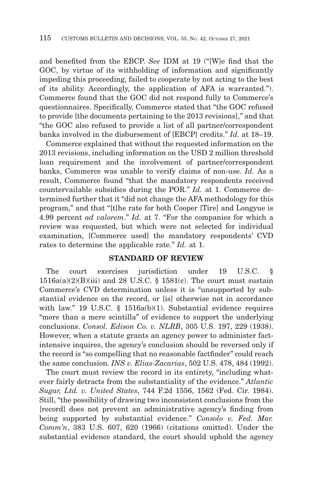and benefited from the EBCP. *See* IDM at 19 ("[W]e find that the GOC, by virtue of its withholding of information and significantly impeding this proceeding, failed to cooperate by not acting to the best of its ability. Accordingly, the application of AFA is warranted."). Commerce found that the GOC did not respond fully to Commerce's questionnaires. Specifically, Commerce stated that "the GOC refused to provide [the documents pertaining to the 2013 revisions]," and that "the GOC also refused to provide a list of all partner/correspondent banks involved in the disbursement of [EBCP] credits." *Id.* at 18–19.

Commerce explained that without the requested information on the 2013 revisions, including information on the USD 2 million threshold loan requirement and the involvement of partner/correspondent banks, Commerce was unable to verify claims of non-use. *Id.* As a result, Commerce found "that the mandatory respondents received countervailable subsidies during the POR." *Id.* at 1. Commerce determined further that it "did not change the AFA methodology for this program," and that "[t]he rate for both Cooper [Tire] and Longyue is 4.99 percent *ad valorem*." *Id.* at 7. "For the companies for which a review was requested, but which were not selected for individual examination, [Commerce used] the mandatory respondents' CVD rates to determine the applicable rate." *Id.* at 1.

### **STANDARD OF REVIEW**

The court exercises jurisdiction under 19 U.S.C. §  $1516a(a)(2)(B)(iii)$  and 28 U.S.C. § 1581(c). The court must sustain Commerce's CVD determination unless it is "unsupported by substantial evidence on the record, or [is] otherwise not in accordance with law." 19 U.S.C. § 1516a(b)(1). Substantial evidence requires "more than a mere scintilla" of evidence to support the underlying conclusions. *Consol. Edison Co. v. NLRB*, 305 U.S. 197, 229 (1938). However, when a statute grants an agency power to administer factintensive inquires, the agency's conclusion should be reversed only if the record is "so compelling that no reasonable factfinder" could reach the same conclusion. *INS v. Elias-Zacarias*, 502 U.S. 478, 484 (1992).

The court must review the record in its entirety, "including whatever fairly detracts from the substantiality of the evidence." *Atlantic Sugar, Ltd. v. United States*, 744 F.2d 1556, 1562 (Fed. Cir. 1984). Still, "the possibility of drawing two inconsistent conclusions from the [record] does not prevent an administrative agency's finding from being supported by substantial evidence." *Consolo v. Fed. Mar. Comm'n*, 383 U.S. 607, 620 (1966) (citations omitted). Under the substantial evidence standard, the court should uphold the agency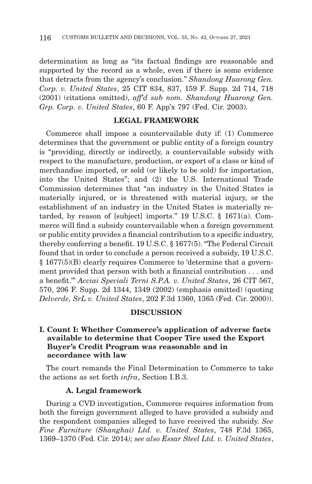determination as long as "its factual findings are reasonable and supported by the record as a whole, even if there is some evidence that detracts from the agency's conclusion." *Shandong Huarong Gen. Corp. v. United States*, 25 CIT 834, 837, 159 F. Supp. 2d 714, 718 (2001) (citations omitted), *aff'd sub nom. Shandong Huarong Gen. Grp. Corp. v. United States*, 60 F. App'x 797 (Fed. Cir. 2003).

# **LEGAL FRAMEWORK**

Commerce shall impose a countervailable duty if: (1) Commerce determines that the government or public entity of a foreign country is "providing, directly or indirectly, a countervailable subsidy with respect to the manufacture, production, or export of a class or kind of merchandise imported, or sold (or likely to be sold) for importation, into the United States"; and (2) the U.S. International Trade Commission determines that "an industry in the United States is materially injured, or is threatened with material injury, or the establishment of an industry in the United States is materially retarded, by reason of [subject] imports." 19 U.S.C. § 1671(a). Commerce will find a subsidy countervailable when a foreign government or public entity provides a financial contribution to a specific industry, thereby conferring a benefit. 19 U.S.C. § 1677(5). "The Federal Circuit found that in order to conclude a person received a subsidy, 19 U.S.C. § 1677(5)(B) clearly requires Commerce to 'determine that a government provided that person with both a financial contribution . . . and a benefit.'" *Acciai Speciali Terni S.P.A. v. United States*, 26 CIT 567, 570, 206 F. Supp. 2d 1344, 1349 (2002) (emphasis omitted) (quoting *Delverde, SrL v. United States*, 202 F.3d 1360, 1365 (Fed. Cir. 2000)).

### **DISCUSSION**

# **I. Count I: Whether Commerce's application of adverse facts available to determine that Cooper Tire used the Export Buyer's Credit Program was reasonable and in accordance with law**

The court remands the Final Determination to Commerce to take the actions as set forth *infra*, Section I.B.3.

# **A. Legal framework**

During a CVD investigation, Commerce requires information from both the foreign government alleged to have provided a subsidy and the respondent companies alleged to have received the subsidy. *See Fine Furniture (Shanghai) Ltd. v. United States*, 748 F.3d 1365, 1369–1370 (Fed. Cir. 2014*); see also Essar Steel Ltd. v. United States*,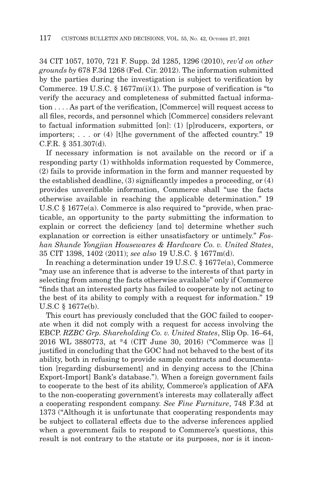34 CIT 1057, 1070, 721 F. Supp. 2d 1285, 1296 (2010), *rev'd on other grounds by* 678 F.3d 1268 (Fed. Cir. 2012). The information submitted by the parties during the investigation is subject to verification by Commerce. 19 U.S.C. § 1677m(i)(1). The purpose of verification is "to verify the accuracy and completeness of submitted factual information . . . . As part of the verification, [Commerce] will request access to all files, records, and personnel which [Commerce] considers relevant to factual information submitted [on]: (1) [p]roducers, exporters, or importers; . . . or (4) [t]he government of the affected country." 19 C.F.R. § 351.307(d).

If necessary information is not available on the record or if a responding party (1) withholds information requested by Commerce, (2) fails to provide information in the form and manner requested by the established deadline, (3) significantly impedes a proceeding, or (4) provides unverifiable information, Commerce shall "use the facts otherwise available in reaching the applicable determination." 19 U.S.C § 1677e(a). Commerce is also required to "provide, when practicable, an opportunity to the party submitting the information to explain or correct the deficiency [and to] determine whether such explanation or correction is either unsatisfactory or untimely." *Foshan Shunde Yongjian Housewares & Hardware Co. v. United States*, 35 CIT 1398, 1402 (2011); *see also* 19 U.S.C. § 1677m(d).

In reaching a determination under 19 U.S.C. § 1677e(a), Commerce "may use an inference that is adverse to the interests of that party in selecting from among the facts otherwise available" only if Commerce "finds that an interested party has failed to cooperate by not acting to the best of its ability to comply with a request for information." 19 U.S.C § 1677e(b).

This court has previously concluded that the GOC failed to cooperate when it did not comply with a request for access involving the EBCP. *RZBC Grp. Shareholding Co. v. United States*, Slip Op. 16–64, 2016 WL 3880773, at \*4 (CIT June 30, 2016) ("Commerce was [] justified in concluding that the GOC had not behaved to the best of its ability, both in refusing to provide sample contracts and documentation [regarding disbursement] and in denying access to the [China Export-Import] Bank's database."). When a foreign government fails to cooperate to the best of its ability, Commerce's application of AFA to the non-cooperating government's interests may collaterally affect a cooperating respondent company. *See Fine Furniture*, 748 F.3d at 1373 ("Although it is unfortunate that cooperating respondents may be subject to collateral effects due to the adverse inferences applied when a government fails to respond to Commerce's questions, this result is not contrary to the statute or its purposes, nor is it incon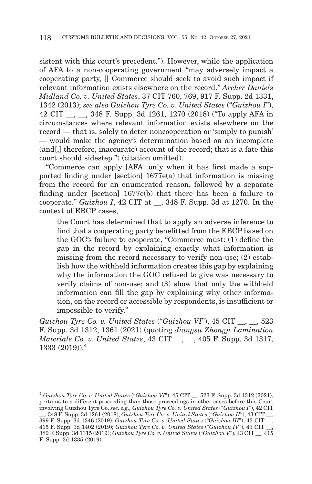sistent with this court's precedent."). However, while the application of AFA to a non-cooperating government "may adversely impact a cooperating party, [] Commerce should seek to avoid such impact if relevant information exists elsewhere on the record." *Archer Daniels Midland Co. v. United States*, 37 CIT 760, 769, 917 F. Supp. 2d 1331, 1342 (2013); *see also Guizhou Tyre Co. v. United States* ("*Guizhou I*"), 42 CIT \_\_, \_\_, 348 F. Supp. 3d 1261, 1270 (2018) ("To apply AFA in circumstances where relevant information exists elsewhere on the record — that is, solely to deter noncooperation or 'simply to punish' — would make the agency's determination based on an incomplete (and[,] therefore, inaccurate) account of the record; that is a fate this court should sidestep.") (citation omitted).

"Commerce can apply [AFA] only when it has first made a supported finding under [section] 1677e(a) that information is missing from the record for an enumerated reason, followed by a separate finding under [section] 1677e(b) that there has been a failure to cooperate." *Guizhou I*, 42 CIT at \_\_, 348 F. Supp. 3d at 1270. In the context of EBCP cases,

the Court has determined that to apply an adverse inference to find that a cooperating party benefitted from the EBCP based on the GOC's failure to cooperate, "Commerce must: (1) define the gap in the record by explaining exactly what information is missing from the record necessary to verify non-use; (2) establish how the withheld information creates this gap by explaining why the information the GOC refused to give was necessary to verify claims of non-use; and (3) show that only the withheld information can fill the gap by explaining why other information, on the record or accessible by respondents, is insufficient or impossible to verify."

*Guizhou Tyre Co. v. United States* ("*Guizhou VI*"), 45 CIT , 523 F. Supp. 3d 1312, 1361 (2021) (quoting *Jiangsu Zhongji Lamination Materials Co. v. United States*, 43 CIT \_\_, \_\_, 405 F. Supp. 3d 1317, 1333 (2019)).4

<sup>4</sup>*Guizhou Tyre Co. v. United States* ("*Guizhou VI*"), 45 CIT \_\_, 523 F. Supp. 3d 1312 (2021), pertains to a different proceeding than those proceedings in other cases before this Court involving Guizhou Tyre Co, *see, e.g., Guizhou Tyre Co. v. United States* ("*Guizhou I*"), 42 CIT \_\_, 348 F. Supp. 3d 1261 (2018); *Guizhou Tyre Co. v. United States* ("*Guizhou II*"), 43 CIT \_\_,

<sup>399</sup> F. Supp. 3d 1346 (2019); *Guizhou Tyre Co. v. United States* ("*Guizhou III*"), 43 CIT \_\_, 415 F. Supp. 3d 1402 (2019); *Guizhou Tyre Co. v. United States* ("*Guizhou IV*"), 43 CIT \_\_, 389 F. Supp. 3d 1315 (2019); *Guizhou Tyre Co. v. United States* ("*Guizhou V*"), 43 CIT \_\_, 415 F. Supp. 3d 1335 (2019).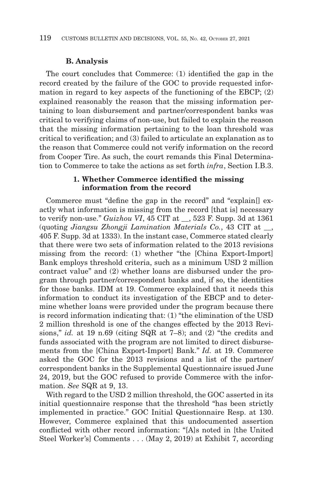## **B. Analysis**

The court concludes that Commerce: (1) identified the gap in the record created by the failure of the GOC to provide requested information in regard to key aspects of the functioning of the EBCP; (2) explained reasonably the reason that the missing information pertaining to loan disbursement and partner/correspondent banks was critical to verifying claims of non-use, but failed to explain the reason that the missing information pertaining to the loan threshold was critical to verification; and (3) failed to articulate an explanation as to the reason that Commerce could not verify information on the record from Cooper Tire. As such, the court remands this Final Determination to Commerce to take the actions as set forth *infra*, Section I.B.3.

### **1. Whether Commerce identified the missing information from the record**

Commerce must "define the gap in the record" and "explain[] exactly what information is missing from the record [that is] necessary to verify non-use." *Guizhou VI*, 45 CIT at \_\_, 523 F. Supp. 3d at 1361 (quoting *Jiangsu Zhongji Lamination Materials Co.*, 43 CIT at \_\_, 405 F. Supp. 3d at 1333). In the instant case, Commerce stated clearly that there were two sets of information related to the 2013 revisions missing from the record: (1) whether "the [China Export-Import] Bank employs threshold criteria, such as a minimum USD 2 million contract value" and (2) whether loans are disbursed under the program through partner/correspondent banks and, if so, the identities for those banks. IDM at 19. Commerce explained that it needs this information to conduct its investigation of the EBCP and to determine whether loans were provided under the program because there is record information indicating that: (1) "the elimination of the USD 2 million threshold is one of the changes effected by the 2013 Revisions," *id.* at 19 n.69 (citing SQR at 7–8); and (2) "the credits and funds associated with the program are not limited to direct disbursements from the [China Export-Import] Bank." *Id.* at 19. Commerce asked the GOC for the 2013 revisions and a list of the partner/ correspondent banks in the Supplemental Questionnaire issued June 24, 2019, but the GOC refused to provide Commerce with the information. *See* SQR at 9, 13.

With regard to the USD 2 million threshold, the GOC asserted in its initial questionnaire response that the threshold "has been strictly implemented in practice." GOC Initial Questionnaire Resp. at 130. However, Commerce explained that this undocumented assertion conflicted with other record information: "[A]s noted in [the United Steel Worker's] Comments . . . (May 2, 2019) at Exhibit 7, according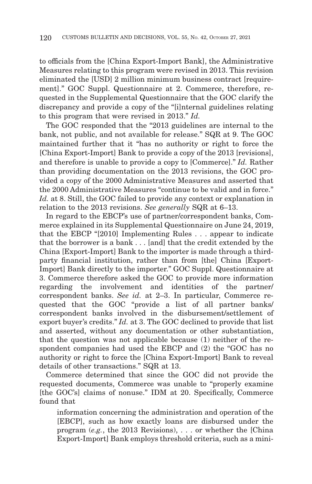to officials from the [China Export-Import Bank], the Administrative Measures relating to this program were revised in 2013. This revision eliminated the [USD] 2 million minimum business contract [requirement]." GOC Suppl. Questionnaire at 2. Commerce, therefore, requested in the Supplemental Questionnaire that the GOC clarify the discrepancy and provide a copy of the "[i]nternal guidelines relating to this program that were revised in 2013." *Id.*

The GOC responded that the "2013 guidelines are internal to the bank, not public, and not available for release." SQR at 9. The GOC maintained further that it "has no authority or right to force the [China Export-Import] Bank to provide a copy of the 2013 [revisions], and therefore is unable to provide a copy to [Commerce]." *Id.* Rather than providing documentation on the 2013 revisions, the GOC provided a copy of the 2000 Administrative Measures and asserted that the 2000 Administrative Measures "continue to be valid and in force." *Id.* at 8. Still, the GOC failed to provide any context or explanation in relation to the 2013 revisions. *See generally* SQR at 6–13.

In regard to the EBCP's use of partner/correspondent banks, Commerce explained in its Supplemental Questionnaire on June 24, 2019, that the EBCP "[2010] Implementing Rules . . . appear to indicate that the borrower is a bank . . . [and] that the credit extended by the China [Export-Import] Bank to the importer is made through a thirdparty financial institution, rather than from [the] China [Export-Import] Bank directly to the importer." GOC Suppl. Questionnaire at 3. Commerce therefore asked the GOC to provide more information regarding the involvement and identities of the partner/ correspondent banks. *See id.* at 2–3. In particular, Commerce requested that the GOC "provide a list of all partner banks/ correspondent banks involved in the disbursement/settlement of export buyer's credits." *Id.* at 3. The GOC declined to provide that list and asserted, without any documentation or other substantiation, that the question was not applicable because (1) neither of the respondent companies had used the EBCP and (2) the "GOC has no authority or right to force the [China Export-Import] Bank to reveal details of other transactions." SQR at 13.

Commerce determined that since the GOC did not provide the requested documents, Commerce was unable to "properly examine [the GOC's] claims of nonuse." IDM at 20. Specifically, Commerce found that

information concerning the administration and operation of the [EBCP], such as how exactly loans are disbursed under the program (*e.g.*, the 2013 Revisions), . . . or whether the [China Export-Import] Bank employs threshold criteria, such as a mini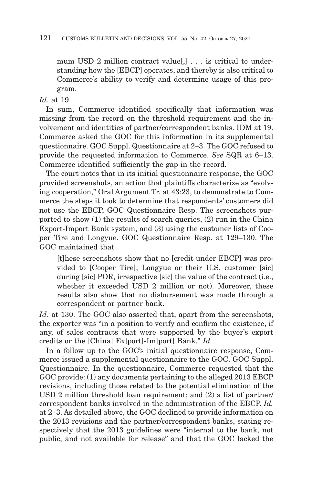mum USD 2 million contract value<sup>[1]</sup> . . . is critical to understanding how the [EBCP] operates, and thereby is also critical to Commerce's ability to verify and determine usage of this program.

*Id*. at 19.

In sum, Commerce identified specifically that information was missing from the record on the threshold requirement and the involvement and identities of partner/correspondent banks. IDM at 19. Commerce asked the GOC for this information in its supplemental questionnaire. GOC Suppl. Questionnaire at 2–3. The GOC refused to provide the requested information to Commerce. *See* SQR at 6–13. Commerce identified sufficiently the gap in the record.

The court notes that in its initial questionnaire response, the GOC provided screenshots, an action that plaintiffs characterize as "evolving cooperation," Oral Argument Tr. at 43:23, to demonstrate to Commerce the steps it took to determine that respondents' customers did not use the EBCP, GOC Questionnaire Resp. The screenshots purported to show (1) the results of search queries, (2) run in the China Export-Import Bank system, and (3) using the customer lists of Cooper Tire and Longyue. GOC Questionnaire Resp. at 129–130. The GOC maintained that

[t]hese screenshots show that no [credit under EBCP] was provided to [Cooper Tire], Longyue or their U.S. customer [sic] during [sic] POR, irrespective [sic] the value of the contract (i.e., whether it exceeded USD 2 million or not). Moreover, these results also show that no disbursement was made through a correspondent or partner bank.

*Id.* at 130. The GOC also asserted that, apart from the screenshots, the exporter was "in a position to verify and confirm the existence, if any, of sales contracts that were supported by the buyer's export credits or the [China] Ex[port]-Im[port] Bank." *Id.*

In a follow up to the GOC's initial questionnaire response, Commerce issued a supplemental questionnaire to the GOC. GOC Suppl. Questionnaire. In the questionnaire, Commerce requested that the GOC provide: (1) any documents pertaining to the alleged 2013 EBCP revisions, including those related to the potential elimination of the USD 2 million threshold loan requirement; and (2) a list of partner/ correspondent banks involved in the administration of the EBCP. *Id.* at 2–3. As detailed above, the GOC declined to provide information on the 2013 revisions and the partner/correspondent banks, stating respectively that the 2013 guidelines were "internal to the bank, not public, and not available for release" and that the GOC lacked the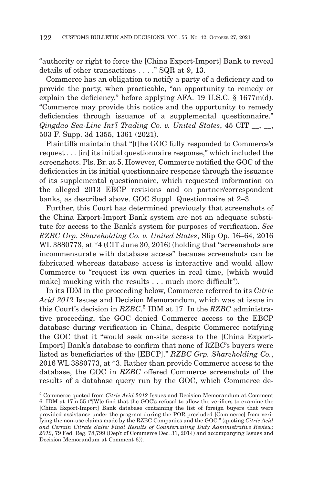"authority or right to force the [China Export-Import] Bank to reveal details of other transactions . . . ." SQR at 9, 13.

Commerce has an obligation to notify a party of a deficiency and to provide the party, when practicable, "an opportunity to remedy or explain the deficiency," before applying AFA. 19 U.S.C. § 1677m(d). "Commerce may provide this notice and the opportunity to remedy deficiencies through issuance of a supplemental questionnaire." *Qingdao Sea-Line Int'l Trading Co. v. United States*, 45 CIT \_\_, \_\_, 503 F. Supp. 3d 1355, 1361 (2021).

Plaintiffs maintain that "[t]he GOC fully responded to Commerce's request . . . [in] its initial questionnaire response," which included the screenshots. Pls. Br. at 5. However, Commerce notified the GOC of the deficiencies in its initial questionnaire response through the issuance of its supplemental questionnaire, which requested information on the alleged 2013 EBCP revisions and on partner/correspondent banks, as described above. GOC Suppl. Questionnaire at 2–3.

Further, this Court has determined previously that screenshots of the China Export-Import Bank system are not an adequate substitute for access to the Bank's system for purposes of verification. *See RZBC Grp. Shareholding Co. v. United States*, Slip Op. 16–64, 2016 WL 3880773, at \*4 (CIT June 30, 2016) (holding that "screenshots are incommensurate with database access" because screenshots can be fabricated whereas database access is interactive and would allow Commerce to "request its own queries in real time, [which would make] mucking with the results . . . much more difficult".

In its IDM in the proceeding below, Commerce referred to its *Citric Acid 2012* Issues and Decision Memorandum, which was at issue in this Court's decision in *RZBC*. 5 IDM at 17. In the *RZBC* administrative proceeding, the GOC denied Commerce access to the EBCP database during verification in China, despite Commerce notifying the GOC that it "would seek on-site access to the [China Export-Import] Bank's database to confirm that none of RZBC's buyers were listed as beneficiaries of the [EBCP]." *RZBC Grp. Shareholding Co.*, 2016 WL 3880773, at \*3. Rather than provide Commerce access to the database, the GOC in *RZBC* offered Commerce screenshots of the results of a database query run by the GOC, which Commerce de-

<sup>5</sup> Commerce quoted from *Citric Acid 2012* Issues and Decision Memorandum at Comment 6. IDM at 17 n.55 ("[W]e find that the GOC's refusal to allow the verifiers to examine the [China Export-Import] Bank database containing the list of foreign buyers that were provided assistance under the program during the POR precluded [Commerce] from verifying the non-use claims made by the RZBC Companies and the GOC." (quoting *Citric Acid and Certain Citrate Salts: Final Results of Countervailing Duty Administrative Review; 2012*, 79 Fed. Reg. 78,799 (Dep't of Commerce Dec. 31, 2014) and accompanying Issues and Decision Memorandum at Comment 6)).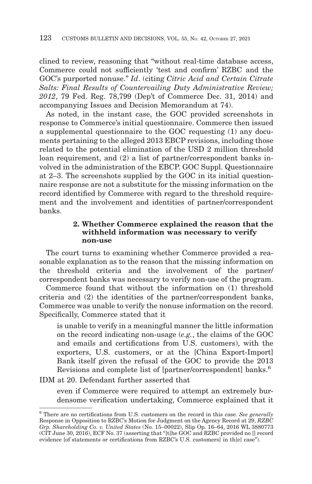clined to review, reasoning that "without real-time database access, Commerce could not sufficiently 'test and confirm' RZBC and the GOC's purported nonuse." *Id*. (citing *Citric Acid and Certain Citrate Salts: Final Results of Countervailing Duty Administrative Review; 2012*, 79 Fed. Reg. 78,799 (Dep't of Commerce Dec. 31, 2014) and accompanying Issues and Decision Memorandum at 74).

As noted, in the instant case, the GOC provided screenshots in response to Commerce's initial questionnaire. Commerce then issued a supplemental questionnaire to the GOC requesting (1) any documents pertaining to the alleged 2013 EBCP revisions, including those related to the potential elimination of the USD 2 million threshold loan requirement, and (2) a list of partner/correspondent banks involved in the administration of the EBCP. GOC Suppl. Questionnaire at 2–3. The screenshots supplied by the GOC in its initial questionnaire response are not a substitute for the missing information on the record identified by Commerce with regard to the threshold requirement and the involvement and identities of partner/correspondent banks.

# **2. Whether Commerce explained the reason that the withheld information was necessary to verify non-use**

The court turns to examining whether Commerce provided a reasonable explanation as to the reason that the missing information on the threshold criteria and the involvement of the partner/ correspondent banks was necessary to verify non-use of the program.

Commerce found that without the information on (1) threshold criteria and (2) the identities of the partner/correspondent banks, Commerce was unable to verify the nonuse information on the record. Specifically, Commerce stated that it

is unable to verify in a meaningful manner the little information on the record indicating non-usage (*e.g.*, the claims of the GOC and emails and certifications from U.S. customers), with the exporters, U.S. customers, or at the [China Export-Import] Bank itself given the refusal of the GOC to provide the 2013 Revisions and complete list of [partner/correspondent] banks.<sup>6</sup>

IDM at 20. Defendant further asserted that

even if Commerce were required to attempt an extremely burdensome verification undertaking, Commerce explained that it

<sup>6</sup> There are no certifications from U.S. customers on the record in this case. *See generally* Response in Opposition to RZBC's Motion for Judgment on the Agency Record at 29, *RZBC Grp. Shareholding Co. v. United States* (No. 15–00022), Slip Op. 16–64, 2016 WL 3880773 (CIT June 30, 2016), ECF No. 37 (asserting that "[t]he GOC and RZBC provided no [] record evidence [of statements or certifications from RZBC's U.S. customers] in th[e] case").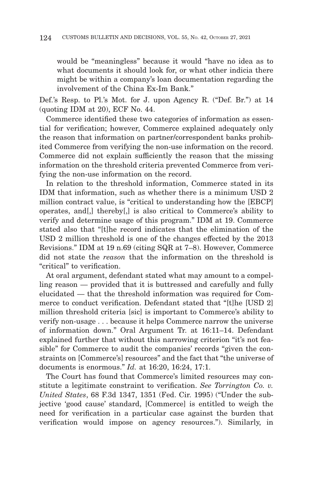would be "meaningless" because it would "have no idea as to what documents it should look for, or what other indicia there might be within a company's loan documentation regarding the involvement of the China Ex-Im Bank."

Def.'s Resp. to Pl.'s Mot. for J. upon Agency R. ("Def. Br.") at 14 (quoting IDM at 20), ECF No. 44.

Commerce identified these two categories of information as essential for verification; however, Commerce explained adequately only the reason that information on partner/correspondent banks prohibited Commerce from verifying the non-use information on the record. Commerce did not explain sufficiently the reason that the missing information on the threshold criteria prevented Commerce from verifying the non-use information on the record.

In relation to the threshold information, Commerce stated in its IDM that information, such as whether there is a minimum USD 2 million contract value, is "critical to understanding how the [EBCP] operates, and[,] thereby[,] is also critical to Commerce's ability to verify and determine usage of this program." IDM at 19. Commerce stated also that "[t]he record indicates that the elimination of the USD 2 million threshold is one of the changes effected by the 2013 Revisions." IDM at 19 n.69 (citing SQR at 7–8). However, Commerce did not state the *reason* that the information on the threshold is "critical" to verification.

At oral argument, defendant stated what may amount to a compelling reason — provided that it is buttressed and carefully and fully elucidated — that the threshold information was required for Commerce to conduct verification. Defendant stated that "[t]he [USD 2] million threshold criteria [sic] is important to Commerce's ability to verify non-usage . . . because it helps Commerce narrow the universe of information down." Oral Argument Tr. at 16:11–14. Defendant explained further that without this narrowing criterion "it's not feasible" for Commerce to audit the companies' records "given the constraints on [Commerce's] resources" and the fact that "the universe of documents is enormous." *Id.* at 16:20, 16:24, 17:1.

The Court has found that Commerce's limited resources may constitute a legitimate constraint to verification. *See Torrington Co. v. United States*, 68 F.3d 1347, 1351 (Fed. Cir. 1995) ("Under the subjective 'good cause' standard, [Commerce] is entitled to weigh the need for verification in a particular case against the burden that verification would impose on agency resources."). Similarly, in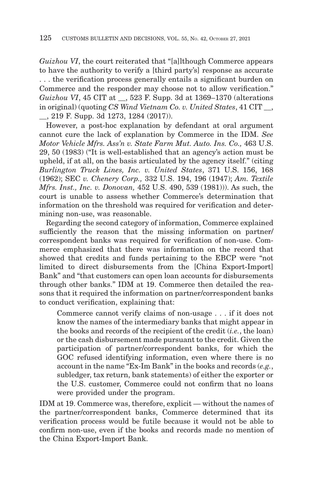*Guizhou VI*, the court reiterated that "[a]lthough Commerce appears to have the authority to verify a [third party's] response as accurate . . . the verification process generally entails a significant burden on Commerce and the responder may choose not to allow verification." *Guizhou VI*, 45 CIT at  $\,$ , 523 F. Supp. 3d at 1369–1370 (alterations in original) (quoting *CS Wind Vietnam Co. v. United States*, 41 CIT . \_\_, 219 F. Supp. 3d 1273, 1284 (2017)).

However, a post-hoc explanation by defendant at oral argument cannot cure the lack of explanation by Commerce in the IDM. *See Motor Vehicle Mfrs. Ass'n v. State Farm Mut. Auto. Ins. Co.,* 463 U.S. 29, 50 (1983) ("It is well-established that an agency's action must be upheld, if at all, on the basis articulated by the agency itself." (citing *Burlington Truck Lines, Inc. v. United States*, 371 U.S. 156, 168 (1962); SEC *v. Chenery Corp.,* 332 U.S. 194, 196 (1947); *Am. Textile Mfrs. Inst., Inc. v. Donovan,* 452 U.S. 490, 539 (1981))). As such, the court is unable to assess whether Commerce's determination that information on the threshold was required for verification and determining non-use, was reasonable.

Regarding the second category of information, Commerce explained sufficiently the reason that the missing information on partner/ correspondent banks was required for verification of non-use. Commerce emphasized that there was information on the record that showed that credits and funds pertaining to the EBCP were "not limited to direct disbursements from the [China Export-Import] Bank" and "that customers can open loan accounts for disbursements through other banks." IDM at 19. Commerce then detailed the reasons that it required the information on partner/correspondent banks to conduct verification, explaining that:

Commerce cannot verify claims of non-usage . . . if it does not know the names of the intermediary banks that might appear in the books and records of the recipient of the credit (*i.e.*, the loan) or the cash disbursement made pursuant to the credit. Given the participation of partner/correspondent banks, for which the GOC refused identifying information, even where there is no account in the name "Ex-Im Bank" in the books and records (*e.g.*, subledger, tax return, bank statements) of either the exporter or the U.S. customer, Commerce could not confirm that no loans were provided under the program.

IDM at 19. Commerce was, therefore, explicit — without the names of the partner/correspondent banks, Commerce determined that its verification process would be futile because it would not be able to confirm non-use, even if the books and records made no mention of the China Export-Import Bank.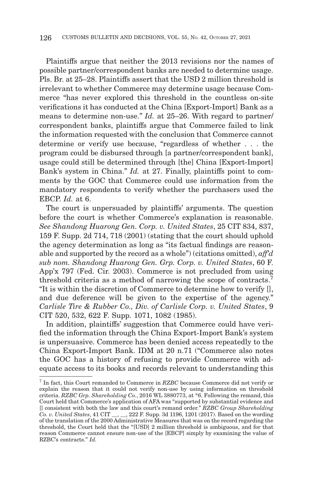Plaintiffs argue that neither the 2013 revisions nor the names of possible partner/correspondent banks are needed to determine usage. Pls. Br. at 25–28. Plaintiffs assert that the USD 2 million threshold is irrelevant to whether Commerce may determine usage because Commerce "has never explored this threshold in the countless on-site verifications it has conducted at the China [Export-Import] Bank as a means to determine non-use." *Id.* at 25–26. With regard to partner/ correspondent banks, plaintiffs argue that Commerce failed to link the information requested with the conclusion that Commerce cannot determine or verify use because, "regardless of whether . . . the program could be disbursed through [a partner/correspondent bank], usage could still be determined through [the] China [Export-Import] Bank's system in China." *Id.* at 27. Finally, plaintiffs point to comments by the GOC that Commerce could use information from the mandatory respondents to verify whether the purchasers used the EBCP. *Id.* at 6.

The court is unpersuaded by plaintiffs' arguments. The question before the court is whether Commerce's explanation is reasonable. *See Shandong Huarong Gen. Corp. v. United States*, 25 CIT 834, 837, 159 F. Supp. 2d 714, 718 (2001) (stating that the court should uphold the agency determination as long as "its factual findings are reasonable and supported by the record as a whole") (citations omitted), *aff'd sub nom. Shandong Huarong Gen. Grp. Corp. v. United States*, 60 F. App'x 797 (Fed. Cir. 2003). Commerce is not precluded from using threshold criteria as a method of narrowing the scope of contracts.<sup>7</sup> "It is within the discretion of Commerce to determine how to verify [], and due deference will be given to the expertise of the agency." *Carlisle Tire & Rubber Co., Div. of Carlisle Corp. v. United States*, 9 CIT 520, 532, 622 F. Supp. 1071, 1082 (1985).

In addition, plaintiffs' suggestion that Commerce could have verified the information through the China Export-Import Bank's system is unpersuasive. Commerce has been denied access repeatedly to the China Export-Import Bank. IDM at 20 n.71 ("Commerce also notes the GOC has a history of refusing to provide Commerce with adequate access to its books and records relevant to understanding this

<sup>7</sup> In fact, this Court remanded to Commerce in *RZBC* because Commerce did not verify or explain the reason that it could not verify non-use by using information on threshold criteria. *RZBC Grp. Shareholding Co.*, 2016 WL 3880773, at \*6. Following the remand, this Court held that Commerce's application of AFA was "supported by substantial evidence and [] consistent with both the law and this court's remand order." *RZBC Group Shareholding Co. v. United States*, 41 CIT \_\_, \_\_, 222 F. Supp. 3d 1196, 1201 (2017). Based on the wording of the translation of the 2000 Administrative Measures that was on the record regarding the threshold, the Court held that the "[USD] 2 million threshold is ambiguous, and for that reason Commerce cannot ensure non-use of the [EBCP] simply by examining the value of RZBC's contracts." *Id.*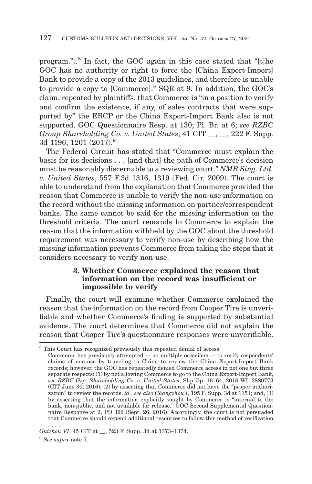program.").8 In fact, the GOC again in this case stated that "[t]he GOC has no authority or right to force the [China Export-Import] Bank to provide a copy of the 2013 guidelines, and therefore is unable to provide a copy to [Commerce]." SQR at 9. In addition, the GOC's claim, repeated by plaintiffs, that Commerce is "in a position to verify and confirm the existence, if any, of sales contracts that were supported by" the EBCP or the China Export-Import Bank also is not supported. GOC Questionnaire Resp. at 130; Pl. Br. at 6; *see RZBC Group Shareholding Co. v. United States, 41 CIT.*, 222 F. Supp. 3d 1196, 1201 (2017).<sup>9</sup>

The Federal Circuit has stated that "Commerce must explain the basis for its decisions . . . [and that] the path of Commerce's decision must be reasonably discernable to a reviewing court." *NMB Sing. Ltd. v. United States*, 557 F.3d 1316, 1319 (Fed. Cir. 2009). The court is able to understand from the explanation that Commerce provided the reason that Commerce is unable to verify the non-use information on the record without the missing information on partner/correspondent banks. The same cannot be said for the missing information on the threshold criteria. The court remands to Commerce to explain the reason that the information withheld by the GOC about the threshold requirement was necessary to verify non-use by describing how the missing information prevents Commerce from taking the steps that it considers necessary to verify non-use.

## **3. Whether Commerce explained the reason that information on the record was insufficient or impossible to verify**

Finally, the court will examine whether Commerce explained the reason that the information on the record from Cooper Tire is unverifiable and whether Commerce's finding is supported by substantial evidence. The court determines that Commerce did not explain the reason that Cooper Tire's questionnaire responses were unverifiable.

<sup>8</sup> This Court has recognized previously this repeated denial of access:

Commerce has previously attempted — on multiple occasions — to verify respondents' claims of non-use by traveling to China to review the China Export-Import Bank records; however, the GOC has repeatedly denied Commerce access in not one but three separate respects: (1) by not allowing Commerce to go to the China Export-Import Bank, *see RZBC Grp. Shareholding Co. v. United States*, Slip Op. 16–64, 2016 WL 3880773 (CIT June 30, 2016); (2) by asserting that Commerce did not have the "proper authorization" to review the records, *id.*, *see also Changzhou I*, 195 F. Supp. 3d at 1354; and, (3) by asserting that the information explicitly sought by Commerce is "internal to the bank, non-public, and not available for release." GOC Second Supplemental Questionnaire Response at 2, PD 392 (Sept. 26, 2016). Accordingly, the court is not persuaded that Commerce should expend additional resources to follow this method of verification . . . .

*Guizhou VI*, 45 CIT at \_\_, 523 F. Supp. 3d at 1373–1374.

<sup>9</sup>*See supra* note 7.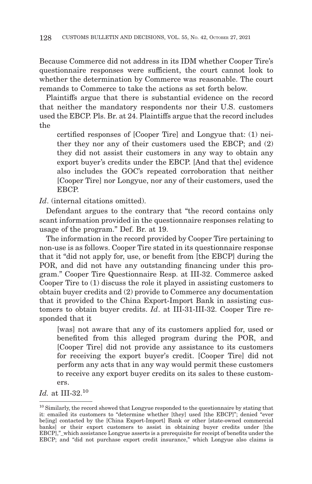Because Commerce did not address in its IDM whether Cooper Tire's questionnaire responses were sufficient, the court cannot look to whether the determination by Commerce was reasonable. The court remands to Commerce to take the actions as set forth below.

Plaintiffs argue that there is substantial evidence on the record that neither the mandatory respondents nor their U.S. customers used the EBCP. Pls. Br. at 24. Plaintiffs argue that the record includes the

certified responses of [Cooper Tire] and Longyue that: (1) neither they nor any of their customers used the EBCP; and (2) they did not assist their customers in any way to obtain any export buyer's credits under the EBCP. [And that the] evidence also includes the GOC's repeated corroboration that neither [Cooper Tire] nor Longyue, nor any of their customers, used the **EBCP** 

Id. (internal citations omitted).

Defendant argues to the contrary that "the record contains only scant information provided in the questionnaire responses relating to usage of the program." Def. Br. at 19.

The information in the record provided by Cooper Tire pertaining to non-use is as follows. Cooper Tire stated in its questionnaire response that it "did not apply for, use, or benefit from [the EBCP] during the POR, and did not have any outstanding financing under this program." Cooper Tire Questionnaire Resp. at III-32. Commerce asked Cooper Tire to (1) discuss the role it played in assisting customers to obtain buyer credits and (2) provide to Commerce any documentation that it provided to the China Export-Import Bank in assisting customers to obtain buyer credits. *Id*. at III-31-III-32. Cooper Tire responded that it

[was] not aware that any of its customers applied for, used or benefited from this alleged program during the POR, and [Cooper Tire] did not provide any assistance to its customers for receiving the export buyer's credit. [Cooper Tire] did not perform any acts that in any way would permit these customers to receive any export buyer credits on its sales to these customers.

*Id.* at III-32.<sup>10</sup>

<sup>&</sup>lt;sup>10</sup> Similarly, the record showed that Longyue responded to the questionnaire by stating that it: emailed its customers to "determine whether [they] used [the EBCP]"; denied "ever be[ing] contacted by the [China Export-Import] Bank or other [state-owned commercial banks] or their export customers to assist in obtaining buyer credits under [the EBCP],"\_which assistance Longyue asserts is a prerequisite for receipt of benefits under the EBCP; and "did not purchase export credit insurance," which Longyue also claims is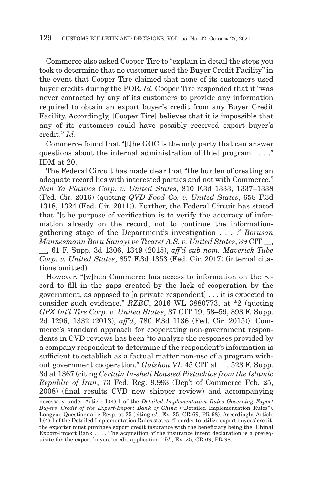Commerce also asked Cooper Tire to "explain in detail the steps you took to determine that no customer used the Buyer Credit Facility" in the event that Cooper Tire claimed that none of its customers used buyer credits during the POR. *Id*. Cooper Tire responded that it "was never contacted by any of its customers to provide any information required to obtain an export buyer's credit from any Buyer Credit Facility. Accordingly, [Cooper Tire] believes that it is impossible that any of its customers could have possibly received export buyer's credit." *Id*.

Commerce found that "[t]he GOC is the only party that can answer questions about the internal administration of th[e] program . . . ." IDM at 20.

The Federal Circuit has made clear that "the burden of creating an adequate record lies with interested parties and not with Commerce." *Nan Ya Plastics Corp. v. United States*, 810 F.3d 1333, 1337–1338 (Fed. Cir. 2016) (quoting *QVD Food Co. v. United States*, 658 F.3d 1318, 1324 (Fed. Cir. 2011)). Further, the Federal Circuit has stated that "[t]he purpose of verification is to verify the accuracy of information already on the record, not to continue the informationgathering stage of the Department's investigation . . . ." *Borusan Mannesmann Boru Sanayi ve Ticaret A.S. v. United States*, 39 CIT \_\_,

\_\_, 61 F. Supp. 3d 1306, 1349 (2015), *aff'd sub nom. Maverick Tube Corp. v. United States*, 857 F.3d 1353 (Fed. Cir. 2017) (internal citations omitted).

However, "[w]hen Commerce has access to information on the record to fill in the gaps created by the lack of cooperation by the government, as opposed to [a private respondent] . . . it is expected to consider such evidence." *RZBC*, 2016 WL 3880773, at \*2 (quoting *GPX Int'l Tire Corp. v. United States*, 37 CIT 19, 58–59, 893 F. Supp. 2d 1296, 1332 (2013), *aff'd*, 780 F.3d 1136 (Fed. Cir. 2015)). Commerce's standard approach for cooperating non-government respondents in CVD reviews has been "to analyze the responses provided by a company respondent to determine if the respondent's information is sufficient to establish as a factual matter non-use of a program without government cooperation." *Guizhou VI*, 45 CIT at , 523 F. Supp. 3d at 1367 (citing *Certain In-shell Roasted Pistachios from the Islamic Republic of Iran*, 73 Fed. Reg. 9,993 (Dep't of Commerce Feb. 25, 2008) (final results CVD new shipper review) and accompanying

necessary under Article I.(4).1 of the *Detailed Implementation Rules Governing Export Buyers' Credit of the Export-Import Bank of China* ("Detailed Implementation Rules"). Longyue Questionnaire Resp. at 25 (citing *id.*, Ex. 25, CR 69, PR 98). Accordingly, Article I.(4).1 of the Detailed Implementation Rules states: "In order to utilize export buyers' credit, the exporter must purchase export credit insurance with the beneficiary being the [China] Export-Import Bank . . . . The acquisition of the insurance intent declaration is a prerequisite for the export buyers' credit application." *Id.*, Ex. 25, CR 69, PR 98.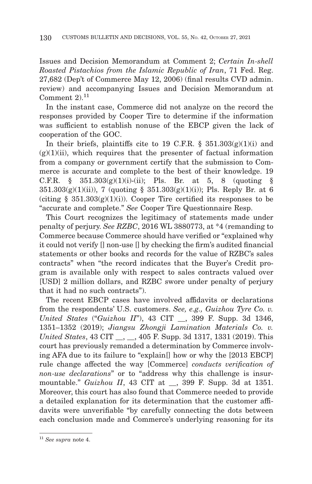Issues and Decision Memorandum at Comment 2; *Certain In-shell Roasted Pistachios from the Islamic Republic of Iran*, 71 Fed. Reg. 27,682 (Dep't of Commerce May 12, 2006) (final results CVD admin. review) and accompanying Issues and Decision Memorandum at Comment  $2^{11}$ 

In the instant case, Commerce did not analyze on the record the responses provided by Cooper Tire to determine if the information was sufficient to establish nonuse of the EBCP given the lack of cooperation of the GOC.

In their briefs, plaintiffs cite to 19 C.F.R. §  $351.303(g)(1)(i)$  and  $(g)(1)(ii)$ , which requires that the presenter of factual information from a company or government certify that the submission to Commerce is accurate and complete to the best of their knowledge. 19 C.F.R.  $\S$  351.303(g)(1)(i)-(ii); Pls. Br. at 5, 8 (quoting  $\S$  $351.303(g)(1)(ii)$ , 7 (quoting §  $351.303(g)(1)(i)$ ); Pls. Reply Br. at 6 (citing  $\S$  351.303(g)(1)(i)). Cooper Tire certified its responses to be "accurate and complete." *See* Cooper Tire Questionnaire Resp.

This Court recognizes the legitimacy of statements made under penalty of perjury. *See RZBC*, 2016 WL 3880773, at \*4 (remanding to Commerce because Commerce should have verified or "explained why it could not verify [] non-use [] by checking the firm's audited financial statements or other books and records for the value of RZBC's sales contracts" when "the record indicates that the Buyer's Credit program is available only with respect to sales contracts valued over [USD] 2 million dollars, and RZBC swore under penalty of perjury that it had no such contracts").

The recent EBCP cases have involved affidavits or declarations from the respondents' U.S. customers. *See, e.g., Guizhou Tyre Co. v. United States* ("*Guizhou II*"), 43 CIT \_\_, 399 F. Supp. 3d 1346, 1351–1352 (2019); *Jiangsu Zhongji Lamination Materials Co. v. United States*, 43 CIT \_\_, \_\_, 405 F. Supp. 3d 1317, 1331 (2019). This court has previously remanded a determination by Commerce involving AFA due to its failure to "explain[] how or why the [2013 EBCP] rule change affected the way [Commerce] *conducts verification of non-use declarations*" or to "address why this challenge is insurmountable." *Guizhou II*, 43 CIT at \_\_, 399 F. Supp. 3d at 1351. Moreover, this court has also found that Commerce needed to provide a detailed explanation for its determination that the customer affidavits were unverifiable "by carefully connecting the dots between each conclusion made and Commerce's underlying reasoning for its

<sup>11</sup>*See supra* note 4.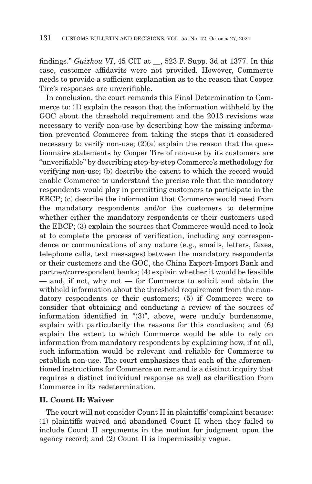findings." *Guizhou VI*, 45 CIT at \_\_, 523 F. Supp. 3d at 1377. In this case, customer affidavits were not provided. However, Commerce needs to provide a sufficient explanation as to the reason that Cooper Tire's responses are unverifiable.

In conclusion, the court remands this Final Determination to Commerce to: (1) explain the reason that the information withheld by the GOC about the threshold requirement and the 2013 revisions was necessary to verify non-use by describing how the missing information prevented Commerce from taking the steps that it considered necessary to verify non-use;  $(2)(a)$  explain the reason that the questionnaire statements by Cooper Tire of non-use by its customers are "unverifiable" by describing step-by-step Commerce's methodology for verifying non-use; (b) describe the extent to which the record would enable Commerce to understand the precise role that the mandatory respondents would play in permitting customers to participate in the EBCP; (c) describe the information that Commerce would need from the mandatory respondents and/or the customers to determine whether either the mandatory respondents or their customers used the EBCP; (3) explain the sources that Commerce would need to look at to complete the process of verification, including any correspondence or communications of any nature (e.g., emails, letters, faxes, telephone calls, text messages) between the mandatory respondents or their customers and the GOC, the China Export-Import Bank and partner/correspondent banks; (4) explain whether it would be feasible — and, if not, why not — for Commerce to solicit and obtain the withheld information about the threshold requirement from the mandatory respondents or their customers; (5) if Commerce were to consider that obtaining and conducting a review of the sources of information identified in "(3)", above, were unduly burdensome, explain with particularity the reasons for this conclusion; and (6) explain the extent to which Commerce would be able to rely on information from mandatory respondents by explaining how, if at all, such information would be relevant and reliable for Commerce to establish non-use. The court emphasizes that each of the aforementioned instructions for Commerce on remand is a distinct inquiry that requires a distinct individual response as well as clarification from Commerce in its redetermination.

# **II. Count II: Waiver**

The court will not consider Count II in plaintiffs' complaint because: (1) plaintiffs waived and abandoned Count II when they failed to include Count II arguments in the motion for judgment upon the agency record; and (2) Count II is impermissibly vague.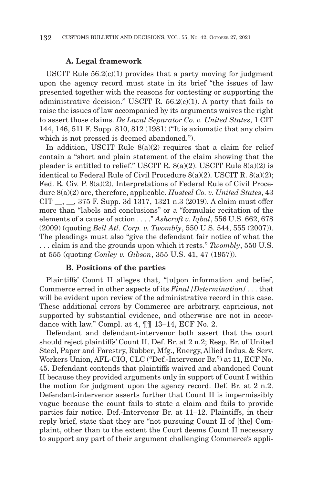#### **A. Legal framework**

USCIT Rule  $56.2(c)(1)$  provides that a party moving for judgment upon the agency record must state in its brief "the issues of law presented together with the reasons for contesting or supporting the administrative decision." USCIT R.  $56.2(c)(1)$ . A party that fails to raise the issues of law accompanied by its arguments waives the right to assert those claims. *De Laval Separator Co. v. United States*, 1 CIT 144, 146, 511 F. Supp. 810, 812 (1981) ("It is axiomatic that any claim which is not pressed is deemed abandoned.").

In addition, USCIT Rule 8(a)(2) requires that a claim for relief contain a "short and plain statement of the claim showing that the pleader is entitled to relief." USCIT R.  $8(a)(2)$ . USCIT Rule  $8(a)(2)$  is identical to Federal Rule of Civil Procedure 8(a)(2). USCIT R. 8(a)(2); Fed. R. Civ. P. 8(a)(2). Interpretations of Federal Rule of Civil Procedure 8(a)(2) are, therefore, applicable. *Husteel Co. v. United States*, 43 CIT \_\_, \_\_, 375 F. Supp. 3d 1317, 1321 n.3 (2019). A claim must offer more than "labels and conclusions" or a "formulaic recitation of the elements of a cause of action . . . ." *Ashcroft v. Iqbal*, 556 U.S. 662, 678 (2009) (quoting *Bell Atl. Corp. v. Twombly*, 550 U.S. 544, 555 (2007)). The pleadings must also "give the defendant fair notice of what the . . . claim is and the grounds upon which it rests." *Twombly*, 550 U.S. at 555 (quoting *Conley v. Gibson*, 355 U.S. 41, 47 (1957)).

#### **B. Positions of the parties**

Plaintiffs' Count II alleges that, "[u]pon information and belief, Commerce erred in other aspects of its *Final [Determination]* . . . that will be evident upon review of the administrative record in this case. These additional errors by Commerce are arbitrary, capricious, not supported by substantial evidence, and otherwise are not in accordance with law." Compl. at 4, ¶¶ 13–14, ECF No. 2.

Defendant and defendant-intervenor both assert that the court should reject plaintiffs' Count II. Def. Br. at 2 n.2; Resp. Br. of United Steel, Paper and Forestry, Rubber, Mfg., Energy, Allied Indus. & Serv. Workers Union, AFL-CIO, CLC ("Def.-Intervenor Br.") at 11, ECF No. 45. Defendant contends that plaintiffs waived and abandoned Count II because they provided arguments only in support of Count I within the motion for judgment upon the agency record. Def. Br. at 2 n.2. Defendant-intervenor asserts further that Count II is impermissibly vague because the count fails to state a claim and fails to provide parties fair notice. Def.-Intervenor Br. at 11–12. Plaintiffs, in their reply brief, state that they are "not pursuing Count II of [the] Complaint, other than to the extent the Court deems Count II necessary to support any part of their argument challenging Commerce's appli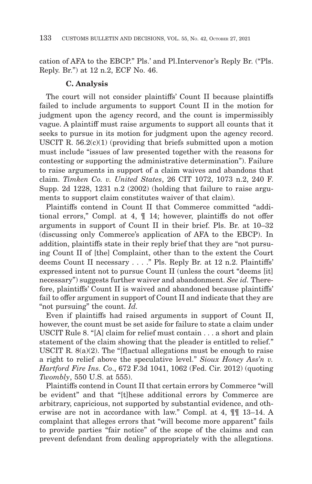cation of AFA to the EBCP." Pls.' and Pl.Intervenor's Reply Br. ("Pls. Reply. Br.") at 12 n.2, ECF No. 46.

### **C. Analysis**

The court will not consider plaintiffs' Count II because plaintiffs failed to include arguments to support Count II in the motion for judgment upon the agency record, and the count is impermissibly vague. A plaintiff must raise arguments to support all counts that it seeks to pursue in its motion for judgment upon the agency record. USCIT R.  $56.2(c)(1)$  (providing that briefs submitted upon a motion must include "issues of law presented together with the reasons for contesting or supporting the administrative determination"). Failure to raise arguments in support of a claim waives and abandons that claim. *Timken Co. v. United States*, 26 CIT 1072, 1073 n.2, 240 F. Supp. 2d 1228, 1231 n.2 (2002) (holding that failure to raise arguments to support claim constitutes waiver of that claim).

Plaintiffs contend in Count II that Commerce committed "additional errors," Compl. at 4, ¶ 14; however, plaintiffs do not offer arguments in support of Count II in their brief. Pls. Br. at 10–32 (discussing only Commerce's application of AFA to the EBCP). In addition, plaintiffs state in their reply brief that they are "not pursuing Count II of [the] Complaint, other than to the extent the Court deems Count II necessary . . . ." Pls. Reply Br. at 12 n.2. Plaintiffs' expressed intent not to pursue Count II (unless the court "deems [it] necessary") suggests further waiver and abandonment. *See id.* Therefore, plaintiffs' Count II is waived and abandoned because plaintiffs' fail to offer argument in support of Count II and indicate that they are "not pursuing" the count. *Id.*

Even if plaintiffs had raised arguments in support of Count II, however, the count must be set aside for failure to state a claim under USCIT Rule 8. "[A] claim for relief must contain . . . a short and plain statement of the claim showing that the pleader is entitled to relief." USCIT R. 8(a)(2). The "[f]actual allegations must be enough to raise a right to relief above the speculative level." *Sioux Honey Ass'n v. Hartford Fire Ins. Co*., 672 F.3d 1041, 1062 (Fed. Cir. 2012) (quoting *Twombly*, 550 U.S. at 555).

Plaintiffs contend in Count II that certain errors by Commerce "will be evident" and that "[t]hese additional errors by Commerce are arbitrary, capricious, not supported by substantial evidence, and otherwise are not in accordance with law." Compl. at 4, ¶¶ 13–14. A complaint that alleges errors that "will become more apparent" fails to provide parties "fair notice" of the scope of the claims and can prevent defendant from dealing appropriately with the allegations.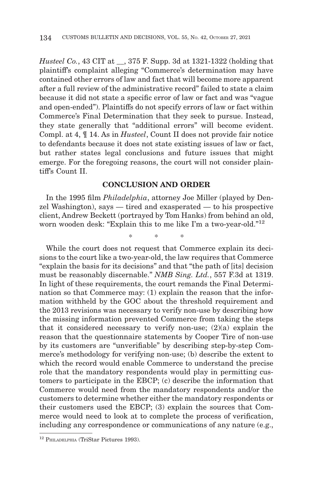*Husteel Co.*, 43 CIT at \_\_, 375 F. Supp. 3d at 1321-1322 (holding that plaintiff's complaint alleging "Commerce's determination may have contained other errors of law and fact that will become more apparent after a full review of the administrative record" failed to state a claim because it did not state a specific error of law or fact and was "vague and open-ended"). Plaintiffs do not specify errors of law or fact within Commerce's Final Determination that they seek to pursue. Instead, they state generally that "additional errors" will become evident. Compl. at 4, ¶ 14. As in *Husteel*, Count II does not provide fair notice to defendants because it does not state existing issues of law or fact, but rather states legal conclusions and future issues that might emerge. For the foregoing reasons, the court will not consider plaintiff's Count II.

# **CONCLUSION AND ORDER**

In the 1995 film *Philadelphia*, attorney Joe Miller (played by Denzel Washington), says — tired and exasperated — to his prospective client, Andrew Beckett (portrayed by Tom Hanks) from behind an old, worn wooden desk: "Explain this to me like I'm a two-year-old."12

\*\* \*

While the court does not request that Commerce explain its decisions to the court like a two-year-old, the law requires that Commerce "explain the basis for its decisions" and that "the path of [its] decision must be reasonably discernable." *NMB Sing. Ltd.*, 557 F.3d at 1319. In light of these requirements, the court remands the Final Determination so that Commerce may: (1) explain the reason that the information withheld by the GOC about the threshold requirement and the 2013 revisions was necessary to verify non-use by describing how the missing information prevented Commerce from taking the steps that it considered necessary to verify non-use; (2)(a) explain the reason that the questionnaire statements by Cooper Tire of non-use by its customers are "unverifiable" by describing step-by-step Commerce's methodology for verifying non-use; (b) describe the extent to which the record would enable Commerce to understand the precise role that the mandatory respondents would play in permitting customers to participate in the EBCP; (c) describe the information that Commerce would need from the mandatory respondents and/or the customers to determine whether either the mandatory respondents or their customers used the EBCP; (3) explain the sources that Commerce would need to look at to complete the process of verification, including any correspondence or communications of any nature (e.g.,

<sup>12</sup> PHILADELPHIA (TriStar Pictures 1993).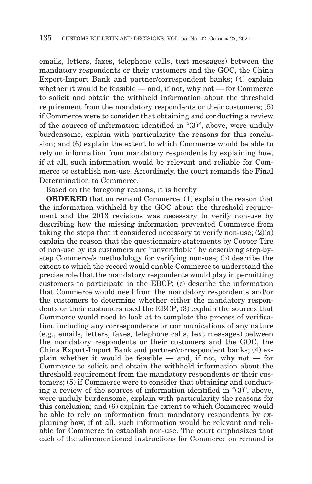emails, letters, faxes, telephone calls, text messages) between the mandatory respondents or their customers and the GOC, the China Export-Import Bank and partner/correspondent banks; (4) explain whether it would be feasible  $-$  and, if not, why not  $-$  for Commerce to solicit and obtain the withheld information about the threshold requirement from the mandatory respondents or their customers; (5) if Commerce were to consider that obtaining and conducting a review of the sources of information identified in "(3)", above, were unduly burdensome, explain with particularity the reasons for this conclusion; and (6) explain the extent to which Commerce would be able to rely on information from mandatory respondents by explaining how, if at all, such information would be relevant and reliable for Commerce to establish non-use. Accordingly, the court remands the Final Determination to Commerce.

Based on the foregoing reasons, it is hereby

**ORDERED** that on remand Commerce: (1) explain the reason that the information withheld by the GOC about the threshold requirement and the 2013 revisions was necessary to verify non-use by describing how the missing information prevented Commerce from taking the steps that it considered necessary to verify non-use;  $(2)(a)$ explain the reason that the questionnaire statements by Cooper Tire of non-use by its customers are "unverifiable" by describing step-bystep Commerce's methodology for verifying non-use; (b) describe the extent to which the record would enable Commerce to understand the precise role that the mandatory respondents would play in permitting customers to participate in the EBCP; (c) describe the information that Commerce would need from the mandatory respondents and/or the customers to determine whether either the mandatory respondents or their customers used the EBCP; (3) explain the sources that Commerce would need to look at to complete the process of verification, including any correspondence or communications of any nature (e.g., emails, letters, faxes, telephone calls, text messages) between the mandatory respondents or their customers and the GOC, the China Export-Import Bank and partner/correspondent banks; (4) explain whether it would be feasible  $-$  and, if not, why not  $-$  for Commerce to solicit and obtain the withheld information about the threshold requirement from the mandatory respondents or their customers; (5) if Commerce were to consider that obtaining and conducting a review of the sources of information identified in "(3)", above, were unduly burdensome, explain with particularity the reasons for this conclusion; and (6) explain the extent to which Commerce would be able to rely on information from mandatory respondents by explaining how, if at all, such information would be relevant and reliable for Commerce to establish non-use. The court emphasizes that each of the aforementioned instructions for Commerce on remand is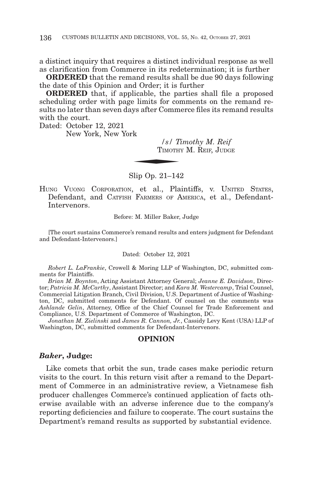a distinct inquiry that requires a distinct individual response as well as clarification from Commerce in its redetermination; it is further

**ORDERED** that the remand results shall be due 90 days following the date of this Opinion and Order; it is further

**ORDERED** that, if applicable, the parties shall file a proposed scheduling order with page limits for comments on the remand results no later than seven days after Commerce files its remand results with the court.  $\frac{1}{s}$  /  $\frac{1}{s}$  /  $\frac{1}{s}$  /  $\frac{1}{s}$  /  $\frac{1}{s}$  /  $\frac{1}{s}$  /  $\frac{1}{s}$  /  $\frac{1}{s}$  /  $\frac{1}{s}$  /  $\frac{1}{s}$  /  $\frac{1}{s}$  /  $\frac{1}{s}$  /  $\frac{1}{s}$  /  $\frac{1}{s}$  /  $\frac{1}{s}$  /  $\frac{1}{s}$  /  $\frac{1}{s}$  /  $\frac{1}{s}$  /  $\frac{1$ 

Dated: October 12, 2021

New York, New York

*/s/ Timothy M. Reif* TIMOTHY M. REIF, JUDGE

Slip Op. 21–142

HUNG VUONG CORPORATION, et al., Plaintiffs, v. UNITED STATES, Defendant, and CATFISH FARMERS OF AMERICA, et al., Defendant-Intervenors.

Before: M. Miller Baker, Judge

[The court sustains Commerce's remand results and enters judgment for Defendant and Defendant-Intervenors.]

#### Dated: October 12, 2021

*Robert L. LaFrankie*, Crowell & Moring LLP of Washington, DC, submitted comments for Plaintiffs.

*Brian M. Boynton*, Acting Assistant Attorney General; *Jeanne E. Davidson*, Director; *Patricia M. McCarthy*, Assistant Director; and *Kara M. Westercamp*, Trial Counsel, Commercial Litigation Branch, Civil Division, U.S. Department of Justice of Washington, DC, submitted comments for Defendant. Of counsel on the comments was *Ashlande Gelin*, Attorney, Office of the Chief Counsel for Trade Enforcement and Compliance, U.S. Department of Commerce of Washington, DC.

*Jonathan M. Zielinski* and *James R. Cannon, Jr.*, Cassidy Levy Kent (USA) LLP of Washington, DC, submitted comments for Defendant-Intervenors.

#### **OPINION**

#### *Baker***, Judge:**

Like comets that orbit the sun, trade cases make periodic return visits to the court. In this return visit after a remand to the Department of Commerce in an administrative review, a Vietnamese fish producer challenges Commerce's continued application of facts otherwise available with an adverse inference due to the company's reporting deficiencies and failure to cooperate. The court sustains the Department's remand results as supported by substantial evidence.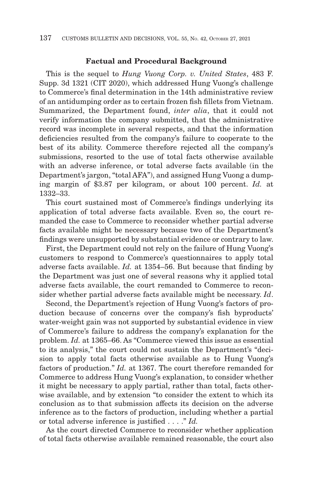#### **Factual and Procedural Background**

This is the sequel to *Hung Vuong Corp. v. United States*, 483 F. Supp. 3d 1321 (CIT 2020), which addressed Hung Vuong's challenge to Commerce's final determination in the 14th administrative review of an antidumping order as to certain frozen fish fillets from Vietnam. Summarized, the Department found, *inter alia*, that it could not verify information the company submitted, that the administrative record was incomplete in several respects, and that the information deficiencies resulted from the company's failure to cooperate to the best of its ability. Commerce therefore rejected all the company's submissions, resorted to the use of total facts otherwise available with an adverse inference, or total adverse facts available (in the Department's jargon, "total AFA"), and assigned Hung Vuong a dumping margin of \$3.87 per kilogram, or about 100 percent. *Id.* at 1332–33.

This court sustained most of Commerce's findings underlying its application of total adverse facts available. Even so, the court remanded the case to Commerce to reconsider whether partial adverse facts available might be necessary because two of the Department's findings were unsupported by substantial evidence or contrary to law.

First, the Department could not rely on the failure of Hung Vuong's customers to respond to Commerce's questionnaires to apply total adverse facts available. *Id.* at 1354–56. But because that finding by the Department was just one of several reasons why it applied total adverse facts available, the court remanded to Commerce to reconsider whether partial adverse facts available might be necessary. *Id*.

Second, the Department's rejection of Hung Vuong's factors of production because of concerns over the company's fish byproducts' water-weight gain was not supported by substantial evidence in view of Commerce's failure to address the company's explanation for the problem. *Id.* at 1365–66. As "Commerce viewed this issue as essential to its analysis," the court could not sustain the Department's "decision to apply total facts otherwise available as to Hung Vuong's factors of production." *Id.* at 1367. The court therefore remanded for Commerce to address Hung Vuong's explanation, to consider whether it might be necessary to apply partial, rather than total, facts otherwise available, and by extension "to consider the extent to which its conclusion as to that submission affects its decision on the adverse inference as to the factors of production, including whether a partial or total adverse inference is justified . . . ." *Id.*

As the court directed Commerce to reconsider whether application of total facts otherwise available remained reasonable, the court also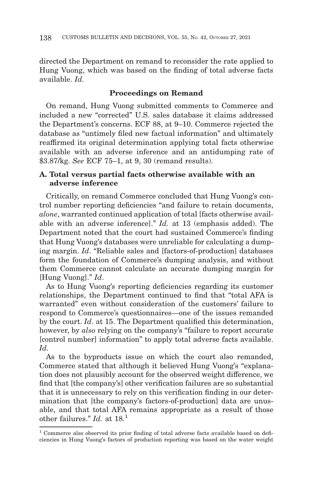directed the Department on remand to reconsider the rate applied to Hung Vuong, which was based on the finding of total adverse facts available. *Id.*

# **Proceedings on Remand**

On remand, Hung Vuong submitted comments to Commerce and included a new "corrected" U.S. sales database it claims addressed the Department's concerns. ECF 88, at 9–10. Commerce rejected the database as "untimely filed new factual information" and ultimately reaffirmed its original determination applying total facts otherwise available with an adverse inference and an antidumping rate of \$3.87/kg. *See* ECF 75–1, at 9, 30 (remand results).

# **A. Total versus partial facts otherwise available with an adverse inference**

Critically, on remand Commerce concluded that Hung Vuong's control number reporting deficiencies "and failure to retain documents, *alone*, warranted continued application of total [facts otherwise available with an adverse inference]." *Id.* at 13 (emphasis added). The Department noted that the court had sustained Commerce's finding that Hung Vuong's databases were unreliable for calculating a dumping margin. *Id*. "Reliable sales and [factors-of-production] databases form the foundation of Commerce's dumping analysis, and without them Commerce cannot calculate an accurate dumping margin for [Hung Vuong]." *Id*.

As to Hung Vuong's reporting deficiencies regarding its customer relationships, the Department continued to find that "total AFA is warranted" even without consideration of the customers' failure to respond to Commerce's questionnaires—one of the issues remanded by the court. *Id*. at 15. The Department qualified this determination, however, by *also* relying on the company's "failure to report accurate [control number] information" to apply total adverse facts available. *Id.*

As to the byproducts issue on which the court also remanded, Commerce stated that although it believed Hung Vuong's "explanation does not plausibly account for the observed weight difference, we find that [the company's] other verification failures are so substantial that it is unnecessary to rely on this verification finding in our determination that [the company's factors-of-production] data are unusable, and that total AFA remains appropriate as a result of those other failures." *Id.* at 18.1

<sup>&</sup>lt;sup>1</sup> Commerce also observed its prior finding of total adverse facts available based on deficiencies in Hung Vuong's factors of production reporting was based on the water weight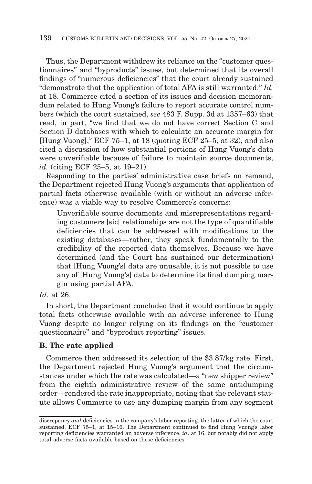Thus, the Department withdrew its reliance on the "customer questionnaires" and "byproducts" issues, but determined that its overall findings of "numerous deficiencies" that the court already sustained "demonstrate that the application of total AFA is still warranted." *Id.* at 18. Commerce cited a section of its issues and decision memorandum related to Hung Vuong's failure to report accurate control numbers (which the court sustained, *see* 483 F. Supp. 3d at 1357–63) that read, in part, "we find that we do not have correct Section C and Section D databases with which to calculate an accurate margin for [Hung Vuong]," ECF 75–1, at 18 (quoting ECF 25–5, at 32), and also cited a discussion of how substantial portions of Hung Vuong's data were unverifiable because of failure to maintain source documents, *id.* (citing ECF 25–5, at 19–21).

Responding to the parties' administrative case briefs on remand, the Department rejected Hung Vuong's arguments that application of partial facts otherwise available (with or without an adverse inference) was a viable way to resolve Commerce's concerns:

Unverifiable source documents and misrepresentations regarding customers [sic] relationships are not the type of quantifiable deficiencies that can be addressed with modifications to the existing databases—rather, they speak fundamentally to the credibility of the reported data themselves. Because we have determined (and the Court has sustained our determination) that [Hung Vuong's] data are unusable, it is not possible to use any of [Hung Vuong's] data to determine its final dumping margin using partial AFA.

# *Id.* at 26.

In short, the Department concluded that it would continue to apply total facts otherwise available with an adverse inference to Hung Vuong despite no longer relying on its findings on the "customer questionnaire" and "byproduct reporting" issues.

### **B. The rate applied**

Commerce then addressed its selection of the \$3.87/kg rate. First, the Department rejected Hung Vuong's argument that the circumstances under which the rate was calculated—a "new shipper review" from the eighth administrative review of the same antidumping order—rendered the rate inappropriate, noting that the relevant statute allows Commerce to use any dumping margin from any segment

discrepancy *and* deficiencies in the company's labor reporting, the latter of which the court sustained. ECF 75–1, at 15–16. The Department continued to find Hung Vuong's labor reporting deficiencies warranted an adverse inference, *id*. at 16, but notably did not apply total adverse facts available based on these deficiencies.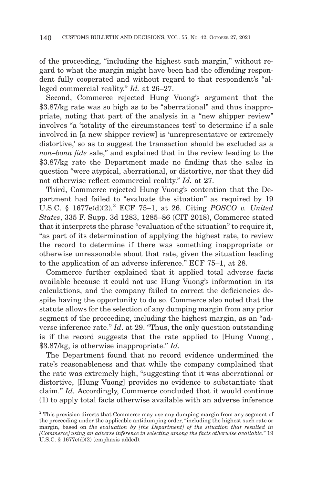of the proceeding, "including the highest such margin," without regard to what the margin might have been had the offending respondent fully cooperated and without regard to that respondent's "alleged commercial reality." *Id.* at 26–27.

Second, Commerce rejected Hung Vuong's argument that the \$3.87/kg rate was so high as to be "aberrational" and thus inappropriate, noting that part of the analysis in a "new shipper review" involves "a 'totality of the circumstances test' to determine if a sale involved in [a new shipper review] is 'unrepresentative or extremely distortive,' so as to suggest the transaction should be excluded as a *non–bona fide* sale," and explained that in the review leading to the \$3.87/kg rate the Department made no finding that the sales in question "were atypical, aberrational, or distortive, nor that they did not otherwise reflect commercial reality." *Id.* at 27.

Third, Commerce rejected Hung Vuong's contention that the Department had failed to "evaluate the situation" as required by 19 U.S.C. § 1677e(d)(2).2 ECF 75–1, at 26. Citing *POSCO v. United States*, 335 F. Supp. 3d 1283, 1285–86 (CIT 2018), Commerce stated that it interprets the phrase "evaluation of the situation" to require it, "as part of its determination of applying the highest rate, to review the record to determine if there was something inappropriate or otherwise unreasonable about that rate, given the situation leading to the application of an adverse inference." ECF 75–1, at 28.

Commerce further explained that it applied total adverse facts available because it could not use Hung Vuong's information in its calculations, and the company failed to correct the deficiencies despite having the opportunity to do so. Commerce also noted that the statute allows for the selection of any dumping margin from any prior segment of the proceeding, including the highest margin, as an "adverse inference rate." *Id*. at 29. "Thus, the only question outstanding is if the record suggests that the rate applied to [Hung Vuong], \$3.87/kg, is otherwise inappropriate." *Id.*

The Department found that no record evidence undermined the rate's reasonableness and that while the company complained that the rate was extremely high, "suggesting that it was aberrational or distortive, [Hung Vuong] provides no evidence to substantiate that claim." *Id.* Accordingly, Commerce concluded that it would continue (1) to apply total facts otherwise available with an adverse inference

<sup>&</sup>lt;sup>2</sup> This provision directs that Commerce may use any dumping margin from any segment of the proceeding under the applicable antidumping order, "including the highest such rate or margin, based on *the evaluation by [the Department] of the situation that resulted in [Commerce] using an adverse inference in selecting among the facts otherwise available*." 19 U.S.C. § 1677e(d)(2) (emphasis added).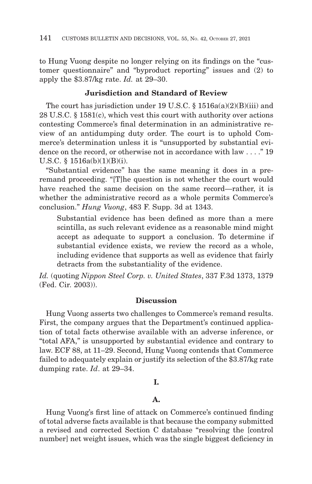to Hung Vuong despite no longer relying on its findings on the "customer questionnaire" and "byproduct reporting" issues and (2) to apply the \$3.87/kg rate. *Id.* at 29–30.

# **Jurisdiction and Standard of Review**

The court has jurisdiction under 19 U.S.C. § 1516a(a)(2)(B)(iii) and 28 U.S.C. § 1581(c), which vest this court with authority over actions contesting Commerce's final determination in an administrative review of an antidumping duty order. The court is to uphold Commerce's determination unless it is "unsupported by substantial evidence on the record, or otherwise not in accordance with law . . . ." 19 U.S.C. § 1516a(b)(1)(B)(i).

"Substantial evidence" has the same meaning it does in a preremand proceeding. "[T]he question is not whether the court would have reached the same decision on the same record—rather, it is whether the administrative record as a whole permits Commerce's conclusion." *Hung Vuong*, 483 F. Supp. 3d at 1343.

Substantial evidence has been defined as more than a mere scintilla, as such relevant evidence as a reasonable mind might accept as adequate to support a conclusion. To determine if substantial evidence exists, we review the record as a whole, including evidence that supports as well as evidence that fairly detracts from the substantiality of the evidence.

*Id.* (quoting *Nippon Steel Corp. v. United States*, 337 F.3d 1373, 1379 (Fed. Cir. 2003)).

### **Discussion**

Hung Vuong asserts two challenges to Commerce's remand results. First, the company argues that the Department's continued application of total facts otherwise available with an adverse inference, or "total AFA," is unsupported by substantial evidence and contrary to law. ECF 88, at 11–29. Second, Hung Vuong contends that Commerce failed to adequately explain or justify its selection of the \$3.87/kg rate dumping rate. *Id*. at 29–34.

# **I.**

### **A.**

Hung Vuong's first line of attack on Commerce's continued finding of total adverse facts available is that because the company submitted a revised and corrected Section C database "resolving the [control number] net weight issues, which was the single biggest deficiency in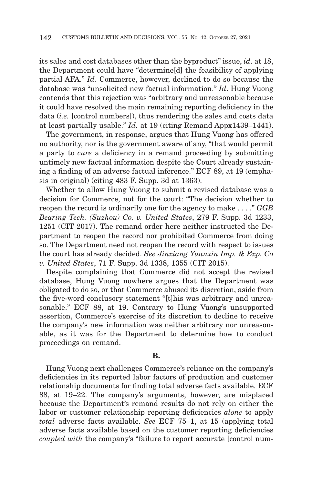its sales and cost databases other than the byproduct" issue, *id*. at 18, the Department could have "determine[d] the feasibility of applying partial AFA." *Id*. Commerce, however, declined to do so because the database was "unsolicited new factual information." *Id*. Hung Vuong contends that this rejection was "arbitrary and unreasonable because it could have resolved the main remaining reporting deficiency in the data (*i.e.* [control numbers]), thus rendering the sales and costs data at least partially usable." *Id.* at 19 (citing Remand Appx1439–1441).

The government, in response, argues that Hung Vuong has offered no authority, nor is the government aware of any, "that would permit a party to *cure* a deficiency in a remand proceeding by submitting untimely new factual information despite the Court already sustaining a finding of an adverse factual inference." ECF 89, at 19 (emphasis in original) (citing 483 F. Supp. 3d at 1363).

Whether to allow Hung Vuong to submit a revised database was a decision for Commerce, not for the court: "The decision whether to reopen the record is ordinarily one for the agency to make . . . ." *GGB Bearing Tech. (Suzhou) Co. v. United States*, 279 F. Supp. 3d 1233, 1251 (CIT 2017). The remand order here neither instructed the Department to reopen the record nor prohibited Commerce from doing so. The Department need not reopen the record with respect to issues the court has already decided. *See Jinxiang Yuanxin Imp. & Exp. Co v. United States*, 71 F. Supp. 3d 1338, 1355 (CIT 2015).

Despite complaining that Commerce did not accept the revised database, Hung Vuong nowhere argues that the Department was obligated to do so, or that Commerce abused its discretion, aside from the five-word conclusory statement "[t]his was arbitrary and unreasonable." ECF 88, at 19. Contrary to Hung Vuong's unsupported assertion, Commerce's exercise of its discretion to decline to receive the company's new information was neither arbitrary nor unreasonable, as it was for the Department to determine how to conduct proceedings on remand.

#### **B.**

Hung Vuong next challenges Commerce's reliance on the company's deficiencies in its reported labor factors of production and customer relationship documents for finding total adverse facts available. ECF 88, at 19–22. The company's arguments, however, are misplaced because the Department's remand results do not rely on either the labor or customer relationship reporting deficiencies *alone* to apply *total* adverse facts available. *See* ECF 75–1, at 15 (applying total adverse facts available based on the customer reporting deficiencies *coupled with* the company's "failure to report accurate [control num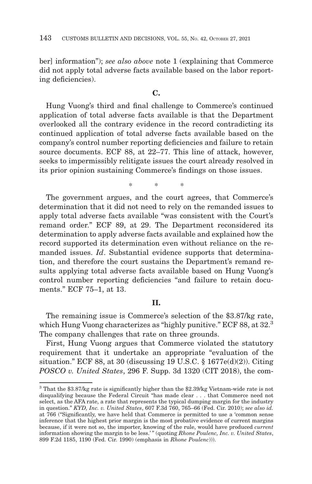ber] information"); *see also above* note 1 (explaining that Commerce did not apply total adverse facts available based on the labor reporting deficiencies).

# **C.**

Hung Vuong's third and final challenge to Commerce's continued application of total adverse facts available is that the Department overlooked all the contrary evidence in the record contradicting its continued application of total adverse facts available based on the company's control number reporting deficiencies and failure to retain source documents. ECF 88, at 22–77. This line of attack, however, seeks to impermissibly relitigate issues the court already resolved in its prior opinion sustaining Commerce's findings on those issues.

\*\* \*

The government argues, and the court agrees, that Commerce's determination that it did not need to rely on the remanded issues to apply total adverse facts available "was consistent with the Court's remand order." ECF 89, at 29. The Department reconsidered its determination to apply adverse facts available and explained how the record supported its determination even without reliance on the remanded issues. *Id*. Substantial evidence supports that determination, and therefore the court sustains the Department's remand results applying total adverse facts available based on Hung Vuong's control number reporting deficiencies "and failure to retain documents." ECF 75–1, at 13.

### **II.**

The remaining issue is Commerce's selection of the \$3.87/kg rate, which Hung Vuong characterizes as "highly punitive." ECF 88, at 32.<sup>3</sup> The company challenges that rate on three grounds.

First, Hung Vuong argues that Commerce violated the statutory requirement that it undertake an appropriate "evaluation of the situation." ECF 88, at 30 (discussing 19 U.S.C.  $\S$  1677e(d)(2)). Citing *POSCO v. United States*, 296 F. Supp. 3d 1320 (CIT 2018), the com-

<sup>3</sup> That the \$3.87/kg rate is significantly higher than the \$2.39/kg Vietnam-wide rate is not disqualifying because the Federal Circuit "has made clear . . . that Commerce need not select, as the AFA rate, a rate that represents the typical dumping margin for the industry in question." *KYD, Inc. v. United States*, 607 F.3d 760, 765–66 (Fed. Cir. 2010); *see also id.* at 766 ("Significantly, we have held that Commerce is permitted to use a 'common sense inference that the highest prior margin is the most probative evidence of current margins because, if it were not so, the importer, knowing of the rule, would have produced *current* information showing the margin to be less.' " (quoting *Rhone Poulenc, Inc. v. United States*, 899 F.2d 1185, 1190 (Fed. Cir. 1990) (emphasis in *Rhone Poulenc*))).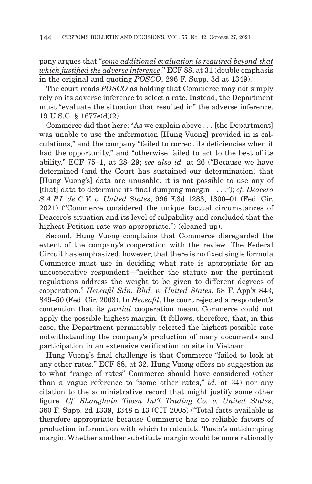pany argues that "*some additional evaluation is required beyond that which justified the adverse inference*." ECF 88, at 31 (double emphasis in the original and quoting *POSCO*, 296 F. Supp. 3d at 1349).

The court reads *POSCO* as holding that Commerce may not simply rely on its adverse inference to select a rate. Instead, the Department must "evaluate the situation that resulted in" the adverse inference. 19 U.S.C. § 1677e(d)(2).

Commerce did that here: "As we explain above . . . [the Department] was unable to use the information [Hung Vuong] provided in is calculations," and the company "failed to correct its deficiencies when it had the opportunity," and "otherwise failed to act to the best of its ability." ECF 75–1, at 28–29; *see also id.* at 26 ("Because we have determined (and the Court has sustained our determination) that [Hung Vuong's] data are unusable, it is not possible to use any of [that] data to determine its final dumping margin . . . ."); *cf. Deacero S.A.P.I. de C.V. v. United States*, 996 F.3d 1283, 1300–01 (Fed. Cir. 2021) ("Commerce considered the unique factual circumstances of Deacero's situation and its level of culpability and concluded that the highest Petition rate was appropriate.") (cleaned up).

Second, Hung Vuong complains that Commerce disregarded the extent of the company's cooperation with the review. The Federal Circuit has emphasized, however, that there is no fixed single formula Commerce must use in deciding what rate is appropriate for an uncooperative respondent—"neither the statute nor the pertinent regulations address the weight to be given to different degrees of cooperation." *Heveafil Sdn. Bhd. v. United States*, 58 F. App'x 843, 849–50 (Fed. Cir. 2003). In *Heveafil*, the court rejected a respondent's contention that its *partial* cooperation meant Commerce could not apply the possible highest margin. It follows, therefore, that, in this case, the Department permissibly selected the highest possible rate notwithstanding the company's production of many documents and participation in an extensive verification on site in Vietnam.

Hung Vuong's final challenge is that Commerce "failed to look at any other rates." ECF 88, at 32. Hung Vuong offers no suggestion as to what "range of rates" Commerce should have considered (other than a vague reference to "some other rates," *id.* at 34) nor any citation to the administrative record that might justify some other figure. *Cf. Shanghain Taoen Int'l Trading Co. v. United States*, 360 F. Supp. 2d 1339, 1348 n.13 (CIT 2005) ("Total facts available is therefore appropriate because Commerce has no reliable factors of production information with which to calculate Taoen's antidumping margin. Whether another substitute margin would be more rationally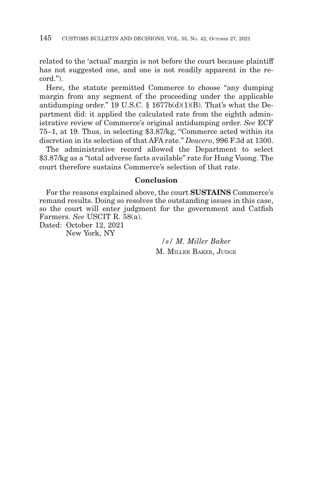related to the 'actual' margin is not before the court because plaintiff has not suggested one, and one is not readily apparent in the record.").

Here, the statute permitted Commerce to choose "any dumping margin from any segment of the proceeding under the applicable antidumping order." 19 U.S.C.  $\S$  1677b(d)(1)(B). That's what the Department did: it applied the calculated rate from the eighth administrative review of Commerce's original antidumping order. *See* ECF 75–1, at 19. Thus, in selecting \$3.87/kg, "Commerce acted within its discretion in its selection of that AFA rate." *Deacero*, 996 F.3d at 1300.

The administrative record allowed the Department to select \$3.87/kg as a "total adverse facts available" rate for Hung Vuong. The court therefore sustains Commerce's selection of that rate.

# **Conclusion**

For the reasons explained above, the court **SUSTAINS** Commerce's remand results. Doing so resolves the outstanding issues in this case, so the court will enter judgment for the government and Catfish Farmers. *See* USCIT R. 58(a).

Dated: October 12, 2021 New York, NY

> */s/ M. Miller Baker* M. MILLER BAKER, JUDGE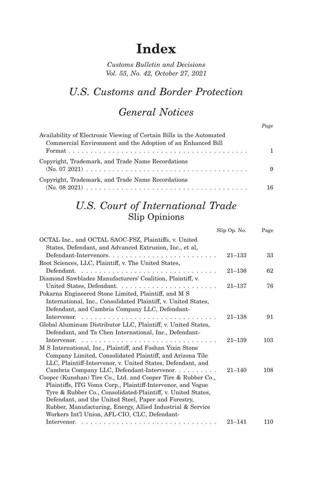## **Index**

*Customs Bulletin and Decisions Vol. 55, No. 42, October 27, 2021*

## *U.S. Customs and Border Protection*

## *General Notices*

| Availability of Electronic Viewing of Certain Bills in the Automated |    |
|----------------------------------------------------------------------|----|
| Commercial Environment and the Adoption of an Enhanced Bill          |    |
|                                                                      | 1. |
| Copyright, Trademark, and Trade Name Recordations                    | 9  |
| Copyright, Trademark, and Trade Name Recordations                    | 16 |

## *U.S. Court of International Trade* Slip Opinions

|                                                                | Slip Op. No. | Page |
|----------------------------------------------------------------|--------------|------|
| OCTAL Inc., and OCTAL SAOC-FSZ, Plaintiffs, v. United          |              |      |
| States, Defendant, and Advanced Extrusion, Inc., et al,        |              |      |
| Defendant-Intervenors                                          | $21 - 133$   | 33   |
| Root Sciences, LLC, Plaintiff, v. The United States,           |              |      |
|                                                                | $21 - 136$   | 62   |
| Diamond Sawblades Manufacturers' Coalition, Plaintiff, v.      |              |      |
|                                                                | $21 - 137$   | 76   |
| Pokarna Engineered Stone Limited, Plaintiff, and M S           |              |      |
| International, Inc., Consolidated Plaintiff, v. United States, |              |      |
| Defendant, and Cambria Company LLC, Defendant-                 |              |      |
|                                                                | $21 - 138$   | 91   |
| Global Aluminum Distributor LLC, Plaintiff, v. United States,  |              |      |
| Defendant, and Ta Chen International, Inc., Defendant-         |              |      |
|                                                                | $21 - 139$   | 103  |
| M S International, Inc., Plaintiff, and Foshan Yixin Stone     |              |      |
| Company Limited, Consolidated Plaintiff, and Arizona Tile      |              |      |
| LLC, Plaintiff-Intervenor, v. United States, Defendant, and    |              |      |
| Cambria Company LLC, Defendant-Intervenor.                     | $21 - 140$   | 108  |
| Cooper (Kunshan) Tire Co., Ltd. and Cooper Tire & Rubber Co.,  |              |      |
| Plaintiffs, ITG Voma Corp., Plaintiff-Intervenor, and Vogue    |              |      |
| Tyre & Rubber Co., Consolidated-Plaintiff, v. United States,   |              |      |
| Defendant, and the United Steel, Paper and Forestry,           |              |      |
| Rubber, Manufacturing, Energy, Allied Industrial & Service     |              |      |
| Workers Int'l Union, AFL-CIO, CLC, Defendant-                  |              |      |
|                                                                | $21 - 141$   | 110  |